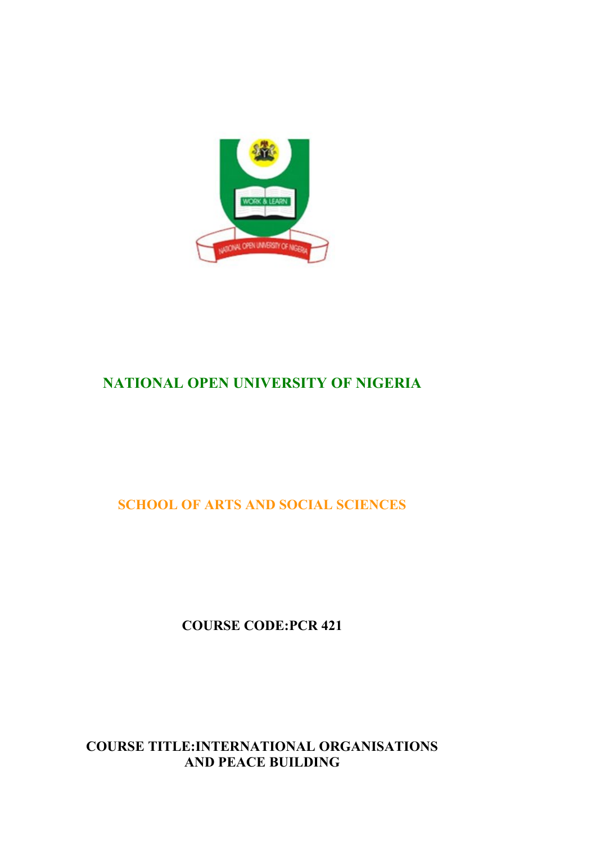

# **NATIONAL OPEN UNIVERSITY OF NIGERIA**

**SCHOOL OF ARTS AND SOCIAL SCIENCES**

**COURSE CODE:PCR 421**

**COURSE TITLE:INTERNATIONAL ORGANISATIONS AND PEACE BUILDING**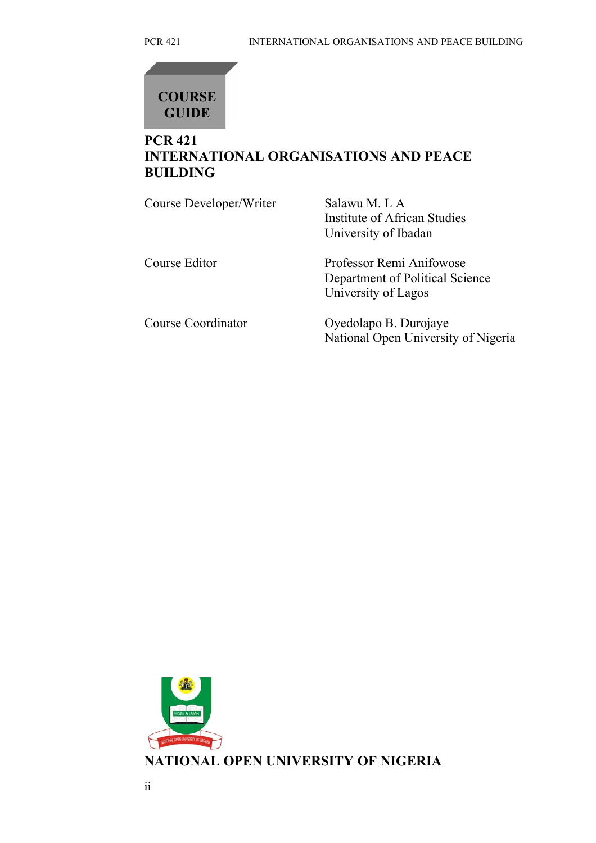

## **PCR 421 INTERNATIONAL ORGANISATIONS AND PEACE BUILDING**

| Course Developer/Writer | Salawu M. L A<br>Institute of African Studies<br>University of Ibadan              |
|-------------------------|------------------------------------------------------------------------------------|
| Course Editor           | Professor Remi Anifowose<br>Department of Political Science<br>University of Lagos |
| Course Coordinator      | Oyedolapo B. Durojaye<br>National Open University of Nigeria                       |

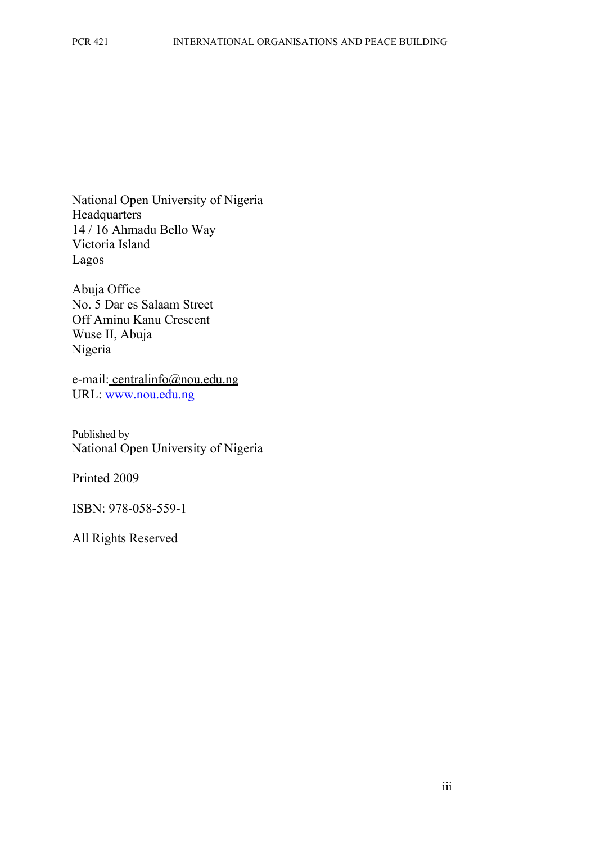National Open University of Nigeria **Headquarters** 14 / 16 Ahmadu Bello Way Victoria Island Lagos

Abuja Office No. 5 Dar es Salaam Street Off Aminu Kanu Crescent Wuse II, Abuja Nigeria

e-mail: centralinfo@nou.edu.ng URL: [www.nou.edu.ng](http://www.nou.edu.ng/)

Published by National Open University of Nigeria

Printed 2009

ISBN: 978-058-559-1

All Rights Reserved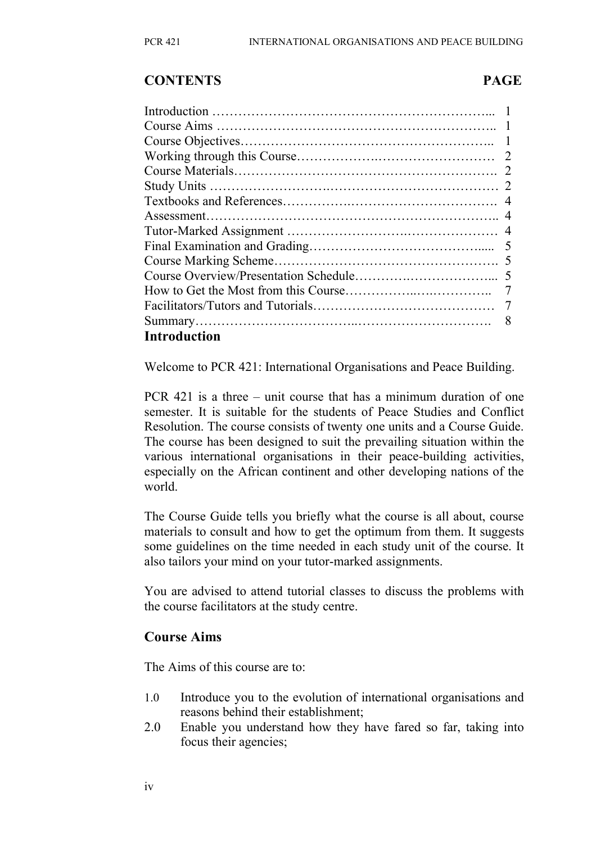#### **CONTENTS PAGE**

| <b>Introduction</b> |  |
|---------------------|--|

Welcome to PCR 421: International Organisations and Peace Building.

PCR 421 is a three – unit course that has a minimum duration of one semester. It is suitable for the students of Peace Studies and Conflict Resolution. The course consists of twenty one units and a Course Guide. The course has been designed to suit the prevailing situation within the various international organisations in their peace-building activities, especially on the African continent and other developing nations of the world.

The Course Guide tells you briefly what the course is all about, course materials to consult and how to get the optimum from them. It suggests some guidelines on the time needed in each study unit of the course. It also tailors your mind on your tutor-marked assignments.

You are advised to attend tutorial classes to discuss the problems with the course facilitators at the study centre.

#### **Course Aims**

The Aims of this course are to:

- 1.0 Introduce you to the evolution of international organisations and reasons behind their establishment;
- 2.0 Enable you understand how they have fared so far, taking into focus their agencies;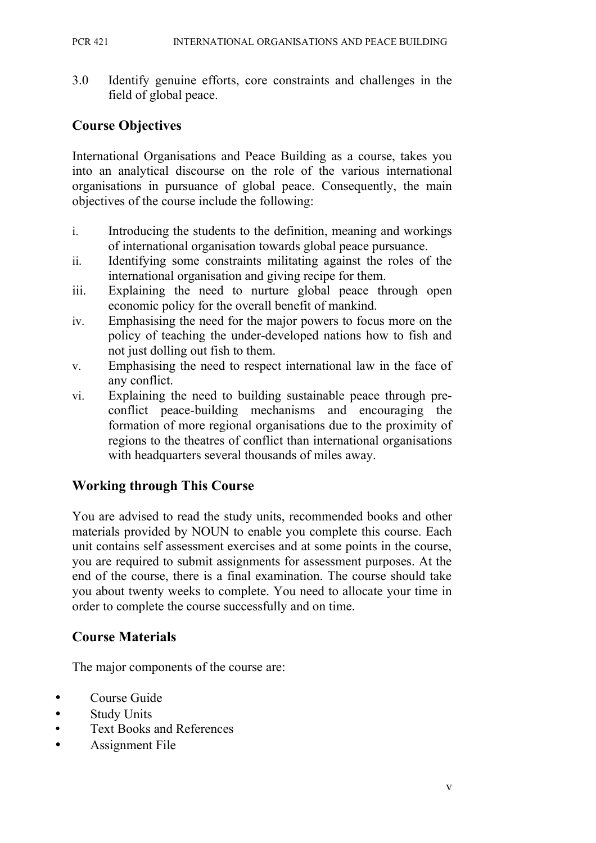PCR 421 INTERNATIONAL ORGANISATIONS AND PEACE BUILDING

3.0 Identify genuine efforts, core constraints and challenges in the field of global peace.

## **Course Objectives**

International Organisations and Peace Building as a course, takes you into an analytical discourse on the role of the various international organisations in pursuance of global peace. Consequently, the main objectives of the course include the following:

- i. Introducing the students to the definition, meaning and workings of international organisation towards global peace pursuance.
- ii. Identifying some constraints militating against the roles of the international organisation and giving recipe for them.
- iii. Explaining the need to nurture global peace through open economic policy for the overall benefit of mankind.
- iv. Emphasising the need for the major powers to focus more on the policy of teaching the under-developed nations how to fish and not just dolling out fish to them.
- v. Emphasising the need to respect international law in the face of any conflict.
- vi. Explaining the need to building sustainable peace through preconflict peace-building mechanisms and encouraging the formation of more regional organisations due to the proximity of regions to the theatres of conflict than international organisations with headquarters several thousands of miles away.

## **Working through This Course**

You are advised to read the study units, recommended books and other materials provided by NOUN to enable you complete this course. Each unit contains self assessment exercises and at some points in the course, you are required to submit assignments for assessment purposes. At the end of the course, there is a final examination. The course should take you about twenty weeks to complete. You need to allocate your time in order to complete the course successfully and on time.

## **Course Materials**

The major components of the course are:

- Course Guide
- Study Units
- Text Books and References
- Assignment File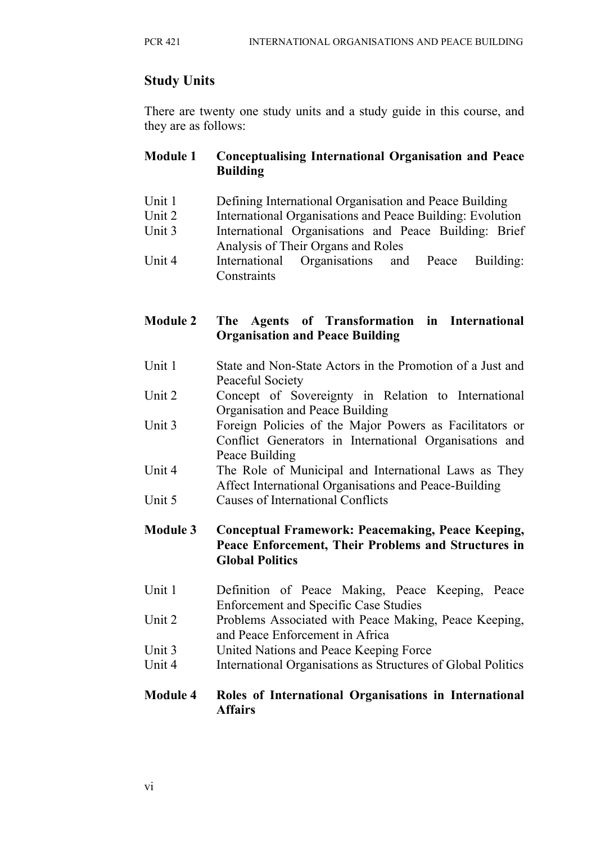## **Study Units**

There are twenty one study units and a study guide in this course, and they are as follows:

#### **Module 1 Conceptualising International Organisation and Peace Building**

- Unit 1 Defining International Organisation and Peace Building
- Unit 2 International Organisations and Peace Building: Evolution
- Unit 3 International Organisations and Peace Building: Brief Analysis of Their Organs and Roles
- Unit 4 International Organisations and Peace Building: **Constraints**

#### **Module 2 The Agents of Transformation in International Organisation and Peace Building**

- Unit 1 State and Non-State Actors in the Promotion of a Just and Peaceful Society
- Unit 2 Concept of Sovereignty in Relation to International Organisation and Peace Building
- Unit 3 Foreign Policies of the Major Powers as Facilitators or Conflict Generators in International Organisations and Peace Building
- Unit 4 The Role of Municipal and International Laws as They Affect International Organisations and Peace-Building
- Unit 5 Causes of International Conflicts

#### **Module 3 Conceptual Framework: Peacemaking, Peace Keeping, Peace Enforcement, Their Problems and Structures in Global Politics**

- Unit 1 Definition of Peace Making, Peace Keeping, Peace Enforcement and Specific Case Studies
- Unit 2 Problems Associated with Peace Making, Peace Keeping, and Peace Enforcement in Africa
- Unit 3 United Nations and Peace Keeping Force
- Unit 4 International Organisations as Structures of Global Politics

#### **Module 4 Roles of International Organisations in International Affairs**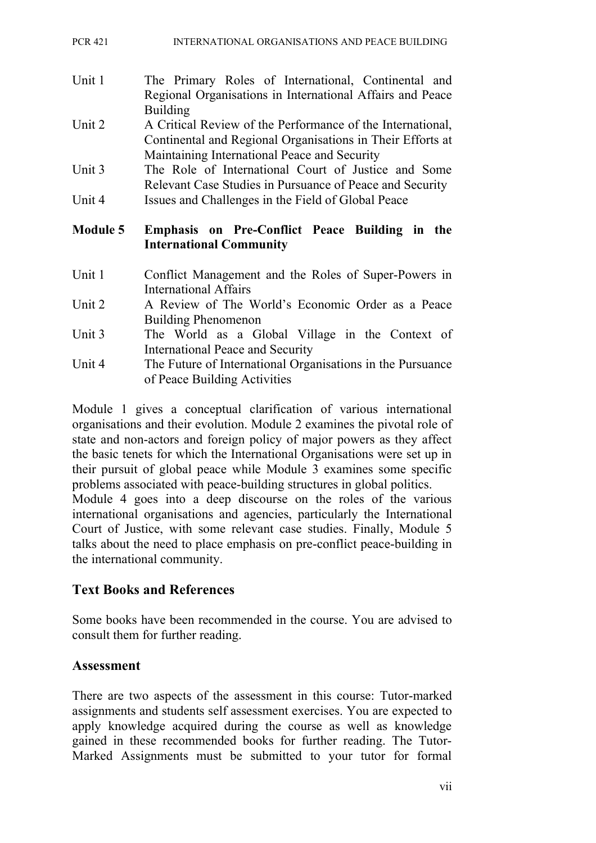| <b>PCR 421</b> |  | INTERNATIONAL ORGANISATIONS AND PEACE BUILDING |
|----------------|--|------------------------------------------------|
|                |  |                                                |

- Unit 1 The Primary Roles of International, Continental and Regional Organisations in International Affairs and Peace Building
- Unit 2 A Critical Review of the Performance of the International, Continental and Regional Organisations in Their Efforts at Maintaining International Peace and Security
- Unit 3 The Role of International Court of Justice and Some Relevant Case Studies in Pursuance of Peace and Security
- Unit 4 Issues and Challenges in the Field of Global Peace

#### **Module 5 Emphasis on Pre-Conflict Peace Building in the International Community**

- Unit 1 Conflict Management and the Roles of Super-Powers in International Affairs
- Unit 2 A Review of The World's Economic Order as a Peace Building Phenomenon
- Unit 3 The World as a Global Village in the Context of International Peace and Security
- Unit 4 The Future of International Organisations in the Pursuance of Peace Building Activities

Module 1 gives a conceptual clarification of various international organisations and their evolution. Module 2 examines the pivotal role of state and non-actors and foreign policy of major powers as they affect the basic tenets for which the International Organisations were set up in their pursuit of global peace while Module 3 examines some specific problems associated with peace-building structures in global politics.

Module 4 goes into a deep discourse on the roles of the various international organisations and agencies, particularly the International Court of Justice, with some relevant case studies. Finally, Module 5 talks about the need to place emphasis on pre-conflict peace-building in the international community.

#### **Text Books and References**

Some books have been recommended in the course. You are advised to consult them for further reading.

#### **Assessment**

There are two aspects of the assessment in this course: Tutor-marked assignments and students self assessment exercises. You are expected to apply knowledge acquired during the course as well as knowledge gained in these recommended books for further reading. The Tutor-Marked Assignments must be submitted to your tutor for formal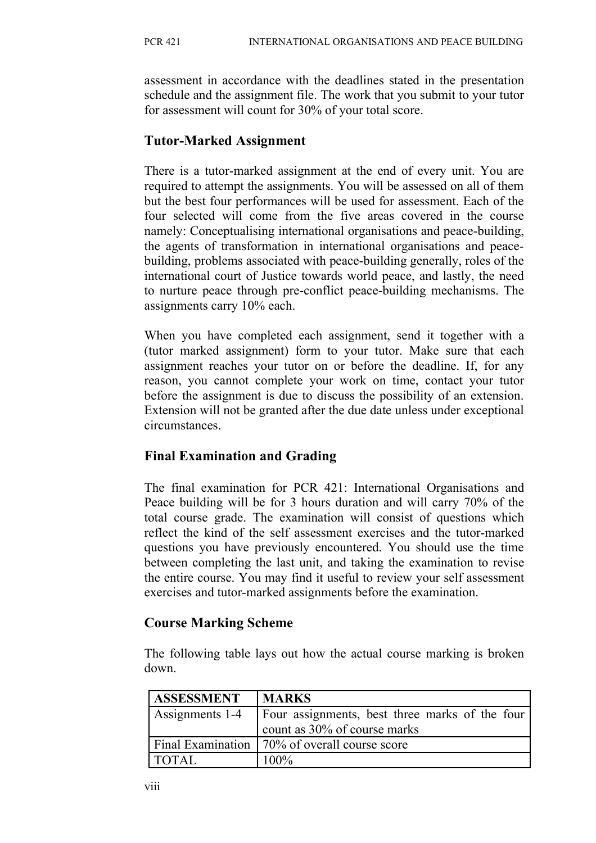assessment in accordance with the deadlines stated in the presentation schedule and the assignment file. The work that you submit to your tutor for assessment will count for 30% of your total score.

#### **Tutor-Marked Assignment**

There is a tutor-marked assignment at the end of every unit. You are required to attempt the assignments. You will be assessed on all of them but the best four performances will be used for assessment. Each of the four selected will come from the five areas covered in the course namely: Conceptualising international organisations and peace-building, the agents of transformation in international organisations and peacebuilding, problems associated with peace-building generally, roles of the international court of Justice towards world peace, and lastly, the need to nurture peace through pre-conflict peace-building mechanisms. The assignments carry 10% each.

When you have completed each assignment, send it together with a (tutor marked assignment) form to your tutor. Make sure that each assignment reaches your tutor on or before the deadline. If, for any reason, you cannot complete your work on time, contact your tutor before the assignment is due to discuss the possibility of an extension. Extension will not be granted after the due date unless under exceptional circumstances.

#### **Final Examination and Grading**

The final examination for PCR 421: International Organisations and Peace building will be for 3 hours duration and will carry 70% of the total course grade. The examination will consist of questions which reflect the kind of the self assessment exercises and the tutor-marked questions you have previously encountered. You should use the time between completing the last unit, and taking the examination to revise the entire course. You may find it useful to review your self assessment exercises and tutor-marked assignments before the examination.

#### **Course Marking Scheme**

The following table lays out how the actual course marking is broken down.

| <b>ASSESSMENT</b> | <b>MARKS</b>                                    |
|-------------------|-------------------------------------------------|
| Assignments 1-4   | Four assignments, best three marks of the four  |
|                   | count as 30% of course marks                    |
|                   | Final Examination   70% of overall course score |
| <b>TOTAL</b>      | $100\%$                                         |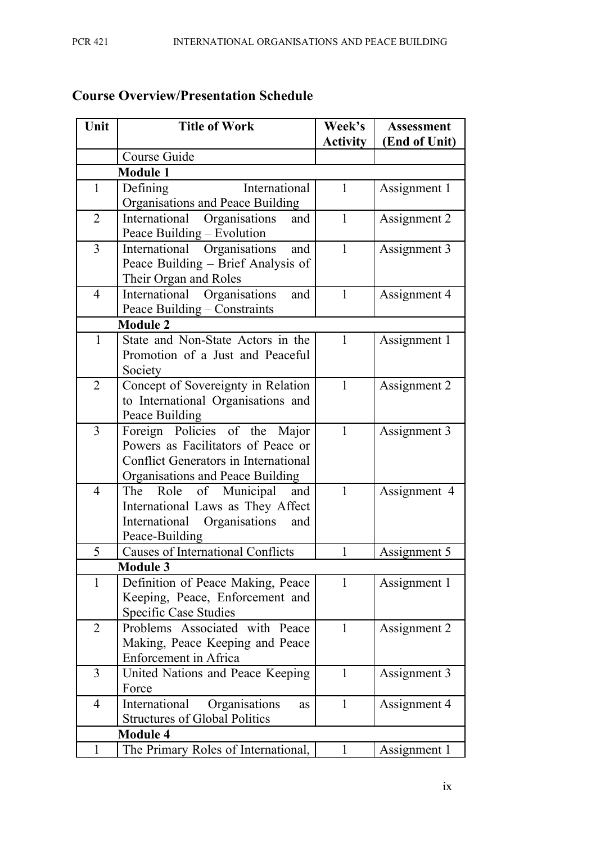| Unit           | <b>Title of Work</b>                                                                | Week's<br><b>Activity</b> | <b>Assessment</b><br>(End of Unit) |
|----------------|-------------------------------------------------------------------------------------|---------------------------|------------------------------------|
|                | Course Guide                                                                        |                           |                                    |
|                | <b>Module 1</b>                                                                     |                           |                                    |
| $\mathbf{1}$   | Defining<br>International<br>Organisations and Peace Building                       | 1                         | Assignment 1                       |
| $\overline{2}$ | International Organisations<br>and                                                  | $\mathbf{1}$              | Assignment 2                       |
|                | Peace Building – Evolution                                                          |                           |                                    |
| 3              | International Organisations<br>and                                                  | $\mathbf{1}$              | Assignment 3                       |
|                | Peace Building – Brief Analysis of                                                  |                           |                                    |
|                | Their Organ and Roles                                                               |                           |                                    |
| $\overline{4}$ | International Organisations<br>and                                                  | $\mathbf{1}$              | Assignment 4                       |
|                | Peace Building – Constraints                                                        |                           |                                    |
|                | <b>Module 2</b>                                                                     |                           |                                    |
| $\mathbf{1}$   | State and Non-State Actors in the                                                   | $\mathbf{1}$              | Assignment 1                       |
|                | Promotion of a Just and Peaceful                                                    |                           |                                    |
|                | Society                                                                             |                           |                                    |
| $\overline{2}$ | Concept of Sovereignty in Relation                                                  | $\mathbf{1}$              | Assignment 2                       |
|                | to International Organisations and                                                  |                           |                                    |
|                | Peace Building                                                                      |                           |                                    |
| 3              | Foreign Policies of the Major<br>Powers as Facilitators of Peace or                 | $\mathbf{1}$              | Assignment 3                       |
|                | <b>Conflict Generators in International</b>                                         |                           |                                    |
|                | Organisations and Peace Building                                                    |                           |                                    |
| $\overline{4}$ | of Municipal<br>and<br>The<br>Role                                                  | 1                         | Assignment 4                       |
|                | International Laws as They Affect                                                   |                           |                                    |
|                | International Organisations<br>and                                                  |                           |                                    |
|                | Peace-Building                                                                      |                           |                                    |
| 5              | <b>Causes of International Conflicts</b>                                            | 1                         | Assignment 5                       |
|                | <b>Module 3</b>                                                                     |                           |                                    |
| $\mathbf{1}$   | Definition of Peace Making, Peace                                                   | 1                         | Assignment 1                       |
|                | Keeping, Peace, Enforcement and                                                     |                           |                                    |
|                | <b>Specific Case Studies</b>                                                        |                           |                                    |
| $\overline{2}$ | Problems Associated with Peace                                                      | $\mathbf{1}$              | Assignment 2                       |
|                | Making, Peace Keeping and Peace                                                     |                           |                                    |
|                | <b>Enforcement</b> in Africa                                                        |                           |                                    |
| $\overline{3}$ | United Nations and Peace Keeping                                                    | $\mathbf{1}$              | Assignment 3                       |
|                | Force                                                                               |                           |                                    |
| 4              | International<br>Organisations<br><b>as</b><br><b>Structures of Global Politics</b> | $\mathbf{1}$              | Assignment 4                       |
|                | <b>Module 4</b>                                                                     |                           |                                    |
| $\mathbf{1}$   | The Primary Roles of International,                                                 | 1                         | Assignment 1                       |

## **Course Overview/Presentation Schedule**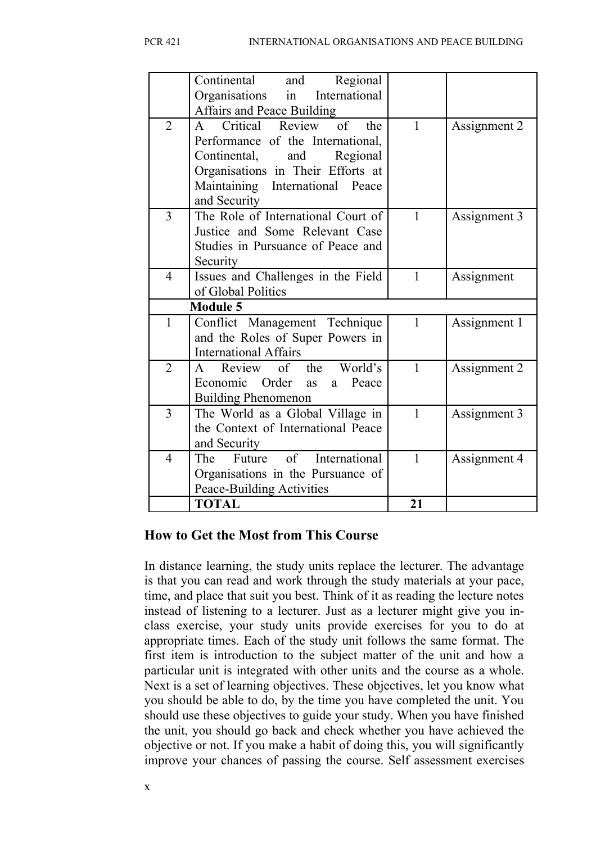|                | Continental<br>Regional<br>and<br>Organisations in<br>International<br><b>Affairs and Peace Building</b>                                                                                    |              |              |
|----------------|---------------------------------------------------------------------------------------------------------------------------------------------------------------------------------------------|--------------|--------------|
| $\overline{2}$ | A Critical Review of<br>the<br>Performance of the International,<br>Continental,<br>Regional<br>and<br>Organisations in Their Efforts at<br>Maintaining International Peace<br>and Security | $\mathbf{1}$ | Assignment 2 |
| 3              | The Role of International Court of<br>Justice and Some Relevant Case<br>Studies in Pursuance of Peace and<br>Security                                                                       | $\mathbf{1}$ | Assignment 3 |
| $\overline{4}$ | Issues and Challenges in the Field<br>of Global Politics                                                                                                                                    | $\mathbf{1}$ | Assignment   |
|                | <b>Module 5</b>                                                                                                                                                                             |              |              |
| $\mathbf{1}$   | Conflict Management Technique<br>and the Roles of Super Powers in<br><b>International Affairs</b>                                                                                           | $\mathbf{1}$ | Assignment 1 |
| $\overline{2}$ | Review of the World's<br>$\mathbf{A}$<br>Economic Order<br>Peace<br>as<br>a<br><b>Building Phenomenon</b>                                                                                   | $\mathbf{1}$ | Assignment 2 |
| 3              | The World as a Global Village in<br>the Context of International Peace<br>and Security                                                                                                      | $\mathbf{1}$ | Assignment 3 |
| 4              | $\sigma$<br>International<br>The<br>Future<br>Organisations in the Pursuance of<br>Peace-Building Activities                                                                                | $\mathbf{1}$ | Assignment 4 |
|                | <b>TOTAL</b>                                                                                                                                                                                | 21           |              |

#### **How to Get the Most from This Course**

In distance learning, the study units replace the lecturer. The advantage is that you can read and work through the study materials at your pace, time, and place that suit you best. Think of it as reading the lecture notes instead of listening to a lecturer. Just as a lecturer might give you inclass exercise, your study units provide exercises for you to do at appropriate times. Each of the study unit follows the same format. The first item is introduction to the subject matter of the unit and how a particular unit is integrated with other units and the course as a whole. Next is a set of learning objectives. These objectives, let you know what you should be able to do, by the time you have completed the unit. You should use these objectives to guide your study. When you have finished the unit, you should go back and check whether you have achieved the objective or not. If you make a habit of doing this, you will significantly improve your chances of passing the course. Self assessment exercises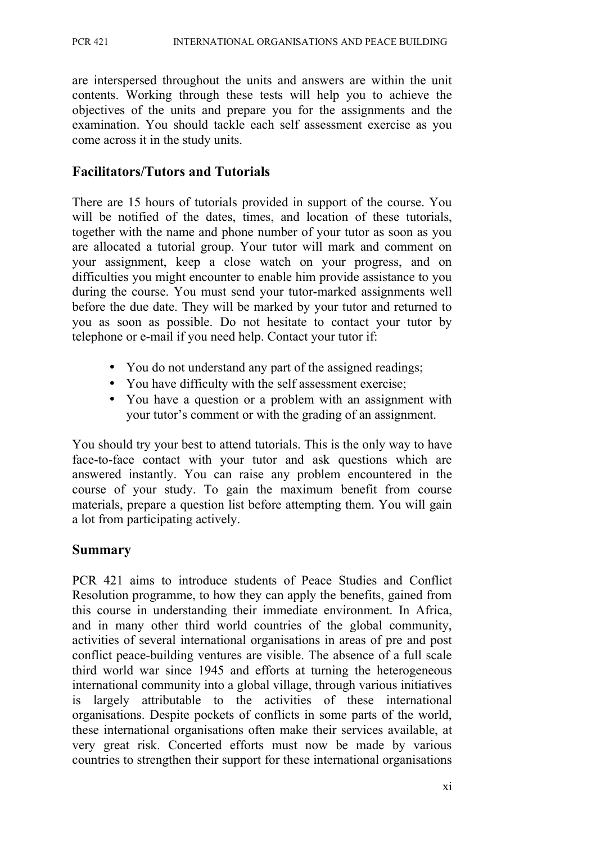are interspersed throughout the units and answers are within the unit contents. Working through these tests will help you to achieve the objectives of the units and prepare you for the assignments and the examination. You should tackle each self assessment exercise as you come across it in the study units.

#### **Facilitators/Tutors and Tutorials**

There are 15 hours of tutorials provided in support of the course. You will be notified of the dates, times, and location of these tutorials, together with the name and phone number of your tutor as soon as you are allocated a tutorial group. Your tutor will mark and comment on your assignment, keep a close watch on your progress, and on difficulties you might encounter to enable him provide assistance to you during the course. You must send your tutor-marked assignments well before the due date. They will be marked by your tutor and returned to you as soon as possible. Do not hesitate to contact your tutor by telephone or e-mail if you need help. Contact your tutor if:

- You do not understand any part of the assigned readings;
- You have difficulty with the self assessment exercise;
- You have a question or a problem with an assignment with your tutor's comment or with the grading of an assignment.

You should try your best to attend tutorials. This is the only way to have face-to-face contact with your tutor and ask questions which are answered instantly. You can raise any problem encountered in the course of your study. To gain the maximum benefit from course materials, prepare a question list before attempting them. You will gain a lot from participating actively.

#### **Summary**

PCR 421 aims to introduce students of Peace Studies and Conflict Resolution programme, to how they can apply the benefits, gained from this course in understanding their immediate environment. In Africa, and in many other third world countries of the global community, activities of several international organisations in areas of pre and post conflict peace-building ventures are visible. The absence of a full scale third world war since 1945 and efforts at turning the heterogeneous international community into a global village, through various initiatives is largely attributable to the activities of these international organisations. Despite pockets of conflicts in some parts of the world, these international organisations often make their services available, at very great risk. Concerted efforts must now be made by various countries to strengthen their support for these international organisations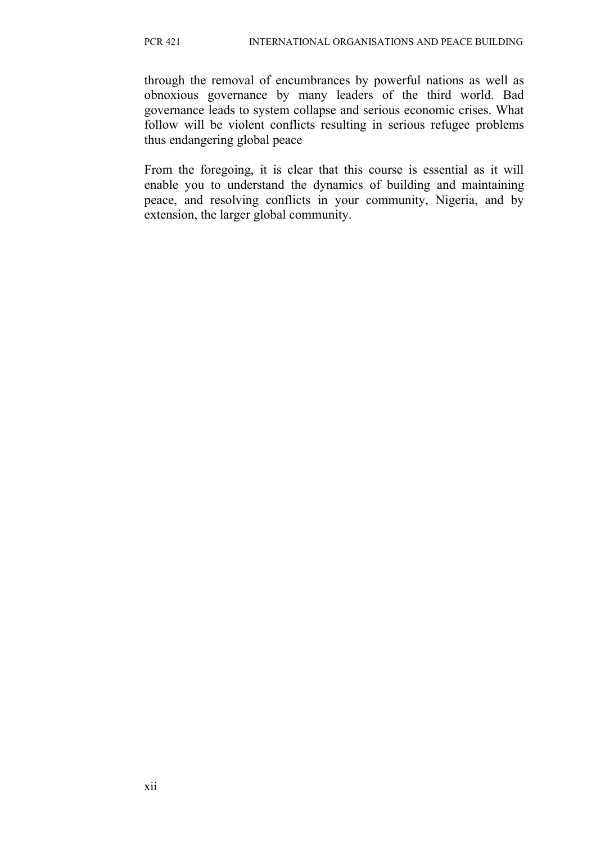through the removal of encumbrances by powerful nations as well as obnoxious governance by many leaders of the third world. Bad governance leads to system collapse and serious economic crises. What follow will be violent conflicts resulting in serious refugee problems thus endangering global peace

From the foregoing, it is clear that this course is essential as it will enable you to understand the dynamics of building and maintaining peace, and resolving conflicts in your community, Nigeria, and by extension, the larger global community.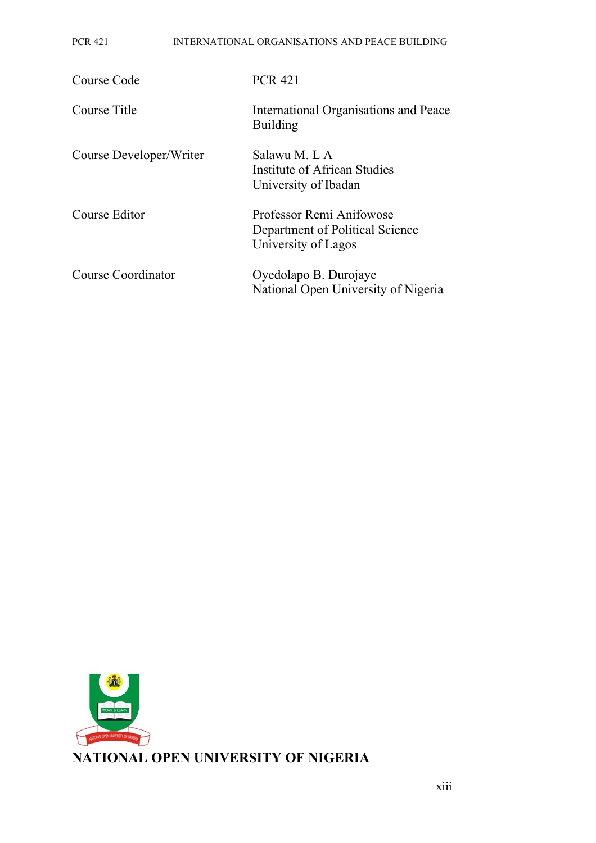#### PCR 421 INTERNATIONAL ORGANISATIONS AND PEACE BUILDING

| Course Code             | <b>PCR 421</b>                                                                     |
|-------------------------|------------------------------------------------------------------------------------|
| Course Title            | International Organisations and Peace<br><b>Building</b>                           |
| Course Developer/Writer | Salawu M. L A<br>Institute of African Studies<br>University of Ibadan              |
| Course Editor           | Professor Remi Anifowose<br>Department of Political Science<br>University of Lagos |
| Course Coordinator      | Oyedolapo B. Durojaye<br>National Open University of Nigeria                       |

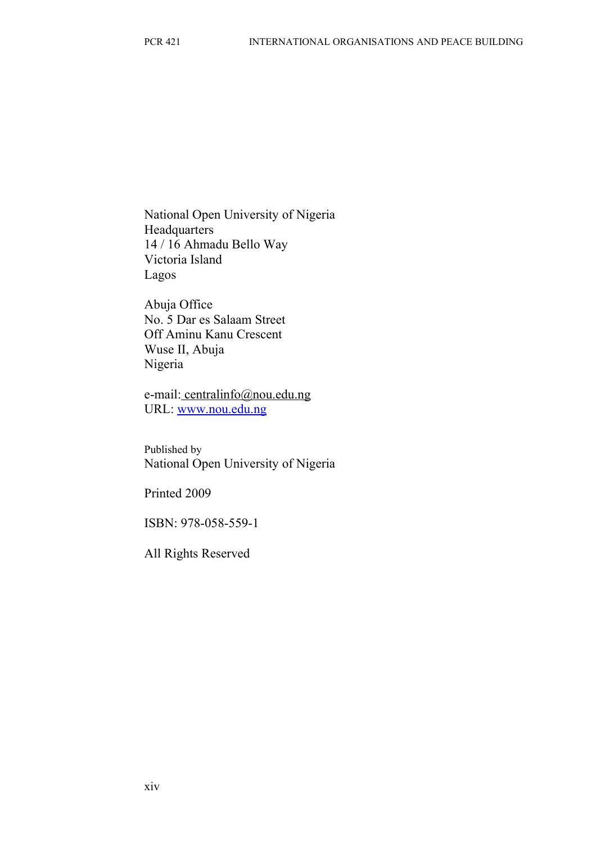National Open University of Nigeria Headquarters 14 / 16 Ahmadu Bello Way Victoria Island Lagos

Abuja Office No. 5 Dar es Salaam Street Off Aminu Kanu Crescent Wuse II, Abuja Nigeria

e-mail: centralinfo@nou.edu.ng URL: [www.nou.edu.ng](http://www.nou.edu.ng/)

Published by National Open University of Nigeria

Printed 2009

ISBN: 978-058-559-1

All Rights Reserved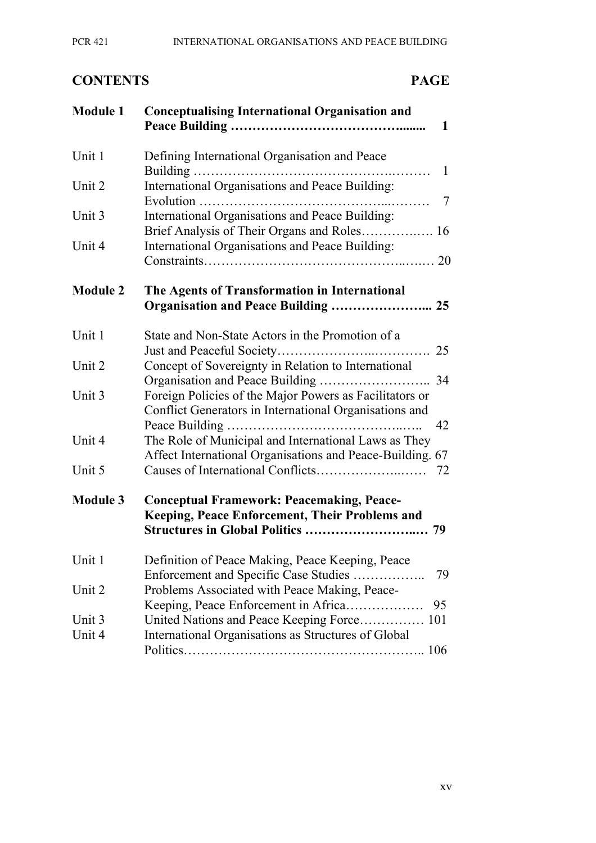## **CONTENTS PAGE**

| <b>Module 1</b> | <b>Conceptualising International Organisation and</b><br>$\mathbf 1$                                                    |
|-----------------|-------------------------------------------------------------------------------------------------------------------------|
| Unit 1          | Defining International Organisation and Peace<br>$\mathbf{1}$                                                           |
| Unit 2          | International Organisations and Peace Building:<br>$\overline{7}$                                                       |
| Unit 3          | International Organisations and Peace Building:                                                                         |
| Unit 4          | International Organisations and Peace Building:                                                                         |
| <b>Module 2</b> | The Agents of Transformation in International<br>Organisation and Peace Building  25                                    |
| Unit 1          | State and Non-State Actors in the Promotion of a<br>25                                                                  |
| Unit 2          | Concept of Sovereignty in Relation to International                                                                     |
| Unit 3          | Foreign Policies of the Major Powers as Facilitators or<br>Conflict Generators in International Organisations and<br>42 |
| Unit 4          | The Role of Municipal and International Laws as They<br>Affect International Organisations and Peace-Building. 67       |
| Unit 5          | 72                                                                                                                      |
| <b>Module 3</b> | <b>Conceptual Framework: Peacemaking, Peace-</b><br><b>Keeping, Peace Enforcement, Their Problems and</b>               |
| Unit 1          | Definition of Peace Making, Peace Keeping, Peace<br>Enforcement and Specific Case Studies<br>79                         |
| Unit 2          | Problems Associated with Peace Making, Peace-<br>Keeping, Peace Enforcement in Africa<br>95                             |
| Unit 3          | United Nations and Peace Keeping Force 101                                                                              |
| Unit 4          | International Organisations as Structures of Global                                                                     |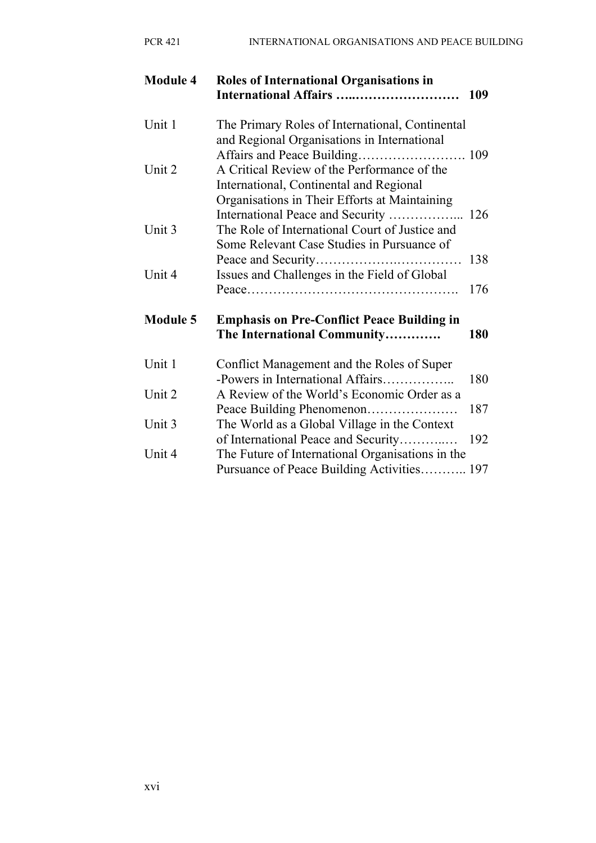| PCR 421 |  | INTERNATIONAL ORGANISATIONS AND PEACE BUILDING |
|---------|--|------------------------------------------------|
|         |  |                                                |

| <b>Module 4</b> | <b>Roles of International Organisations in</b><br>International Affairs                                                                       | 109        |
|-----------------|-----------------------------------------------------------------------------------------------------------------------------------------------|------------|
| Unit 1          | The Primary Roles of International, Continental<br>and Regional Organisations in International                                                |            |
| Unit 2          | A Critical Review of the Performance of the<br>International, Continental and Regional                                                        |            |
| Unit 3          | Organisations in Their Efforts at Maintaining<br>The Role of International Court of Justice and<br>Some Relevant Case Studies in Pursuance of | 126        |
| Unit 4          | Issues and Challenges in the Field of Global                                                                                                  | 138        |
| <b>Module 5</b> | <b>Emphasis on Pre-Conflict Peace Building in</b><br>The International Community                                                              | 176<br>180 |
| Unit 1          | Conflict Management and the Roles of Super                                                                                                    |            |
| Unit 2          | -Powers in International Affairs<br>A Review of the World's Economic Order as a                                                               | 180        |
| Unit 3          | Peace Building Phenomenon<br>The World as a Global Village in the Context                                                                     | 187        |
| Unit 4          | of International Peace and Security<br>The Future of International Organisations in the<br>Pursuance of Peace Building Activities 197         | 192        |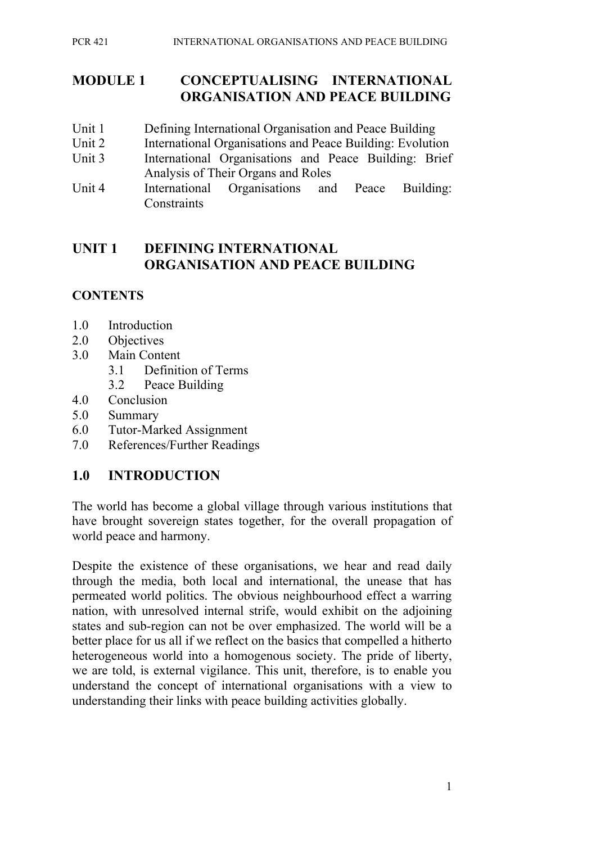#### **MODULE 1 CONCEPTUALISING INTERNATIONAL ORGANISATION AND PEACE BUILDING**

- Unit 1 Defining International Organisation and Peace Building
- Unit 2 International Organisations and Peace Building: Evolution
- Unit 3 International Organisations and Peace Building: Brief Analysis of Their Organs and Roles
- Unit 4 International Organisations and Peace Building: **Constraints**

## **UNIT 1 DEFINING INTERNATIONAL ORGANISATION AND PEACE BUILDING**

## **CONTENTS**

- 1.0 Introduction
- 2.0 Objectives
- 3.0 Main Content
	- 3.1 Definition of Terms
	- 3.2 Peace Building
- 4.0 Conclusion
- 5.0 Summary
- 6.0 Tutor-Marked Assignment
- 7.0 References/Further Readings

## **1.0 INTRODUCTION**

The world has become a global village through various institutions that have brought sovereign states together, for the overall propagation of world peace and harmony.

Despite the existence of these organisations, we hear and read daily through the media, both local and international, the unease that has permeated world politics. The obvious neighbourhood effect a warring nation, with unresolved internal strife, would exhibit on the adjoining states and sub-region can not be over emphasized. The world will be a better place for us all if we reflect on the basics that compelled a hitherto heterogeneous world into a homogenous society. The pride of liberty, we are told, is external vigilance. This unit, therefore, is to enable you understand the concept of international organisations with a view to understanding their links with peace building activities globally.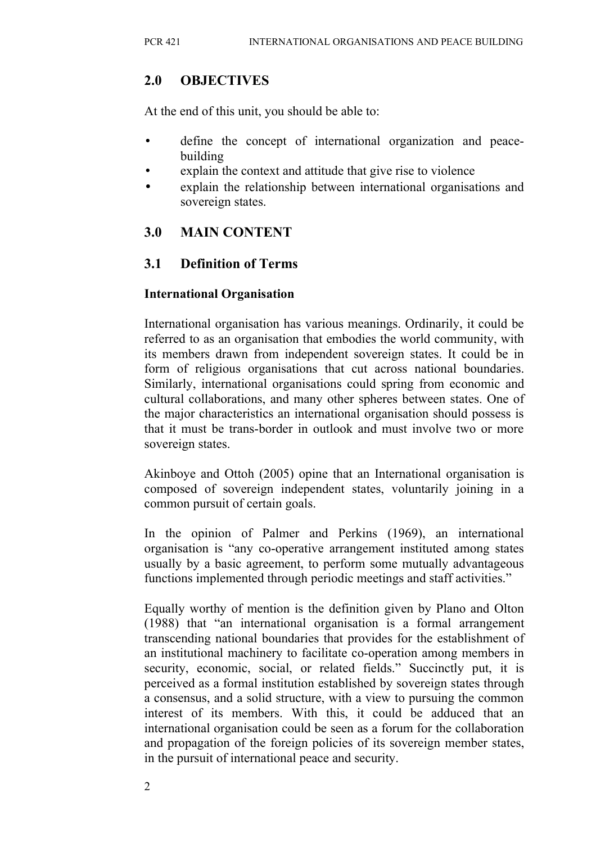## **2.0 OBJECTIVES**

At the end of this unit, you should be able to:

- define the concept of international organization and peacebuilding
- explain the context and attitude that give rise to violence
- explain the relationship between international organisations and sovereign states.

## **3.0 MAIN CONTENT**

## **3.1 Definition of Terms**

#### **International Organisation**

International organisation has various meanings. Ordinarily, it could be referred to as an organisation that embodies the world community, with its members drawn from independent sovereign states. It could be in form of religious organisations that cut across national boundaries. Similarly, international organisations could spring from economic and cultural collaborations, and many other spheres between states. One of the major characteristics an international organisation should possess is that it must be trans-border in outlook and must involve two or more sovereign states.

Akinboye and Ottoh (2005) opine that an International organisation is composed of sovereign independent states, voluntarily joining in a common pursuit of certain goals.

In the opinion of Palmer and Perkins (1969), an international organisation is "any co-operative arrangement instituted among states usually by a basic agreement, to perform some mutually advantageous functions implemented through periodic meetings and staff activities."

Equally worthy of mention is the definition given by Plano and Olton (1988) that "an international organisation is a formal arrangement transcending national boundaries that provides for the establishment of an institutional machinery to facilitate co-operation among members in security, economic, social, or related fields." Succinctly put, it is perceived as a formal institution established by sovereign states through a consensus, and a solid structure, with a view to pursuing the common interest of its members. With this, it could be adduced that an international organisation could be seen as a forum for the collaboration and propagation of the foreign policies of its sovereign member states, in the pursuit of international peace and security.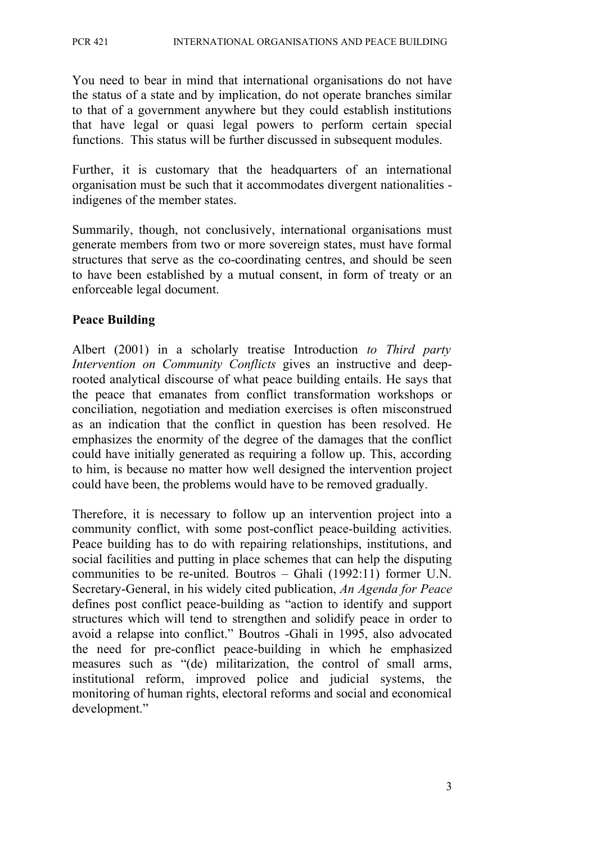You need to bear in mind that international organisations do not have the status of a state and by implication, do not operate branches similar to that of a government anywhere but they could establish institutions that have legal or quasi legal powers to perform certain special functions. This status will be further discussed in subsequent modules.

Further, it is customary that the headquarters of an international organisation must be such that it accommodates divergent nationalities indigenes of the member states.

Summarily, though, not conclusively, international organisations must generate members from two or more sovereign states, must have formal structures that serve as the co-coordinating centres, and should be seen to have been established by a mutual consent, in form of treaty or an enforceable legal document.

#### **Peace Building**

Albert (2001) in a scholarly treatise Introduction *to Third party Intervention on Community Conflicts* gives an instructive and deeprooted analytical discourse of what peace building entails. He says that the peace that emanates from conflict transformation workshops or conciliation, negotiation and mediation exercises is often misconstrued as an indication that the conflict in question has been resolved. He emphasizes the enormity of the degree of the damages that the conflict could have initially generated as requiring a follow up. This, according to him, is because no matter how well designed the intervention project could have been, the problems would have to be removed gradually.

Therefore, it is necessary to follow up an intervention project into a community conflict, with some post-conflict peace-building activities. Peace building has to do with repairing relationships, institutions, and social facilities and putting in place schemes that can help the disputing communities to be re-united. Boutros – Ghali (1992:11) former U.N. Secretary-General, in his widely cited publication, *An Agenda for Peace* defines post conflict peace-building as "action to identify and support structures which will tend to strengthen and solidify peace in order to avoid a relapse into conflict." Boutros -Ghali in 1995, also advocated the need for pre-conflict peace-building in which he emphasized measures such as "(de) militarization, the control of small arms, institutional reform, improved police and judicial systems, the monitoring of human rights, electoral reforms and social and economical development."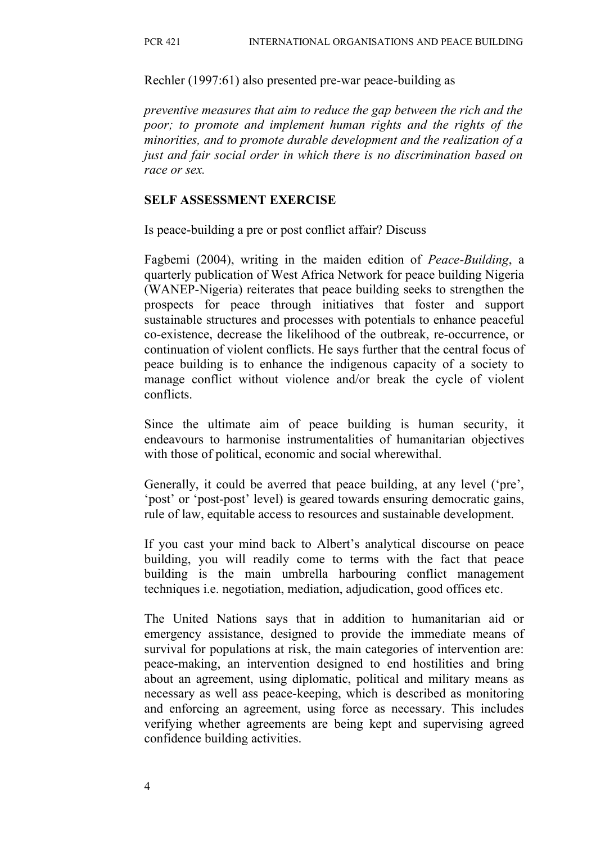Rechler (1997:61) also presented pre-war peace-building as

*preventive measures that aim to reduce the gap between the rich and the poor; to promote and implement human rights and the rights of the minorities, and to promote durable development and the realization of a just and fair social order in which there is no discrimination based on race or sex.*

#### **SELF ASSESSMENT EXERCISE**

Is peace-building a pre or post conflict affair? Discuss

Fagbemi (2004), writing in the maiden edition of *Peace-Building*, a quarterly publication of West Africa Network for peace building Nigeria (WANEP-Nigeria) reiterates that peace building seeks to strengthen the prospects for peace through initiatives that foster and support sustainable structures and processes with potentials to enhance peaceful co-existence, decrease the likelihood of the outbreak, re-occurrence, or continuation of violent conflicts. He says further that the central focus of peace building is to enhance the indigenous capacity of a society to manage conflict without violence and/or break the cycle of violent conflicts.

Since the ultimate aim of peace building is human security, it endeavours to harmonise instrumentalities of humanitarian objectives with those of political, economic and social wherewithal.

Generally, it could be averred that peace building, at any level ('pre', 'post' or 'post-post' level) is geared towards ensuring democratic gains, rule of law, equitable access to resources and sustainable development.

If you cast your mind back to Albert's analytical discourse on peace building, you will readily come to terms with the fact that peace building is the main umbrella harbouring conflict management techniques i.e. negotiation, mediation, adjudication, good offices etc.

The United Nations says that in addition to humanitarian aid or emergency assistance, designed to provide the immediate means of survival for populations at risk, the main categories of intervention are: peace-making, an intervention designed to end hostilities and bring about an agreement, using diplomatic, political and military means as necessary as well ass peace-keeping, which is described as monitoring and enforcing an agreement, using force as necessary. This includes verifying whether agreements are being kept and supervising agreed confidence building activities.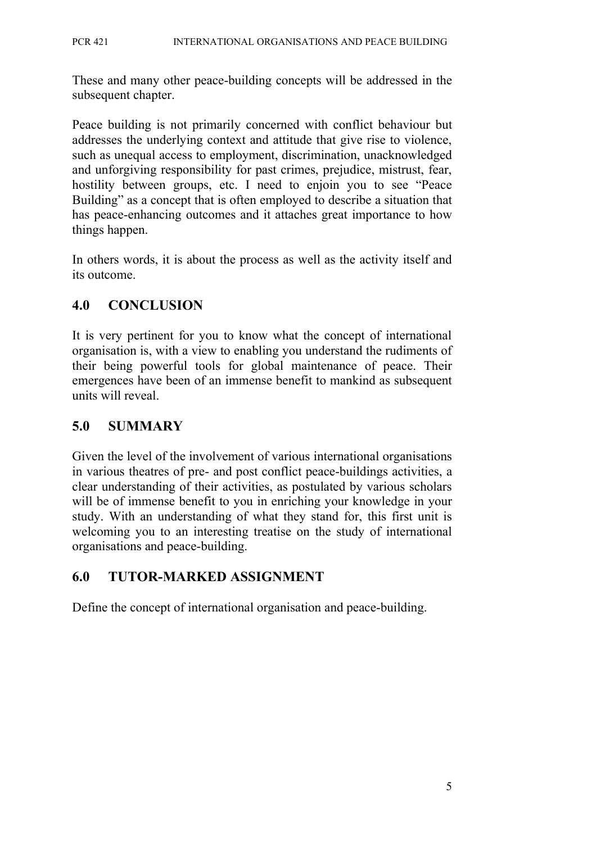These and many other peace-building concepts will be addressed in the subsequent chapter.

Peace building is not primarily concerned with conflict behaviour but addresses the underlying context and attitude that give rise to violence, such as unequal access to employment, discrimination, unacknowledged and unforgiving responsibility for past crimes, prejudice, mistrust, fear, hostility between groups, etc. I need to enjoin you to see "Peace Building" as a concept that is often employed to describe a situation that has peace-enhancing outcomes and it attaches great importance to how things happen.

In others words, it is about the process as well as the activity itself and its outcome.

## **4.0 CONCLUSION**

It is very pertinent for you to know what the concept of international organisation is, with a view to enabling you understand the rudiments of their being powerful tools for global maintenance of peace. Their emergences have been of an immense benefit to mankind as subsequent units will reveal.

## **5.0 SUMMARY**

Given the level of the involvement of various international organisations in various theatres of pre- and post conflict peace-buildings activities, a clear understanding of their activities, as postulated by various scholars will be of immense benefit to you in enriching your knowledge in your study. With an understanding of what they stand for, this first unit is welcoming you to an interesting treatise on the study of international organisations and peace-building.

## **6.0 TUTOR-MARKED ASSIGNMENT**

Define the concept of international organisation and peace-building.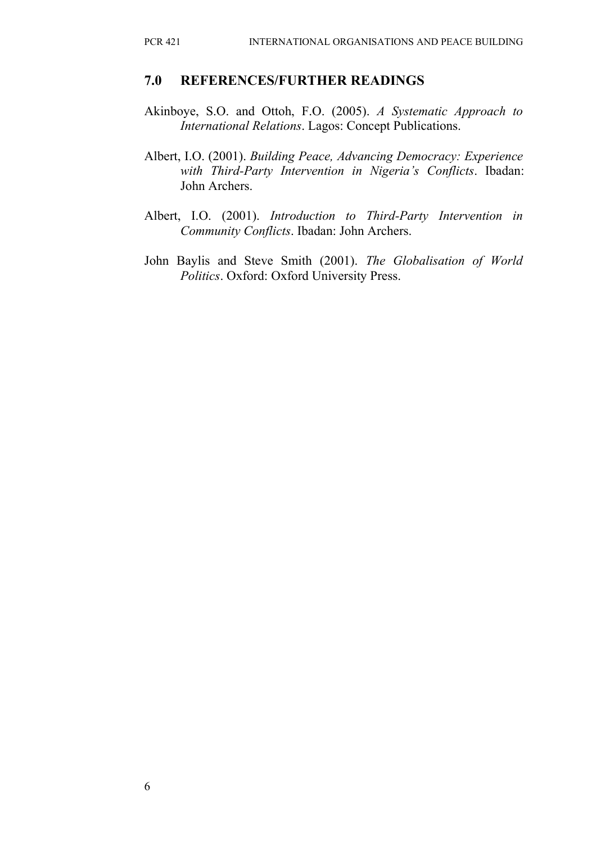#### **7.0 REFERENCES/FURTHER READINGS**

- Akinboye, S.O. and Ottoh, F.O. (2005). *A Systematic Approach to International Relations*. Lagos: Concept Publications.
- Albert, I.O. (2001). *Building Peace, Advancing Democracy: Experience with Third-Party Intervention in Nigeria's Conflicts*. Ibadan: John Archers.
- Albert, I.O. (2001). *Introduction to Third-Party Intervention in Community Conflicts*. Ibadan: John Archers.
- John Baylis and Steve Smith (2001). *The Globalisation of World Politics*. Oxford: Oxford University Press.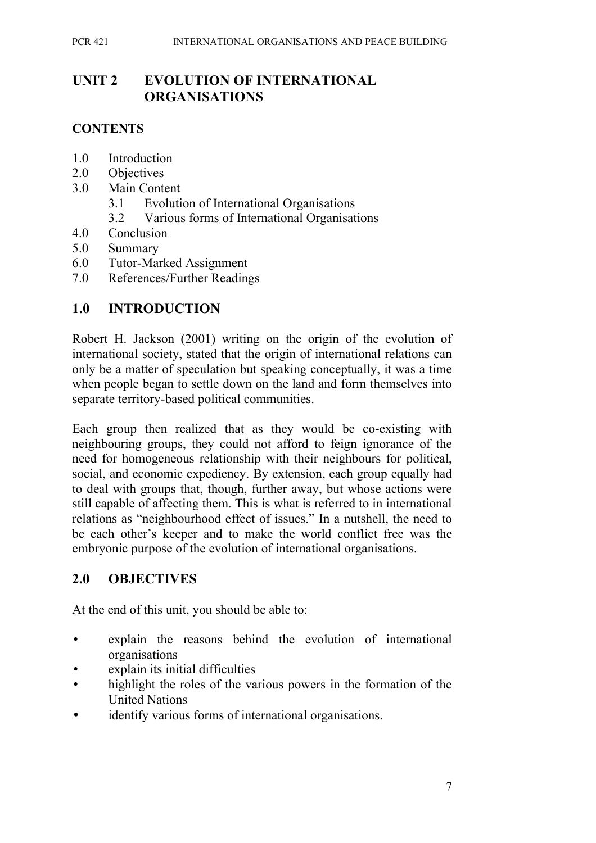## **UNIT 2 EVOLUTION OF INTERNATIONAL ORGANISATIONS**

#### **CONTENTS**

- 1.0 Introduction
- 2.0 Objectives
- 3.0 Main Content
	- 3.1 Evolution of International Organisations
	- 3.2 Various forms of International Organisations
- 4.0 Conclusion
- 5.0 Summary
- 6.0 Tutor-Marked Assignment
- 7.0 References/Further Readings

#### **1.0 INTRODUCTION**

Robert H. Jackson (2001) writing on the origin of the evolution of international society, stated that the origin of international relations can only be a matter of speculation but speaking conceptually, it was a time when people began to settle down on the land and form themselves into separate territory-based political communities.

Each group then realized that as they would be co-existing with neighbouring groups, they could not afford to feign ignorance of the need for homogeneous relationship with their neighbours for political, social, and economic expediency. By extension, each group equally had to deal with groups that, though, further away, but whose actions were still capable of affecting them. This is what is referred to in international relations as "neighbourhood effect of issues." In a nutshell, the need to be each other's keeper and to make the world conflict free was the embryonic purpose of the evolution of international organisations.

#### **2.0 OBJECTIVES**

At the end of this unit, you should be able to:

- explain the reasons behind the evolution of international organisations
- explain its initial difficulties
- highlight the roles of the various powers in the formation of the United Nations
- identify various forms of international organisations.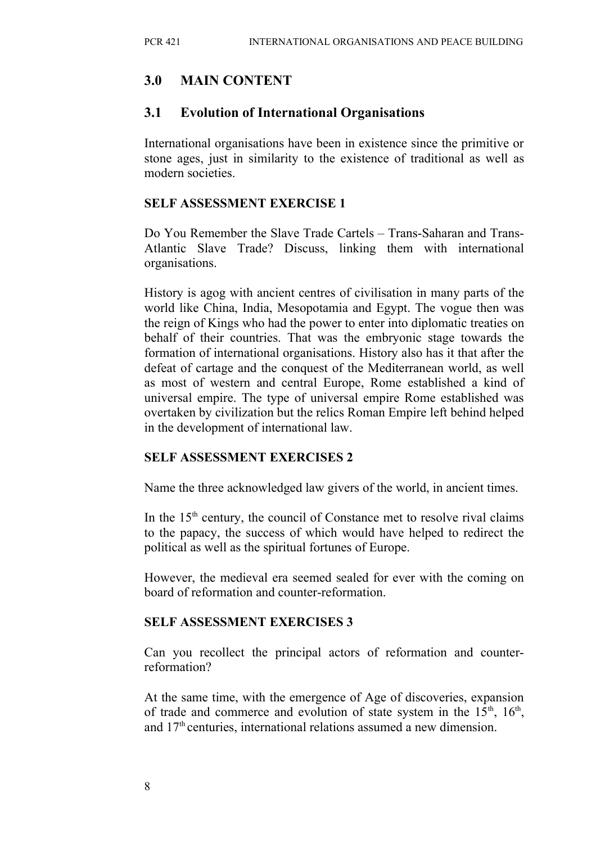## **3.0 MAIN CONTENT**

#### **3.1 Evolution of International Organisations**

International organisations have been in existence since the primitive or stone ages, just in similarity to the existence of traditional as well as modern societies.

#### **SELF ASSESSMENT EXERCISE 1**

Do You Remember the Slave Trade Cartels – Trans-Saharan and Trans-Atlantic Slave Trade? Discuss, linking them with international organisations.

History is agog with ancient centres of civilisation in many parts of the world like China, India, Mesopotamia and Egypt. The vogue then was the reign of Kings who had the power to enter into diplomatic treaties on behalf of their countries. That was the embryonic stage towards the formation of international organisations. History also has it that after the defeat of cartage and the conquest of the Mediterranean world, as well as most of western and central Europe, Rome established a kind of universal empire. The type of universal empire Rome established was overtaken by civilization but the relics Roman Empire left behind helped in the development of international law.

#### **SELF ASSESSMENT EXERCISES 2**

Name the three acknowledged law givers of the world, in ancient times.

In the  $15<sup>th</sup>$  century, the council of Constance met to resolve rival claims to the papacy, the success of which would have helped to redirect the political as well as the spiritual fortunes of Europe.

However, the medieval era seemed sealed for ever with the coming on board of reformation and counter-reformation.

#### **SELF ASSESSMENT EXERCISES 3**

Can you recollect the principal actors of reformation and counterreformation?

At the same time, with the emergence of Age of discoveries, expansion of trade and commerce and evolution of state system in the  $15<sup>th</sup>$ ,  $16<sup>th</sup>$ , and  $17<sup>th</sup>$  centuries, international relations assumed a new dimension.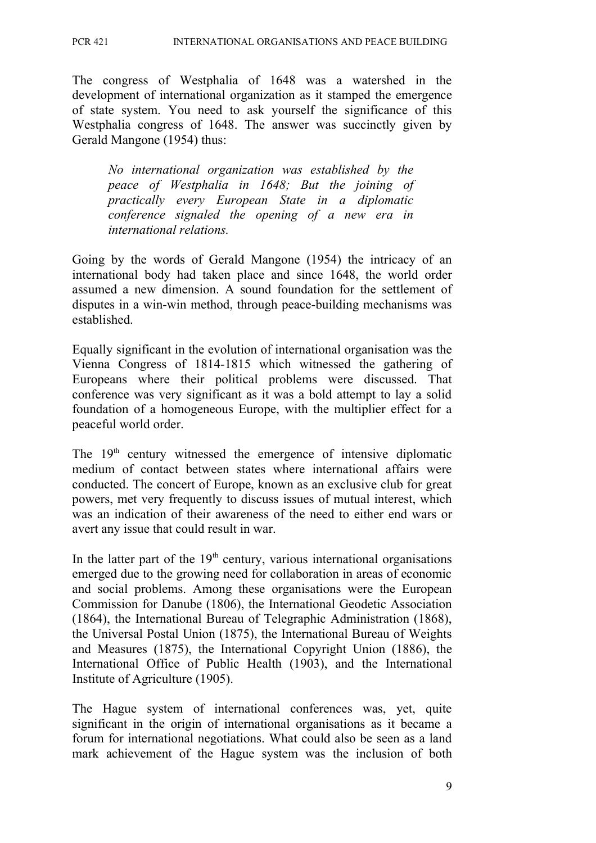The congress of Westphalia of 1648 was a watershed in the development of international organization as it stamped the emergence of state system. You need to ask yourself the significance of this Westphalia congress of 1648. The answer was succinctly given by Gerald Mangone (1954) thus:

*No international organization was established by the peace of Westphalia in 1648; But the joining of practically every European State in a diplomatic conference signaled the opening of a new era in international relations.*

Going by the words of Gerald Mangone (1954) the intricacy of an international body had taken place and since 1648, the world order assumed a new dimension. A sound foundation for the settlement of disputes in a win-win method, through peace-building mechanisms was established.

Equally significant in the evolution of international organisation was the Vienna Congress of 1814-1815 which witnessed the gathering of Europeans where their political problems were discussed. That conference was very significant as it was a bold attempt to lay a solid foundation of a homogeneous Europe, with the multiplier effect for a peaceful world order.

The  $19<sup>th</sup>$  century witnessed the emergence of intensive diplomatic medium of contact between states where international affairs were conducted. The concert of Europe, known as an exclusive club for great powers, met very frequently to discuss issues of mutual interest, which was an indication of their awareness of the need to either end wars or avert any issue that could result in war.

In the latter part of the  $19<sup>th</sup>$  century, various international organisations emerged due to the growing need for collaboration in areas of economic and social problems. Among these organisations were the European Commission for Danube (1806), the International Geodetic Association (1864), the International Bureau of Telegraphic Administration (1868), the Universal Postal Union (1875), the International Bureau of Weights and Measures (1875), the International Copyright Union (1886), the International Office of Public Health (1903), and the International Institute of Agriculture (1905).

The Hague system of international conferences was, yet, quite significant in the origin of international organisations as it became a forum for international negotiations. What could also be seen as a land mark achievement of the Hague system was the inclusion of both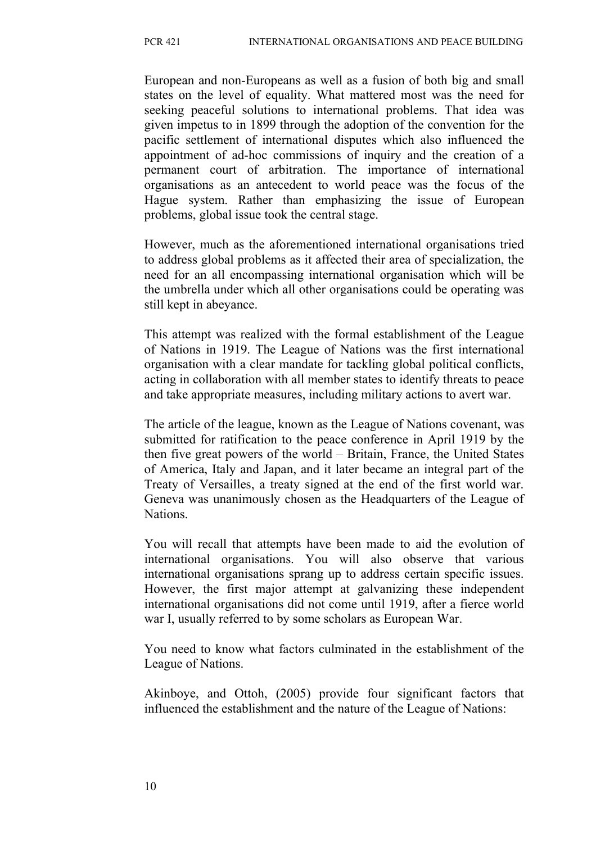European and non-Europeans as well as a fusion of both big and small states on the level of equality. What mattered most was the need for seeking peaceful solutions to international problems. That idea was given impetus to in 1899 through the adoption of the convention for the pacific settlement of international disputes which also influenced the appointment of ad-hoc commissions of inquiry and the creation of a permanent court of arbitration. The importance of international organisations as an antecedent to world peace was the focus of the Hague system. Rather than emphasizing the issue of European problems, global issue took the central stage.

However, much as the aforementioned international organisations tried to address global problems as it affected their area of specialization, the need for an all encompassing international organisation which will be the umbrella under which all other organisations could be operating was still kept in abeyance.

This attempt was realized with the formal establishment of the League of Nations in 1919. The League of Nations was the first international organisation with a clear mandate for tackling global political conflicts, acting in collaboration with all member states to identify threats to peace and take appropriate measures, including military actions to avert war.

The article of the league, known as the League of Nations covenant, was submitted for ratification to the peace conference in April 1919 by the then five great powers of the world – Britain, France, the United States of America, Italy and Japan, and it later became an integral part of the Treaty of Versailles, a treaty signed at the end of the first world war. Geneva was unanimously chosen as the Headquarters of the League of Nations.

You will recall that attempts have been made to aid the evolution of international organisations. You will also observe that various international organisations sprang up to address certain specific issues. However, the first major attempt at galvanizing these independent international organisations did not come until 1919, after a fierce world war I, usually referred to by some scholars as European War.

You need to know what factors culminated in the establishment of the League of Nations.

Akinboye, and Ottoh, (2005) provide four significant factors that influenced the establishment and the nature of the League of Nations: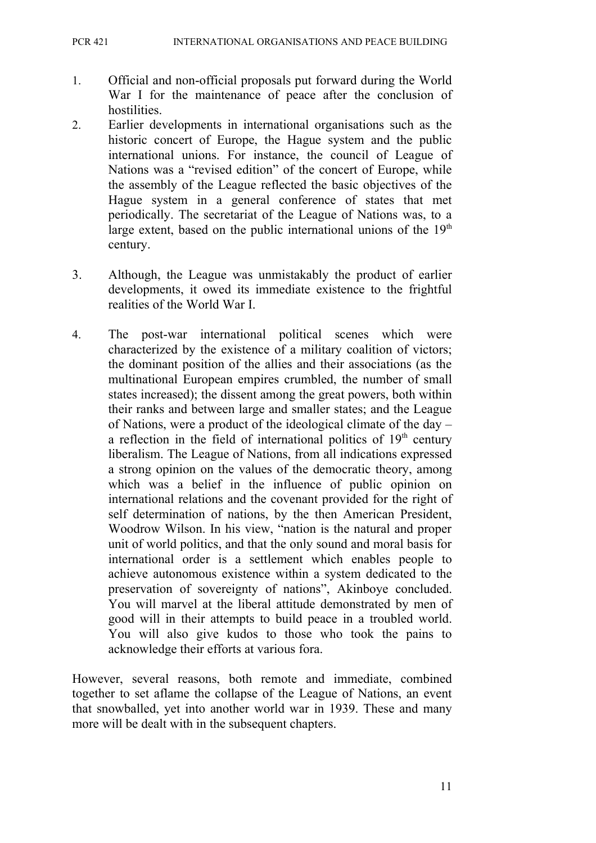- 1. Official and non-official proposals put forward during the World War I for the maintenance of peace after the conclusion of hostilities.
- 2. Earlier developments in international organisations such as the historic concert of Europe, the Hague system and the public international unions. For instance, the council of League of Nations was a "revised edition" of the concert of Europe, while the assembly of the League reflected the basic objectives of the Hague system in a general conference of states that met periodically. The secretariat of the League of Nations was, to a large extent, based on the public international unions of the  $19<sup>th</sup>$ century.
- 3. Although, the League was unmistakably the product of earlier developments, it owed its immediate existence to the frightful realities of the World War I.
- 4. The post-war international political scenes which were characterized by the existence of a military coalition of victors; the dominant position of the allies and their associations (as the multinational European empires crumbled, the number of small states increased); the dissent among the great powers, both within their ranks and between large and smaller states; and the League of Nations, were a product of the ideological climate of the day – a reflection in the field of international politics of  $19<sup>th</sup>$  century liberalism. The League of Nations, from all indications expressed a strong opinion on the values of the democratic theory, among which was a belief in the influence of public opinion on international relations and the covenant provided for the right of self determination of nations, by the then American President, Woodrow Wilson. In his view, "nation is the natural and proper unit of world politics, and that the only sound and moral basis for international order is a settlement which enables people to achieve autonomous existence within a system dedicated to the preservation of sovereignty of nations", Akinboye concluded. You will marvel at the liberal attitude demonstrated by men of good will in their attempts to build peace in a troubled world. You will also give kudos to those who took the pains to acknowledge their efforts at various fora.

However, several reasons, both remote and immediate, combined together to set aflame the collapse of the League of Nations, an event that snowballed, yet into another world war in 1939. These and many more will be dealt with in the subsequent chapters.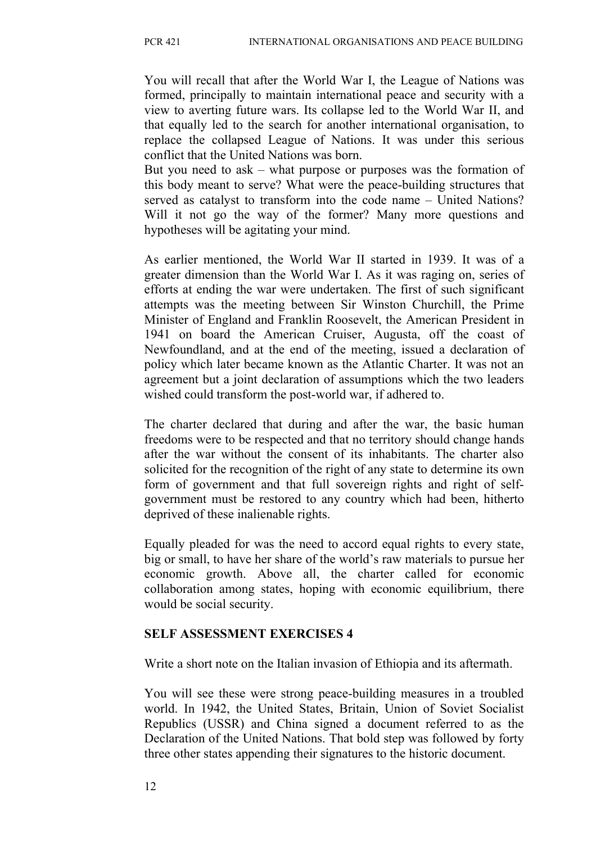You will recall that after the World War I, the League of Nations was formed, principally to maintain international peace and security with a view to averting future wars. Its collapse led to the World War II, and that equally led to the search for another international organisation, to replace the collapsed League of Nations. It was under this serious conflict that the United Nations was born.

But you need to ask – what purpose or purposes was the formation of this body meant to serve? What were the peace-building structures that served as catalyst to transform into the code name – United Nations? Will it not go the way of the former? Many more questions and hypotheses will be agitating your mind.

As earlier mentioned, the World War II started in 1939. It was of a greater dimension than the World War I. As it was raging on, series of efforts at ending the war were undertaken. The first of such significant attempts was the meeting between Sir Winston Churchill, the Prime Minister of England and Franklin Roosevelt, the American President in 1941 on board the American Cruiser, Augusta, off the coast of Newfoundland, and at the end of the meeting, issued a declaration of policy which later became known as the Atlantic Charter. It was not an agreement but a joint declaration of assumptions which the two leaders wished could transform the post-world war, if adhered to.

The charter declared that during and after the war, the basic human freedoms were to be respected and that no territory should change hands after the war without the consent of its inhabitants. The charter also solicited for the recognition of the right of any state to determine its own form of government and that full sovereign rights and right of selfgovernment must be restored to any country which had been, hitherto deprived of these inalienable rights.

Equally pleaded for was the need to accord equal rights to every state, big or small, to have her share of the world's raw materials to pursue her economic growth. Above all, the charter called for economic collaboration among states, hoping with economic equilibrium, there would be social security.

#### **SELF ASSESSMENT EXERCISES 4**

Write a short note on the Italian invasion of Ethiopia and its aftermath.

You will see these were strong peace-building measures in a troubled world. In 1942, the United States, Britain, Union of Soviet Socialist Republics (USSR) and China signed a document referred to as the Declaration of the United Nations. That bold step was followed by forty three other states appending their signatures to the historic document.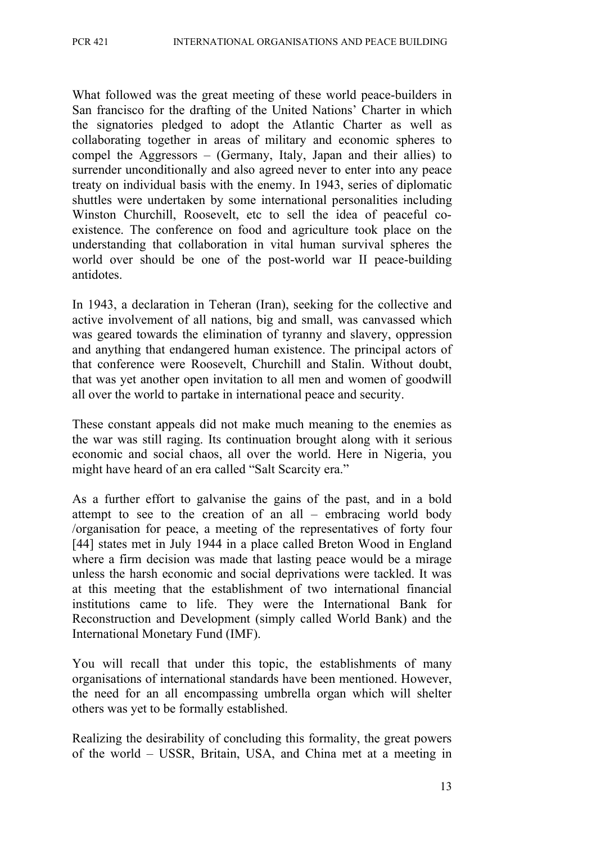What followed was the great meeting of these world peace-builders in San francisco for the drafting of the United Nations' Charter in which the signatories pledged to adopt the Atlantic Charter as well as collaborating together in areas of military and economic spheres to compel the Aggressors – (Germany, Italy, Japan and their allies) to surrender unconditionally and also agreed never to enter into any peace treaty on individual basis with the enemy. In 1943, series of diplomatic shuttles were undertaken by some international personalities including Winston Churchill, Roosevelt, etc to sell the idea of peaceful coexistence. The conference on food and agriculture took place on the understanding that collaboration in vital human survival spheres the world over should be one of the post-world war II peace-building antidotes.

In 1943, a declaration in Teheran (Iran), seeking for the collective and active involvement of all nations, big and small, was canvassed which was geared towards the elimination of tyranny and slavery, oppression and anything that endangered human existence. The principal actors of that conference were Roosevelt, Churchill and Stalin. Without doubt, that was yet another open invitation to all men and women of goodwill all over the world to partake in international peace and security.

These constant appeals did not make much meaning to the enemies as the war was still raging. Its continuation brought along with it serious economic and social chaos, all over the world. Here in Nigeria, you might have heard of an era called "Salt Scarcity era."

As a further effort to galvanise the gains of the past, and in a bold attempt to see to the creation of an all – embracing world body /organisation for peace, a meeting of the representatives of forty four [44] states met in July 1944 in a place called Breton Wood in England where a firm decision was made that lasting peace would be a mirage unless the harsh economic and social deprivations were tackled. It was at this meeting that the establishment of two international financial institutions came to life. They were the International Bank for Reconstruction and Development (simply called World Bank) and the International Monetary Fund (IMF).

You will recall that under this topic, the establishments of many organisations of international standards have been mentioned. However, the need for an all encompassing umbrella organ which will shelter others was yet to be formally established.

Realizing the desirability of concluding this formality, the great powers of the world – USSR, Britain, USA, and China met at a meeting in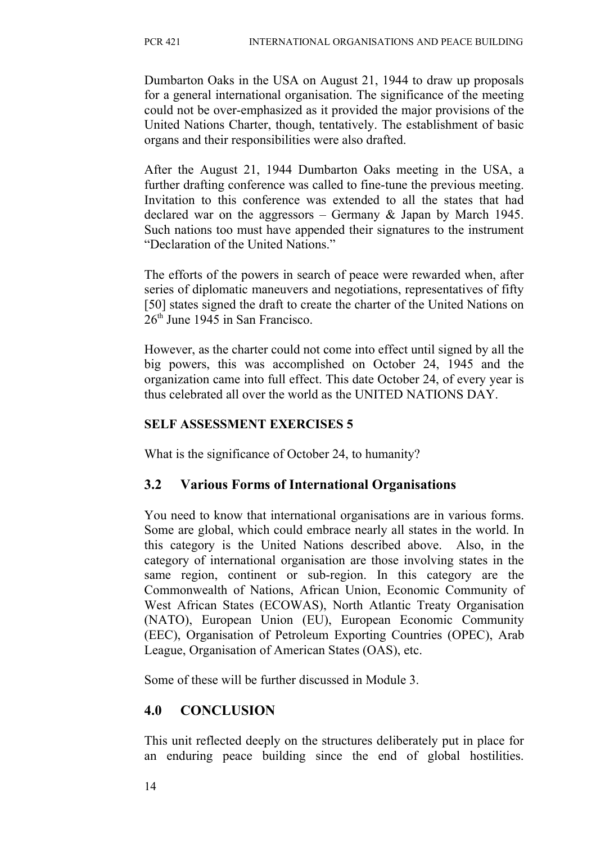Dumbarton Oaks in the USA on August 21, 1944 to draw up proposals for a general international organisation. The significance of the meeting could not be over-emphasized as it provided the major provisions of the United Nations Charter, though, tentatively. The establishment of basic organs and their responsibilities were also drafted.

After the August 21, 1944 Dumbarton Oaks meeting in the USA, a further drafting conference was called to fine-tune the previous meeting. Invitation to this conference was extended to all the states that had declared war on the aggressors – Germany & Japan by March 1945. Such nations too must have appended their signatures to the instrument "Declaration of the United Nations."

The efforts of the powers in search of peace were rewarded when, after series of diplomatic maneuvers and negotiations, representatives of fifty [50] states signed the draft to create the charter of the United Nations on  $26<sup>th</sup>$  June 1945 in San Francisco.

However, as the charter could not come into effect until signed by all the big powers, this was accomplished on October 24, 1945 and the organization came into full effect. This date October 24, of every year is thus celebrated all over the world as the UNITED NATIONS DAY.

#### **SELF ASSESSMENT EXERCISES 5**

What is the significance of October 24, to humanity?

## **3.2 Various Forms of International Organisations**

You need to know that international organisations are in various forms. Some are global, which could embrace nearly all states in the world. In this category is the United Nations described above. Also, in the category of international organisation are those involving states in the same region, continent or sub-region. In this category are the Commonwealth of Nations, African Union, Economic Community of West African States (ECOWAS), North Atlantic Treaty Organisation (NATO), European Union (EU), European Economic Community (EEC), Organisation of Petroleum Exporting Countries (OPEC), Arab League, Organisation of American States (OAS), etc.

Some of these will be further discussed in Module 3.

#### **4.0 CONCLUSION**

This unit reflected deeply on the structures deliberately put in place for an enduring peace building since the end of global hostilities.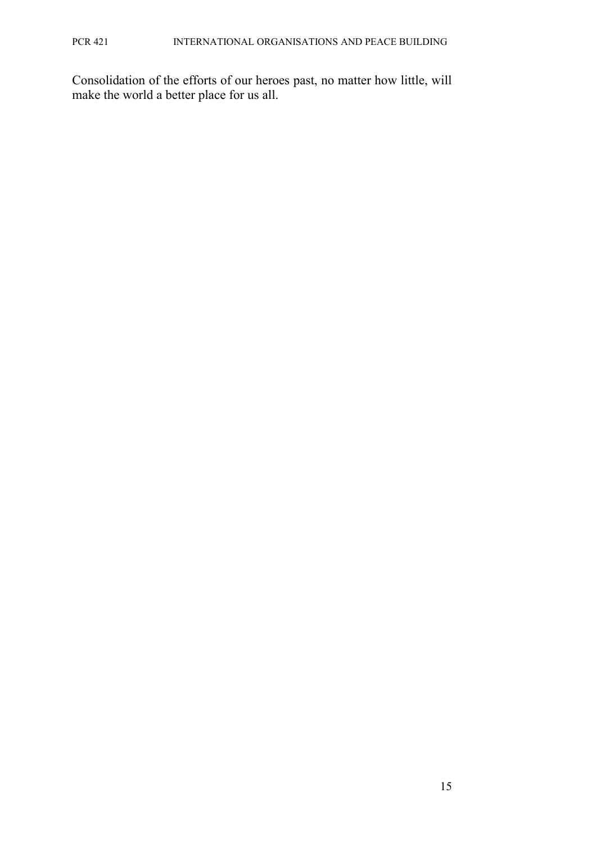Consolidation of the efforts of our heroes past, no matter how little, will make the world a better place for us all.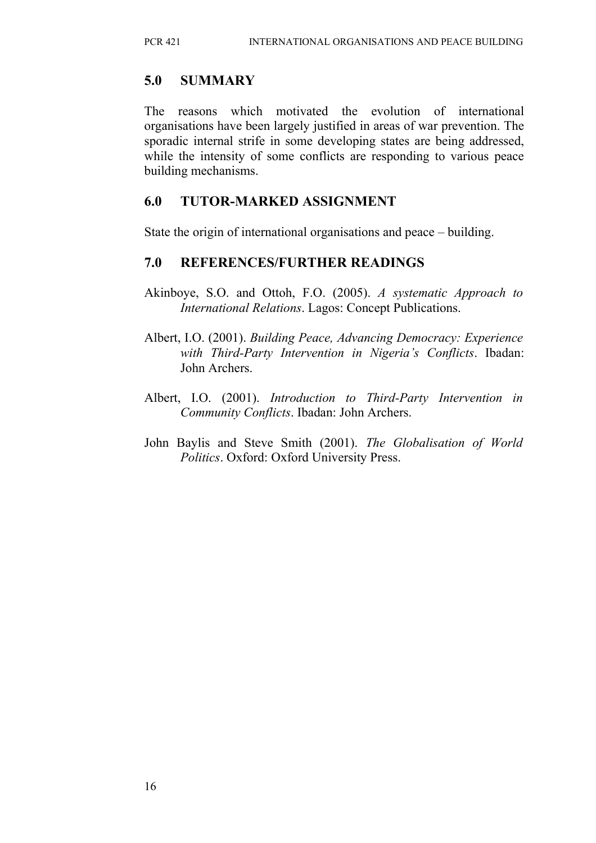### **5.0 SUMMARY**

The reasons which motivated the evolution of international organisations have been largely justified in areas of war prevention. The sporadic internal strife in some developing states are being addressed, while the intensity of some conflicts are responding to various peace building mechanisms.

#### **6.0 TUTOR-MARKED ASSIGNMENT**

State the origin of international organisations and peace – building.

## **7.0 REFERENCES/FURTHER READINGS**

- Akinboye, S.O. and Ottoh, F.O. (2005). *A systematic Approach to International Relations*. Lagos: Concept Publications.
- Albert, I.O. (2001). *Building Peace, Advancing Democracy: Experience with Third-Party Intervention in Nigeria's Conflicts*. Ibadan: John Archers.
- Albert, I.O. (2001). *Introduction to Third-Party Intervention in Community Conflicts*. Ibadan: John Archers.
- John Baylis and Steve Smith (2001). *The Globalisation of World Politics*. Oxford: Oxford University Press.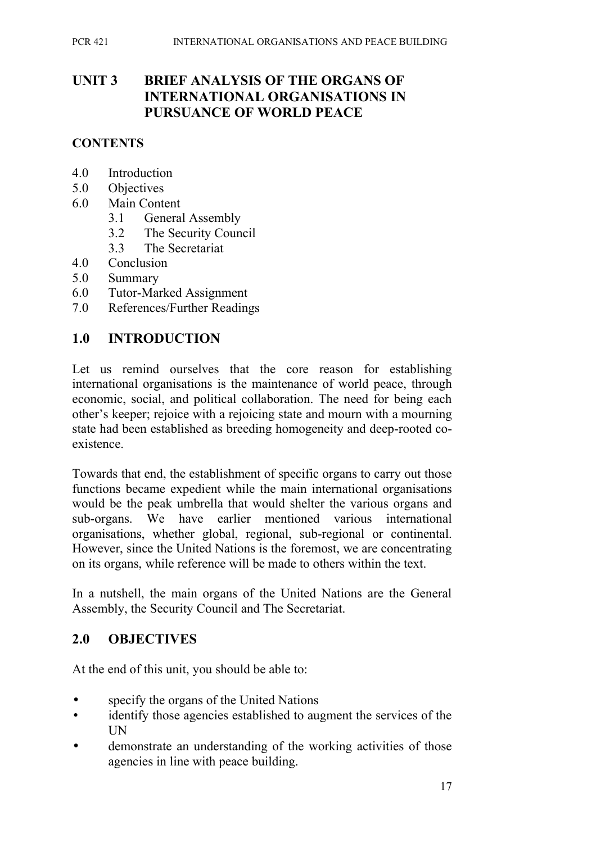## **UNIT 3 BRIEF ANALYSIS OF THE ORGANS OF INTERNATIONAL ORGANISATIONS IN PURSUANCE OF WORLD PEACE**

#### **CONTENTS**

- 4.0 Introduction
- 5.0 Objectives
- 6.0 Main Content
	- 3.1 General Assembly
	- 3.2 The Security Council
	- 3.3 The Secretariat
- 4.0 Conclusion
- 5.0 Summary
- 6.0 Tutor-Marked Assignment
- 7.0 References/Further Readings

## **1.0 INTRODUCTION**

Let us remind ourselves that the core reason for establishing international organisations is the maintenance of world peace, through economic, social, and political collaboration. The need for being each other's keeper; rejoice with a rejoicing state and mourn with a mourning state had been established as breeding homogeneity and deep-rooted coexistence.

Towards that end, the establishment of specific organs to carry out those functions became expedient while the main international organisations would be the peak umbrella that would shelter the various organs and sub-organs. We have earlier mentioned various international organisations, whether global, regional, sub-regional or continental. However, since the United Nations is the foremost, we are concentrating on its organs, while reference will be made to others within the text.

In a nutshell, the main organs of the United Nations are the General Assembly, the Security Council and The Secretariat.

## **2.0 OBJECTIVES**

At the end of this unit, you should be able to:

- specify the organs of the United Nations
- identify those agencies established to augment the services of the UN
- demonstrate an understanding of the working activities of those agencies in line with peace building.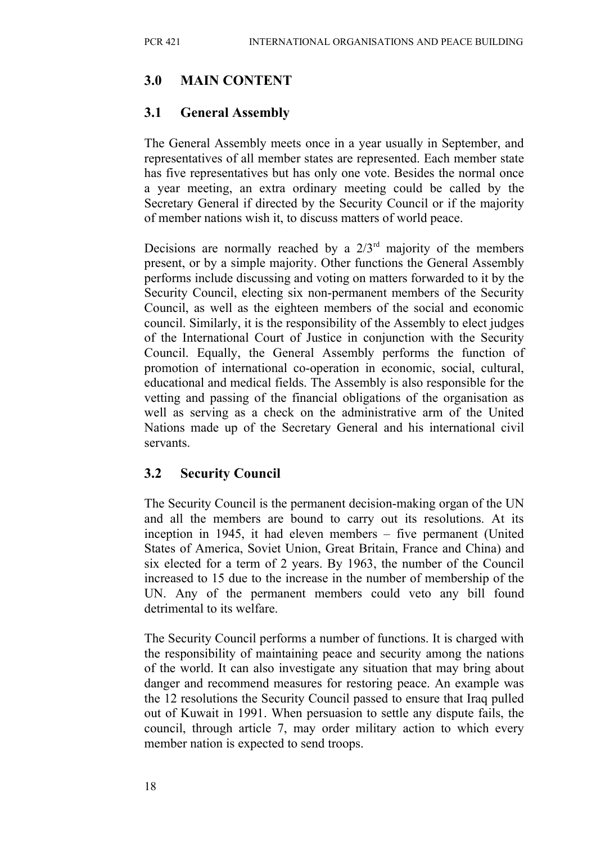## **3.0 MAIN CONTENT**

## **3.1 General Assembly**

The General Assembly meets once in a year usually in September, and representatives of all member states are represented. Each member state has five representatives but has only one vote. Besides the normal once a year meeting, an extra ordinary meeting could be called by the Secretary General if directed by the Security Council or if the majority of member nations wish it, to discuss matters of world peace.

Decisions are normally reached by a  $2/3<sup>rd</sup>$  majority of the members present, or by a simple majority. Other functions the General Assembly performs include discussing and voting on matters forwarded to it by the Security Council, electing six non-permanent members of the Security Council, as well as the eighteen members of the social and economic council. Similarly, it is the responsibility of the Assembly to elect judges of the International Court of Justice in conjunction with the Security Council. Equally, the General Assembly performs the function of promotion of international co-operation in economic, social, cultural, educational and medical fields. The Assembly is also responsible for the vetting and passing of the financial obligations of the organisation as well as serving as a check on the administrative arm of the United Nations made up of the Secretary General and his international civil servants.

## **3.2 Security Council**

The Security Council is the permanent decision-making organ of the UN and all the members are bound to carry out its resolutions. At its inception in 1945, it had eleven members – five permanent (United States of America, Soviet Union, Great Britain, France and China) and six elected for a term of 2 years. By 1963, the number of the Council increased to 15 due to the increase in the number of membership of the UN. Any of the permanent members could veto any bill found detrimental to its welfare.

The Security Council performs a number of functions. It is charged with the responsibility of maintaining peace and security among the nations of the world. It can also investigate any situation that may bring about danger and recommend measures for restoring peace. An example was the 12 resolutions the Security Council passed to ensure that Iraq pulled out of Kuwait in 1991. When persuasion to settle any dispute fails, the council, through article 7, may order military action to which every member nation is expected to send troops.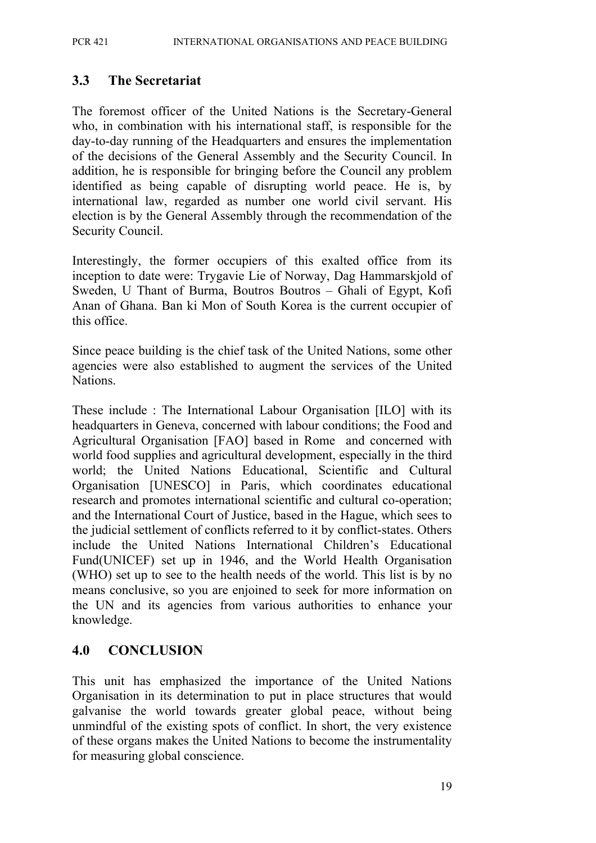#### **3.3 The Secretariat**

The foremost officer of the United Nations is the Secretary-General who, in combination with his international staff, is responsible for the day-to-day running of the Headquarters and ensures the implementation of the decisions of the General Assembly and the Security Council. In addition, he is responsible for bringing before the Council any problem identified as being capable of disrupting world peace. He is, by international law, regarded as number one world civil servant. His election is by the General Assembly through the recommendation of the Security Council.

Interestingly, the former occupiers of this exalted office from its inception to date were: Trygavie Lie of Norway, Dag Hammarskjold of Sweden, U Thant of Burma, Boutros Boutros – Ghali of Egypt, Kofi Anan of Ghana. Ban ki Mon of South Korea is the current occupier of this office.

Since peace building is the chief task of the United Nations, some other agencies were also established to augment the services of the United Nations.

These include : The International Labour Organisation [ILO] with its headquarters in Geneva, concerned with labour conditions; the Food and Agricultural Organisation [FAO] based in Rome and concerned with world food supplies and agricultural development, especially in the third world; the United Nations Educational, Scientific and Cultural Organisation [UNESCO] in Paris, which coordinates educational research and promotes international scientific and cultural co-operation; and the International Court of Justice, based in the Hague, which sees to the judicial settlement of conflicts referred to it by conflict-states. Others include the United Nations International Children's Educational Fund(UNICEF) set up in 1946, and the World Health Organisation (WHO) set up to see to the health needs of the world. This list is by no means conclusive, so you are enjoined to seek for more information on the UN and its agencies from various authorities to enhance your knowledge.

#### **4.0 CONCLUSION**

This unit has emphasized the importance of the United Nations Organisation in its determination to put in place structures that would galvanise the world towards greater global peace, without being unmindful of the existing spots of conflict. In short, the very existence of these organs makes the United Nations to become the instrumentality for measuring global conscience.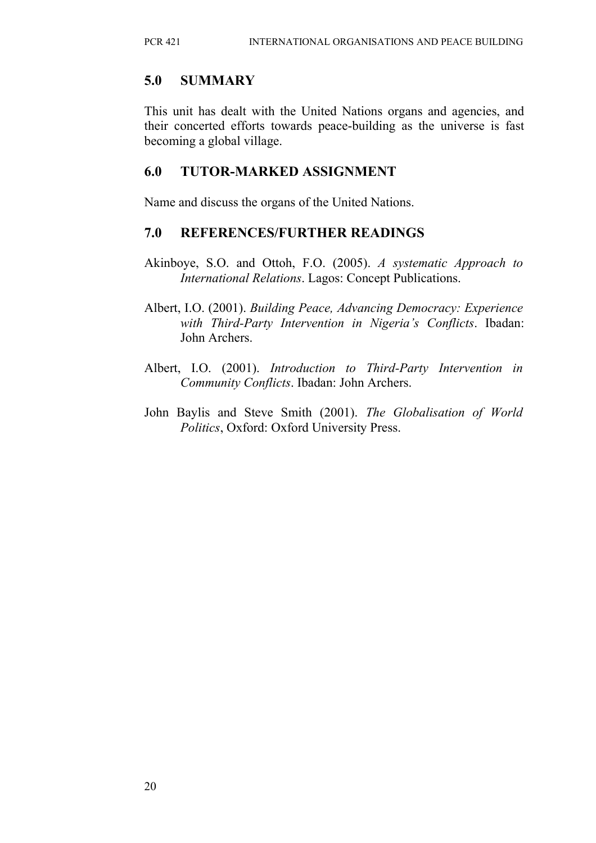## **5.0 SUMMARY**

This unit has dealt with the United Nations organs and agencies, and their concerted efforts towards peace-building as the universe is fast becoming a global village.

#### **6.0 TUTOR-MARKED ASSIGNMENT**

Name and discuss the organs of the United Nations.

#### **7.0 REFERENCES/FURTHER READINGS**

- Akinboye, S.O. and Ottoh, F.O. (2005). *A systematic Approach to International Relations*. Lagos: Concept Publications.
- Albert, I.O. (2001). *Building Peace, Advancing Democracy: Experience with Third-Party Intervention in Nigeria's Conflicts*. Ibadan: John Archers.
- Albert, I.O. (2001). *Introduction to Third-Party Intervention in Community Conflicts*. Ibadan: John Archers.
- John Baylis and Steve Smith (2001). *The Globalisation of World Politics*, Oxford: Oxford University Press.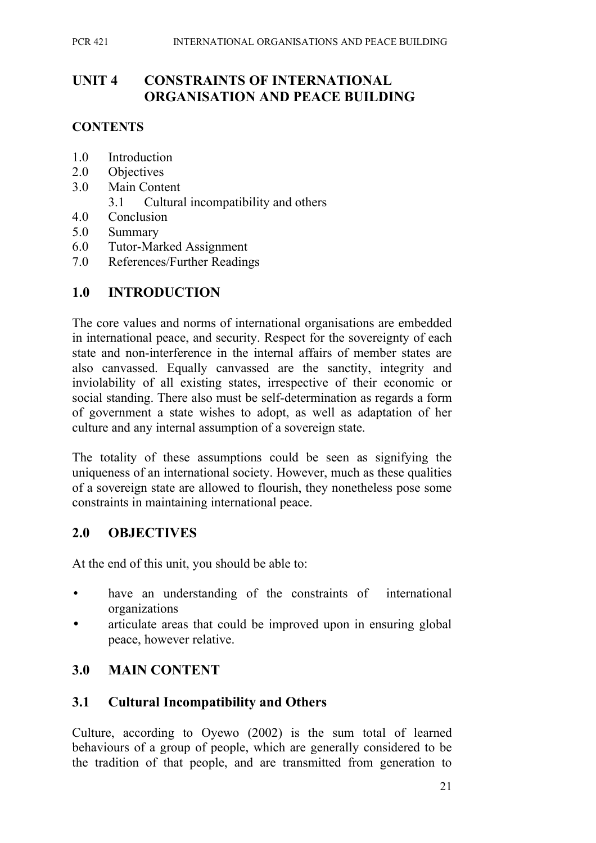## **UNIT 4 CONSTRAINTS OF INTERNATIONAL ORGANISATION AND PEACE BUILDING**

## **CONTENTS**

- 1.0 Introduction
- 2.0 Objectives
- 3.0 Main Content
	- 3.1 Cultural incompatibility and others
- 4.0 Conclusion
- 5.0 Summary
- 6.0 Tutor-Marked Assignment
- 7.0 References/Further Readings

## **1.0 INTRODUCTION**

The core values and norms of international organisations are embedded in international peace, and security. Respect for the sovereignty of each state and non-interference in the internal affairs of member states are also canvassed. Equally canvassed are the sanctity, integrity and inviolability of all existing states, irrespective of their economic or social standing. There also must be self-determination as regards a form of government a state wishes to adopt, as well as adaptation of her culture and any internal assumption of a sovereign state.

The totality of these assumptions could be seen as signifying the uniqueness of an international society. However, much as these qualities of a sovereign state are allowed to flourish, they nonetheless pose some constraints in maintaining international peace.

## **2.0 OBJECTIVES**

At the end of this unit, you should be able to:

- have an understanding of the constraints of international organizations
- articulate areas that could be improved upon in ensuring global peace, however relative.

## **3.0 MAIN CONTENT**

## **3.1 Cultural Incompatibility and Others**

Culture, according to Oyewo (2002) is the sum total of learned behaviours of a group of people, which are generally considered to be the tradition of that people, and are transmitted from generation to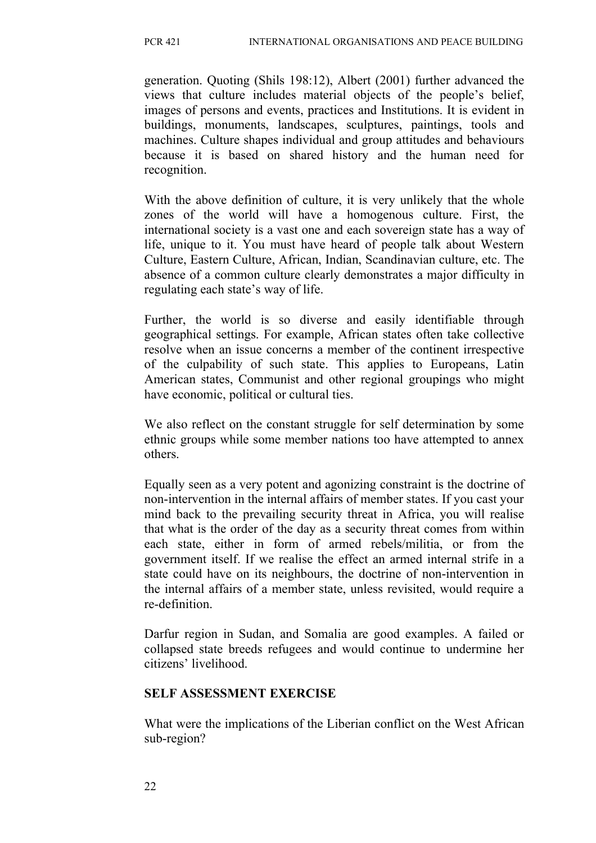generation. Quoting (Shils 198:12), Albert (2001) further advanced the views that culture includes material objects of the people's belief, images of persons and events, practices and Institutions. It is evident in buildings, monuments, landscapes, sculptures, paintings, tools and machines. Culture shapes individual and group attitudes and behaviours because it is based on shared history and the human need for recognition.

With the above definition of culture, it is very unlikely that the whole zones of the world will have a homogenous culture. First, the international society is a vast one and each sovereign state has a way of life, unique to it. You must have heard of people talk about Western Culture, Eastern Culture, African, Indian, Scandinavian culture, etc. The absence of a common culture clearly demonstrates a major difficulty in regulating each state's way of life.

Further, the world is so diverse and easily identifiable through geographical settings. For example, African states often take collective resolve when an issue concerns a member of the continent irrespective of the culpability of such state. This applies to Europeans, Latin American states, Communist and other regional groupings who might have economic, political or cultural ties.

We also reflect on the constant struggle for self determination by some ethnic groups while some member nations too have attempted to annex others.

Equally seen as a very potent and agonizing constraint is the doctrine of non-intervention in the internal affairs of member states. If you cast your mind back to the prevailing security threat in Africa, you will realise that what is the order of the day as a security threat comes from within each state, either in form of armed rebels/militia, or from the government itself. If we realise the effect an armed internal strife in a state could have on its neighbours, the doctrine of non-intervention in the internal affairs of a member state, unless revisited, would require a re-definition.

Darfur region in Sudan, and Somalia are good examples. A failed or collapsed state breeds refugees and would continue to undermine her citizens' livelihood.

#### **SELF ASSESSMENT EXERCISE**

What were the implications of the Liberian conflict on the West African sub-region?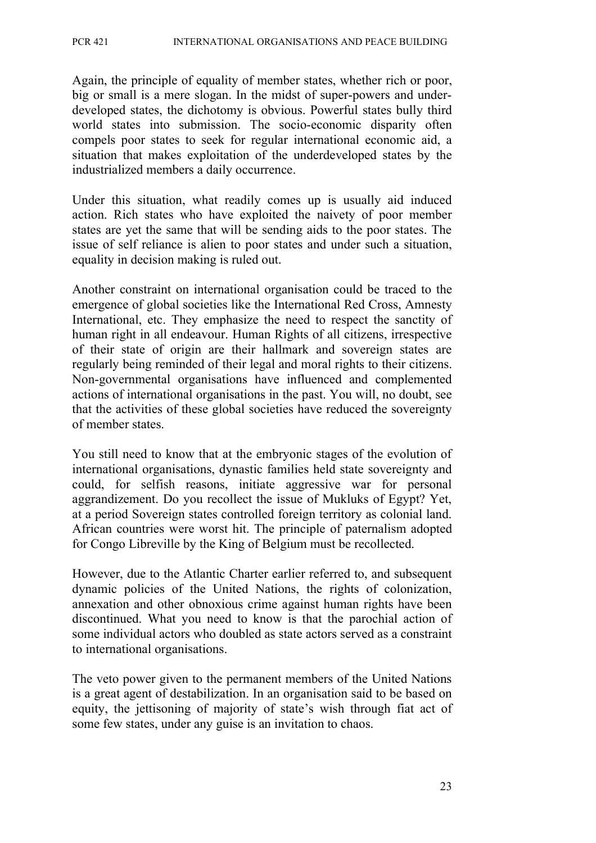Again, the principle of equality of member states, whether rich or poor, big or small is a mere slogan. In the midst of super-powers and underdeveloped states, the dichotomy is obvious. Powerful states bully third world states into submission. The socio-economic disparity often compels poor states to seek for regular international economic aid, a situation that makes exploitation of the underdeveloped states by the industrialized members a daily occurrence.

Under this situation, what readily comes up is usually aid induced action. Rich states who have exploited the naivety of poor member states are yet the same that will be sending aids to the poor states. The issue of self reliance is alien to poor states and under such a situation, equality in decision making is ruled out.

Another constraint on international organisation could be traced to the emergence of global societies like the International Red Cross, Amnesty International, etc. They emphasize the need to respect the sanctity of human right in all endeavour. Human Rights of all citizens, irrespective of their state of origin are their hallmark and sovereign states are regularly being reminded of their legal and moral rights to their citizens. Non-governmental organisations have influenced and complemented actions of international organisations in the past. You will, no doubt, see that the activities of these global societies have reduced the sovereignty of member states.

You still need to know that at the embryonic stages of the evolution of international organisations, dynastic families held state sovereignty and could, for selfish reasons, initiate aggressive war for personal aggrandizement. Do you recollect the issue of Mukluks of Egypt? Yet, at a period Sovereign states controlled foreign territory as colonial land. African countries were worst hit. The principle of paternalism adopted for Congo Libreville by the King of Belgium must be recollected.

However, due to the Atlantic Charter earlier referred to, and subsequent dynamic policies of the United Nations, the rights of colonization, annexation and other obnoxious crime against human rights have been discontinued. What you need to know is that the parochial action of some individual actors who doubled as state actors served as a constraint to international organisations.

The veto power given to the permanent members of the United Nations is a great agent of destabilization. In an organisation said to be based on equity, the jettisoning of majority of state's wish through fiat act of some few states, under any guise is an invitation to chaos.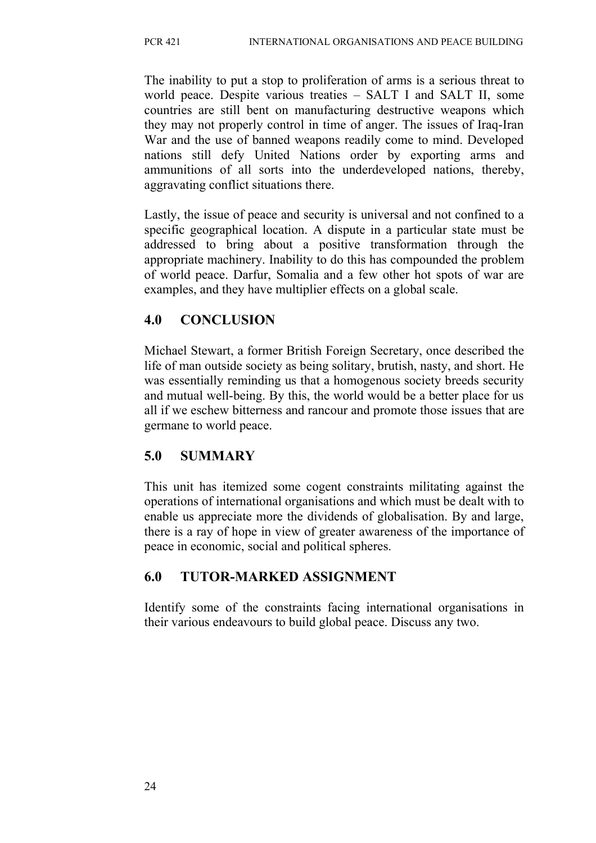The inability to put a stop to proliferation of arms is a serious threat to world peace. Despite various treaties – SALT I and SALT II, some countries are still bent on manufacturing destructive weapons which they may not properly control in time of anger. The issues of Iraq-Iran War and the use of banned weapons readily come to mind. Developed nations still defy United Nations order by exporting arms and ammunitions of all sorts into the underdeveloped nations, thereby, aggravating conflict situations there.

Lastly, the issue of peace and security is universal and not confined to a specific geographical location. A dispute in a particular state must be addressed to bring about a positive transformation through the appropriate machinery. Inability to do this has compounded the problem of world peace. Darfur, Somalia and a few other hot spots of war are examples, and they have multiplier effects on a global scale.

## **4.0 CONCLUSION**

Michael Stewart, a former British Foreign Secretary, once described the life of man outside society as being solitary, brutish, nasty, and short. He was essentially reminding us that a homogenous society breeds security and mutual well-being. By this, the world would be a better place for us all if we eschew bitterness and rancour and promote those issues that are germane to world peace.

## **5.0 SUMMARY**

This unit has itemized some cogent constraints militating against the operations of international organisations and which must be dealt with to enable us appreciate more the dividends of globalisation. By and large, there is a ray of hope in view of greater awareness of the importance of peace in economic, social and political spheres.

# **6.0 TUTOR-MARKED ASSIGNMENT**

Identify some of the constraints facing international organisations in their various endeavours to build global peace. Discuss any two.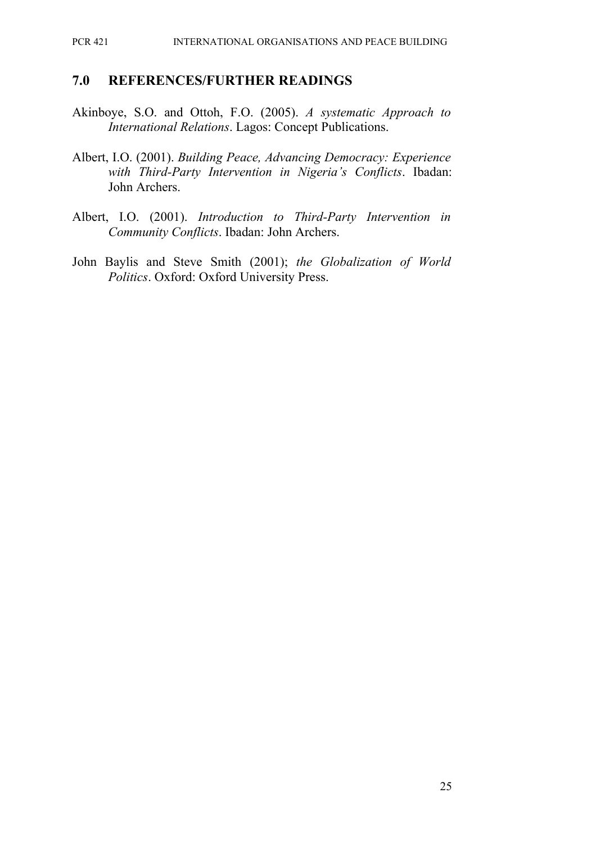#### PCR 421 INTERNATIONAL ORGANISATIONS AND PEACE BUILDING

#### **7.0 REFERENCES/FURTHER READINGS**

- Akinboye, S.O. and Ottoh, F.O. (2005). *A systematic Approach to International Relations*. Lagos: Concept Publications.
- Albert, I.O. (2001). *Building Peace, Advancing Democracy: Experience with Third-Party Intervention in Nigeria's Conflicts*. Ibadan: John Archers.
- Albert, I.O. (2001). *Introduction to Third-Party Intervention in Community Conflicts*. Ibadan: John Archers.
- John Baylis and Steve Smith (2001); *the Globalization of World Politics*. Oxford: Oxford University Press.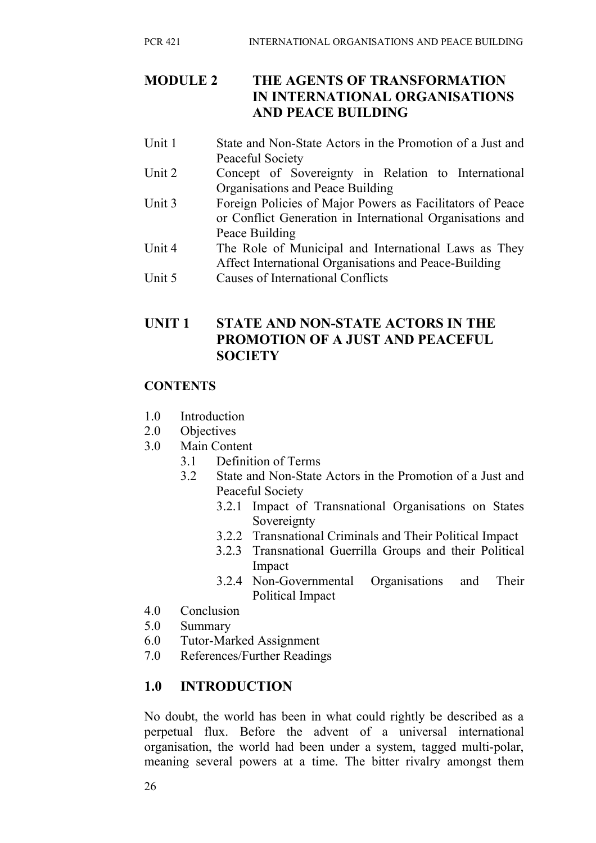## **MODULE 2 THE AGENTS OF TRANSFORMATION IN INTERNATIONAL ORGANISATIONS AND PEACE BUILDING**

- Unit 1 State and Non-State Actors in the Promotion of a Just and Peaceful Society
- Unit 2 Concept of Sovereignty in Relation to International Organisations and Peace Building
- Unit 3 Foreign Policies of Major Powers as Facilitators of Peace or Conflict Generation in International Organisations and Peace Building
- Unit 4 The Role of Municipal and International Laws as They Affect International Organisations and Peace-Building
- Unit 5 Causes of International Conflicts

## **UNIT 1 STATE AND NON-STATE ACTORS IN THE PROMOTION OF A JUST AND PEACEFUL SOCIETY**

## **CONTENTS**

- 1.0 Introduction
- 2.0 Objectives
- 3.0 Main Content
	- 3.1 Definition of Terms
	- 3.2 State and Non-State Actors in the Promotion of a Just and Peaceful Society
		- 3.2.1 Impact of Transnational Organisations on States Sovereignty
		- 3.2.2 Transnational Criminals and Their Political Impact
		- 3.2.3 Transnational Guerrilla Groups and their Political Impact
		- 3.2.4 Non-Governmental Organisations and Their Political Impact
- 4.0 Conclusion
- 5.0 Summary
- 6.0 Tutor-Marked Assignment
- 7.0 References/Further Readings

## **1.0 INTRODUCTION**

No doubt, the world has been in what could rightly be described as a perpetual flux. Before the advent of a universal international organisation, the world had been under a system, tagged multi-polar, meaning several powers at a time. The bitter rivalry amongst them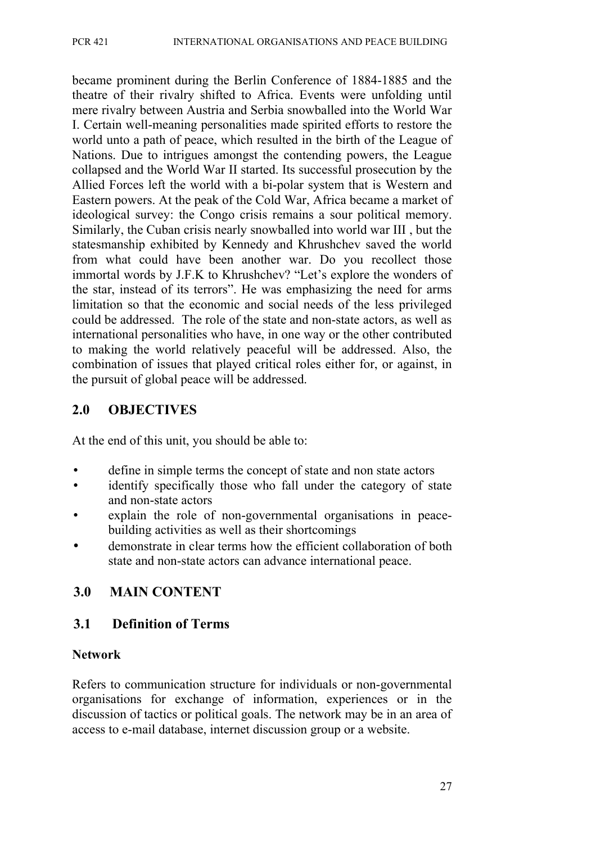became prominent during the Berlin Conference of 1884-1885 and the theatre of their rivalry shifted to Africa. Events were unfolding until mere rivalry between Austria and Serbia snowballed into the World War I. Certain well-meaning personalities made spirited efforts to restore the world unto a path of peace, which resulted in the birth of the League of Nations. Due to intrigues amongst the contending powers, the League collapsed and the World War II started. Its successful prosecution by the Allied Forces left the world with a bi-polar system that is Western and Eastern powers. At the peak of the Cold War, Africa became a market of ideological survey: the Congo crisis remains a sour political memory. Similarly, the Cuban crisis nearly snowballed into world war III , but the statesmanship exhibited by Kennedy and Khrushchev saved the world from what could have been another war. Do you recollect those immortal words by J.F.K to Khrushchev? "Let's explore the wonders of the star, instead of its terrors". He was emphasizing the need for arms limitation so that the economic and social needs of the less privileged could be addressed. The role of the state and non-state actors, as well as international personalities who have, in one way or the other contributed to making the world relatively peaceful will be addressed. Also, the combination of issues that played critical roles either for, or against, in the pursuit of global peace will be addressed.

### **2.0 OBJECTIVES**

At the end of this unit, you should be able to:

- define in simple terms the concept of state and non state actors
- identify specifically those who fall under the category of state and non-state actors
- explain the role of non-governmental organisations in peacebuilding activities as well as their shortcomings
- demonstrate in clear terms how the efficient collaboration of both state and non-state actors can advance international peace.

## **3.0 MAIN CONTENT**

## **3.1 Definition of Terms**

#### **Network**

Refers to communication structure for individuals or non-governmental organisations for exchange of information, experiences or in the discussion of tactics or political goals. The network may be in an area of access to e-mail database, internet discussion group or a website.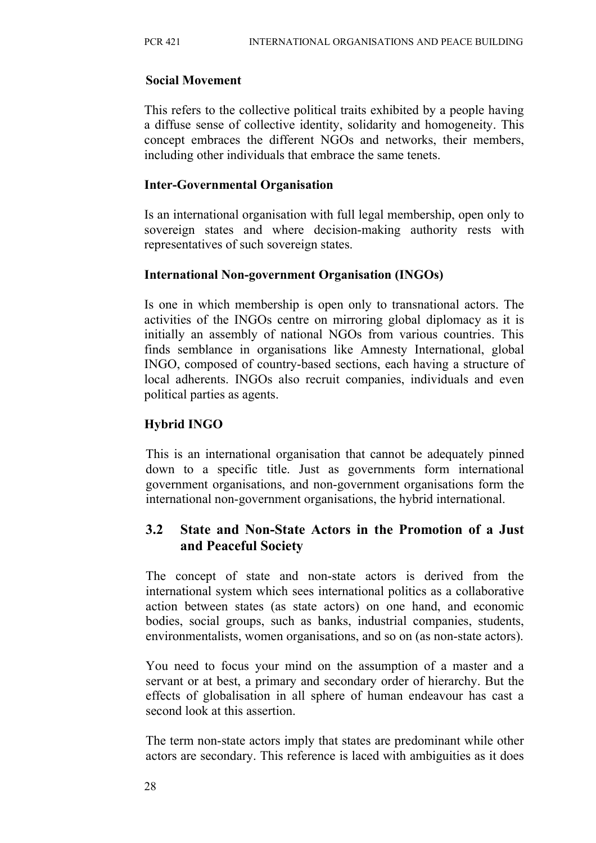#### **Social Movement**

This refers to the collective political traits exhibited by a people having a diffuse sense of collective identity, solidarity and homogeneity. This concept embraces the different NGOs and networks, their members, including other individuals that embrace the same tenets.

#### **Inter-Governmental Organisation**

Is an international organisation with full legal membership, open only to sovereign states and where decision-making authority rests with representatives of such sovereign states.

## **International Non-government Organisation (INGOs)**

Is one in which membership is open only to transnational actors. The activities of the INGOs centre on mirroring global diplomacy as it is initially an assembly of national NGOs from various countries. This finds semblance in organisations like Amnesty International, global INGO, composed of country-based sections, each having a structure of local adherents. INGOs also recruit companies, individuals and even political parties as agents.

## **Hybrid INGO**

This is an international organisation that cannot be adequately pinned down to a specific title. Just as governments form international government organisations, and non-government organisations form the international non-government organisations, the hybrid international.

## **3.2 State and Non-State Actors in the Promotion of a Just and Peaceful Society**

The concept of state and non-state actors is derived from the international system which sees international politics as a collaborative action between states (as state actors) on one hand, and economic bodies, social groups, such as banks, industrial companies, students, environmentalists, women organisations, and so on (as non-state actors).

You need to focus your mind on the assumption of a master and a servant or at best, a primary and secondary order of hierarchy. But the effects of globalisation in all sphere of human endeavour has cast a second look at this assertion.

The term non-state actors imply that states are predominant while other actors are secondary. This reference is laced with ambiguities as it does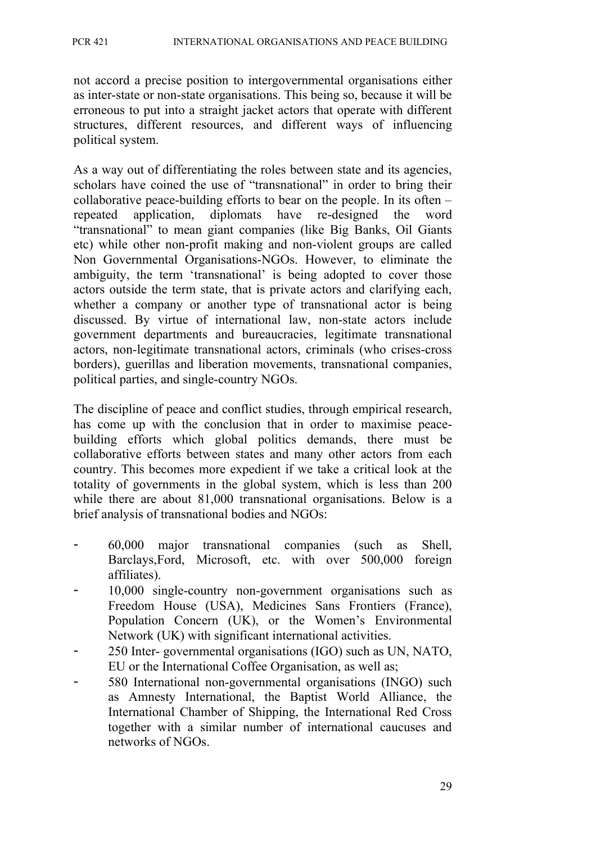not accord a precise position to intergovernmental organisations either as inter-state or non-state organisations. This being so, because it will be erroneous to put into a straight jacket actors that operate with different structures, different resources, and different ways of influencing political system.

As a way out of differentiating the roles between state and its agencies, scholars have coined the use of "transnational" in order to bring their collaborative peace-building efforts to bear on the people. In its often – repeated application, diplomats have re-designed the word "transnational" to mean giant companies (like Big Banks, Oil Giants etc) while other non-profit making and non-violent groups are called Non Governmental Organisations-NGOs. However, to eliminate the ambiguity, the term 'transnational' is being adopted to cover those actors outside the term state, that is private actors and clarifying each, whether a company or another type of transnational actor is being discussed. By virtue of international law, non-state actors include government departments and bureaucracies, legitimate transnational actors, non-legitimate transnational actors, criminals (who crises-cross borders), guerillas and liberation movements, transnational companies, political parties, and single-country NGOs.

The discipline of peace and conflict studies, through empirical research, has come up with the conclusion that in order to maximise peacebuilding efforts which global politics demands, there must be collaborative efforts between states and many other actors from each country. This becomes more expedient if we take a critical look at the totality of governments in the global system, which is less than 200 while there are about 81,000 transnational organisations. Below is a brief analysis of transnational bodies and NGOs:

- 60,000 major transnational companies (such as Shell, Barclays,Ford, Microsoft, etc. with over 500,000 foreign affiliates).
- 10,000 single-country non-government organisations such as Freedom House (USA), Medicines Sans Frontiers (France), Population Concern (UK), or the Women's Environmental Network (UK) with significant international activities.
- 250 Inter- governmental organisations (IGO) such as UN, NATO, EU or the International Coffee Organisation, as well as;
- 580 International non-governmental organisations (INGO) such as Amnesty International, the Baptist World Alliance, the International Chamber of Shipping, the International Red Cross together with a similar number of international caucuses and networks of NGOs.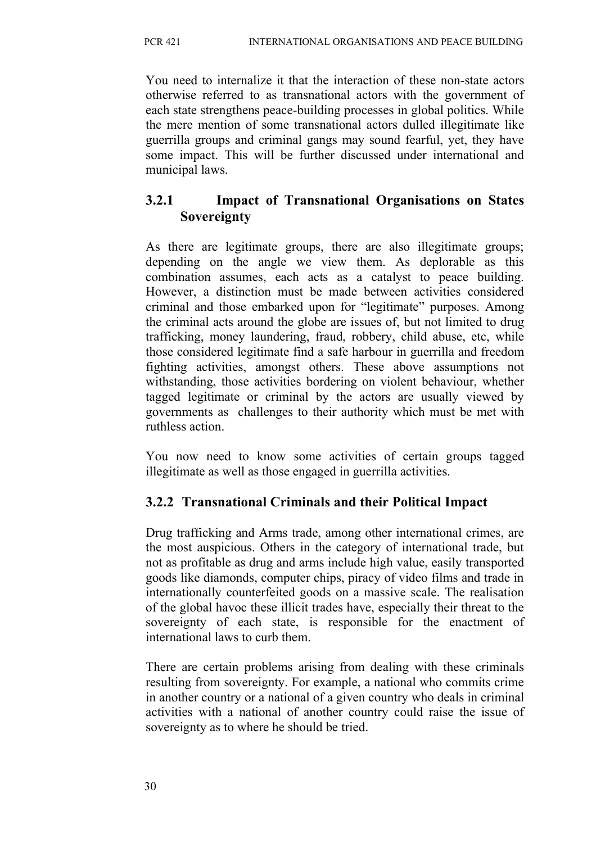You need to internalize it that the interaction of these non-state actors otherwise referred to as transnational actors with the government of each state strengthens peace-building processes in global politics. While the mere mention of some transnational actors dulled illegitimate like guerrilla groups and criminal gangs may sound fearful, yet, they have some impact. This will be further discussed under international and municipal laws.

## **3.2.1 Impact of Transnational Organisations on States Sovereignty**

As there are legitimate groups, there are also illegitimate groups; depending on the angle we view them. As deplorable as this combination assumes, each acts as a catalyst to peace building. However, a distinction must be made between activities considered criminal and those embarked upon for "legitimate" purposes. Among the criminal acts around the globe are issues of, but not limited to drug trafficking, money laundering, fraud, robbery, child abuse, etc, while those considered legitimate find a safe harbour in guerrilla and freedom fighting activities, amongst others. These above assumptions not withstanding, those activities bordering on violent behaviour, whether tagged legitimate or criminal by the actors are usually viewed by governments as challenges to their authority which must be met with ruthless action.

You now need to know some activities of certain groups tagged illegitimate as well as those engaged in guerrilla activities.

# **3.2.2 Transnational Criminals and their Political Impact**

Drug trafficking and Arms trade, among other international crimes, are the most auspicious. Others in the category of international trade, but not as profitable as drug and arms include high value, easily transported goods like diamonds, computer chips, piracy of video films and trade in internationally counterfeited goods on a massive scale. The realisation of the global havoc these illicit trades have, especially their threat to the sovereignty of each state, is responsible for the enactment of international laws to curb them.

There are certain problems arising from dealing with these criminals resulting from sovereignty. For example, a national who commits crime in another country or a national of a given country who deals in criminal activities with a national of another country could raise the issue of sovereignty as to where he should be tried.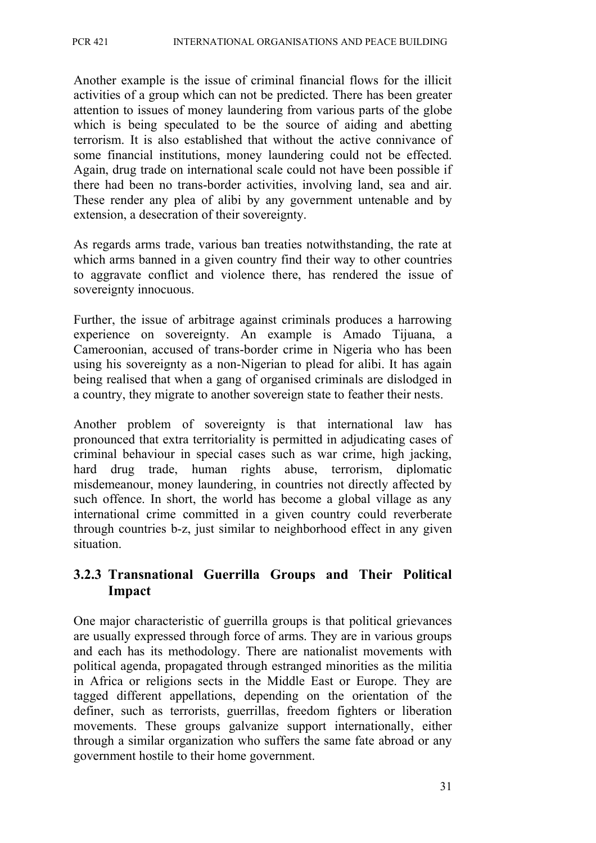Another example is the issue of criminal financial flows for the illicit activities of a group which can not be predicted. There has been greater attention to issues of money laundering from various parts of the globe which is being speculated to be the source of aiding and abetting terrorism. It is also established that without the active connivance of some financial institutions, money laundering could not be effected. Again, drug trade on international scale could not have been possible if there had been no trans-border activities, involving land, sea and air. These render any plea of alibi by any government untenable and by extension, a desecration of their sovereignty.

As regards arms trade, various ban treaties notwithstanding, the rate at which arms banned in a given country find their way to other countries to aggravate conflict and violence there, has rendered the issue of sovereignty innocuous.

Further, the issue of arbitrage against criminals produces a harrowing experience on sovereignty. An example is Amado Tijuana, a Cameroonian, accused of trans-border crime in Nigeria who has been using his sovereignty as a non-Nigerian to plead for alibi. It has again being realised that when a gang of organised criminals are dislodged in a country, they migrate to another sovereign state to feather their nests.

Another problem of sovereignty is that international law has pronounced that extra territoriality is permitted in adjudicating cases of criminal behaviour in special cases such as war crime, high jacking, hard drug trade, human rights abuse, terrorism, diplomatic misdemeanour, money laundering, in countries not directly affected by such offence. In short, the world has become a global village as any international crime committed in a given country could reverberate through countries b-z, just similar to neighborhood effect in any given situation.

## **3.2.3 Transnational Guerrilla Groups and Their Political Impact**

One major characteristic of guerrilla groups is that political grievances are usually expressed through force of arms. They are in various groups and each has its methodology. There are nationalist movements with political agenda, propagated through estranged minorities as the militia in Africa or religions sects in the Middle East or Europe. They are tagged different appellations, depending on the orientation of the definer, such as terrorists, guerrillas, freedom fighters or liberation movements. These groups galvanize support internationally, either through a similar organization who suffers the same fate abroad or any government hostile to their home government.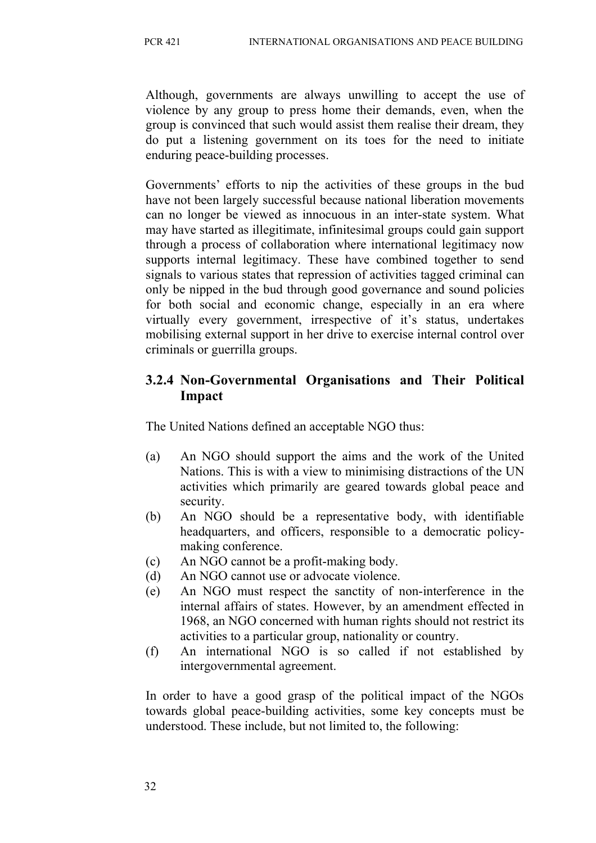Although, governments are always unwilling to accept the use of violence by any group to press home their demands, even, when the group is convinced that such would assist them realise their dream, they do put a listening government on its toes for the need to initiate enduring peace-building processes.

Governments' efforts to nip the activities of these groups in the bud have not been largely successful because national liberation movements can no longer be viewed as innocuous in an inter-state system. What may have started as illegitimate, infinitesimal groups could gain support through a process of collaboration where international legitimacy now supports internal legitimacy. These have combined together to send signals to various states that repression of activities tagged criminal can only be nipped in the bud through good governance and sound policies for both social and economic change, especially in an era where virtually every government, irrespective of it's status, undertakes mobilising external support in her drive to exercise internal control over criminals or guerrilla groups.

## **3.2.4 Non-Governmental Organisations and Their Political Impact**

The United Nations defined an acceptable NGO thus:

- (a) An NGO should support the aims and the work of the United Nations. This is with a view to minimising distractions of the UN activities which primarily are geared towards global peace and security.
- (b) An NGO should be a representative body, with identifiable headquarters, and officers, responsible to a democratic policymaking conference.
- (c) An NGO cannot be a profit-making body.
- (d) An NGO cannot use or advocate violence.
- (e) An NGO must respect the sanctity of non-interference in the internal affairs of states. However, by an amendment effected in 1968, an NGO concerned with human rights should not restrict its activities to a particular group, nationality or country.
- (f) An international NGO is so called if not established by intergovernmental agreement.

In order to have a good grasp of the political impact of the NGOs towards global peace-building activities, some key concepts must be understood. These include, but not limited to, the following: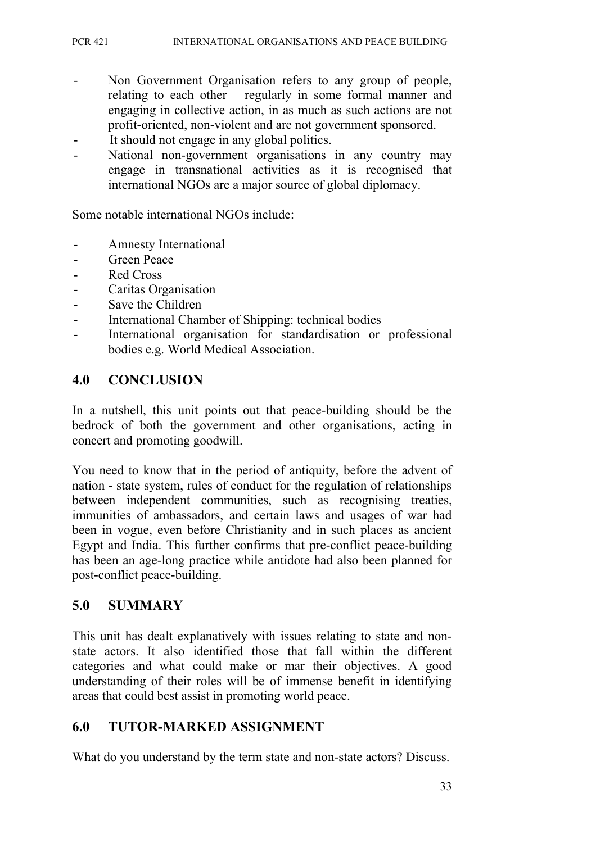- Non Government Organisation refers to any group of people, relating to each other regularly in some formal manner and engaging in collective action, in as much as such actions are not profit-oriented, non-violent and are not government sponsored.
- It should not engage in any global politics.
- National non-government organisations in any country may engage in transnational activities as it is recognised that international NGOs are a major source of global diplomacy.

Some notable international NGOs include:

- Amnesty International
- Green Peace
- Red Cross
- Caritas Organisation
- Save the Children
- International Chamber of Shipping: technical bodies
- International organisation for standardisation or professional bodies e.g. World Medical Association.

## **4.0 CONCLUSION**

In a nutshell, this unit points out that peace-building should be the bedrock of both the government and other organisations, acting in concert and promoting goodwill.

You need to know that in the period of antiquity, before the advent of nation - state system, rules of conduct for the regulation of relationships between independent communities, such as recognising treaties, immunities of ambassadors, and certain laws and usages of war had been in vogue, even before Christianity and in such places as ancient Egypt and India. This further confirms that pre-conflict peace-building has been an age-long practice while antidote had also been planned for post-conflict peace-building.

## **5.0 SUMMARY**

This unit has dealt explanatively with issues relating to state and nonstate actors. It also identified those that fall within the different categories and what could make or mar their objectives. A good understanding of their roles will be of immense benefit in identifying areas that could best assist in promoting world peace.

## **6.0 TUTOR-MARKED ASSIGNMENT**

What do you understand by the term state and non-state actors? Discuss.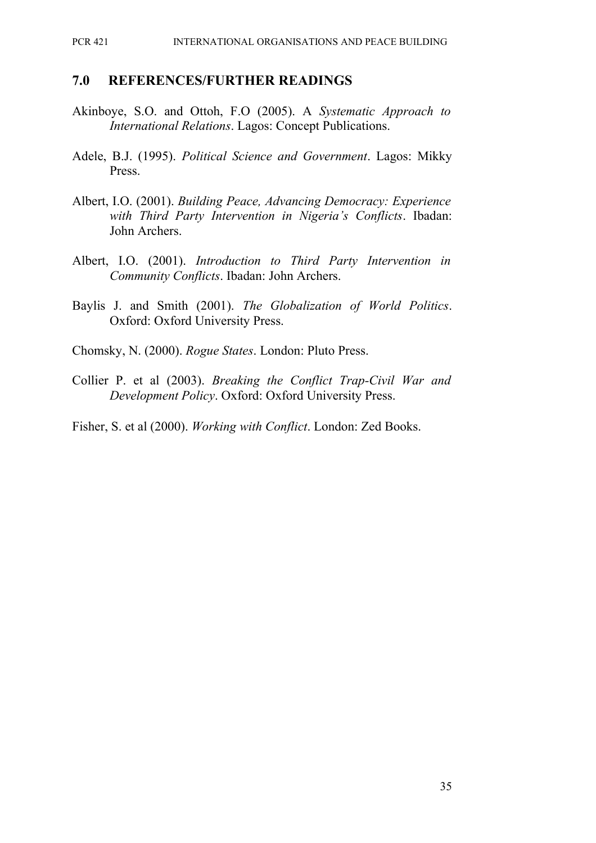PCR 421 INTERNATIONAL ORGANISATIONS AND PEACE BUILDING

#### **7.0 REFERENCES/FURTHER READINGS**

- Akinboye, S.O. and Ottoh, F.O (2005). A *Systematic Approach to International Relations*. Lagos: Concept Publications.
- Adele, B.J. (1995). *Political Science and Government*. Lagos: Mikky Press.
- Albert, I.O. (2001). *Building Peace, Advancing Democracy: Experience with Third Party Intervention in Nigeria's Conflicts*. Ibadan: John Archers.
- Albert, I.O. (2001). *Introduction to Third Party Intervention in Community Conflicts*. Ibadan: John Archers.
- Baylis J. and Smith (2001). *The Globalization of World Politics*. Oxford: Oxford University Press.

Chomsky, N. (2000). *Rogue States*. London: Pluto Press.

Collier P. et al (2003). *Breaking the Conflict Trap-Civil War and Development Policy*. Oxford: Oxford University Press.

Fisher, S. et al (2000). *Working with Conflict*. London: Zed Books.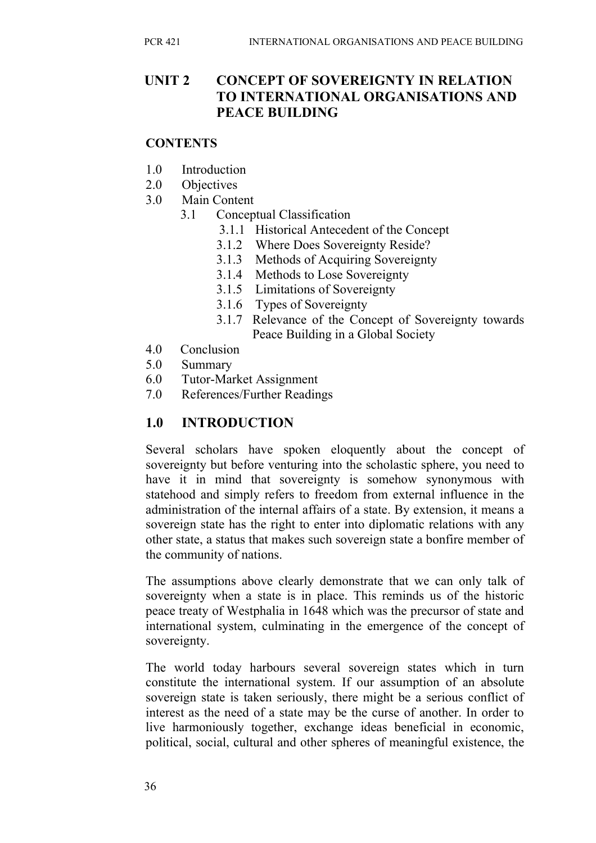## **UNIT 2 CONCEPT OF SOVEREIGNTY IN RELATION TO INTERNATIONAL ORGANISATIONS AND PEACE BUILDING**

#### **CONTENTS**

- 1.0 Introduction
- 2.0 Objectives
- 3.0 Main Content
	- 3.1 Conceptual Classification
		- 3.1.1 Historical Antecedent of the Concept
		- 3.1.2 Where Does Sovereignty Reside?
		- 3.1.3 Methods of Acquiring Sovereignty
		- 3.1.4 Methods to Lose Sovereignty
		- 3.1.5 Limitations of Sovereignty
		- 3.1.6 Types of Sovereignty
		- 3.1.7 Relevance of the Concept of Sovereignty towards Peace Building in a Global Society
- 4.0 Conclusion
- 5.0 Summary
- 6.0 Tutor-Market Assignment
- 7.0 References/Further Readings

## **1.0 INTRODUCTION**

Several scholars have spoken eloquently about the concept of sovereignty but before venturing into the scholastic sphere, you need to have it in mind that sovereignty is somehow synonymous with statehood and simply refers to freedom from external influence in the administration of the internal affairs of a state. By extension, it means a sovereign state has the right to enter into diplomatic relations with any other state, a status that makes such sovereign state a bonfire member of the community of nations.

The assumptions above clearly demonstrate that we can only talk of sovereignty when a state is in place. This reminds us of the historic peace treaty of Westphalia in 1648 which was the precursor of state and international system, culminating in the emergence of the concept of sovereignty.

The world today harbours several sovereign states which in turn constitute the international system. If our assumption of an absolute sovereign state is taken seriously, there might be a serious conflict of interest as the need of a state may be the curse of another. In order to live harmoniously together, exchange ideas beneficial in economic, political, social, cultural and other spheres of meaningful existence, the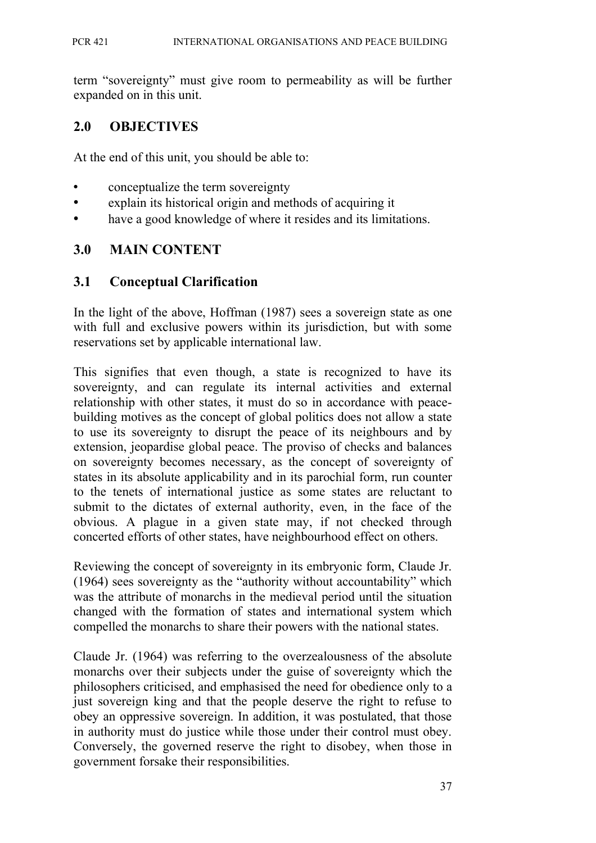term "sovereignty" must give room to permeability as will be further expanded on in this unit.

### **2.0 OBJECTIVES**

At the end of this unit, you should be able to:

- conceptualize the term sovereignty
- explain its historical origin and methods of acquiring it
- have a good knowledge of where it resides and its limitations.

### **3.0 MAIN CONTENT**

#### **3.1 Conceptual Clarification**

In the light of the above, Hoffman (1987) sees a sovereign state as one with full and exclusive powers within its jurisdiction, but with some reservations set by applicable international law.

This signifies that even though, a state is recognized to have its sovereignty, and can regulate its internal activities and external relationship with other states, it must do so in accordance with peacebuilding motives as the concept of global politics does not allow a state to use its sovereignty to disrupt the peace of its neighbours and by extension, jeopardise global peace. The proviso of checks and balances on sovereignty becomes necessary, as the concept of sovereignty of states in its absolute applicability and in its parochial form, run counter to the tenets of international justice as some states are reluctant to submit to the dictates of external authority, even, in the face of the obvious. A plague in a given state may, if not checked through concerted efforts of other states, have neighbourhood effect on others.

Reviewing the concept of sovereignty in its embryonic form, Claude Jr. (1964) sees sovereignty as the "authority without accountability" which was the attribute of monarchs in the medieval period until the situation changed with the formation of states and international system which compelled the monarchs to share their powers with the national states.

Claude Jr. (1964) was referring to the overzealousness of the absolute monarchs over their subjects under the guise of sovereignty which the philosophers criticised, and emphasised the need for obedience only to a just sovereign king and that the people deserve the right to refuse to obey an oppressive sovereign. In addition, it was postulated, that those in authority must do justice while those under their control must obey. Conversely, the governed reserve the right to disobey, when those in government forsake their responsibilities.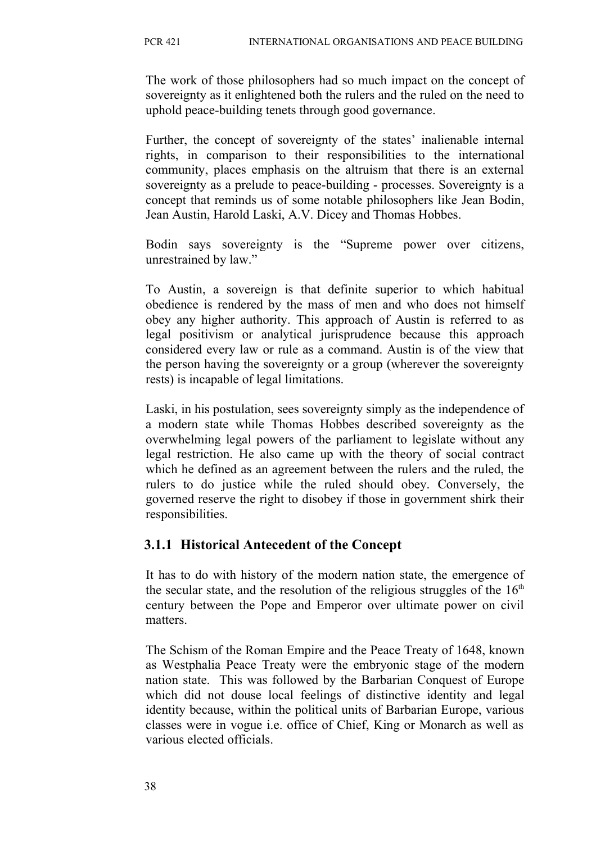The work of those philosophers had so much impact on the concept of sovereignty as it enlightened both the rulers and the ruled on the need to uphold peace-building tenets through good governance.

Further, the concept of sovereignty of the states' inalienable internal rights, in comparison to their responsibilities to the international community, places emphasis on the altruism that there is an external sovereignty as a prelude to peace-building - processes. Sovereignty is a concept that reminds us of some notable philosophers like Jean Bodin, Jean Austin, Harold Laski, A.V. Dicey and Thomas Hobbes.

Bodin says sovereignty is the "Supreme power over citizens, unrestrained by law."

To Austin, a sovereign is that definite superior to which habitual obedience is rendered by the mass of men and who does not himself obey any higher authority. This approach of Austin is referred to as legal positivism or analytical jurisprudence because this approach considered every law or rule as a command. Austin is of the view that the person having the sovereignty or a group (wherever the sovereignty rests) is incapable of legal limitations.

Laski, in his postulation, sees sovereignty simply as the independence of a modern state while Thomas Hobbes described sovereignty as the overwhelming legal powers of the parliament to legislate without any legal restriction. He also came up with the theory of social contract which he defined as an agreement between the rulers and the ruled, the rulers to do justice while the ruled should obey. Conversely, the governed reserve the right to disobey if those in government shirk their responsibilities.

## **3.1.1 Historical Antecedent of the Concept**

It has to do with history of the modern nation state, the emergence of the secular state, and the resolution of the religious struggles of the  $16<sup>th</sup>$ century between the Pope and Emperor over ultimate power on civil matters.

The Schism of the Roman Empire and the Peace Treaty of 1648, known as Westphalia Peace Treaty were the embryonic stage of the modern nation state. This was followed by the Barbarian Conquest of Europe which did not douse local feelings of distinctive identity and legal identity because, within the political units of Barbarian Europe, various classes were in vogue i.e. office of Chief, King or Monarch as well as various elected officials.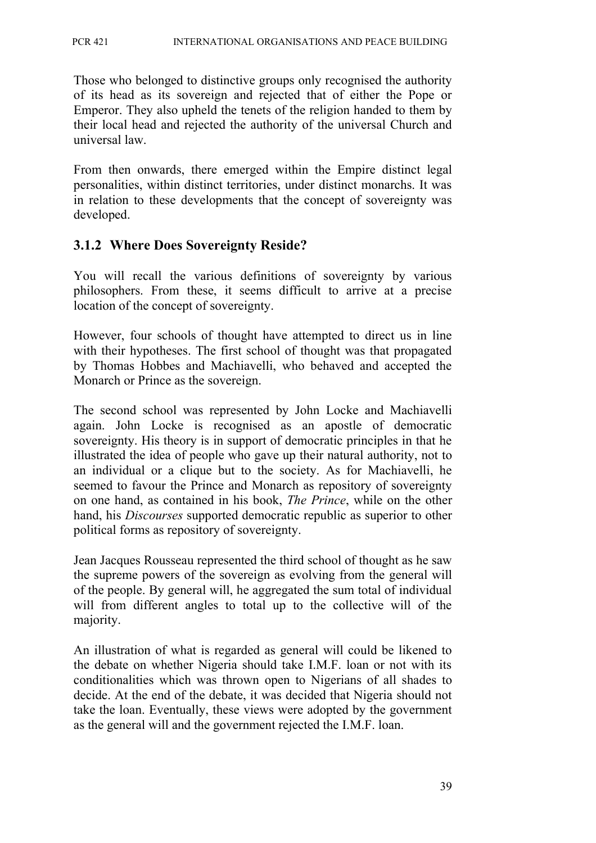Those who belonged to distinctive groups only recognised the authority of its head as its sovereign and rejected that of either the Pope or Emperor. They also upheld the tenets of the religion handed to them by their local head and rejected the authority of the universal Church and universal law.

From then onwards, there emerged within the Empire distinct legal personalities, within distinct territories, under distinct monarchs. It was in relation to these developments that the concept of sovereignty was developed.

## **3.1.2 Where Does Sovereignty Reside?**

You will recall the various definitions of sovereignty by various philosophers. From these, it seems difficult to arrive at a precise location of the concept of sovereignty.

However, four schools of thought have attempted to direct us in line with their hypotheses. The first school of thought was that propagated by Thomas Hobbes and Machiavelli, who behaved and accepted the Monarch or Prince as the sovereign.

The second school was represented by John Locke and Machiavelli again. John Locke is recognised as an apostle of democratic sovereignty. His theory is in support of democratic principles in that he illustrated the idea of people who gave up their natural authority, not to an individual or a clique but to the society. As for Machiavelli, he seemed to favour the Prince and Monarch as repository of sovereignty on one hand, as contained in his book, *The Prince*, while on the other hand, his *Discourses* supported democratic republic as superior to other political forms as repository of sovereignty.

Jean Jacques Rousseau represented the third school of thought as he saw the supreme powers of the sovereign as evolving from the general will of the people. By general will, he aggregated the sum total of individual will from different angles to total up to the collective will of the majority.

An illustration of what is regarded as general will could be likened to the debate on whether Nigeria should take I.M.F. loan or not with its conditionalities which was thrown open to Nigerians of all shades to decide. At the end of the debate, it was decided that Nigeria should not take the loan. Eventually, these views were adopted by the government as the general will and the government rejected the I.M.F. loan.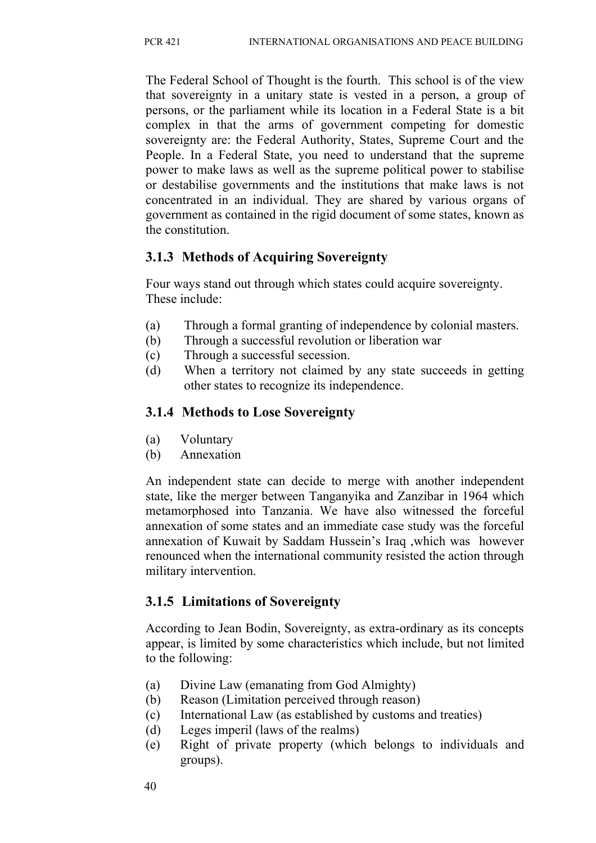The Federal School of Thought is the fourth. This school is of the view that sovereignty in a unitary state is vested in a person, a group of persons, or the parliament while its location in a Federal State is a bit complex in that the arms of government competing for domestic sovereignty are: the Federal Authority, States, Supreme Court and the People. In a Federal State, you need to understand that the supreme power to make laws as well as the supreme political power to stabilise or destabilise governments and the institutions that make laws is not concentrated in an individual. They are shared by various organs of government as contained in the rigid document of some states, known as the constitution.

# **3.1.3 Methods of Acquiring Sovereignty**

Four ways stand out through which states could acquire sovereignty. These include:

- (a) Through a formal granting of independence by colonial masters.
- (b) Through a successful revolution or liberation war
- (c) Through a successful secession.
- (d) When a territory not claimed by any state succeeds in getting other states to recognize its independence.

# **3.1.4 Methods to Lose Sovereignty**

- (a) Voluntary
- (b) Annexation

An independent state can decide to merge with another independent state, like the merger between Tanganyika and Zanzibar in 1964 which metamorphosed into Tanzania. We have also witnessed the forceful annexation of some states and an immediate case study was the forceful annexation of Kuwait by Saddam Hussein's Iraq ,which was however renounced when the international community resisted the action through military intervention.

# **3.1.5 Limitations of Sovereignty**

According to Jean Bodin, Sovereignty, as extra-ordinary as its concepts appear, is limited by some characteristics which include, but not limited to the following:

- (a) Divine Law (emanating from God Almighty)
- (b) Reason (Limitation perceived through reason)
- (c) International Law (as established by customs and treaties)
- (d) Leges imperil (laws of the realms)
- (e) Right of private property (which belongs to individuals and groups).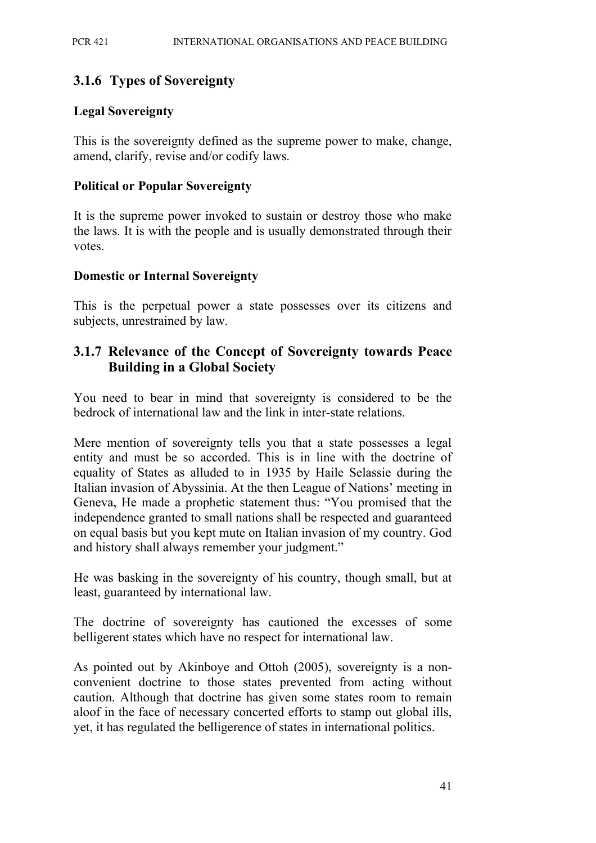## **3.1.6 Types of Sovereignty**

#### **Legal Sovereignty**

This is the sovereignty defined as the supreme power to make, change, amend, clarify, revise and/or codify laws.

#### **Political or Popular Sovereignty**

It is the supreme power invoked to sustain or destroy those who make the laws. It is with the people and is usually demonstrated through their votes.

#### **Domestic or Internal Sovereignty**

This is the perpetual power a state possesses over its citizens and subjects, unrestrained by law.

### **3.1.7 Relevance of the Concept of Sovereignty towards Peace Building in a Global Society**

You need to bear in mind that sovereignty is considered to be the bedrock of international law and the link in inter-state relations.

Mere mention of sovereignty tells you that a state possesses a legal entity and must be so accorded. This is in line with the doctrine of equality of States as alluded to in 1935 by Haile Selassie during the Italian invasion of Abyssinia. At the then League of Nations' meeting in Geneva, He made a prophetic statement thus: "You promised that the independence granted to small nations shall be respected and guaranteed on equal basis but you kept mute on Italian invasion of my country. God and history shall always remember your judgment."

He was basking in the sovereignty of his country, though small, but at least, guaranteed by international law.

The doctrine of sovereignty has cautioned the excesses of some belligerent states which have no respect for international law.

As pointed out by Akinboye and Ottoh (2005), sovereignty is a nonconvenient doctrine to those states prevented from acting without caution. Although that doctrine has given some states room to remain aloof in the face of necessary concerted efforts to stamp out global ills, yet, it has regulated the belligerence of states in international politics.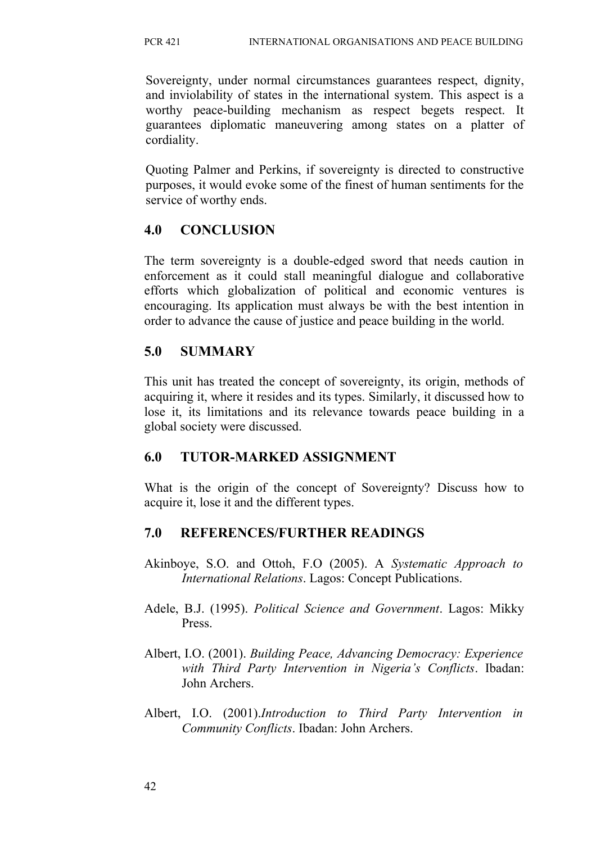Sovereignty, under normal circumstances guarantees respect, dignity, and inviolability of states in the international system. This aspect is a worthy peace-building mechanism as respect begets respect. It guarantees diplomatic maneuvering among states on a platter of cordiality.

Quoting Palmer and Perkins, if sovereignty is directed to constructive purposes, it would evoke some of the finest of human sentiments for the service of worthy ends.

## **4.0 CONCLUSION**

The term sovereignty is a double-edged sword that needs caution in enforcement as it could stall meaningful dialogue and collaborative efforts which globalization of political and economic ventures is encouraging. Its application must always be with the best intention in order to advance the cause of justice and peace building in the world.

## **5.0 SUMMARY**

This unit has treated the concept of sovereignty, its origin, methods of acquiring it, where it resides and its types. Similarly, it discussed how to lose it, its limitations and its relevance towards peace building in a global society were discussed.

## **6.0 TUTOR-MARKED ASSIGNMENT**

What is the origin of the concept of Sovereignty? Discuss how to acquire it, lose it and the different types.

## **7.0 REFERENCES/FURTHER READINGS**

- Akinboye, S.O. and Ottoh, F.O (2005). A *Systematic Approach to International Relations*. Lagos: Concept Publications.
- Adele, B.J. (1995). *Political Science and Government*. Lagos: Mikky Press.
- Albert, I.O. (2001). *Building Peace, Advancing Democracy: Experience with Third Party Intervention in Nigeria's Conflicts*. Ibadan: John Archers.
- Albert, I.O. (2001).*Introduction to Third Party Intervention in Community Conflicts*. Ibadan: John Archers.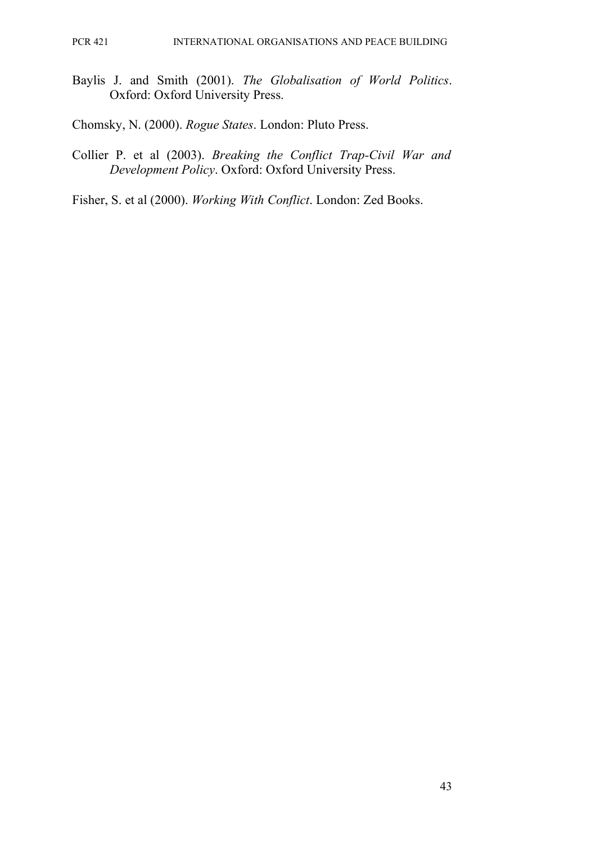Baylis J. and Smith (2001). *The Globalisation of World Politics*. Oxford: Oxford University Press.

Chomsky, N. (2000). *Rogue States*. London: Pluto Press.

Collier P. et al (2003). *Breaking the Conflict Trap-Civil War and Development Policy*. Oxford: Oxford University Press.

Fisher, S. et al (2000). *Working With Conflict*. London: Zed Books.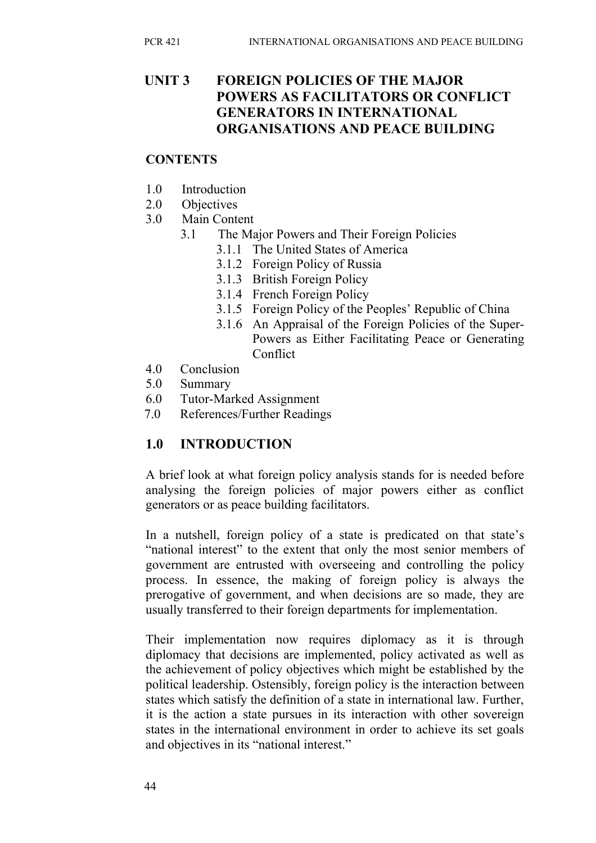## **UNIT 3 FOREIGN POLICIES OF THE MAJOR POWERS AS FACILITATORS OR CONFLICT GENERATORS IN INTERNATIONAL ORGANISATIONS AND PEACE BUILDING**

#### **CONTENTS**

- 1.0 Introduction
- 2.0 Objectives
- 3.0 Main Content
	- 3.1 The Major Powers and Their Foreign Policies
		- 3.1.1 The United States of America
		- 3.1.2 Foreign Policy of Russia
		- 3.1.3 British Foreign Policy
		- 3.1.4 French Foreign Policy
		- 3.1.5 Foreign Policy of the Peoples' Republic of China
		- 3.1.6 An Appraisal of the Foreign Policies of the Super-Powers as Either Facilitating Peace or Generating **Conflict**
- 4.0 Conclusion
- 5.0 Summary
- 6.0 Tutor-Marked Assignment
- 7.0 References/Further Readings

## **1.0 INTRODUCTION**

A brief look at what foreign policy analysis stands for is needed before analysing the foreign policies of major powers either as conflict generators or as peace building facilitators.

In a nutshell, foreign policy of a state is predicated on that state's "national interest" to the extent that only the most senior members of government are entrusted with overseeing and controlling the policy process. In essence, the making of foreign policy is always the prerogative of government, and when decisions are so made, they are usually transferred to their foreign departments for implementation.

Their implementation now requires diplomacy as it is through diplomacy that decisions are implemented, policy activated as well as the achievement of policy objectives which might be established by the political leadership. Ostensibly, foreign policy is the interaction between states which satisfy the definition of a state in international law. Further, it is the action a state pursues in its interaction with other sovereign states in the international environment in order to achieve its set goals and objectives in its "national interest."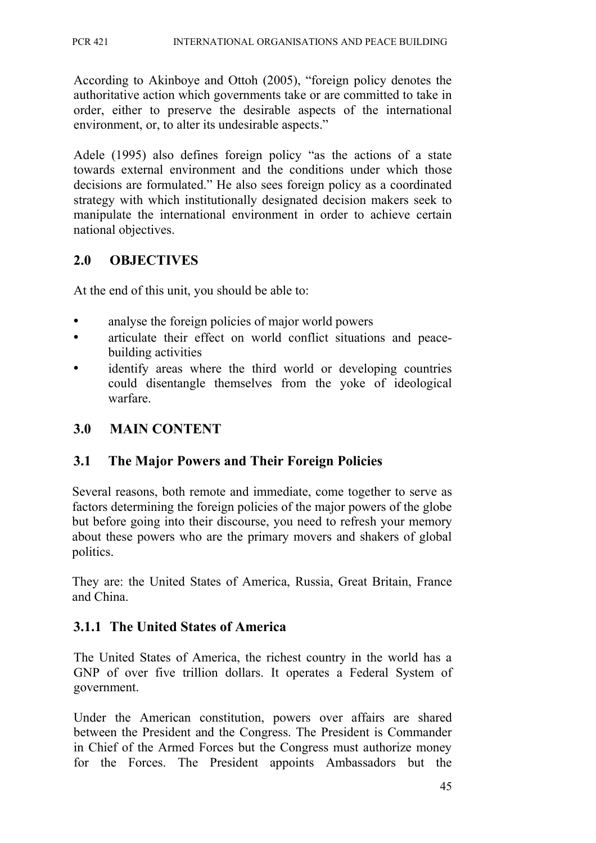According to Akinboye and Ottoh (2005), "foreign policy denotes the authoritative action which governments take or are committed to take in order, either to preserve the desirable aspects of the international environment, or, to alter its undesirable aspects."

Adele (1995) also defines foreign policy "as the actions of a state towards external environment and the conditions under which those decisions are formulated." He also sees foreign policy as a coordinated strategy with which institutionally designated decision makers seek to manipulate the international environment in order to achieve certain national objectives.

## **2.0 OBJECTIVES**

At the end of this unit, you should be able to:

- analyse the foreign policies of major world powers
- articulate their effect on world conflict situations and peacebuilding activities
- identify areas where the third world or developing countries could disentangle themselves from the yoke of ideological warfare.

### **3.0 MAIN CONTENT**

## **3.1 The Major Powers and Their Foreign Policies**

Several reasons, both remote and immediate, come together to serve as factors determining the foreign policies of the major powers of the globe but before going into their discourse, you need to refresh your memory about these powers who are the primary movers and shakers of global politics.

They are: the United States of America, Russia, Great Britain, France and China.

#### **3.1.1 The United States of America**

The United States of America, the richest country in the world has a GNP of over five trillion dollars. It operates a Federal System of government.

Under the American constitution, powers over affairs are shared between the President and the Congress. The President is Commander in Chief of the Armed Forces but the Congress must authorize money for the Forces. The President appoints Ambassadors but the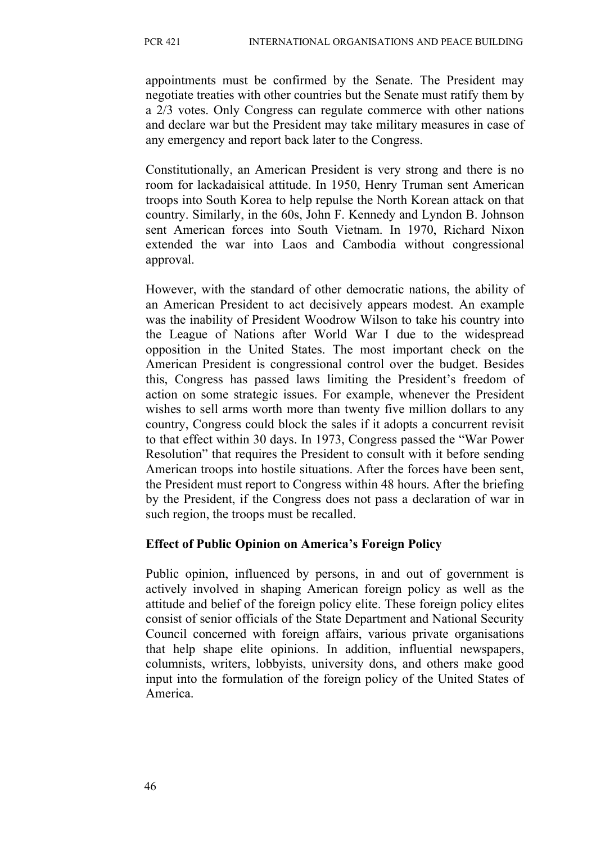appointments must be confirmed by the Senate. The President may negotiate treaties with other countries but the Senate must ratify them by a 2/3 votes. Only Congress can regulate commerce with other nations and declare war but the President may take military measures in case of any emergency and report back later to the Congress.

Constitutionally, an American President is very strong and there is no room for lackadaisical attitude. In 1950, Henry Truman sent American troops into South Korea to help repulse the North Korean attack on that country. Similarly, in the 60s, John F. Kennedy and Lyndon B. Johnson sent American forces into South Vietnam. In 1970, Richard Nixon extended the war into Laos and Cambodia without congressional approval.

However, with the standard of other democratic nations, the ability of an American President to act decisively appears modest. An example was the inability of President Woodrow Wilson to take his country into the League of Nations after World War I due to the widespread opposition in the United States. The most important check on the American President is congressional control over the budget. Besides this, Congress has passed laws limiting the President's freedom of action on some strategic issues. For example, whenever the President wishes to sell arms worth more than twenty five million dollars to any country, Congress could block the sales if it adopts a concurrent revisit to that effect within 30 days. In 1973, Congress passed the "War Power Resolution" that requires the President to consult with it before sending American troops into hostile situations. After the forces have been sent, the President must report to Congress within 48 hours. After the briefing by the President, if the Congress does not pass a declaration of war in such region, the troops must be recalled.

## **Effect of Public Opinion on America's Foreign Policy**

Public opinion, influenced by persons, in and out of government is actively involved in shaping American foreign policy as well as the attitude and belief of the foreign policy elite. These foreign policy elites consist of senior officials of the State Department and National Security Council concerned with foreign affairs, various private organisations that help shape elite opinions. In addition, influential newspapers, columnists, writers, lobbyists, university dons, and others make good input into the formulation of the foreign policy of the United States of America.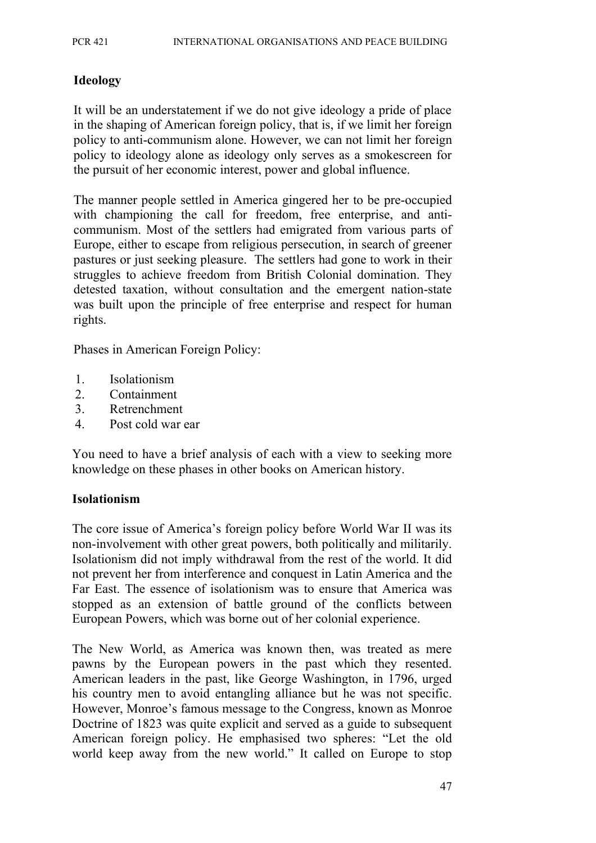### **Ideology**

It will be an understatement if we do not give ideology a pride of place in the shaping of American foreign policy, that is, if we limit her foreign policy to anti-communism alone. However, we can not limit her foreign policy to ideology alone as ideology only serves as a smokescreen for the pursuit of her economic interest, power and global influence.

The manner people settled in America gingered her to be pre-occupied with championing the call for freedom, free enterprise, and anticommunism. Most of the settlers had emigrated from various parts of Europe, either to escape from religious persecution, in search of greener pastures or just seeking pleasure. The settlers had gone to work in their struggles to achieve freedom from British Colonial domination. They detested taxation, without consultation and the emergent nation-state was built upon the principle of free enterprise and respect for human rights.

Phases in American Foreign Policy:

- 1. Isolationism
- 2. Containment
- 3. Retrenchment
- 4. Post cold war ear

You need to have a brief analysis of each with a view to seeking more knowledge on these phases in other books on American history.

#### **Isolationism**

The core issue of America's foreign policy before World War II was its non-involvement with other great powers, both politically and militarily. Isolationism did not imply withdrawal from the rest of the world. It did not prevent her from interference and conquest in Latin America and the Far East. The essence of isolationism was to ensure that America was stopped as an extension of battle ground of the conflicts between European Powers, which was borne out of her colonial experience.

The New World, as America was known then, was treated as mere pawns by the European powers in the past which they resented. American leaders in the past, like George Washington, in 1796, urged his country men to avoid entangling alliance but he was not specific. However, Monroe's famous message to the Congress, known as Monroe Doctrine of 1823 was quite explicit and served as a guide to subsequent American foreign policy. He emphasised two spheres: "Let the old world keep away from the new world." It called on Europe to stop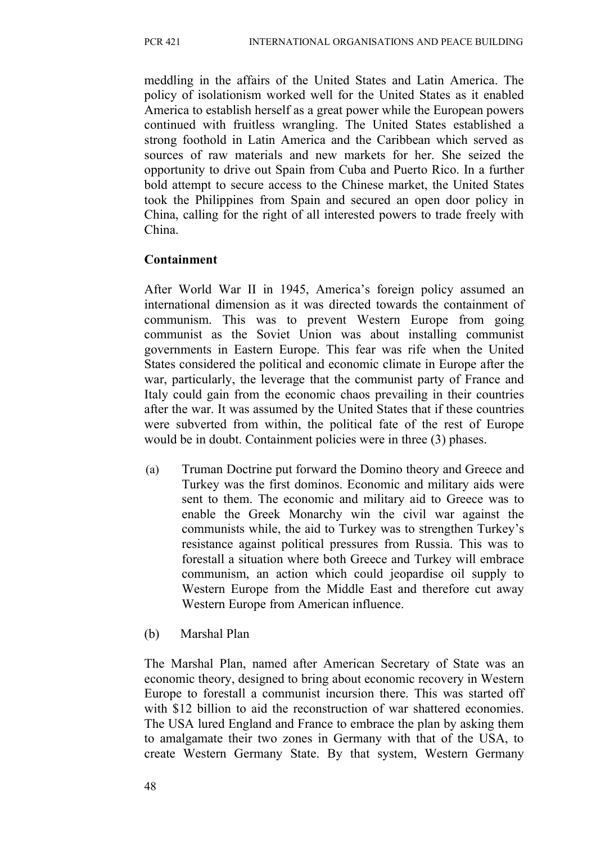meddling in the affairs of the United States and Latin America. The policy of isolationism worked well for the United States as it enabled America to establish herself as a great power while the European powers continued with fruitless wrangling. The United States established a strong foothold in Latin America and the Caribbean which served as sources of raw materials and new markets for her. She seized the opportunity to drive out Spain from Cuba and Puerto Rico. In a further bold attempt to secure access to the Chinese market, the United States took the Philippines from Spain and secured an open door policy in China, calling for the right of all interested powers to trade freely with China.

### **Containment**

After World War II in 1945, America's foreign policy assumed an international dimension as it was directed towards the containment of communism. This was to prevent Western Europe from going communist as the Soviet Union was about installing communist governments in Eastern Europe. This fear was rife when the United States considered the political and economic climate in Europe after the war, particularly, the leverage that the communist party of France and Italy could gain from the economic chaos prevailing in their countries after the war. It was assumed by the United States that if these countries were subverted from within, the political fate of the rest of Europe would be in doubt. Containment policies were in three (3) phases.

- (a) Truman Doctrine put forward the Domino theory and Greece and Turkey was the first dominos. Economic and military aids were sent to them. The economic and military aid to Greece was to enable the Greek Monarchy win the civil war against the communists while, the aid to Turkey was to strengthen Turkey's resistance against political pressures from Russia. This was to forestall a situation where both Greece and Turkey will embrace communism, an action which could jeopardise oil supply to Western Europe from the Middle East and therefore cut away Western Europe from American influence.
- (b) Marshal Plan

The Marshal Plan, named after American Secretary of State was an economic theory, designed to bring about economic recovery in Western Europe to forestall a communist incursion there. This was started off with \$12 billion to aid the reconstruction of war shattered economies. The USA lured England and France to embrace the plan by asking them to amalgamate their two zones in Germany with that of the USA, to create Western Germany State. By that system, Western Germany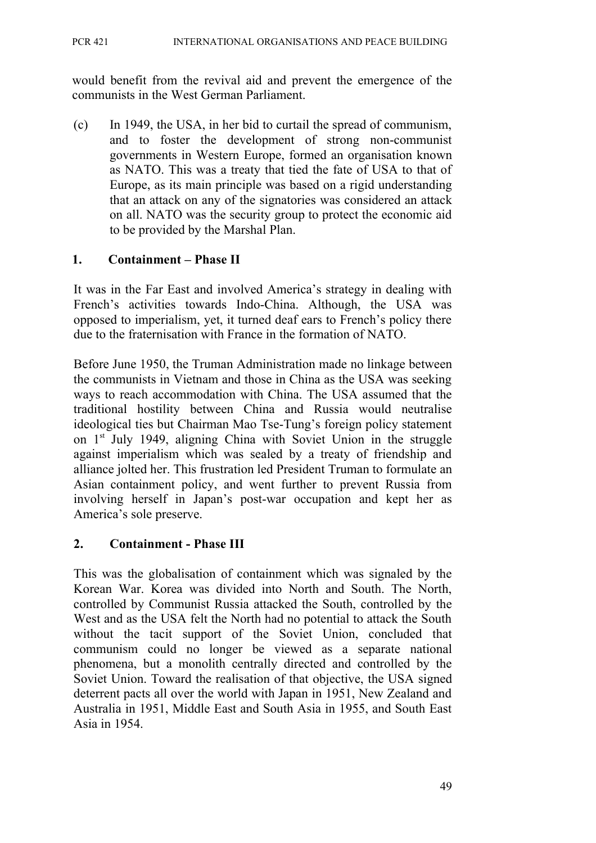would benefit from the revival aid and prevent the emergence of the communists in the West German Parliament.

(c) In 1949, the USA, in her bid to curtail the spread of communism, and to foster the development of strong non-communist governments in Western Europe, formed an organisation known as NATO. This was a treaty that tied the fate of USA to that of Europe, as its main principle was based on a rigid understanding that an attack on any of the signatories was considered an attack on all. NATO was the security group to protect the economic aid to be provided by the Marshal Plan.

### **1. Containment – Phase II**

It was in the Far East and involved America's strategy in dealing with French's activities towards Indo-China. Although, the USA was opposed to imperialism, yet, it turned deaf ears to French's policy there due to the fraternisation with France in the formation of NATO.

Before June 1950, the Truman Administration made no linkage between the communists in Vietnam and those in China as the USA was seeking ways to reach accommodation with China. The USA assumed that the traditional hostility between China and Russia would neutralise ideological ties but Chairman Mao Tse-Tung's foreign policy statement on 1st July 1949, aligning China with Soviet Union in the struggle against imperialism which was sealed by a treaty of friendship and alliance jolted her. This frustration led President Truman to formulate an Asian containment policy, and went further to prevent Russia from involving herself in Japan's post-war occupation and kept her as America's sole preserve.

## **2. Containment - Phase III**

This was the globalisation of containment which was signaled by the Korean War. Korea was divided into North and South. The North, controlled by Communist Russia attacked the South, controlled by the West and as the USA felt the North had no potential to attack the South without the tacit support of the Soviet Union, concluded that communism could no longer be viewed as a separate national phenomena, but a monolith centrally directed and controlled by the Soviet Union. Toward the realisation of that objective, the USA signed deterrent pacts all over the world with Japan in 1951, New Zealand and Australia in 1951, Middle East and South Asia in 1955, and South East Asia in 1954.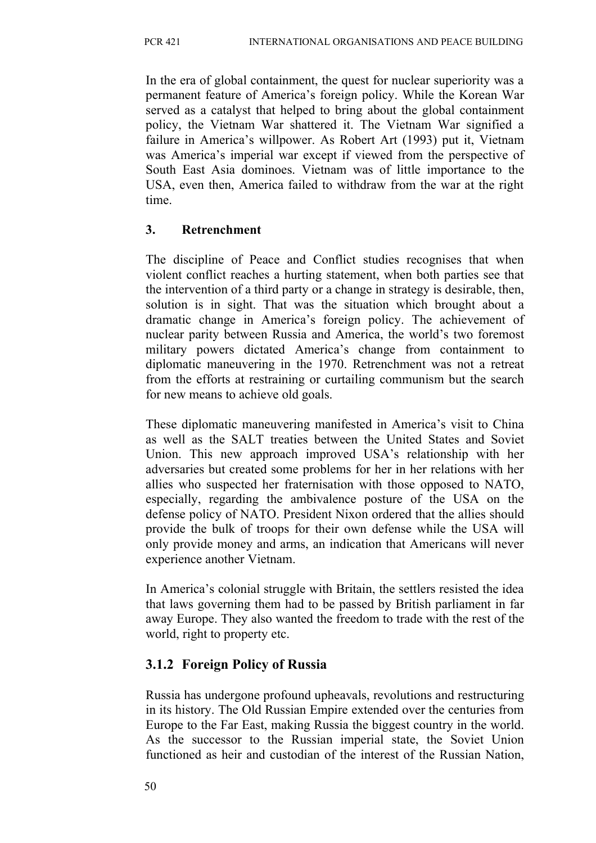In the era of global containment, the quest for nuclear superiority was a permanent feature of America's foreign policy. While the Korean War served as a catalyst that helped to bring about the global containment policy, the Vietnam War shattered it. The Vietnam War signified a failure in America's willpower. As Robert Art (1993) put it, Vietnam was America's imperial war except if viewed from the perspective of South East Asia dominoes. Vietnam was of little importance to the USA, even then, America failed to withdraw from the war at the right time.

## **3. Retrenchment**

The discipline of Peace and Conflict studies recognises that when violent conflict reaches a hurting statement, when both parties see that the intervention of a third party or a change in strategy is desirable, then, solution is in sight. That was the situation which brought about a dramatic change in America's foreign policy. The achievement of nuclear parity between Russia and America, the world's two foremost military powers dictated America's change from containment to diplomatic maneuvering in the 1970. Retrenchment was not a retreat from the efforts at restraining or curtailing communism but the search for new means to achieve old goals.

These diplomatic maneuvering manifested in America's visit to China as well as the SALT treaties between the United States and Soviet Union. This new approach improved USA's relationship with her adversaries but created some problems for her in her relations with her allies who suspected her fraternisation with those opposed to NATO, especially, regarding the ambivalence posture of the USA on the defense policy of NATO. President Nixon ordered that the allies should provide the bulk of troops for their own defense while the USA will only provide money and arms, an indication that Americans will never experience another Vietnam.

In America's colonial struggle with Britain, the settlers resisted the idea that laws governing them had to be passed by British parliament in far away Europe. They also wanted the freedom to trade with the rest of the world, right to property etc.

# **3.1.2 Foreign Policy of Russia**

Russia has undergone profound upheavals, revolutions and restructuring in its history. The Old Russian Empire extended over the centuries from Europe to the Far East, making Russia the biggest country in the world. As the successor to the Russian imperial state, the Soviet Union functioned as heir and custodian of the interest of the Russian Nation,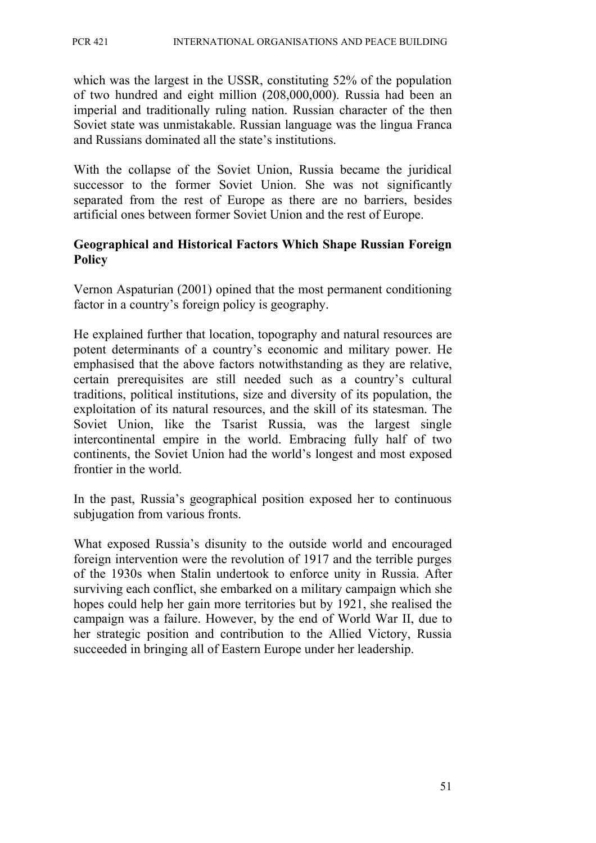which was the largest in the USSR, constituting 52% of the population of two hundred and eight million (208,000,000). Russia had been an imperial and traditionally ruling nation. Russian character of the then Soviet state was unmistakable. Russian language was the lingua Franca and Russians dominated all the state's institutions.

With the collapse of the Soviet Union, Russia became the juridical successor to the former Soviet Union. She was not significantly separated from the rest of Europe as there are no barriers, besides artificial ones between former Soviet Union and the rest of Europe.

#### **Geographical and Historical Factors Which Shape Russian Foreign Policy**

Vernon Aspaturian (2001) opined that the most permanent conditioning factor in a country's foreign policy is geography.

He explained further that location, topography and natural resources are potent determinants of a country's economic and military power. He emphasised that the above factors notwithstanding as they are relative, certain prerequisites are still needed such as a country's cultural traditions, political institutions, size and diversity of its population, the exploitation of its natural resources, and the skill of its statesman. The Soviet Union, like the Tsarist Russia, was the largest single intercontinental empire in the world. Embracing fully half of two continents, the Soviet Union had the world's longest and most exposed frontier in the world.

In the past, Russia's geographical position exposed her to continuous subjugation from various fronts.

What exposed Russia's disunity to the outside world and encouraged foreign intervention were the revolution of 1917 and the terrible purges of the 1930s when Stalin undertook to enforce unity in Russia. After surviving each conflict, she embarked on a military campaign which she hopes could help her gain more territories but by 1921, she realised the campaign was a failure. However, by the end of World War II, due to her strategic position and contribution to the Allied Victory, Russia succeeded in bringing all of Eastern Europe under her leadership.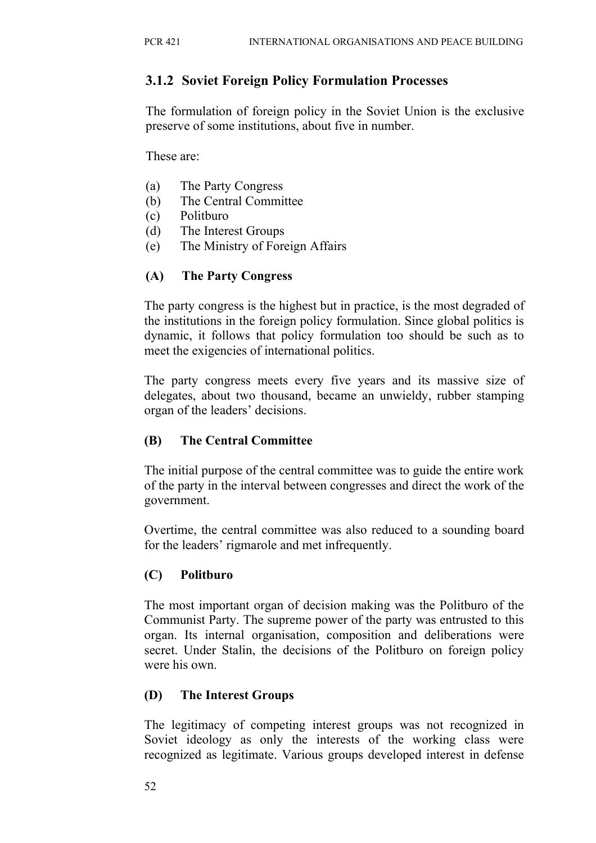## **3.1.2 Soviet Foreign Policy Formulation Processes**

The formulation of foreign policy in the Soviet Union is the exclusive preserve of some institutions, about five in number.

These are:

- (a) The Party Congress
- (b) The Central Committee
- (c) Politburo
- (d) The Interest Groups
- (e) The Ministry of Foreign Affairs

## **(A) The Party Congress**

The party congress is the highest but in practice, is the most degraded of the institutions in the foreign policy formulation. Since global politics is dynamic, it follows that policy formulation too should be such as to meet the exigencies of international politics.

The party congress meets every five years and its massive size of delegates, about two thousand, became an unwieldy, rubber stamping organ of the leaders' decisions.

## **(B) The Central Committee**

The initial purpose of the central committee was to guide the entire work of the party in the interval between congresses and direct the work of the government.

Overtime, the central committee was also reduced to a sounding board for the leaders' rigmarole and met infrequently.

## **(C) Politburo**

The most important organ of decision making was the Politburo of the Communist Party. The supreme power of the party was entrusted to this organ. Its internal organisation, composition and deliberations were secret. Under Stalin, the decisions of the Politburo on foreign policy were his own.

## **(D) The Interest Groups**

The legitimacy of competing interest groups was not recognized in Soviet ideology as only the interests of the working class were recognized as legitimate. Various groups developed interest in defense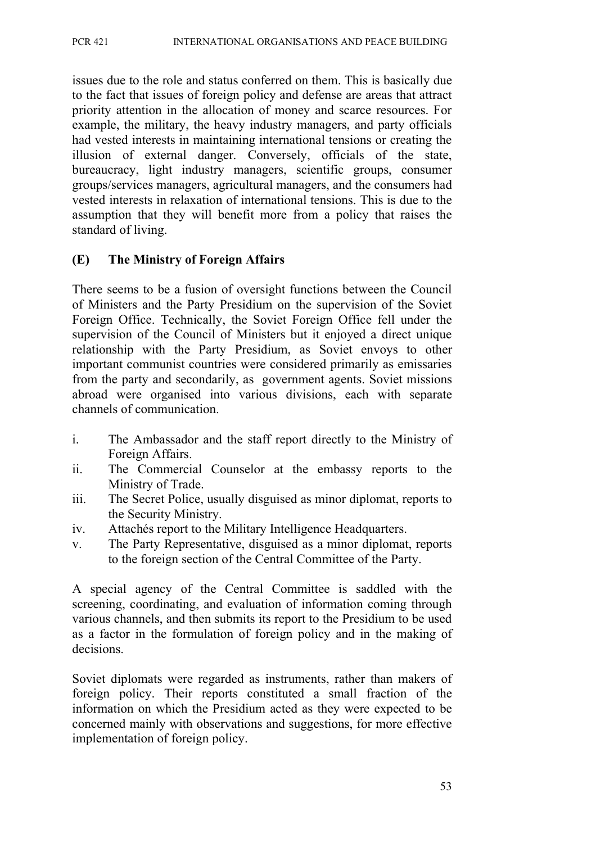issues due to the role and status conferred on them. This is basically due to the fact that issues of foreign policy and defense are areas that attract priority attention in the allocation of money and scarce resources. For example, the military, the heavy industry managers, and party officials had vested interests in maintaining international tensions or creating the illusion of external danger. Conversely, officials of the state, bureaucracy, light industry managers, scientific groups, consumer groups/services managers, agricultural managers, and the consumers had vested interests in relaxation of international tensions. This is due to the assumption that they will benefit more from a policy that raises the standard of living.

### **(E) The Ministry of Foreign Affairs**

There seems to be a fusion of oversight functions between the Council of Ministers and the Party Presidium on the supervision of the Soviet Foreign Office. Technically, the Soviet Foreign Office fell under the supervision of the Council of Ministers but it enjoyed a direct unique relationship with the Party Presidium, as Soviet envoys to other important communist countries were considered primarily as emissaries from the party and secondarily, as government agents. Soviet missions abroad were organised into various divisions, each with separate channels of communication.

- i. The Ambassador and the staff report directly to the Ministry of Foreign Affairs.
- ii. The Commercial Counselor at the embassy reports to the Ministry of Trade.
- iii. The Secret Police, usually disguised as minor diplomat, reports to the Security Ministry.
- iv. Attachés report to the Military Intelligence Headquarters.
- v. The Party Representative, disguised as a minor diplomat, reports to the foreign section of the Central Committee of the Party.

A special agency of the Central Committee is saddled with the screening, coordinating, and evaluation of information coming through various channels, and then submits its report to the Presidium to be used as a factor in the formulation of foreign policy and in the making of decisions.

Soviet diplomats were regarded as instruments, rather than makers of foreign policy. Their reports constituted a small fraction of the information on which the Presidium acted as they were expected to be concerned mainly with observations and suggestions, for more effective implementation of foreign policy.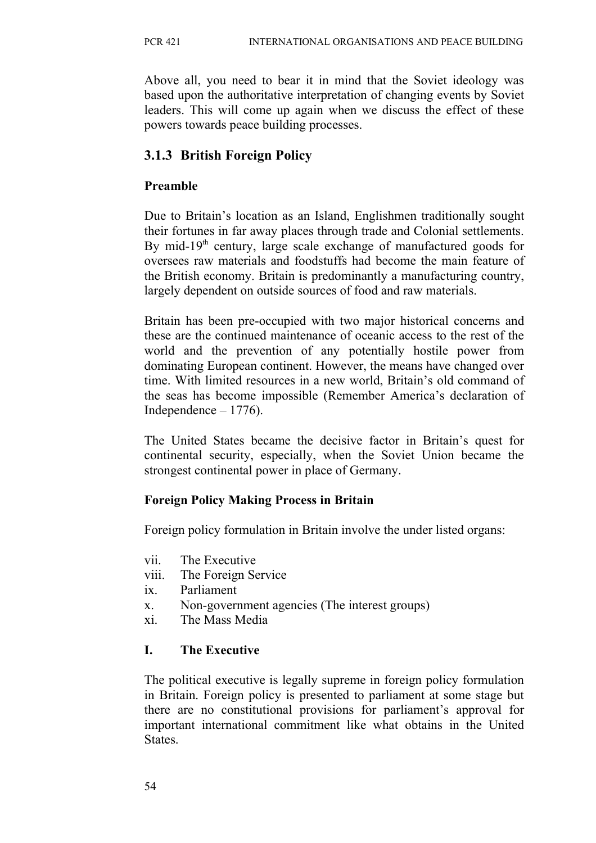Above all, you need to bear it in mind that the Soviet ideology was based upon the authoritative interpretation of changing events by Soviet leaders. This will come up again when we discuss the effect of these powers towards peace building processes.

# **3.1.3 British Foreign Policy**

## **Preamble**

Due to Britain's location as an Island, Englishmen traditionally sought their fortunes in far away places through trade and Colonial settlements. By mid-19<sup>th</sup> century, large scale exchange of manufactured goods for oversees raw materials and foodstuffs had become the main feature of the British economy. Britain is predominantly a manufacturing country, largely dependent on outside sources of food and raw materials.

Britain has been pre-occupied with two major historical concerns and these are the continued maintenance of oceanic access to the rest of the world and the prevention of any potentially hostile power from dominating European continent. However, the means have changed over time. With limited resources in a new world, Britain's old command of the seas has become impossible (Remember America's declaration of Independence – 1776).

The United States became the decisive factor in Britain's quest for continental security, especially, when the Soviet Union became the strongest continental power in place of Germany.

## **Foreign Policy Making Process in Britain**

Foreign policy formulation in Britain involve the under listed organs:

- vii. The Executive
- viii. The Foreign Service
- ix. Parliament
- x. Non-government agencies (The interest groups)
- xi. The Mass Media

# **I. The Executive**

The political executive is legally supreme in foreign policy formulation in Britain. Foreign policy is presented to parliament at some stage but there are no constitutional provisions for parliament's approval for important international commitment like what obtains in the United **States**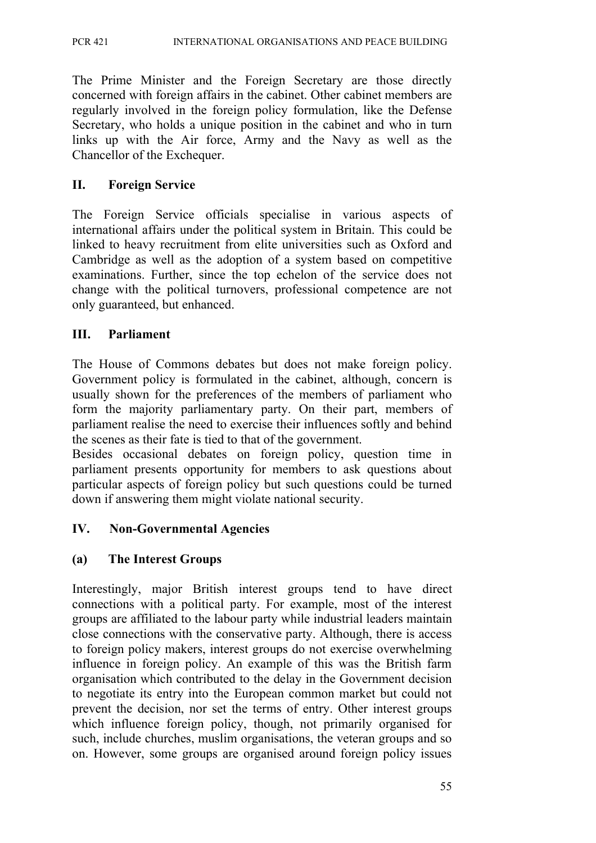The Prime Minister and the Foreign Secretary are those directly concerned with foreign affairs in the cabinet. Other cabinet members are regularly involved in the foreign policy formulation, like the Defense Secretary, who holds a unique position in the cabinet and who in turn links up with the Air force, Army and the Navy as well as the Chancellor of the Exchequer.

### **II. Foreign Service**

The Foreign Service officials specialise in various aspects of international affairs under the political system in Britain. This could be linked to heavy recruitment from elite universities such as Oxford and Cambridge as well as the adoption of a system based on competitive examinations. Further, since the top echelon of the service does not change with the political turnovers, professional competence are not only guaranteed, but enhanced.

### **III. Parliament**

The House of Commons debates but does not make foreign policy. Government policy is formulated in the cabinet, although, concern is usually shown for the preferences of the members of parliament who form the majority parliamentary party. On their part, members of parliament realise the need to exercise their influences softly and behind the scenes as their fate is tied to that of the government.

Besides occasional debates on foreign policy, question time in parliament presents opportunity for members to ask questions about particular aspects of foreign policy but such questions could be turned down if answering them might violate national security.

## **IV. Non-Governmental Agencies**

## **(a) The Interest Groups**

Interestingly, major British interest groups tend to have direct connections with a political party. For example, most of the interest groups are affiliated to the labour party while industrial leaders maintain close connections with the conservative party. Although, there is access to foreign policy makers, interest groups do not exercise overwhelming influence in foreign policy. An example of this was the British farm organisation which contributed to the delay in the Government decision to negotiate its entry into the European common market but could not prevent the decision, nor set the terms of entry. Other interest groups which influence foreign policy, though, not primarily organised for such, include churches, muslim organisations, the veteran groups and so on. However, some groups are organised around foreign policy issues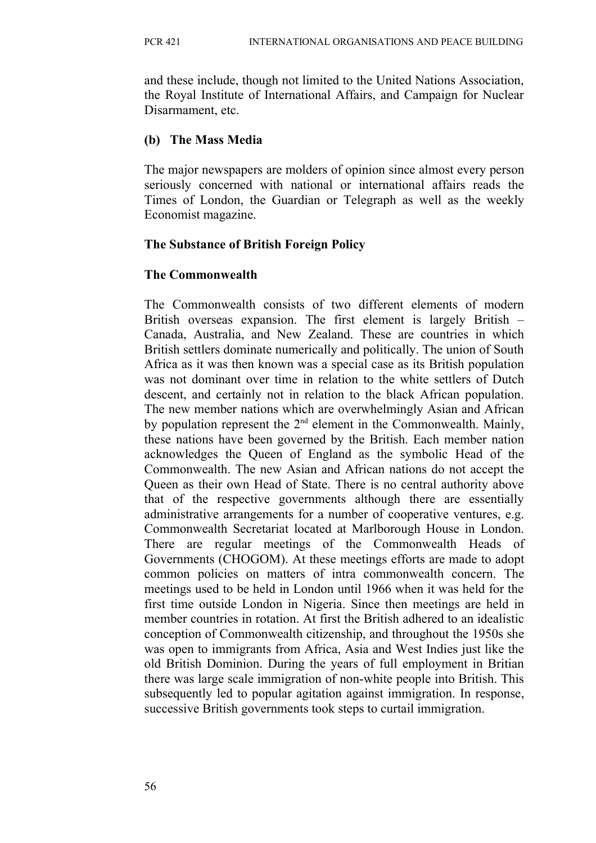and these include, though not limited to the United Nations Association, the Royal Institute of International Affairs, and Campaign for Nuclear Disarmament, etc.

### **(b) The Mass Media**

The major newspapers are molders of opinion since almost every person seriously concerned with national or international affairs reads the Times of London, the Guardian or Telegraph as well as the weekly Economist magazine.

### **The Substance of British Foreign Policy**

### **The Commonwealth**

The Commonwealth consists of two different elements of modern British overseas expansion. The first element is largely British – Canada, Australia, and New Zealand. These are countries in which British settlers dominate numerically and politically. The union of South Africa as it was then known was a special case as its British population was not dominant over time in relation to the white settlers of Dutch descent, and certainly not in relation to the black African population. The new member nations which are overwhelmingly Asian and African by population represent the  $2<sup>nd</sup>$  element in the Commonwealth. Mainly, these nations have been governed by the British. Each member nation acknowledges the Queen of England as the symbolic Head of the Commonwealth. The new Asian and African nations do not accept the Queen as their own Head of State. There is no central authority above that of the respective governments although there are essentially administrative arrangements for a number of cooperative ventures, e.g. Commonwealth Secretariat located at Marlborough House in London. There are regular meetings of the Commonwealth Heads of Governments (CHOGOM). At these meetings efforts are made to adopt common policies on matters of intra commonwealth concern. The meetings used to be held in London until 1966 when it was held for the first time outside London in Nigeria. Since then meetings are held in member countries in rotation. At first the British adhered to an idealistic conception of Commonwealth citizenship, and throughout the 1950s she was open to immigrants from Africa, Asia and West Indies just like the old British Dominion. During the years of full employment in Britian there was large scale immigration of non-white people into British. This subsequently led to popular agitation against immigration. In response, successive British governments took steps to curtail immigration.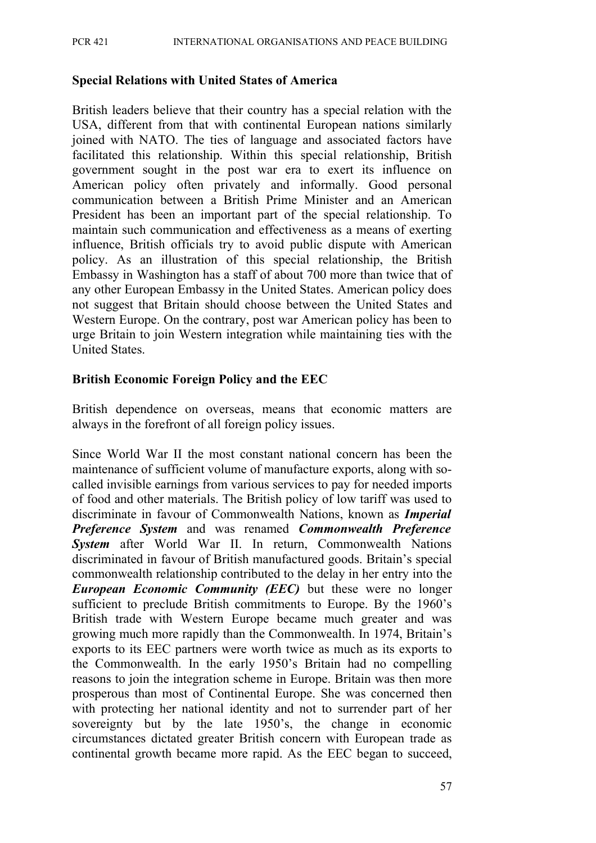#### **Special Relations with United States of America**

British leaders believe that their country has a special relation with the USA, different from that with continental European nations similarly joined with NATO. The ties of language and associated factors have facilitated this relationship. Within this special relationship, British government sought in the post war era to exert its influence on American policy often privately and informally. Good personal communication between a British Prime Minister and an American President has been an important part of the special relationship. To maintain such communication and effectiveness as a means of exerting influence, British officials try to avoid public dispute with American policy. As an illustration of this special relationship, the British Embassy in Washington has a staff of about 700 more than twice that of any other European Embassy in the United States. American policy does not suggest that Britain should choose between the United States and Western Europe. On the contrary, post war American policy has been to urge Britain to join Western integration while maintaining ties with the United States.

#### **British Economic Foreign Policy and the EEC**

British dependence on overseas, means that economic matters are always in the forefront of all foreign policy issues.

Since World War II the most constant national concern has been the maintenance of sufficient volume of manufacture exports, along with socalled invisible earnings from various services to pay for needed imports of food and other materials. The British policy of low tariff was used to discriminate in favour of Commonwealth Nations, known as *Imperial Preference System* and was renamed *Commonwealth Preference System* after World War II. In return, Commonwealth Nations discriminated in favour of British manufactured goods. Britain's special commonwealth relationship contributed to the delay in her entry into the *European Economic Community (EEC)* but these were no longer sufficient to preclude British commitments to Europe. By the 1960's British trade with Western Europe became much greater and was growing much more rapidly than the Commonwealth. In 1974, Britain's exports to its EEC partners were worth twice as much as its exports to the Commonwealth. In the early 1950's Britain had no compelling reasons to join the integration scheme in Europe. Britain was then more prosperous than most of Continental Europe. She was concerned then with protecting her national identity and not to surrender part of her sovereignty but by the late 1950's, the change in economic circumstances dictated greater British concern with European trade as continental growth became more rapid. As the EEC began to succeed,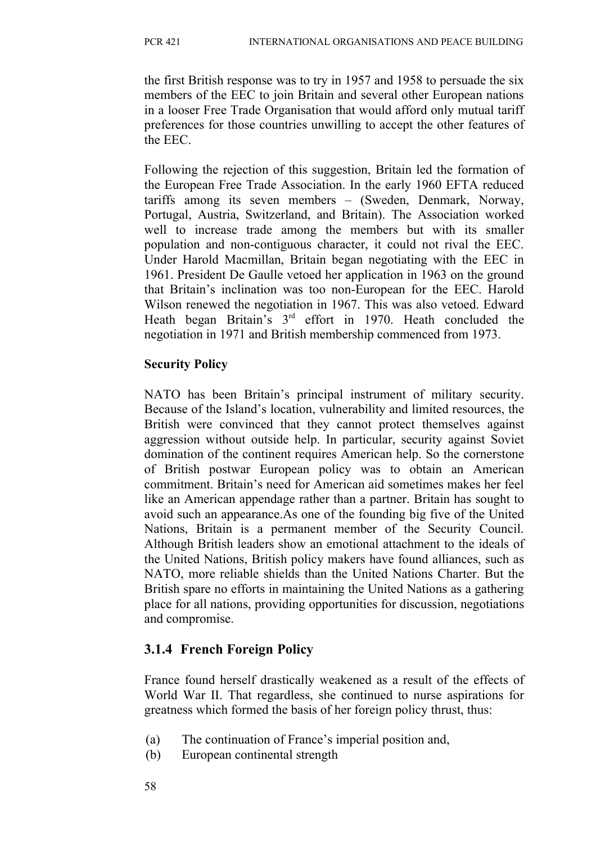the first British response was to try in 1957 and 1958 to persuade the six members of the EEC to join Britain and several other European nations in a looser Free Trade Organisation that would afford only mutual tariff preferences for those countries unwilling to accept the other features of the EEC.

Following the rejection of this suggestion, Britain led the formation of the European Free Trade Association. In the early 1960 EFTA reduced tariffs among its seven members – (Sweden, Denmark, Norway, Portugal, Austria, Switzerland, and Britain). The Association worked well to increase trade among the members but with its smaller population and non-contiguous character, it could not rival the EEC. Under Harold Macmillan, Britain began negotiating with the EEC in 1961. President De Gaulle vetoed her application in 1963 on the ground that Britain's inclination was too non-European for the EEC. Harold Wilson renewed the negotiation in 1967. This was also vetoed. Edward Heath began Britain's 3rd effort in 1970. Heath concluded the negotiation in 1971 and British membership commenced from 1973.

#### **Security Policy**

NATO has been Britain's principal instrument of military security. Because of the Island's location, vulnerability and limited resources, the British were convinced that they cannot protect themselves against aggression without outside help. In particular, security against Soviet domination of the continent requires American help. So the cornerstone of British postwar European policy was to obtain an American commitment. Britain's need for American aid sometimes makes her feel like an American appendage rather than a partner. Britain has sought to avoid such an appearance.As one of the founding big five of the United Nations, Britain is a permanent member of the Security Council. Although British leaders show an emotional attachment to the ideals of the United Nations, British policy makers have found alliances, such as NATO, more reliable shields than the United Nations Charter. But the British spare no efforts in maintaining the United Nations as a gathering place for all nations, providing opportunities for discussion, negotiations and compromise.

## **3.1.4 French Foreign Policy**

France found herself drastically weakened as a result of the effects of World War II. That regardless, she continued to nurse aspirations for greatness which formed the basis of her foreign policy thrust, thus:

- (a) The continuation of France's imperial position and,
- (b) European continental strength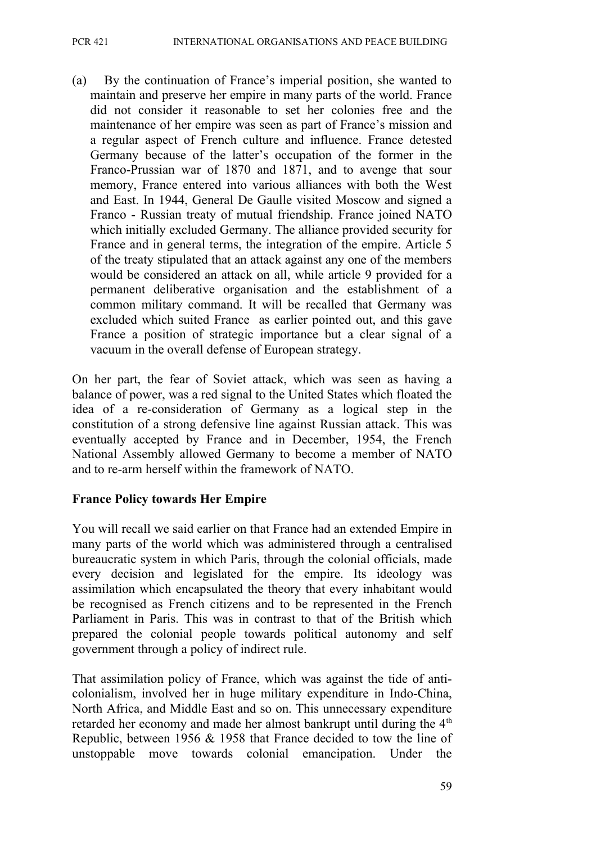(a) By the continuation of France's imperial position, she wanted to maintain and preserve her empire in many parts of the world. France did not consider it reasonable to set her colonies free and the maintenance of her empire was seen as part of France's mission and a regular aspect of French culture and influence. France detested Germany because of the latter's occupation of the former in the Franco-Prussian war of 1870 and 1871, and to avenge that sour memory, France entered into various alliances with both the West and East. In 1944, General De Gaulle visited Moscow and signed a Franco - Russian treaty of mutual friendship. France joined NATO which initially excluded Germany. The alliance provided security for France and in general terms, the integration of the empire. Article 5 of the treaty stipulated that an attack against any one of the members would be considered an attack on all, while article 9 provided for a permanent deliberative organisation and the establishment of a common military command. It will be recalled that Germany was excluded which suited France as earlier pointed out, and this gave France a position of strategic importance but a clear signal of a vacuum in the overall defense of European strategy.

On her part, the fear of Soviet attack, which was seen as having a balance of power, was a red signal to the United States which floated the idea of a re-consideration of Germany as a logical step in the constitution of a strong defensive line against Russian attack. This was eventually accepted by France and in December, 1954, the French National Assembly allowed Germany to become a member of NATO and to re-arm herself within the framework of NATO.

#### **France Policy towards Her Empire**

You will recall we said earlier on that France had an extended Empire in many parts of the world which was administered through a centralised bureaucratic system in which Paris, through the colonial officials, made every decision and legislated for the empire. Its ideology was assimilation which encapsulated the theory that every inhabitant would be recognised as French citizens and to be represented in the French Parliament in Paris. This was in contrast to that of the British which prepared the colonial people towards political autonomy and self government through a policy of indirect rule.

That assimilation policy of France, which was against the tide of anticolonialism, involved her in huge military expenditure in Indo-China, North Africa, and Middle East and so on. This unnecessary expenditure retarded her economy and made her almost bankrupt until during the  $4<sup>th</sup>$ Republic, between 1956 & 1958 that France decided to tow the line of unstoppable move towards colonial emancipation. Under the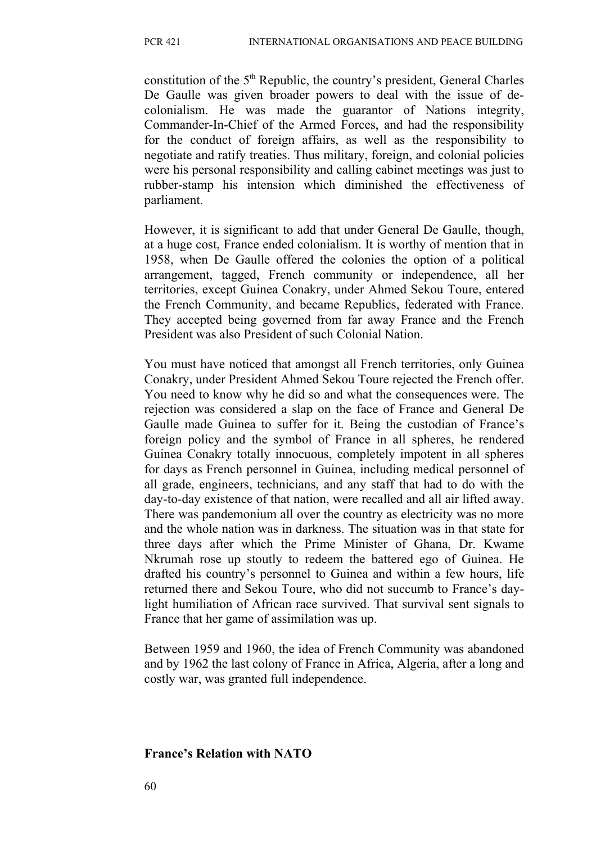constitution of the  $5<sup>th</sup>$  Republic, the country's president, General Charles De Gaulle was given broader powers to deal with the issue of decolonialism. He was made the guarantor of Nations integrity, Commander-In-Chief of the Armed Forces, and had the responsibility for the conduct of foreign affairs, as well as the responsibility to negotiate and ratify treaties. Thus military, foreign, and colonial policies were his personal responsibility and calling cabinet meetings was just to rubber-stamp his intension which diminished the effectiveness of parliament.

However, it is significant to add that under General De Gaulle, though, at a huge cost, France ended colonialism. It is worthy of mention that in 1958, when De Gaulle offered the colonies the option of a political arrangement, tagged, French community or independence, all her territories, except Guinea Conakry, under Ahmed Sekou Toure, entered the French Community, and became Republics, federated with France. They accepted being governed from far away France and the French President was also President of such Colonial Nation.

You must have noticed that amongst all French territories, only Guinea Conakry, under President Ahmed Sekou Toure rejected the French offer. You need to know why he did so and what the consequences were. The rejection was considered a slap on the face of France and General De Gaulle made Guinea to suffer for it. Being the custodian of France's foreign policy and the symbol of France in all spheres, he rendered Guinea Conakry totally innocuous, completely impotent in all spheres for days as French personnel in Guinea, including medical personnel of all grade, engineers, technicians, and any staff that had to do with the day-to-day existence of that nation, were recalled and all air lifted away. There was pandemonium all over the country as electricity was no more and the whole nation was in darkness. The situation was in that state for three days after which the Prime Minister of Ghana, Dr. Kwame Nkrumah rose up stoutly to redeem the battered ego of Guinea. He drafted his country's personnel to Guinea and within a few hours, life returned there and Sekou Toure, who did not succumb to France's daylight humiliation of African race survived. That survival sent signals to France that her game of assimilation was up.

Between 1959 and 1960, the idea of French Community was abandoned and by 1962 the last colony of France in Africa, Algeria, after a long and costly war, was granted full independence.

#### **France's Relation with NATO**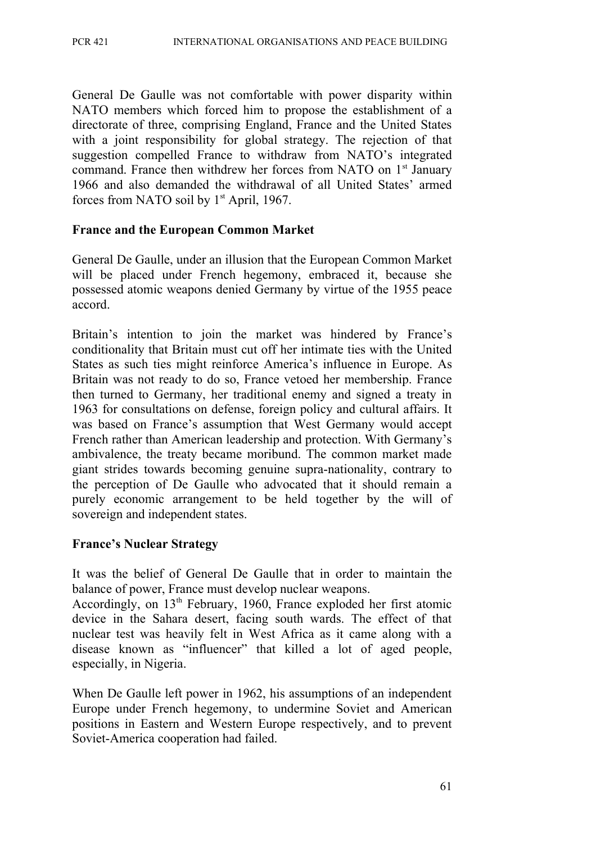General De Gaulle was not comfortable with power disparity within NATO members which forced him to propose the establishment of a directorate of three, comprising England, France and the United States with a joint responsibility for global strategy. The rejection of that suggestion compelled France to withdraw from NATO's integrated command. France then withdrew her forces from NATO on  $1<sup>st</sup>$  January 1966 and also demanded the withdrawal of all United States' armed forces from NATO soil by  $1<sup>st</sup>$  April, 1967.

#### **France and the European Common Market**

General De Gaulle, under an illusion that the European Common Market will be placed under French hegemony, embraced it, because she possessed atomic weapons denied Germany by virtue of the 1955 peace accord.

Britain's intention to join the market was hindered by France's conditionality that Britain must cut off her intimate ties with the United States as such ties might reinforce America's influence in Europe. As Britain was not ready to do so, France vetoed her membership. France then turned to Germany, her traditional enemy and signed a treaty in 1963 for consultations on defense, foreign policy and cultural affairs. It was based on France's assumption that West Germany would accept French rather than American leadership and protection. With Germany's ambivalence, the treaty became moribund. The common market made giant strides towards becoming genuine supra-nationality, contrary to the perception of De Gaulle who advocated that it should remain a purely economic arrangement to be held together by the will of sovereign and independent states.

#### **France's Nuclear Strategy**

It was the belief of General De Gaulle that in order to maintain the balance of power, France must develop nuclear weapons.

Accordingly, on  $13<sup>th</sup>$  February, 1960, France exploded her first atomic device in the Sahara desert, facing south wards. The effect of that nuclear test was heavily felt in West Africa as it came along with a disease known as "influencer" that killed a lot of aged people, especially, in Nigeria.

When De Gaulle left power in 1962, his assumptions of an independent Europe under French hegemony, to undermine Soviet and American positions in Eastern and Western Europe respectively, and to prevent Soviet-America cooperation had failed.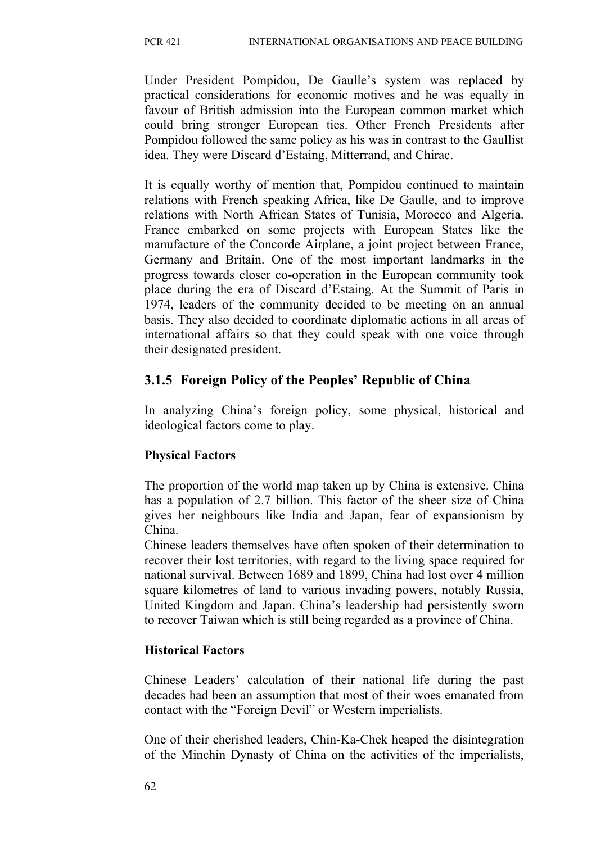Under President Pompidou, De Gaulle's system was replaced by practical considerations for economic motives and he was equally in favour of British admission into the European common market which could bring stronger European ties. Other French Presidents after Pompidou followed the same policy as his was in contrast to the Gaullist idea. They were Discard d'Estaing, Mitterrand, and Chirac.

It is equally worthy of mention that, Pompidou continued to maintain relations with French speaking Africa, like De Gaulle, and to improve relations with North African States of Tunisia, Morocco and Algeria. France embarked on some projects with European States like the manufacture of the Concorde Airplane, a joint project between France, Germany and Britain. One of the most important landmarks in the progress towards closer co-operation in the European community took place during the era of Discard d'Estaing. At the Summit of Paris in 1974, leaders of the community decided to be meeting on an annual basis. They also decided to coordinate diplomatic actions in all areas of international affairs so that they could speak with one voice through their designated president.

# **3.1.5 Foreign Policy of the Peoples' Republic of China**

In analyzing China's foreign policy, some physical, historical and ideological factors come to play.

## **Physical Factors**

The proportion of the world map taken up by China is extensive. China has a population of 2.7 billion. This factor of the sheer size of China gives her neighbours like India and Japan, fear of expansionism by China.

Chinese leaders themselves have often spoken of their determination to recover their lost territories, with regard to the living space required for national survival. Between 1689 and 1899, China had lost over 4 million square kilometres of land to various invading powers, notably Russia, United Kingdom and Japan. China's leadership had persistently sworn to recover Taiwan which is still being regarded as a province of China.

## **Historical Factors**

Chinese Leaders' calculation of their national life during the past decades had been an assumption that most of their woes emanated from contact with the "Foreign Devil" or Western imperialists.

One of their cherished leaders, Chin-Ka-Chek heaped the disintegration of the Minchin Dynasty of China on the activities of the imperialists,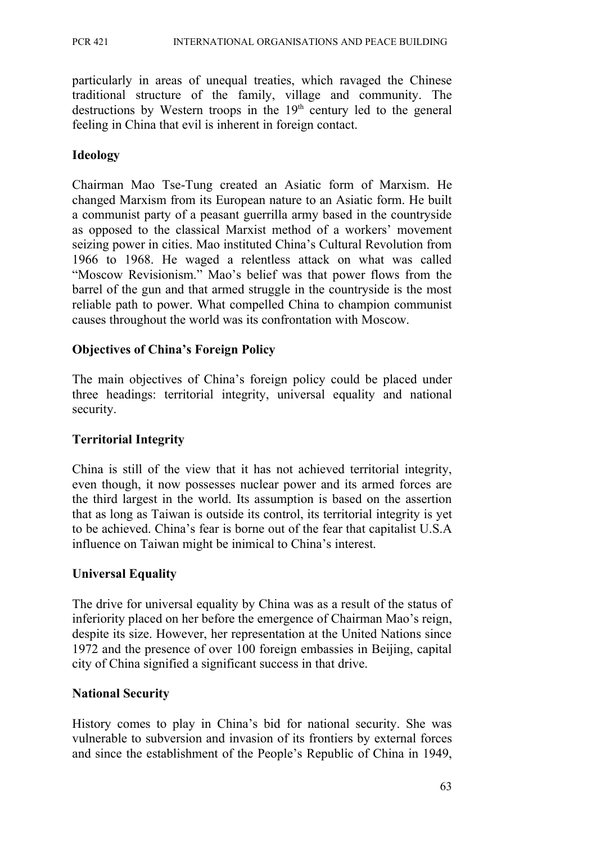particularly in areas of unequal treaties, which ravaged the Chinese traditional structure of the family, village and community. The destructions by Western troops in the  $19<sup>th</sup>$  century led to the general feeling in China that evil is inherent in foreign contact.

#### **Ideology**

Chairman Mao Tse-Tung created an Asiatic form of Marxism. He changed Marxism from its European nature to an Asiatic form. He built a communist party of a peasant guerrilla army based in the countryside as opposed to the classical Marxist method of a workers' movement seizing power in cities. Mao instituted China's Cultural Revolution from 1966 to 1968. He waged a relentless attack on what was called "Moscow Revisionism." Mao's belief was that power flows from the barrel of the gun and that armed struggle in the countryside is the most reliable path to power. What compelled China to champion communist causes throughout the world was its confrontation with Moscow.

#### **Objectives of China's Foreign Policy**

The main objectives of China's foreign policy could be placed under three headings: territorial integrity, universal equality and national security.

#### **Territorial Integrity**

China is still of the view that it has not achieved territorial integrity, even though, it now possesses nuclear power and its armed forces are the third largest in the world. Its assumption is based on the assertion that as long as Taiwan is outside its control, its territorial integrity is yet to be achieved. China's fear is borne out of the fear that capitalist U.S.A influence on Taiwan might be inimical to China's interest.

#### **Universal Equality**

The drive for universal equality by China was as a result of the status of inferiority placed on her before the emergence of Chairman Mao's reign, despite its size. However, her representation at the United Nations since 1972 and the presence of over 100 foreign embassies in Beijing, capital city of China signified a significant success in that drive.

#### **National Security**

History comes to play in China's bid for national security. She was vulnerable to subversion and invasion of its frontiers by external forces and since the establishment of the People's Republic of China in 1949,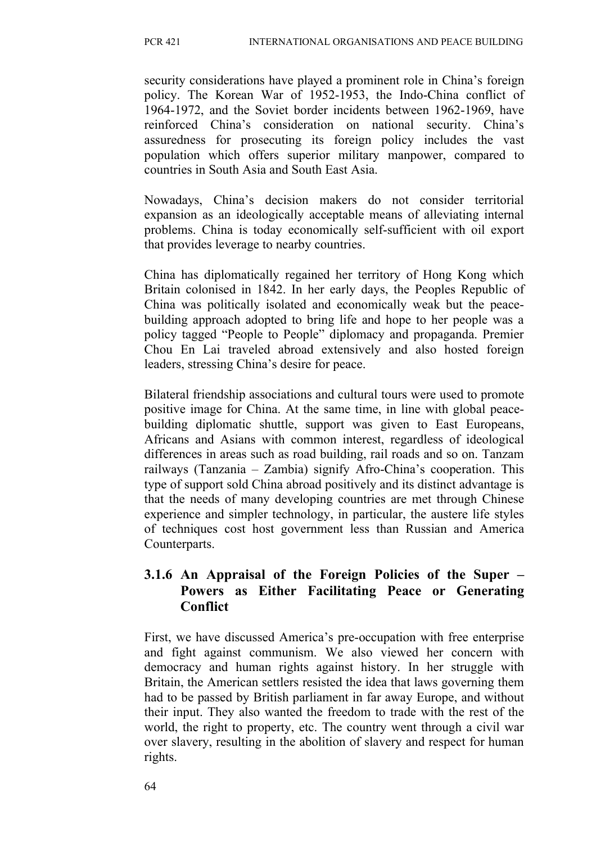security considerations have played a prominent role in China's foreign policy. The Korean War of 1952-1953, the Indo-China conflict of 1964-1972, and the Soviet border incidents between 1962-1969, have reinforced China's consideration on national security. China's assuredness for prosecuting its foreign policy includes the vast population which offers superior military manpower, compared to countries in South Asia and South East Asia.

Nowadays, China's decision makers do not consider territorial expansion as an ideologically acceptable means of alleviating internal problems. China is today economically self-sufficient with oil export that provides leverage to nearby countries.

China has diplomatically regained her territory of Hong Kong which Britain colonised in 1842. In her early days, the Peoples Republic of China was politically isolated and economically weak but the peacebuilding approach adopted to bring life and hope to her people was a policy tagged "People to People" diplomacy and propaganda. Premier Chou En Lai traveled abroad extensively and also hosted foreign leaders, stressing China's desire for peace.

Bilateral friendship associations and cultural tours were used to promote positive image for China. At the same time, in line with global peacebuilding diplomatic shuttle, support was given to East Europeans, Africans and Asians with common interest, regardless of ideological differences in areas such as road building, rail roads and so on. Tanzam railways (Tanzania – Zambia) signify Afro-China's cooperation. This type of support sold China abroad positively and its distinct advantage is that the needs of many developing countries are met through Chinese experience and simpler technology, in particular, the austere life styles of techniques cost host government less than Russian and America Counterparts.

### **3.1.6 An Appraisal of the Foreign Policies of the Super – Powers as Either Facilitating Peace or Generating Conflict**

First, we have discussed America's pre-occupation with free enterprise and fight against communism. We also viewed her concern with democracy and human rights against history. In her struggle with Britain, the American settlers resisted the idea that laws governing them had to be passed by British parliament in far away Europe, and without their input. They also wanted the freedom to trade with the rest of the world, the right to property, etc. The country went through a civil war over slavery, resulting in the abolition of slavery and respect for human rights.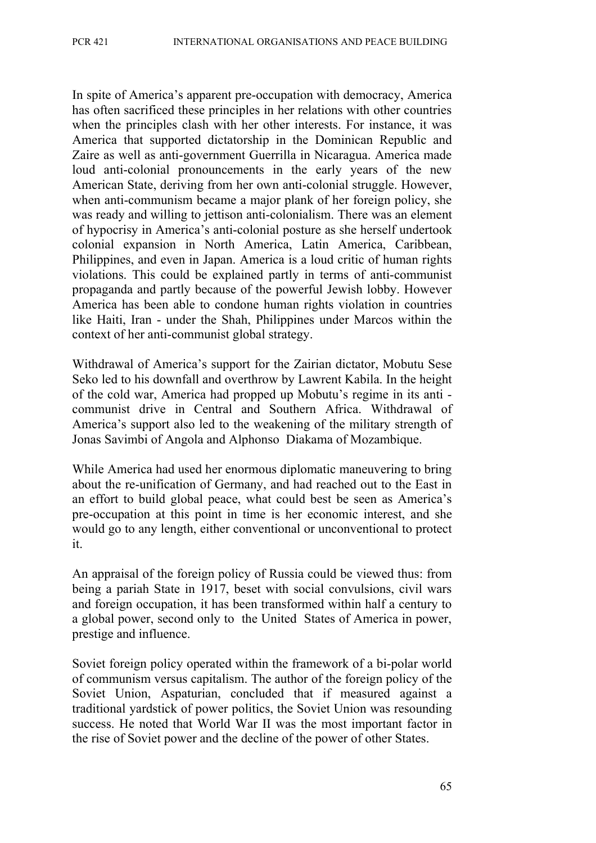In spite of America's apparent pre-occupation with democracy, America has often sacrificed these principles in her relations with other countries when the principles clash with her other interests. For instance, it was America that supported dictatorship in the Dominican Republic and Zaire as well as anti-government Guerrilla in Nicaragua. America made loud anti-colonial pronouncements in the early years of the new American State, deriving from her own anti-colonial struggle. However, when anti-communism became a major plank of her foreign policy, she was ready and willing to jettison anti-colonialism. There was an element of hypocrisy in America's anti-colonial posture as she herself undertook colonial expansion in North America, Latin America, Caribbean, Philippines, and even in Japan. America is a loud critic of human rights violations. This could be explained partly in terms of anti-communist propaganda and partly because of the powerful Jewish lobby. However America has been able to condone human rights violation in countries like Haiti, Iran - under the Shah, Philippines under Marcos within the context of her anti-communist global strategy.

Withdrawal of America's support for the Zairian dictator, Mobutu Sese Seko led to his downfall and overthrow by Lawrent Kabila. In the height of the cold war, America had propped up Mobutu's regime in its anti communist drive in Central and Southern Africa. Withdrawal of America's support also led to the weakening of the military strength of Jonas Savimbi of Angola and Alphonso Diakama of Mozambique.

While America had used her enormous diplomatic maneuvering to bring about the re-unification of Germany, and had reached out to the East in an effort to build global peace, what could best be seen as America's pre-occupation at this point in time is her economic interest, and she would go to any length, either conventional or unconventional to protect it.

An appraisal of the foreign policy of Russia could be viewed thus: from being a pariah State in 1917, beset with social convulsions, civil wars and foreign occupation, it has been transformed within half a century to a global power, second only to the United States of America in power, prestige and influence.

Soviet foreign policy operated within the framework of a bi-polar world of communism versus capitalism. The author of the foreign policy of the Soviet Union, Aspaturian, concluded that if measured against a traditional yardstick of power politics, the Soviet Union was resounding success. He noted that World War II was the most important factor in the rise of Soviet power and the decline of the power of other States.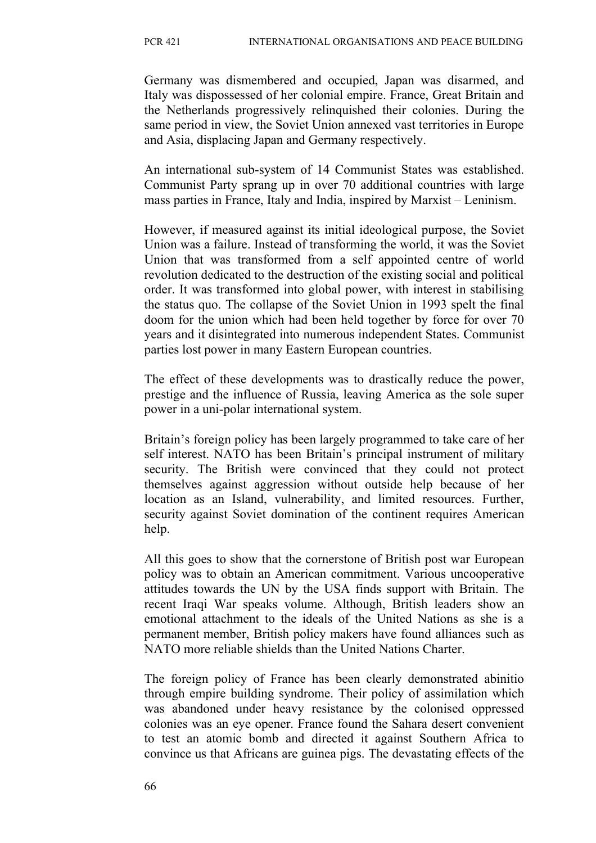Germany was dismembered and occupied, Japan was disarmed, and Italy was dispossessed of her colonial empire. France, Great Britain and the Netherlands progressively relinquished their colonies. During the same period in view, the Soviet Union annexed vast territories in Europe and Asia, displacing Japan and Germany respectively.

An international sub-system of 14 Communist States was established. Communist Party sprang up in over 70 additional countries with large mass parties in France, Italy and India, inspired by Marxist – Leninism.

However, if measured against its initial ideological purpose, the Soviet Union was a failure. Instead of transforming the world, it was the Soviet Union that was transformed from a self appointed centre of world revolution dedicated to the destruction of the existing social and political order. It was transformed into global power, with interest in stabilising the status quo. The collapse of the Soviet Union in 1993 spelt the final doom for the union which had been held together by force for over 70 years and it disintegrated into numerous independent States. Communist parties lost power in many Eastern European countries.

The effect of these developments was to drastically reduce the power, prestige and the influence of Russia, leaving America as the sole super power in a uni-polar international system.

Britain's foreign policy has been largely programmed to take care of her self interest. NATO has been Britain's principal instrument of military security. The British were convinced that they could not protect themselves against aggression without outside help because of her location as an Island, vulnerability, and limited resources. Further, security against Soviet domination of the continent requires American help.

All this goes to show that the cornerstone of British post war European policy was to obtain an American commitment. Various uncooperative attitudes towards the UN by the USA finds support with Britain. The recent Iraqi War speaks volume. Although, British leaders show an emotional attachment to the ideals of the United Nations as she is a permanent member, British policy makers have found alliances such as NATO more reliable shields than the United Nations Charter.

The foreign policy of France has been clearly demonstrated abinitio through empire building syndrome. Their policy of assimilation which was abandoned under heavy resistance by the colonised oppressed colonies was an eye opener. France found the Sahara desert convenient to test an atomic bomb and directed it against Southern Africa to convince us that Africans are guinea pigs. The devastating effects of the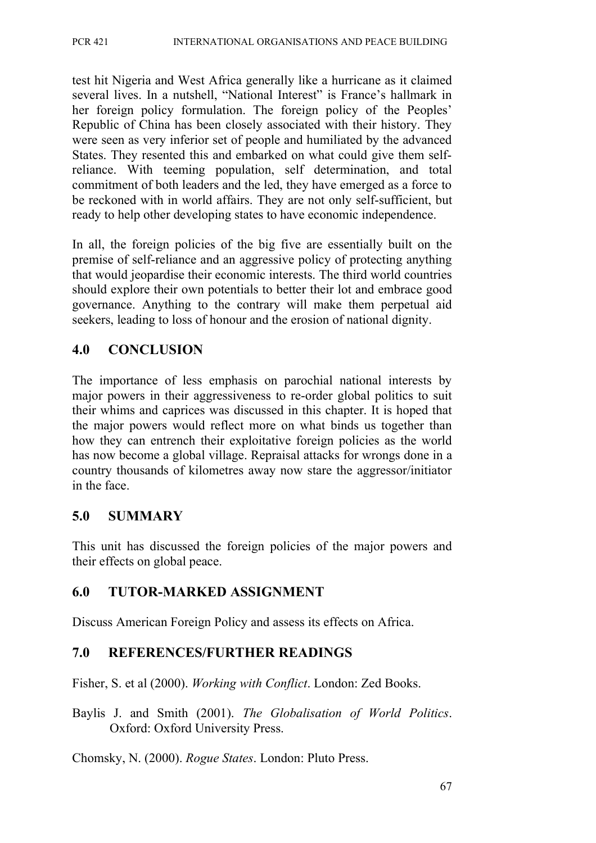test hit Nigeria and West Africa generally like a hurricane as it claimed several lives. In a nutshell, "National Interest" is France's hallmark in her foreign policy formulation. The foreign policy of the Peoples' Republic of China has been closely associated with their history. They were seen as very inferior set of people and humiliated by the advanced States. They resented this and embarked on what could give them selfreliance. With teeming population, self determination, and total commitment of both leaders and the led, they have emerged as a force to be reckoned with in world affairs. They are not only self-sufficient, but ready to help other developing states to have economic independence.

In all, the foreign policies of the big five are essentially built on the premise of self-reliance and an aggressive policy of protecting anything that would jeopardise their economic interests. The third world countries should explore their own potentials to better their lot and embrace good governance. Anything to the contrary will make them perpetual aid seekers, leading to loss of honour and the erosion of national dignity.

### **4.0 CONCLUSION**

The importance of less emphasis on parochial national interests by major powers in their aggressiveness to re-order global politics to suit their whims and caprices was discussed in this chapter. It is hoped that the major powers would reflect more on what binds us together than how they can entrench their exploitative foreign policies as the world has now become a global village. Repraisal attacks for wrongs done in a country thousands of kilometres away now stare the aggressor/initiator in the face.

### **5.0 SUMMARY**

This unit has discussed the foreign policies of the major powers and their effects on global peace.

### **6.0 TUTOR-MARKED ASSIGNMENT**

Discuss American Foreign Policy and assess its effects on Africa.

### **7.0 REFERENCES/FURTHER READINGS**

Fisher, S. et al (2000). *Working with Conflict*. London: Zed Books.

Baylis J. and Smith (2001). *The Globalisation of World Politics*. Oxford: Oxford University Press.

Chomsky, N. (2000). *Rogue States*. London: Pluto Press.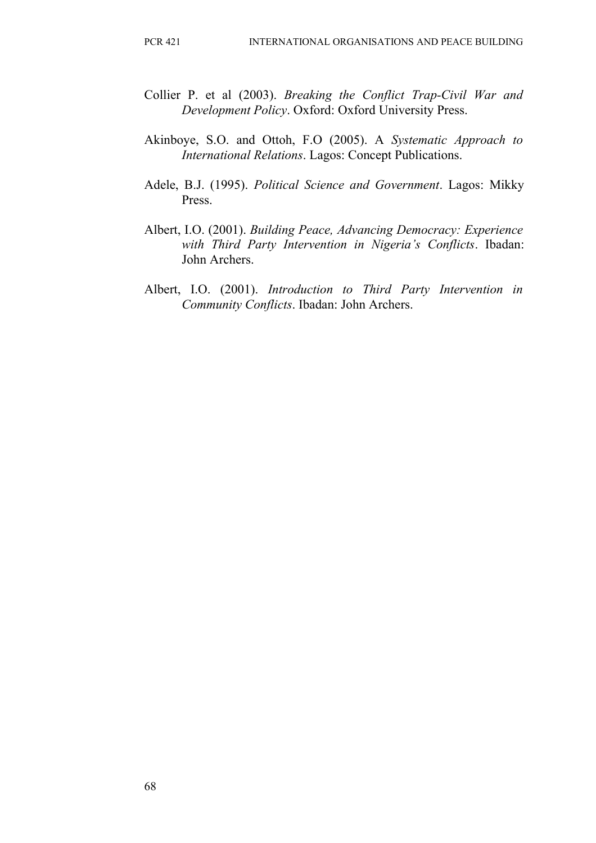- Collier P. et al (2003). *Breaking the Conflict Trap-Civil War and Development Policy*. Oxford: Oxford University Press.
- Akinboye, S.O. and Ottoh, F.O (2005). A *Systematic Approach to International Relations*. Lagos: Concept Publications.
- Adele, B.J. (1995). *Political Science and Government*. Lagos: Mikky Press.
- Albert, I.O. (2001). *Building Peace, Advancing Democracy: Experience with Third Party Intervention in Nigeria's Conflicts*. Ibadan: John Archers.
- Albert, I.O. (2001). *Introduction to Third Party Intervention in Community Conflicts*. Ibadan: John Archers.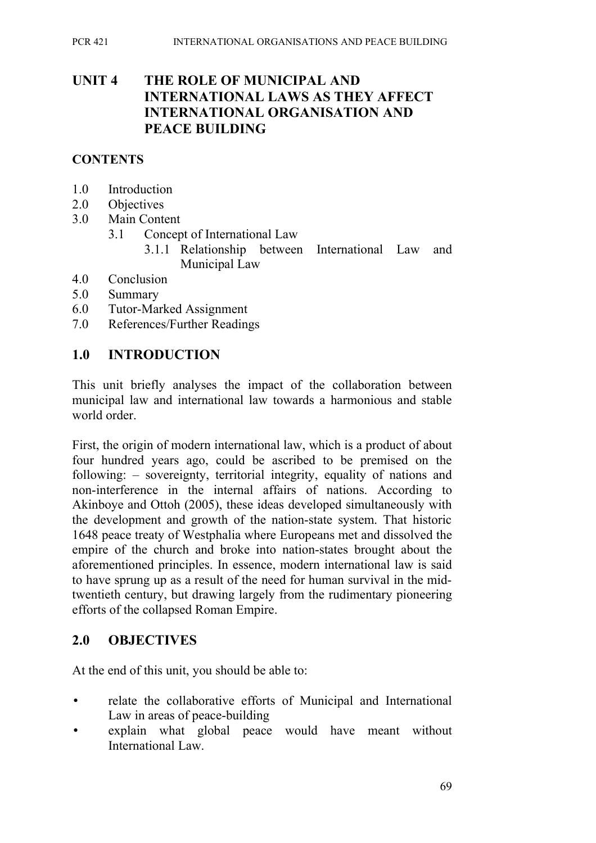### **UNIT 4 THE ROLE OF MUNICIPAL AND INTERNATIONAL LAWS AS THEY AFFECT INTERNATIONAL ORGANISATION AND PEACE BUILDING**

#### **CONTENTS**

- 1.0 Introduction
- 2.0 Objectives
- 3.0 Main Content
	- 3.1 Concept of International Law
		- 3.1.1 Relationship between International Law and Municipal Law
- 4.0 Conclusion
- 5.0 Summary
- 6.0 Tutor-Marked Assignment
- 7.0 References/Further Readings

### **1.0 INTRODUCTION**

This unit briefly analyses the impact of the collaboration between municipal law and international law towards a harmonious and stable world order.

First, the origin of modern international law, which is a product of about four hundred years ago, could be ascribed to be premised on the following: – sovereignty, territorial integrity, equality of nations and non-interference in the internal affairs of nations. According to Akinboye and Ottoh (2005), these ideas developed simultaneously with the development and growth of the nation-state system. That historic 1648 peace treaty of Westphalia where Europeans met and dissolved the empire of the church and broke into nation-states brought about the aforementioned principles. In essence, modern international law is said to have sprung up as a result of the need for human survival in the midtwentieth century, but drawing largely from the rudimentary pioneering efforts of the collapsed Roman Empire.

### **2.0 OBJECTIVES**

At the end of this unit, you should be able to:

- relate the collaborative efforts of Municipal and International Law in areas of peace-building
- explain what global peace would have meant without International Law.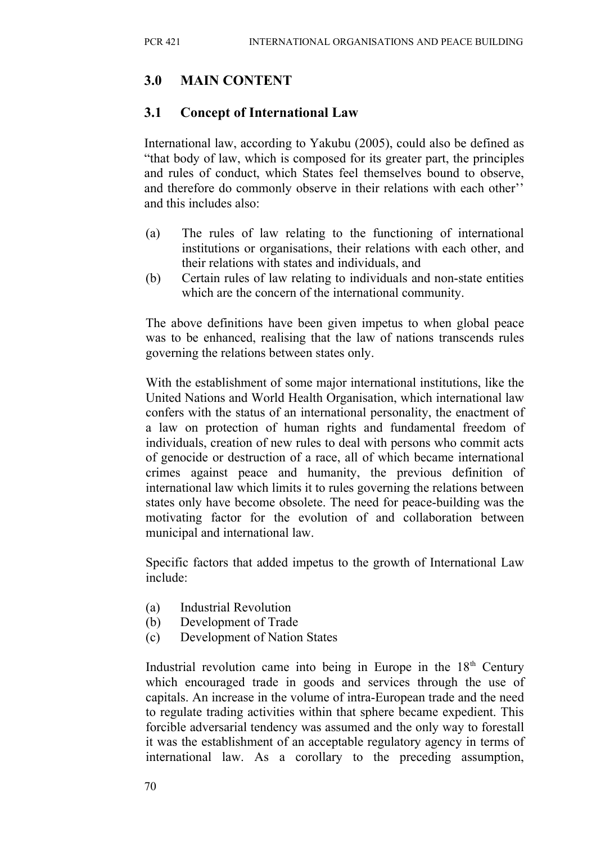## **3.0 MAIN CONTENT**

### **3.1 Concept of International Law**

International law, according to Yakubu (2005), could also be defined as "that body of law, which is composed for its greater part, the principles and rules of conduct, which States feel themselves bound to observe, and therefore do commonly observe in their relations with each other'' and this includes also:

- (a) The rules of law relating to the functioning of international institutions or organisations, their relations with each other, and their relations with states and individuals, and
- (b) Certain rules of law relating to individuals and non-state entities which are the concern of the international community.

The above definitions have been given impetus to when global peace was to be enhanced, realising that the law of nations transcends rules governing the relations between states only.

With the establishment of some major international institutions, like the United Nations and World Health Organisation, which international law confers with the status of an international personality, the enactment of a law on protection of human rights and fundamental freedom of individuals, creation of new rules to deal with persons who commit acts of genocide or destruction of a race, all of which became international crimes against peace and humanity, the previous definition of international law which limits it to rules governing the relations between states only have become obsolete. The need for peace-building was the motivating factor for the evolution of and collaboration between municipal and international law.

Specific factors that added impetus to the growth of International Law include:

- (a) Industrial Revolution
- (b) Development of Trade
- (c) Development of Nation States

Industrial revolution came into being in Europe in the  $18<sup>th</sup>$  Century which encouraged trade in goods and services through the use of capitals. An increase in the volume of intra-European trade and the need to regulate trading activities within that sphere became expedient. This forcible adversarial tendency was assumed and the only way to forestall it was the establishment of an acceptable regulatory agency in terms of international law. As a corollary to the preceding assumption,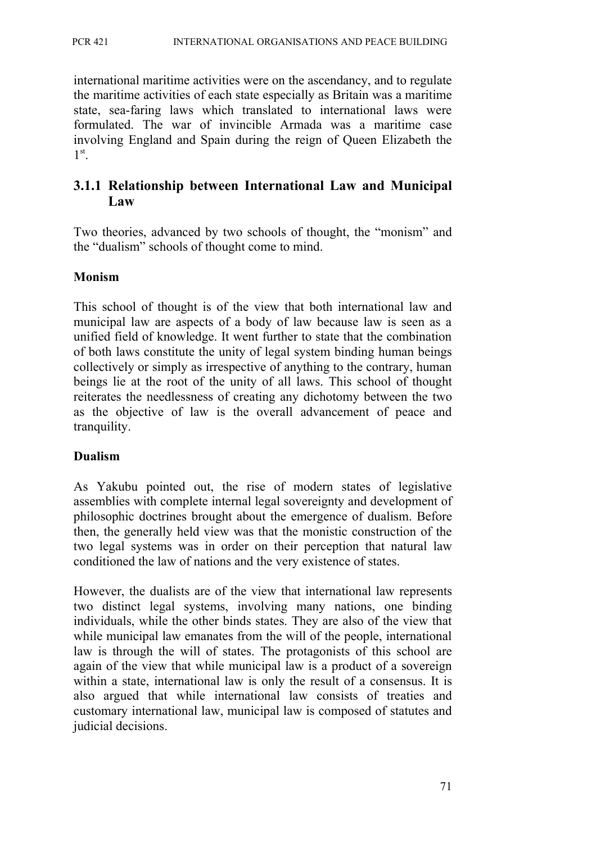international maritime activities were on the ascendancy, and to regulate the maritime activities of each state especially as Britain was a maritime state, sea-faring laws which translated to international laws were formulated. The war of invincible Armada was a maritime case involving England and Spain during the reign of Queen Elizabeth the 1 st .

### **3.1.1 Relationship between International Law and Municipal Law**

Two theories, advanced by two schools of thought, the "monism" and the "dualism" schools of thought come to mind.

#### **Monism**

This school of thought is of the view that both international law and municipal law are aspects of a body of law because law is seen as a unified field of knowledge. It went further to state that the combination of both laws constitute the unity of legal system binding human beings collectively or simply as irrespective of anything to the contrary, human beings lie at the root of the unity of all laws. This school of thought reiterates the needlessness of creating any dichotomy between the two as the objective of law is the overall advancement of peace and tranquility.

#### **Dualism**

As Yakubu pointed out, the rise of modern states of legislative assemblies with complete internal legal sovereignty and development of philosophic doctrines brought about the emergence of dualism. Before then, the generally held view was that the monistic construction of the two legal systems was in order on their perception that natural law conditioned the law of nations and the very existence of states.

However, the dualists are of the view that international law represents two distinct legal systems, involving many nations, one binding individuals, while the other binds states. They are also of the view that while municipal law emanates from the will of the people, international law is through the will of states. The protagonists of this school are again of the view that while municipal law is a product of a sovereign within a state, international law is only the result of a consensus. It is also argued that while international law consists of treaties and customary international law, municipal law is composed of statutes and judicial decisions.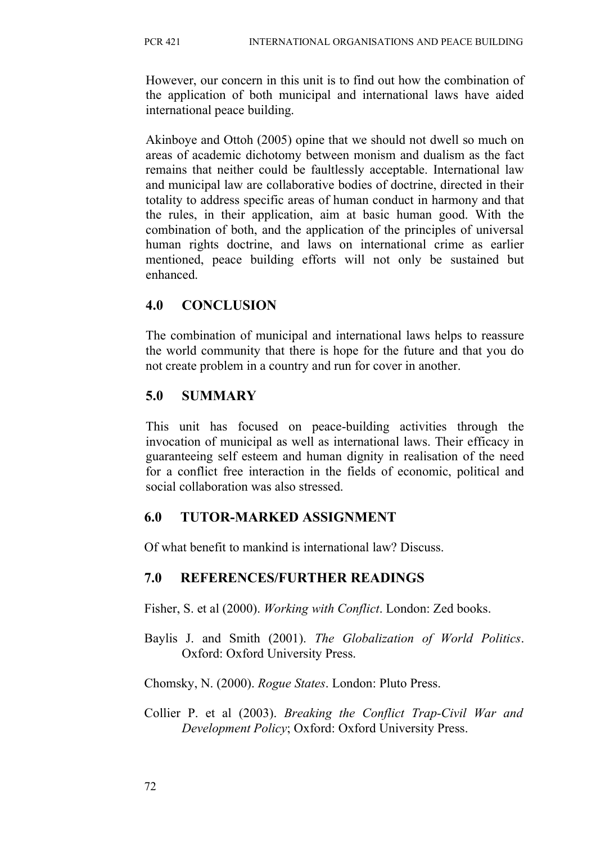However, our concern in this unit is to find out how the combination of the application of both municipal and international laws have aided international peace building.

Akinboye and Ottoh (2005) opine that we should not dwell so much on areas of academic dichotomy between monism and dualism as the fact remains that neither could be faultlessly acceptable. International law and municipal law are collaborative bodies of doctrine, directed in their totality to address specific areas of human conduct in harmony and that the rules, in their application, aim at basic human good. With the combination of both, and the application of the principles of universal human rights doctrine, and laws on international crime as earlier mentioned, peace building efforts will not only be sustained but enhanced.

### **4.0 CONCLUSION**

The combination of municipal and international laws helps to reassure the world community that there is hope for the future and that you do not create problem in a country and run for cover in another.

### **5.0 SUMMARY**

This unit has focused on peace-building activities through the invocation of municipal as well as international laws. Their efficacy in guaranteeing self esteem and human dignity in realisation of the need for a conflict free interaction in the fields of economic, political and social collaboration was also stressed.

## **6.0 TUTOR-MARKED ASSIGNMENT**

Of what benefit to mankind is international law? Discuss.

### **7.0 REFERENCES/FURTHER READINGS**

Fisher, S. et al (2000). *Working with Conflict*. London: Zed books.

Baylis J. and Smith (2001). *The Globalization of World Politics*. Oxford: Oxford University Press.

Chomsky, N. (2000). *Rogue States*. London: Pluto Press.

Collier P. et al (2003). *Breaking the Conflict Trap-Civil War and Development Policy*; Oxford: Oxford University Press.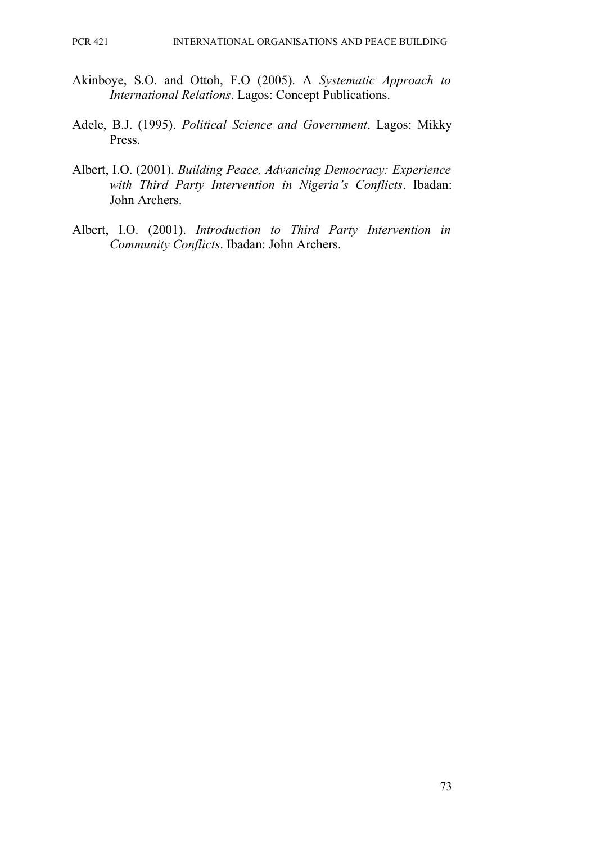- Akinboye, S.O. and Ottoh, F.O (2005). A *Systematic Approach to International Relations*. Lagos: Concept Publications.
- Adele, B.J. (1995). *Political Science and Government*. Lagos: Mikky Press.
- Albert, I.O. (2001). *Building Peace, Advancing Democracy: Experience with Third Party Intervention in Nigeria's Conflicts*. Ibadan: John Archers.
- Albert, I.O. (2001). *Introduction to Third Party Intervention in Community Conflicts*. Ibadan: John Archers.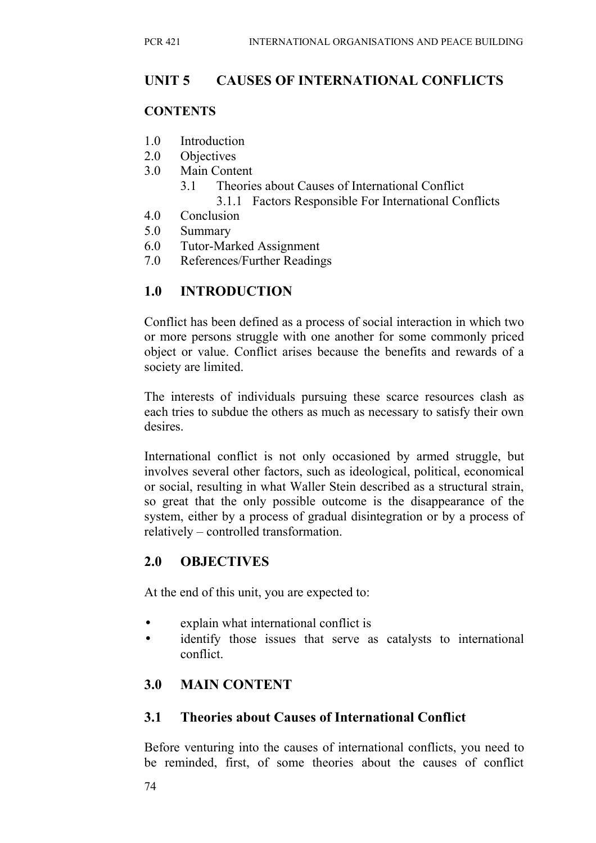### **UNIT 5 CAUSES OF INTERNATIONAL CONFLICTS**

#### **CONTENTS**

- 1.0 Introduction
- 2.0 Objectives
- 3.0 Main Content
	- 3.1 Theories about Causes of International Conflict 3.1.1 Factors Responsible For International Conflicts
- 4.0 Conclusion
- 5.0 Summary
- 6.0 Tutor-Marked Assignment
- 7.0 References/Further Readings

## **1.0 INTRODUCTION**

Conflict has been defined as a process of social interaction in which two or more persons struggle with one another for some commonly priced object or value. Conflict arises because the benefits and rewards of a society are limited.

The interests of individuals pursuing these scarce resources clash as each tries to subdue the others as much as necessary to satisfy their own desires

International conflict is not only occasioned by armed struggle, but involves several other factors, such as ideological, political, economical or social, resulting in what Waller Stein described as a structural strain, so great that the only possible outcome is the disappearance of the system, either by a process of gradual disintegration or by a process of relatively – controlled transformation.

## **2.0 OBJECTIVES**

At the end of this unit, you are expected to:

- explain what international conflict is
- identify those issues that serve as catalysts to international conflict.

## **3.0 MAIN CONTENT**

### **3.1 Theories about Causes of International Confl**i**ct**

Before venturing into the causes of international conflicts, you need to be reminded, first, of some theories about the causes of conflict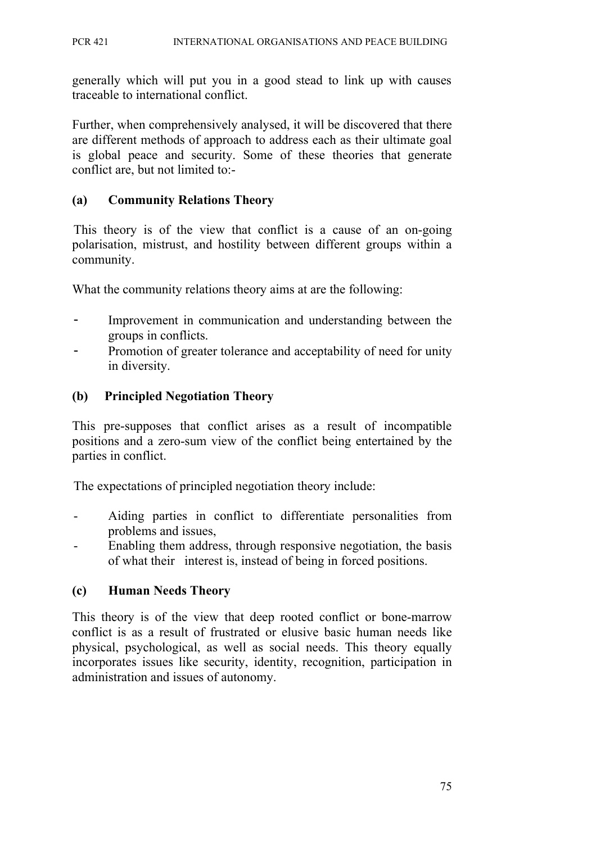generally which will put you in a good stead to link up with causes traceable to international conflict.

Further, when comprehensively analysed, it will be discovered that there are different methods of approach to address each as their ultimate goal is global peace and security. Some of these theories that generate conflict are, but not limited to:-

#### **(a) Community Relations Theory**

This theory is of the view that conflict is a cause of an on-going polarisation, mistrust, and hostility between different groups within a community.

What the community relations theory aims at are the following:

- Improvement in communication and understanding between the groups in conflicts.
- Promotion of greater tolerance and acceptability of need for unity in diversity.

### **(b) Principled Negotiation Theory**

This pre-supposes that conflict arises as a result of incompatible positions and a zero-sum view of the conflict being entertained by the parties in conflict.

The expectations of principled negotiation theory include:

- Aiding parties in conflict to differentiate personalities from problems and issues,
- Enabling them address, through responsive negotiation, the basis of what their interest is, instead of being in forced positions.

### **(c) Human Needs Theory**

This theory is of the view that deep rooted conflict or bone-marrow conflict is as a result of frustrated or elusive basic human needs like physical, psychological, as well as social needs. This theory equally incorporates issues like security, identity, recognition, participation in administration and issues of autonomy.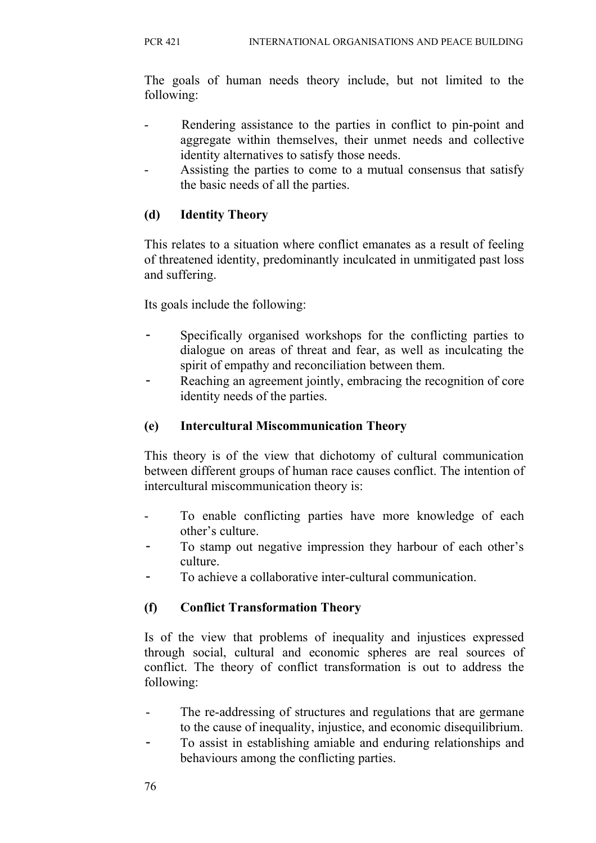The goals of human needs theory include, but not limited to the following:

- Rendering assistance to the parties in conflict to pin-point and aggregate within themselves, their unmet needs and collective identity alternatives to satisfy those needs.
- Assisting the parties to come to a mutual consensus that satisfy the basic needs of all the parties.

## **(d) Identity Theory**

This relates to a situation where conflict emanates as a result of feeling of threatened identity, predominantly inculcated in unmitigated past loss and suffering.

Its goals include the following:

- Specifically organised workshops for the conflicting parties to dialogue on areas of threat and fear, as well as inculcating the spirit of empathy and reconciliation between them.
- Reaching an agreement jointly, embracing the recognition of core identity needs of the parties.

## **(e) Intercultural Miscommunication Theory**

This theory is of the view that dichotomy of cultural communication between different groups of human race causes conflict. The intention of intercultural miscommunication theory is:

- To enable conflicting parties have more knowledge of each other's culture.
- To stamp out negative impression they harbour of each other's culture.
- To achieve a collaborative inter-cultural communication.

## **(f) Conflict Transformation Theory**

Is of the view that problems of inequality and injustices expressed through social, cultural and economic spheres are real sources of conflict. The theory of conflict transformation is out to address the following:

- The re-addressing of structures and regulations that are germane to the cause of inequality, injustice, and economic disequilibrium.
- To assist in establishing amiable and enduring relationships and behaviours among the conflicting parties.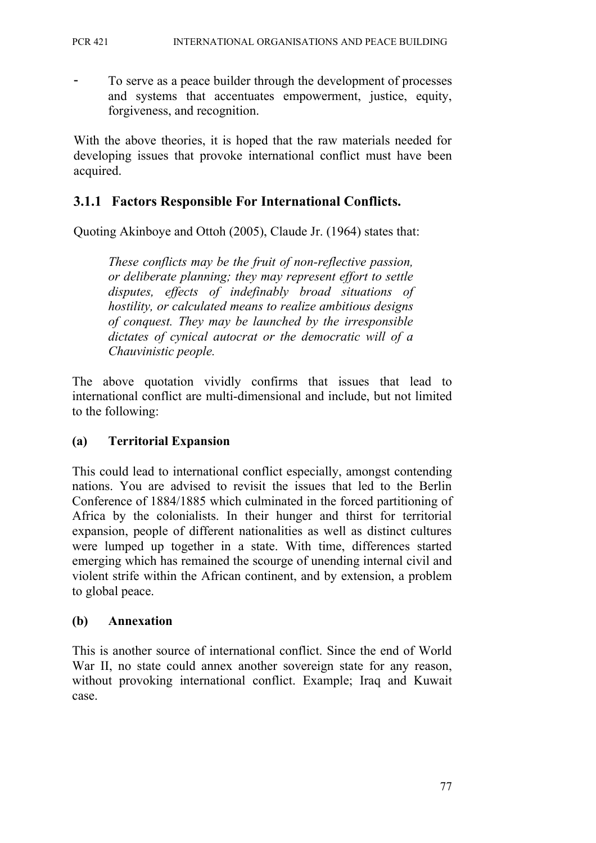To serve as a peace builder through the development of processes and systems that accentuates empowerment, justice, equity, forgiveness, and recognition.

With the above theories, it is hoped that the raw materials needed for developing issues that provoke international conflict must have been acquired.

### **3.1.1 Factors Responsible For International Conflicts.**

Quoting Akinboye and Ottoh (2005), Claude Jr. (1964) states that:

*These conflicts may be the fruit of non-reflective passion, or deliberate planning; they may represent effort to settle disputes, effects of indefinably broad situations of hostility, or calculated means to realize ambitious designs of conquest. They may be launched by the irresponsible dictates of cynical autocrat or the democratic will of a Chauvinistic people.* 

The above quotation vividly confirms that issues that lead to international conflict are multi-dimensional and include, but not limited to the following:

#### **(a) Territorial Expansion**

This could lead to international conflict especially, amongst contending nations. You are advised to revisit the issues that led to the Berlin Conference of 1884/1885 which culminated in the forced partitioning of Africa by the colonialists. In their hunger and thirst for territorial expansion, people of different nationalities as well as distinct cultures were lumped up together in a state. With time, differences started emerging which has remained the scourge of unending internal civil and violent strife within the African continent, and by extension, a problem to global peace.

#### **(b) Annexation**

This is another source of international conflict. Since the end of World War II, no state could annex another sovereign state for any reason, without provoking international conflict. Example; Iraq and Kuwait case.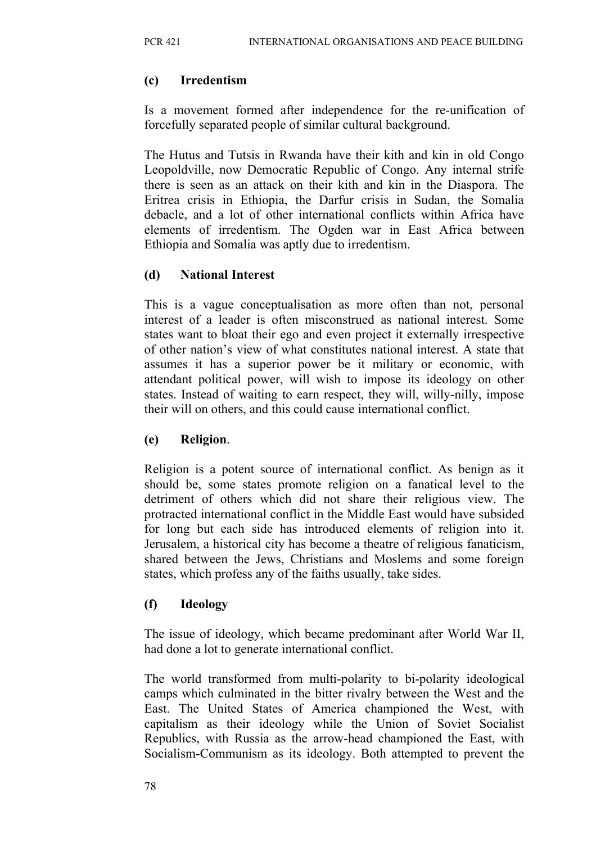### **(c) Irredentism**

Is a movement formed after independence for the re-unification of forcefully separated people of similar cultural background.

The Hutus and Tutsis in Rwanda have their kith and kin in old Congo Leopoldville, now Democratic Republic of Congo. Any internal strife there is seen as an attack on their kith and kin in the Diaspora. The Eritrea crisis in Ethiopia, the Darfur crisis in Sudan, the Somalia debacle, and a lot of other international conflicts within Africa have elements of irredentism. The Ogden war in East Africa between Ethiopia and Somalia was aptly due to irredentism.

## **(d) National Interest**

This is a vague conceptualisation as more often than not, personal interest of a leader is often misconstrued as national interest. Some states want to bloat their ego and even project it externally irrespective of other nation's view of what constitutes national interest. A state that assumes it has a superior power be it military or economic, with attendant political power, will wish to impose its ideology on other states. Instead of waiting to earn respect, they will, willy-nilly, impose their will on others, and this could cause international conflict.

### **(e) Religion**.

Religion is a potent source of international conflict. As benign as it should be, some states promote religion on a fanatical level to the detriment of others which did not share their religious view. The protracted international conflict in the Middle East would have subsided for long but each side has introduced elements of religion into it. Jerusalem, a historical city has become a theatre of religious fanaticism, shared between the Jews, Christians and Moslems and some foreign states, which profess any of the faiths usually, take sides.

## **(f) Ideology**

The issue of ideology, which became predominant after World War II, had done a lot to generate international conflict.

The world transformed from multi-polarity to bi-polarity ideological camps which culminated in the bitter rivalry between the West and the East. The United States of America championed the West, with capitalism as their ideology while the Union of Soviet Socialist Republics, with Russia as the arrow-head championed the East, with Socialism-Communism as its ideology. Both attempted to prevent the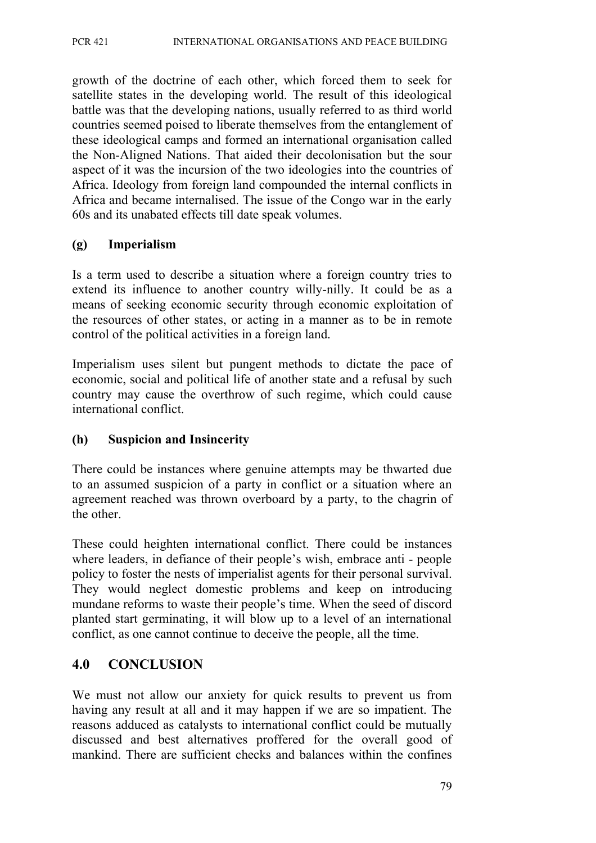growth of the doctrine of each other, which forced them to seek for satellite states in the developing world. The result of this ideological battle was that the developing nations, usually referred to as third world countries seemed poised to liberate themselves from the entanglement of these ideological camps and formed an international organisation called the Non-Aligned Nations. That aided their decolonisation but the sour aspect of it was the incursion of the two ideologies into the countries of Africa. Ideology from foreign land compounded the internal conflicts in Africa and became internalised. The issue of the Congo war in the early 60s and its unabated effects till date speak volumes.

#### **(g) Imperialism**

Is a term used to describe a situation where a foreign country tries to extend its influence to another country willy-nilly. It could be as a means of seeking economic security through economic exploitation of the resources of other states, or acting in a manner as to be in remote control of the political activities in a foreign land.

Imperialism uses silent but pungent methods to dictate the pace of economic, social and political life of another state and a refusal by such country may cause the overthrow of such regime, which could cause international conflict.

#### **(h) Suspicion and Insincerity**

There could be instances where genuine attempts may be thwarted due to an assumed suspicion of a party in conflict or a situation where an agreement reached was thrown overboard by a party, to the chagrin of the other.

These could heighten international conflict. There could be instances where leaders, in defiance of their people's wish, embrace anti - people policy to foster the nests of imperialist agents for their personal survival. They would neglect domestic problems and keep on introducing mundane reforms to waste their people's time. When the seed of discord planted start germinating, it will blow up to a level of an international conflict, as one cannot continue to deceive the people, all the time.

### **4.0 CONCLUSION**

We must not allow our anxiety for quick results to prevent us from having any result at all and it may happen if we are so impatient. The reasons adduced as catalysts to international conflict could be mutually discussed and best alternatives proffered for the overall good of mankind. There are sufficient checks and balances within the confines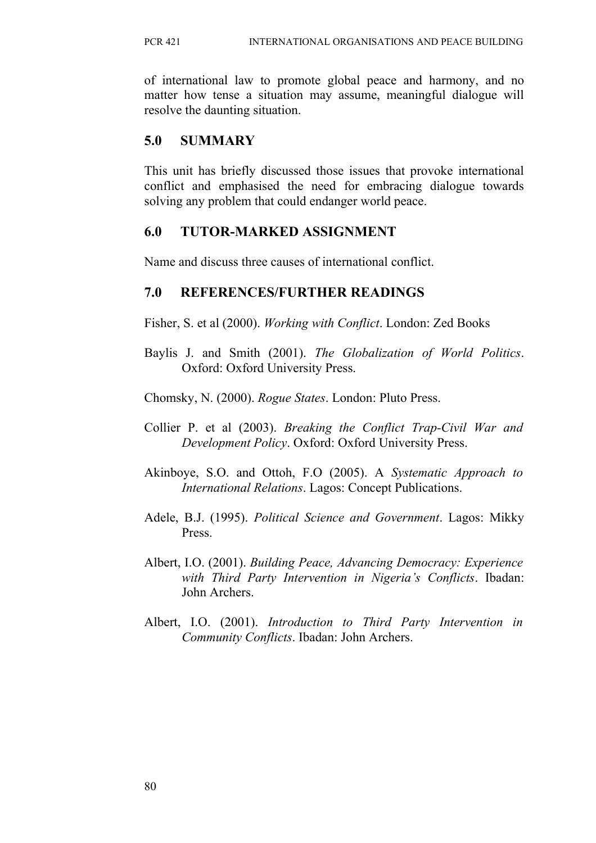of international law to promote global peace and harmony, and no matter how tense a situation may assume, meaningful dialogue will resolve the daunting situation.

### **5.0 SUMMARY**

This unit has briefly discussed those issues that provoke international conflict and emphasised the need for embracing dialogue towards solving any problem that could endanger world peace.

### **6.0 TUTOR-MARKED ASSIGNMENT**

Name and discuss three causes of international conflict.

## **7.0 REFERENCES/FURTHER READINGS**

Fisher, S. et al (2000). *Working with Conflict*. London: Zed Books

Baylis J. and Smith (2001). *The Globalization of World Politics*. Oxford: Oxford University Press.

Chomsky, N. (2000). *Rogue States*. London: Pluto Press.

- Collier P. et al (2003). *Breaking the Conflict Trap-Civil War and Development Policy*. Oxford: Oxford University Press.
- Akinboye, S.O. and Ottoh, F.O (2005). A *Systematic Approach to International Relations*. Lagos: Concept Publications.
- Adele, B.J. (1995). *Political Science and Government*. Lagos: Mikky Press.
- Albert, I.O. (2001). *Building Peace, Advancing Democracy: Experience with Third Party Intervention in Nigeria's Conflicts*. Ibadan: John Archers.
- Albert, I.O. (2001). *Introduction to Third Party Intervention in Community Conflicts*. Ibadan: John Archers.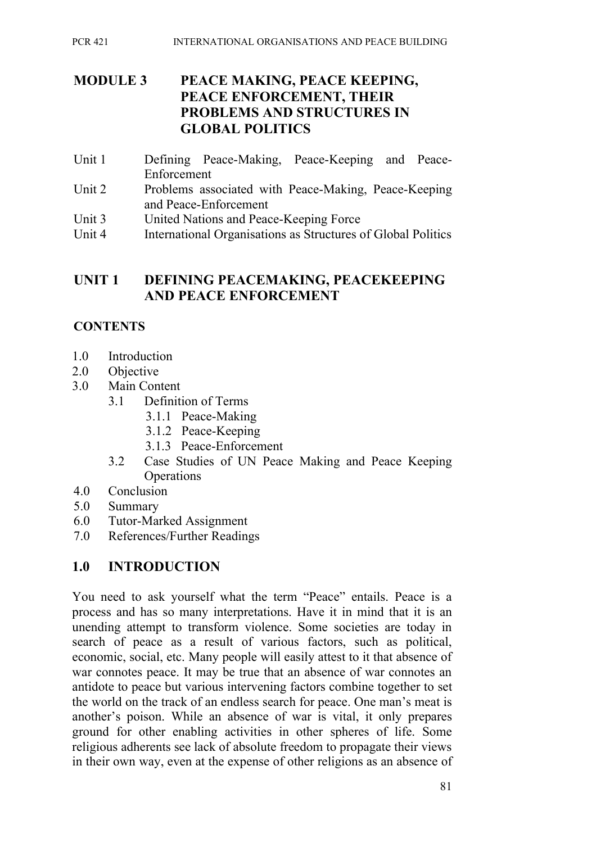### **MODULE 3 PEACE MAKING, PEACE KEEPING, PEACE ENFORCEMENT, THEIR PROBLEMS AND STRUCTURES IN GLOBAL POLITICS**

- Unit 1 Defining Peace-Making, Peace-Keeping and Peace-Enforcement
- Unit 2 Problems associated with Peace-Making, Peace-Keeping and Peace-Enforcement
- Unit 3 United Nations and Peace-Keeping Force
- Unit 4 International Organisations as Structures of Global Politics

#### **UNIT 1 DEFINING PEACEMAKING, PEACEKEEPING AND PEACE ENFORCEMENT**

### **CONTENTS**

- 1.0 Introduction
- 2.0 Objective
- 3.0 Main Content
	- 3.1 Definition of Terms
		- 3.1.1 Peace-Making
		- 3.1.2 Peace-Keeping
		- 3.1.3 Peace-Enforcement
	- 3.2 Case Studies of UN Peace Making and Peace Keeping **Operations**
- 4.0 Conclusion
- 5.0 Summary
- 6.0 Tutor-Marked Assignment
- 7.0 References/Further Readings

### **1.0 INTRODUCTION**

You need to ask yourself what the term "Peace" entails. Peace is a process and has so many interpretations. Have it in mind that it is an unending attempt to transform violence. Some societies are today in search of peace as a result of various factors, such as political, economic, social, etc. Many people will easily attest to it that absence of war connotes peace. It may be true that an absence of war connotes an antidote to peace but various intervening factors combine together to set the world on the track of an endless search for peace. One man's meat is another's poison. While an absence of war is vital, it only prepares ground for other enabling activities in other spheres of life. Some religious adherents see lack of absolute freedom to propagate their views in their own way, even at the expense of other religions as an absence of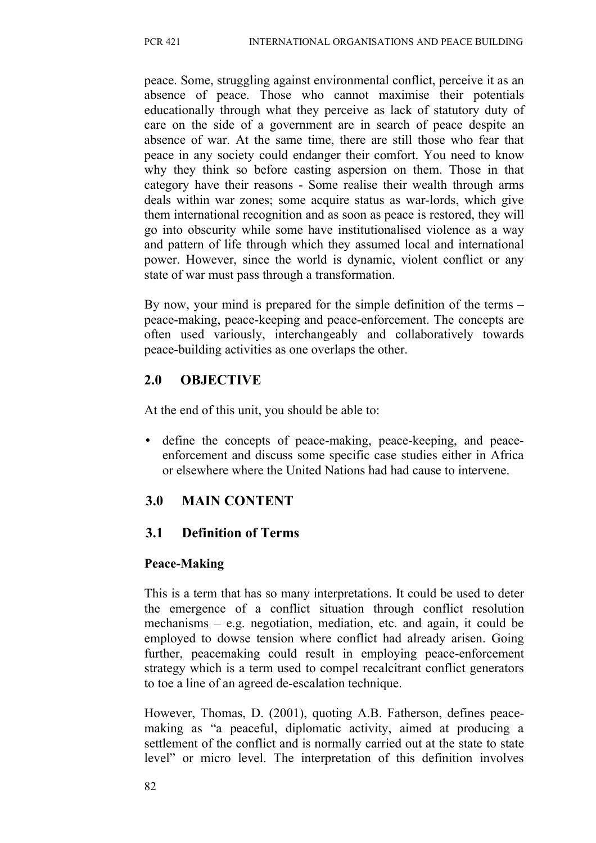peace. Some, struggling against environmental conflict, perceive it as an absence of peace. Those who cannot maximise their potentials educationally through what they perceive as lack of statutory duty of care on the side of a government are in search of peace despite an absence of war. At the same time, there are still those who fear that peace in any society could endanger their comfort. You need to know why they think so before casting aspersion on them. Those in that category have their reasons - Some realise their wealth through arms deals within war zones; some acquire status as war-lords, which give them international recognition and as soon as peace is restored, they will go into obscurity while some have institutionalised violence as a way and pattern of life through which they assumed local and international power. However, since the world is dynamic, violent conflict or any state of war must pass through a transformation.

By now, your mind is prepared for the simple definition of the terms – peace-making, peace-keeping and peace-enforcement. The concepts are often used variously, interchangeably and collaboratively towards peace-building activities as one overlaps the other.

## **2.0 OBJECTIVE**

At the end of this unit, you should be able to:

• define the concepts of peace-making, peace-keeping, and peaceenforcement and discuss some specific case studies either in Africa or elsewhere where the United Nations had had cause to intervene.

# **3.0 MAIN CONTENT**

# **3.1 Definition of Terms**

## **Peace-Making**

This is a term that has so many interpretations. It could be used to deter the emergence of a conflict situation through conflict resolution mechanisms – e.g. negotiation, mediation, etc. and again, it could be employed to dowse tension where conflict had already arisen. Going further, peacemaking could result in employing peace-enforcement strategy which is a term used to compel recalcitrant conflict generators to toe a line of an agreed de-escalation technique.

However, Thomas, D. (2001), quoting A.B. Fatherson, defines peacemaking as "a peaceful, diplomatic activity, aimed at producing a settlement of the conflict and is normally carried out at the state to state level" or micro level. The interpretation of this definition involves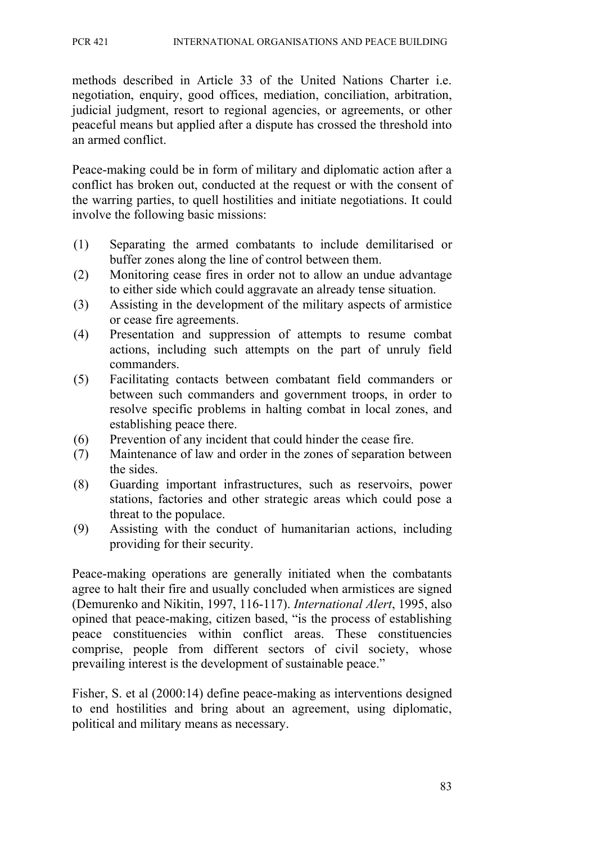methods described in Article 33 of the United Nations Charter i.e. negotiation, enquiry, good offices, mediation, conciliation, arbitration, judicial judgment, resort to regional agencies, or agreements, or other peaceful means but applied after a dispute has crossed the threshold into an armed conflict.

Peace-making could be in form of military and diplomatic action after a conflict has broken out, conducted at the request or with the consent of the warring parties, to quell hostilities and initiate negotiations. It could involve the following basic missions:

- (1) Separating the armed combatants to include demilitarised or buffer zones along the line of control between them.
- (2) Monitoring cease fires in order not to allow an undue advantage to either side which could aggravate an already tense situation.
- (3) Assisting in the development of the military aspects of armistice or cease fire agreements.
- (4) Presentation and suppression of attempts to resume combat actions, including such attempts on the part of unruly field commanders.
- (5) Facilitating contacts between combatant field commanders or between such commanders and government troops, in order to resolve specific problems in halting combat in local zones, and establishing peace there.
- (6) Prevention of any incident that could hinder the cease fire.
- (7) Maintenance of law and order in the zones of separation between the sides.
- (8) Guarding important infrastructures, such as reservoirs, power stations, factories and other strategic areas which could pose a threat to the populace.
- (9) Assisting with the conduct of humanitarian actions, including providing for their security.

Peace-making operations are generally initiated when the combatants agree to halt their fire and usually concluded when armistices are signed (Demurenko and Nikitin, 1997, 116-117). *International Alert*, 1995, also opined that peace-making, citizen based, "is the process of establishing peace constituencies within conflict areas. These constituencies comprise, people from different sectors of civil society, whose prevailing interest is the development of sustainable peace."

Fisher, S. et al (2000:14) define peace-making as interventions designed to end hostilities and bring about an agreement, using diplomatic, political and military means as necessary.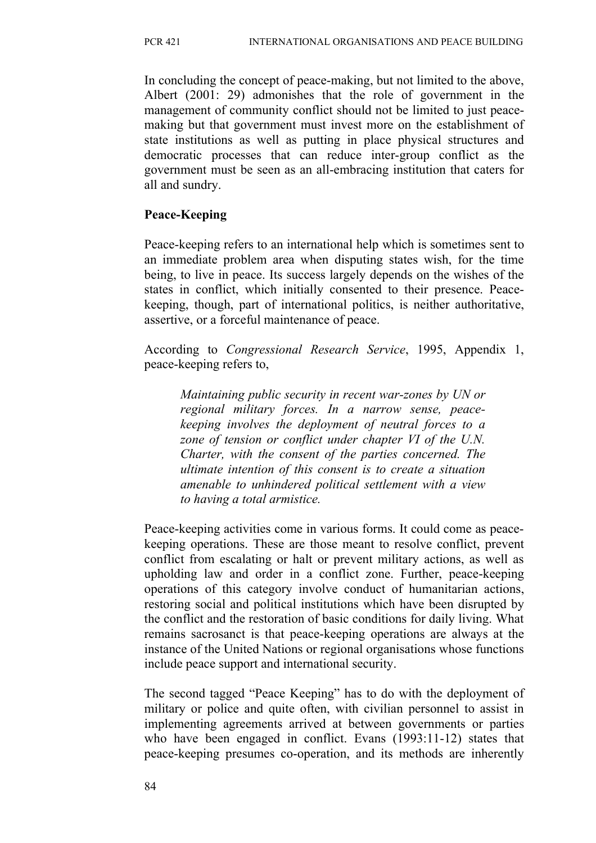In concluding the concept of peace-making, but not limited to the above, Albert (2001: 29) admonishes that the role of government in the management of community conflict should not be limited to just peacemaking but that government must invest more on the establishment of state institutions as well as putting in place physical structures and democratic processes that can reduce inter-group conflict as the government must be seen as an all-embracing institution that caters for all and sundry.

### **Peace-Keeping**

Peace-keeping refers to an international help which is sometimes sent to an immediate problem area when disputing states wish, for the time being, to live in peace. Its success largely depends on the wishes of the states in conflict, which initially consented to their presence. Peacekeeping, though, part of international politics, is neither authoritative, assertive, or a forceful maintenance of peace.

According to *Congressional Research Service*, 1995, Appendix 1, peace-keeping refers to,

 *Maintaining public security in recent war-zones by UN or regional military forces. In a narrow sense, peacekeeping involves the deployment of neutral forces to a zone of tension or conflict under chapter VI of the U.N. Charter, with the consent of the parties concerned. The ultimate intention of this consent is to create a situation amenable to unhindered political settlement with a view to having a total armistice.*

Peace-keeping activities come in various forms. It could come as peacekeeping operations. These are those meant to resolve conflict, prevent conflict from escalating or halt or prevent military actions, as well as upholding law and order in a conflict zone. Further, peace-keeping operations of this category involve conduct of humanitarian actions, restoring social and political institutions which have been disrupted by the conflict and the restoration of basic conditions for daily living. What remains sacrosanct is that peace-keeping operations are always at the instance of the United Nations or regional organisations whose functions include peace support and international security.

The second tagged "Peace Keeping" has to do with the deployment of military or police and quite often, with civilian personnel to assist in implementing agreements arrived at between governments or parties who have been engaged in conflict. Evans (1993:11-12) states that peace-keeping presumes co-operation, and its methods are inherently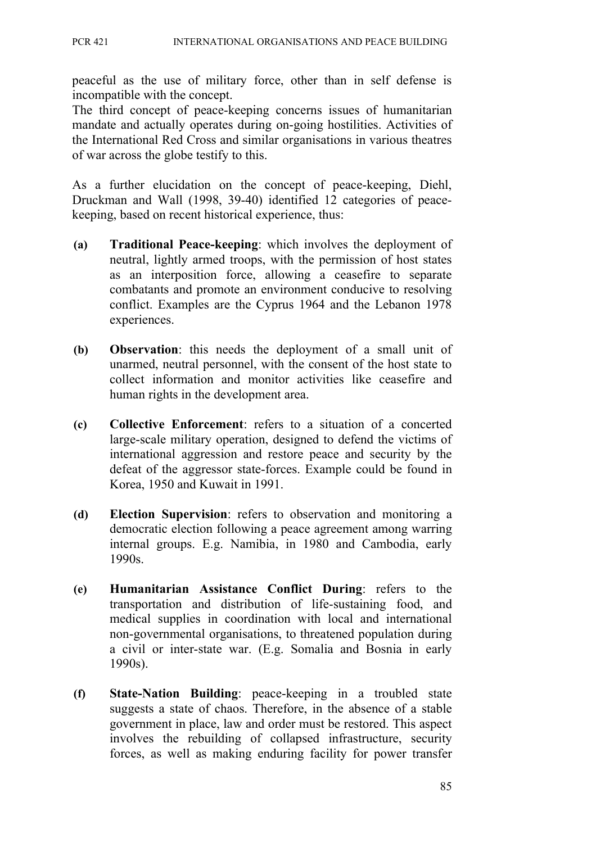peaceful as the use of military force, other than in self defense is incompatible with the concept.

The third concept of peace-keeping concerns issues of humanitarian mandate and actually operates during on-going hostilities. Activities of the International Red Cross and similar organisations in various theatres of war across the globe testify to this.

As a further elucidation on the concept of peace-keeping, Diehl, Druckman and Wall (1998, 39-40) identified 12 categories of peacekeeping, based on recent historical experience, thus:

- **(a) Traditional Peace-keeping**: which involves the deployment of neutral, lightly armed troops, with the permission of host states as an interposition force, allowing a ceasefire to separate combatants and promote an environment conducive to resolving conflict. Examples are the Cyprus 1964 and the Lebanon 1978 experiences.
- **(b) Observation**: this needs the deployment of a small unit of unarmed, neutral personnel, with the consent of the host state to collect information and monitor activities like ceasefire and human rights in the development area.
- **(c) Collective Enforcement**: refers to a situation of a concerted large-scale military operation, designed to defend the victims of international aggression and restore peace and security by the defeat of the aggressor state-forces. Example could be found in Korea, 1950 and Kuwait in 1991.
- **(d) Election Supervision**: refers to observation and monitoring a democratic election following a peace agreement among warring internal groups. E.g. Namibia, in 1980 and Cambodia, early 1990s.
- **(e) Humanitarian Assistance Conflict During**: refers to the transportation and distribution of life-sustaining food, and medical supplies in coordination with local and international non-governmental organisations, to threatened population during a civil or inter-state war. (E.g. Somalia and Bosnia in early 1990s).
- **(f) State-Nation Building**: peace-keeping in a troubled state suggests a state of chaos. Therefore, in the absence of a stable government in place, law and order must be restored. This aspect involves the rebuilding of collapsed infrastructure, security forces, as well as making enduring facility for power transfer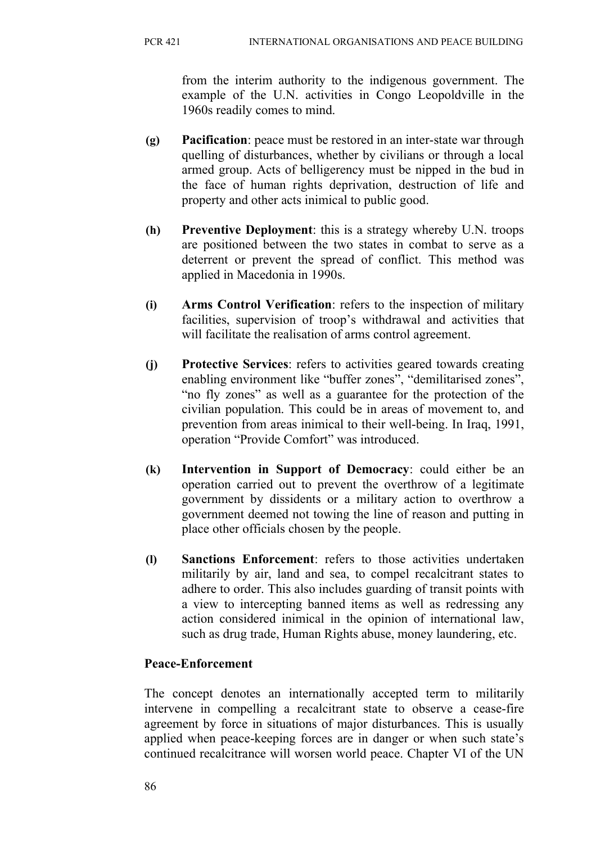from the interim authority to the indigenous government. The example of the U.N. activities in Congo Leopoldville in the 1960s readily comes to mind.

- **(g) Pacification**: peace must be restored in an inter-state war through quelling of disturbances, whether by civilians or through a local armed group. Acts of belligerency must be nipped in the bud in the face of human rights deprivation, destruction of life and property and other acts inimical to public good.
- **(h) Preventive Deployment**: this is a strategy whereby U.N. troops are positioned between the two states in combat to serve as a deterrent or prevent the spread of conflict. This method was applied in Macedonia in 1990s.
- **(i) Arms Control Verification**: refers to the inspection of military facilities, supervision of troop's withdrawal and activities that will facilitate the realisation of arms control agreement.
- **(j) Protective Services**: refers to activities geared towards creating enabling environment like "buffer zones", "demilitarised zones", "no fly zones" as well as a guarantee for the protection of the civilian population. This could be in areas of movement to, and prevention from areas inimical to their well-being. In Iraq, 1991, operation "Provide Comfort" was introduced.
- **(k) Intervention in Support of Democracy**: could either be an operation carried out to prevent the overthrow of a legitimate government by dissidents or a military action to overthrow a government deemed not towing the line of reason and putting in place other officials chosen by the people.
- **(l) Sanctions Enforcement**: refers to those activities undertaken militarily by air, land and sea, to compel recalcitrant states to adhere to order. This also includes guarding of transit points with a view to intercepting banned items as well as redressing any action considered inimical in the opinion of international law, such as drug trade, Human Rights abuse, money laundering, etc.

### **Peace-Enforcement**

The concept denotes an internationally accepted term to militarily intervene in compelling a recalcitrant state to observe a cease-fire agreement by force in situations of major disturbances. This is usually applied when peace-keeping forces are in danger or when such state's continued recalcitrance will worsen world peace. Chapter VI of the UN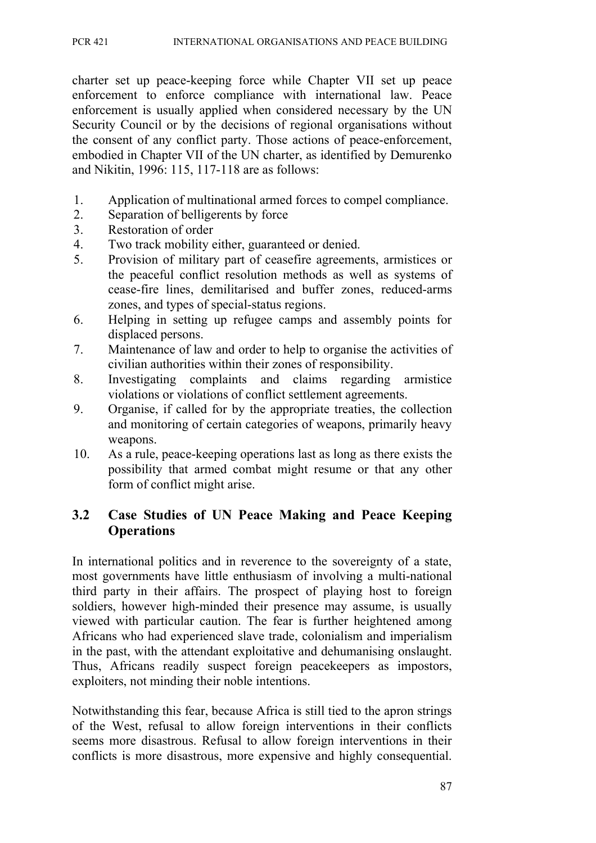charter set up peace-keeping force while Chapter VII set up peace enforcement to enforce compliance with international law. Peace enforcement is usually applied when considered necessary by the UN Security Council or by the decisions of regional organisations without the consent of any conflict party. Those actions of peace-enforcement, embodied in Chapter VII of the UN charter, as identified by Demurenko and Nikitin, 1996: 115, 117-118 are as follows:

- 1. Application of multinational armed forces to compel compliance.
- 2. Separation of belligerents by force
- 3. Restoration of order
- 4. Two track mobility either, guaranteed or denied.
- 5. Provision of military part of ceasefire agreements, armistices or the peaceful conflict resolution methods as well as systems of cease-fire lines, demilitarised and buffer zones, reduced-arms zones, and types of special-status regions.
- 6. Helping in setting up refugee camps and assembly points for displaced persons.
- 7. Maintenance of law and order to help to organise the activities of civilian authorities within their zones of responsibility.
- 8. Investigating complaints and claims regarding armistice violations or violations of conflict settlement agreements.
- 9. Organise, if called for by the appropriate treaties, the collection and monitoring of certain categories of weapons, primarily heavy weapons.
- 10. As a rule, peace-keeping operations last as long as there exists the possibility that armed combat might resume or that any other form of conflict might arise.

### **3.2 Case Studies of UN Peace Making and Peace Keeping Operations**

In international politics and in reverence to the sovereignty of a state, most governments have little enthusiasm of involving a multi-national third party in their affairs. The prospect of playing host to foreign soldiers, however high-minded their presence may assume, is usually viewed with particular caution. The fear is further heightened among Africans who had experienced slave trade, colonialism and imperialism in the past, with the attendant exploitative and dehumanising onslaught. Thus, Africans readily suspect foreign peacekeepers as impostors, exploiters, not minding their noble intentions.

Notwithstanding this fear, because Africa is still tied to the apron strings of the West, refusal to allow foreign interventions in their conflicts seems more disastrous. Refusal to allow foreign interventions in their conflicts is more disastrous, more expensive and highly consequential.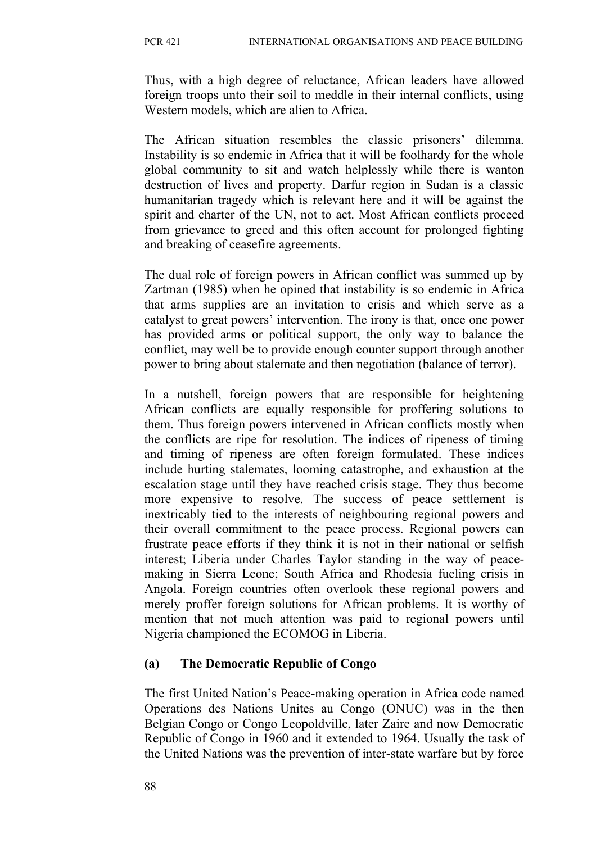Thus, with a high degree of reluctance, African leaders have allowed foreign troops unto their soil to meddle in their internal conflicts, using Western models, which are alien to Africa.

The African situation resembles the classic prisoners' dilemma. Instability is so endemic in Africa that it will be foolhardy for the whole global community to sit and watch helplessly while there is wanton destruction of lives and property. Darfur region in Sudan is a classic humanitarian tragedy which is relevant here and it will be against the spirit and charter of the UN, not to act. Most African conflicts proceed from grievance to greed and this often account for prolonged fighting and breaking of ceasefire agreements.

The dual role of foreign powers in African conflict was summed up by Zartman (1985) when he opined that instability is so endemic in Africa that arms supplies are an invitation to crisis and which serve as a catalyst to great powers' intervention. The irony is that, once one power has provided arms or political support, the only way to balance the conflict, may well be to provide enough counter support through another power to bring about stalemate and then negotiation (balance of terror).

In a nutshell, foreign powers that are responsible for heightening African conflicts are equally responsible for proffering solutions to them. Thus foreign powers intervened in African conflicts mostly when the conflicts are ripe for resolution. The indices of ripeness of timing and timing of ripeness are often foreign formulated. These indices include hurting stalemates, looming catastrophe, and exhaustion at the escalation stage until they have reached crisis stage. They thus become more expensive to resolve. The success of peace settlement is inextricably tied to the interests of neighbouring regional powers and their overall commitment to the peace process. Regional powers can frustrate peace efforts if they think it is not in their national or selfish interest; Liberia under Charles Taylor standing in the way of peacemaking in Sierra Leone; South Africa and Rhodesia fueling crisis in Angola. Foreign countries often overlook these regional powers and merely proffer foreign solutions for African problems. It is worthy of mention that not much attention was paid to regional powers until Nigeria championed the ECOMOG in Liberia.

### **(a) The Democratic Republic of Congo**

The first United Nation's Peace-making operation in Africa code named Operations des Nations Unites au Congo (ONUC) was in the then Belgian Congo or Congo Leopoldville, later Zaire and now Democratic Republic of Congo in 1960 and it extended to 1964. Usually the task of the United Nations was the prevention of inter-state warfare but by force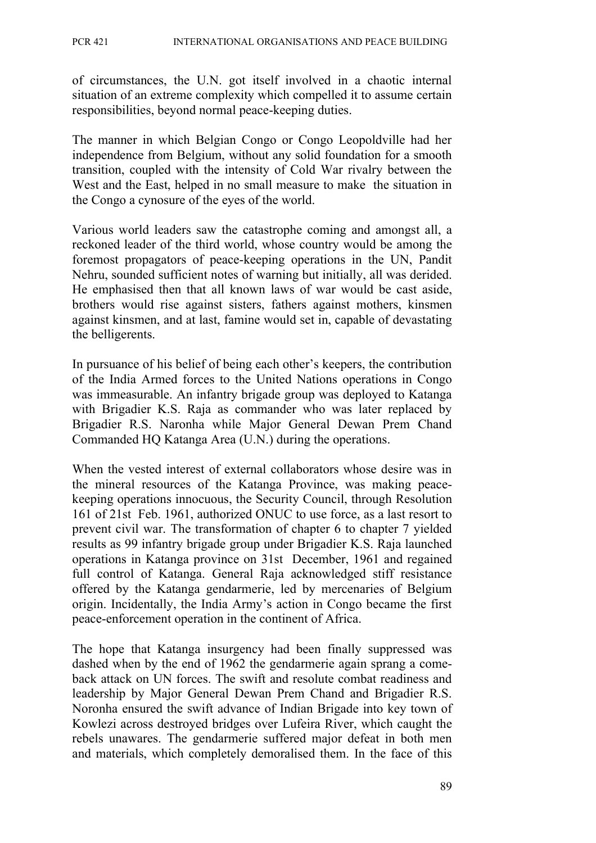of circumstances, the U.N. got itself involved in a chaotic internal situation of an extreme complexity which compelled it to assume certain responsibilities, beyond normal peace-keeping duties.

The manner in which Belgian Congo or Congo Leopoldville had her independence from Belgium, without any solid foundation for a smooth transition, coupled with the intensity of Cold War rivalry between the West and the East, helped in no small measure to make the situation in the Congo a cynosure of the eyes of the world.

Various world leaders saw the catastrophe coming and amongst all, a reckoned leader of the third world, whose country would be among the foremost propagators of peace-keeping operations in the UN, Pandit Nehru, sounded sufficient notes of warning but initially, all was derided. He emphasised then that all known laws of war would be cast aside, brothers would rise against sisters, fathers against mothers, kinsmen against kinsmen, and at last, famine would set in, capable of devastating the belligerents.

In pursuance of his belief of being each other's keepers, the contribution of the India Armed forces to the United Nations operations in Congo was immeasurable. An infantry brigade group was deployed to Katanga with Brigadier K.S. Raja as commander who was later replaced by Brigadier R.S. Naronha while Major General Dewan Prem Chand Commanded HQ Katanga Area (U.N.) during the operations.

When the vested interest of external collaborators whose desire was in the mineral resources of the Katanga Province, was making peacekeeping operations innocuous, the Security Council, through Resolution 161 of 21st Feb. 1961, authorized ONUC to use force, as a last resort to prevent civil war. The transformation of chapter 6 to chapter 7 yielded results as 99 infantry brigade group under Brigadier K.S. Raja launched operations in Katanga province on 31st December, 1961 and regained full control of Katanga. General Raja acknowledged stiff resistance offered by the Katanga gendarmerie, led by mercenaries of Belgium origin. Incidentally, the India Army's action in Congo became the first peace-enforcement operation in the continent of Africa.

The hope that Katanga insurgency had been finally suppressed was dashed when by the end of 1962 the gendarmerie again sprang a comeback attack on UN forces. The swift and resolute combat readiness and leadership by Major General Dewan Prem Chand and Brigadier R.S. Noronha ensured the swift advance of Indian Brigade into key town of Kowlezi across destroyed bridges over Lufeira River, which caught the rebels unawares. The gendarmerie suffered major defeat in both men and materials, which completely demoralised them. In the face of this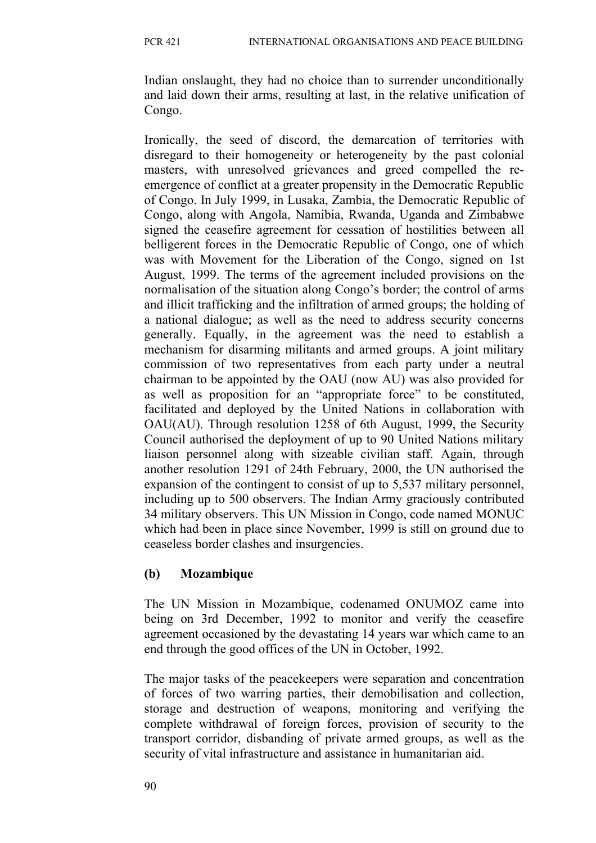Indian onslaught, they had no choice than to surrender unconditionally and laid down their arms, resulting at last, in the relative unification of Congo.

Ironically, the seed of discord, the demarcation of territories with disregard to their homogeneity or heterogeneity by the past colonial masters, with unresolved grievances and greed compelled the reemergence of conflict at a greater propensity in the Democratic Republic of Congo. In July 1999, in Lusaka, Zambia, the Democratic Republic of Congo, along with Angola, Namibia, Rwanda, Uganda and Zimbabwe signed the ceasefire agreement for cessation of hostilities between all belligerent forces in the Democratic Republic of Congo, one of which was with Movement for the Liberation of the Congo, signed on 1st August, 1999. The terms of the agreement included provisions on the normalisation of the situation along Congo's border; the control of arms and illicit trafficking and the infiltration of armed groups; the holding of a national dialogue; as well as the need to address security concerns generally. Equally, in the agreement was the need to establish a mechanism for disarming militants and armed groups. A joint military commission of two representatives from each party under a neutral chairman to be appointed by the OAU (now AU) was also provided for as well as proposition for an "appropriate force" to be constituted, facilitated and deployed by the United Nations in collaboration with OAU(AU). Through resolution 1258 of 6th August, 1999, the Security Council authorised the deployment of up to 90 United Nations military liaison personnel along with sizeable civilian staff. Again, through another resolution 1291 of 24th February, 2000, the UN authorised the expansion of the contingent to consist of up to 5,537 military personnel, including up to 500 observers. The Indian Army graciously contributed 34 military observers. This UN Mission in Congo, code named MONUC which had been in place since November, 1999 is still on ground due to ceaseless border clashes and insurgencies.

### **(b) Mozambique**

The UN Mission in Mozambique, codenamed ONUMOZ came into being on 3rd December, 1992 to monitor and verify the ceasefire agreement occasioned by the devastating 14 years war which came to an end through the good offices of the UN in October, 1992.

The major tasks of the peacekeepers were separation and concentration of forces of two warring parties, their demobilisation and collection, storage and destruction of weapons, monitoring and verifying the complete withdrawal of foreign forces, provision of security to the transport corridor, disbanding of private armed groups, as well as the security of vital infrastructure and assistance in humanitarian aid.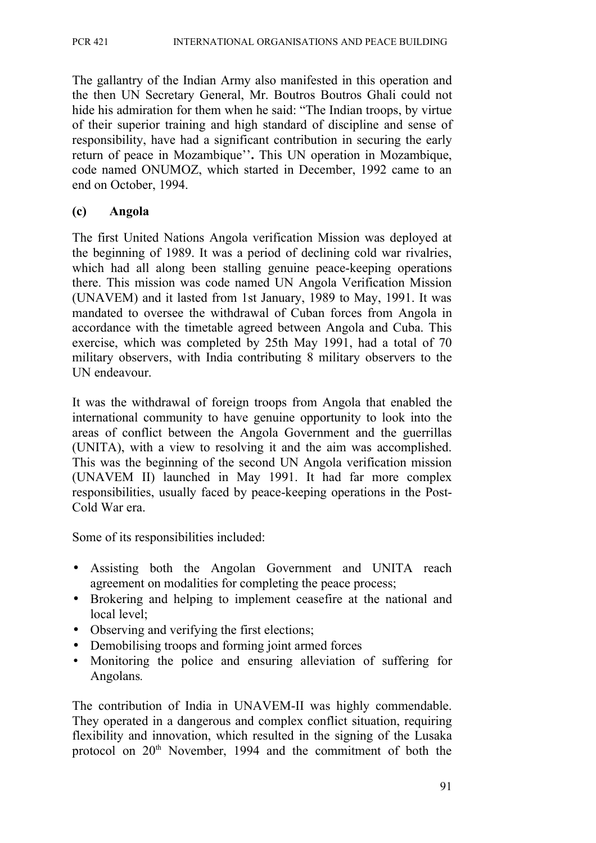The gallantry of the Indian Army also manifested in this operation and the then UN Secretary General, Mr. Boutros Boutros Ghali could not hide his admiration for them when he said: "The Indian troops, by virtue of their superior training and high standard of discipline and sense of responsibility, have had a significant contribution in securing the early return of peace in Mozambique''**.** This UN operation in Mozambique, code named ONUMOZ, which started in December, 1992 came to an end on October, 1994.

#### **(c) Angola**

The first United Nations Angola verification Mission was deployed at the beginning of 1989. It was a period of declining cold war rivalries, which had all along been stalling genuine peace-keeping operations there. This mission was code named UN Angola Verification Mission (UNAVEM) and it lasted from 1st January, 1989 to May, 1991. It was mandated to oversee the withdrawal of Cuban forces from Angola in accordance with the timetable agreed between Angola and Cuba. This exercise, which was completed by 25th May 1991, had a total of 70 military observers, with India contributing 8 military observers to the UN endeavour.

It was the withdrawal of foreign troops from Angola that enabled the international community to have genuine opportunity to look into the areas of conflict between the Angola Government and the guerrillas (UNITA), with a view to resolving it and the aim was accomplished. This was the beginning of the second UN Angola verification mission (UNAVEM II) launched in May 1991. It had far more complex responsibilities, usually faced by peace-keeping operations in the Post-Cold War era.

Some of its responsibilities included:

- Assisting both the Angolan Government and UNITA reach agreement on modalities for completing the peace process;
- Brokering and helping to implement ceasefire at the national and local level;
- Observing and verifying the first elections;
- Demobilising troops and forming joint armed forces
- Monitoring the police and ensuring alleviation of suffering for Angolans*.*

The contribution of India in UNAVEM-II was highly commendable. They operated in a dangerous and complex conflict situation, requiring flexibility and innovation, which resulted in the signing of the Lusaka protocol on 20<sup>th</sup> November, 1994 and the commitment of both the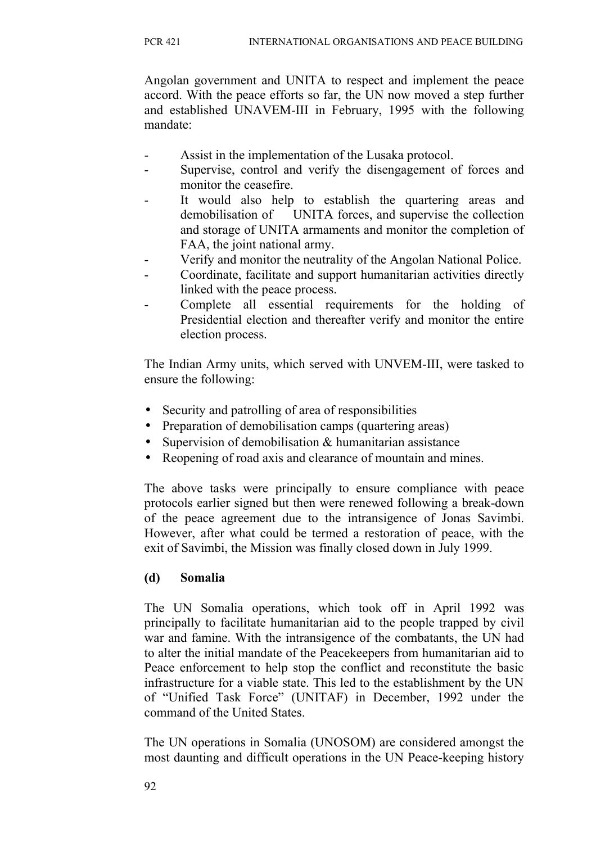Angolan government and UNITA to respect and implement the peace accord. With the peace efforts so far, the UN now moved a step further and established UNAVEM-III in February, 1995 with the following mandate:

- Assist in the implementation of the Lusaka protocol.
- Supervise, control and verify the disengagement of forces and monitor the ceasefire.
- It would also help to establish the quartering areas and demobilisation of UNITA forces, and supervise the collection and storage of UNITA armaments and monitor the completion of FAA, the joint national army.
- Verify and monitor the neutrality of the Angolan National Police.
- Coordinate, facilitate and support humanitarian activities directly linked with the peace process.
- Complete all essential requirements for the holding of Presidential election and thereafter verify and monitor the entire election process.

The Indian Army units, which served with UNVEM-III, were tasked to ensure the following:

- Security and patrolling of area of responsibilities
- Preparation of demobilisation camps (quartering areas)
- Supervision of demobilisation & humanitarian assistance
- Reopening of road axis and clearance of mountain and mines.

The above tasks were principally to ensure compliance with peace protocols earlier signed but then were renewed following a break-down of the peace agreement due to the intransigence of Jonas Savimbi. However, after what could be termed a restoration of peace, with the exit of Savimbi, the Mission was finally closed down in July 1999.

### **(d) Somalia**

The UN Somalia operations, which took off in April 1992 was principally to facilitate humanitarian aid to the people trapped by civil war and famine. With the intransigence of the combatants, the UN had to alter the initial mandate of the Peacekeepers from humanitarian aid to Peace enforcement to help stop the conflict and reconstitute the basic infrastructure for a viable state. This led to the establishment by the UN of "Unified Task Force" (UNITAF) in December, 1992 under the command of the United States.

The UN operations in Somalia (UNOSOM) are considered amongst the most daunting and difficult operations in the UN Peace-keeping history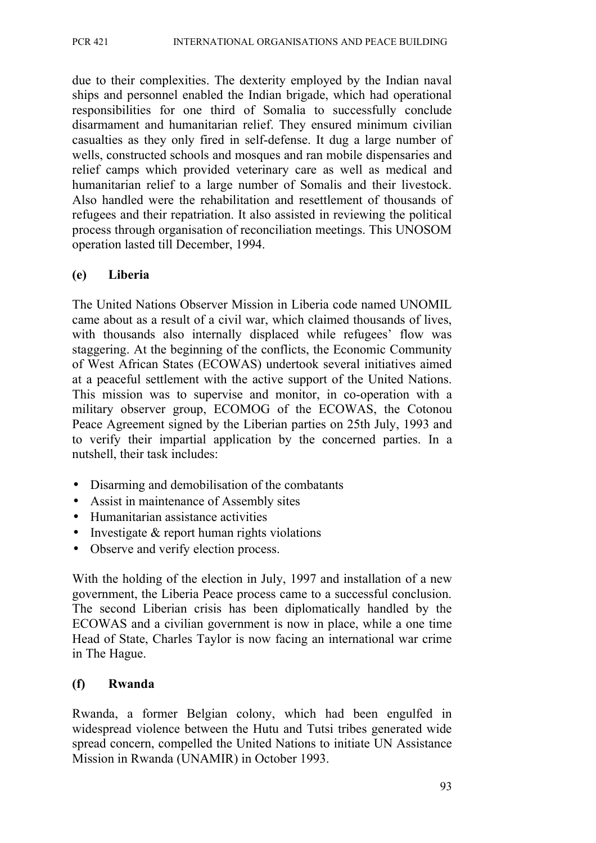due to their complexities. The dexterity employed by the Indian naval ships and personnel enabled the Indian brigade, which had operational responsibilities for one third of Somalia to successfully conclude disarmament and humanitarian relief. They ensured minimum civilian casualties as they only fired in self-defense. It dug a large number of wells, constructed schools and mosques and ran mobile dispensaries and relief camps which provided veterinary care as well as medical and humanitarian relief to a large number of Somalis and their livestock. Also handled were the rehabilitation and resettlement of thousands of refugees and their repatriation. It also assisted in reviewing the political process through organisation of reconciliation meetings. This UNOSOM operation lasted till December, 1994.

#### **(e) Liberia**

The United Nations Observer Mission in Liberia code named UNOMIL came about as a result of a civil war, which claimed thousands of lives, with thousands also internally displaced while refugees' flow was staggering. At the beginning of the conflicts, the Economic Community of West African States (ECOWAS) undertook several initiatives aimed at a peaceful settlement with the active support of the United Nations. This mission was to supervise and monitor, in co-operation with a military observer group, ECOMOG of the ECOWAS, the Cotonou Peace Agreement signed by the Liberian parties on 25th July, 1993 and to verify their impartial application by the concerned parties. In a nutshell, their task includes:

- Disarming and demobilisation of the combatants
- Assist in maintenance of Assembly sites
- Humanitarian assistance activities
- Investigate & report human rights violations
- Observe and verify election process.

With the holding of the election in July, 1997 and installation of a new government, the Liberia Peace process came to a successful conclusion. The second Liberian crisis has been diplomatically handled by the ECOWAS and a civilian government is now in place, while a one time Head of State, Charles Taylor is now facing an international war crime in The Hague.

#### **(f) Rwanda**

Rwanda, a former Belgian colony, which had been engulfed in widespread violence between the Hutu and Tutsi tribes generated wide spread concern, compelled the United Nations to initiate UN Assistance Mission in Rwanda (UNAMIR) in October 1993.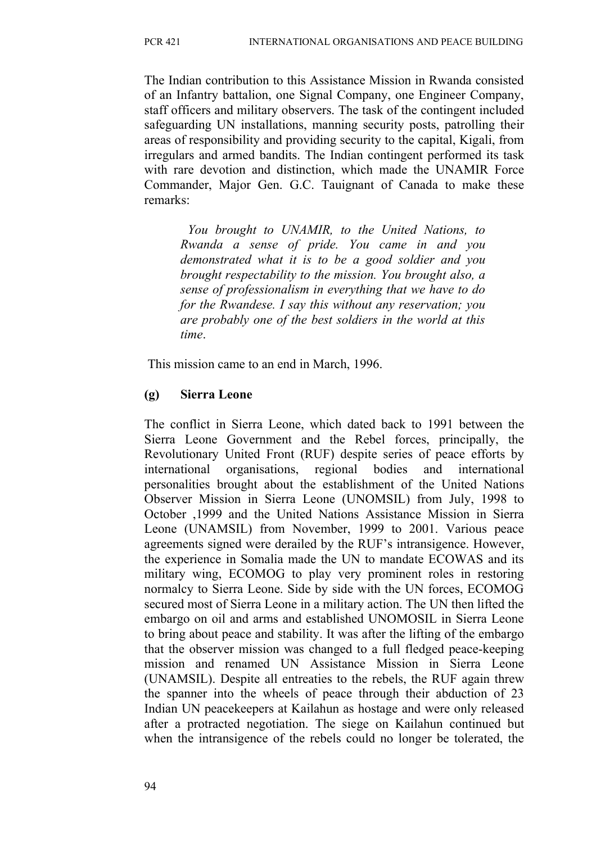The Indian contribution to this Assistance Mission in Rwanda consisted of an Infantry battalion, one Signal Company, one Engineer Company, staff officers and military observers. The task of the contingent included safeguarding UN installations, manning security posts, patrolling their areas of responsibility and providing security to the capital, Kigali, from irregulars and armed bandits. The Indian contingent performed its task with rare devotion and distinction, which made the UNAMIR Force Commander, Major Gen. G.C. Tauignant of Canada to make these remarks:

*You brought to UNAMIR, to the United Nations, to Rwanda a sense of pride. You came in and you demonstrated what it is to be a good soldier and you brought respectability to the mission. You brought also, a sense of professionalism in everything that we have to do for the Rwandese. I say this without any reservation; you are probably one of the best soldiers in the world at this time*.

This mission came to an end in March, 1996.

#### **(g) Sierra Leone**

The conflict in Sierra Leone, which dated back to 1991 between the Sierra Leone Government and the Rebel forces, principally, the Revolutionary United Front (RUF) despite series of peace efforts by international organisations, regional bodies and international personalities brought about the establishment of the United Nations Observer Mission in Sierra Leone (UNOMSIL) from July, 1998 to October ,1999 and the United Nations Assistance Mission in Sierra Leone (UNAMSIL) from November, 1999 to 2001. Various peace agreements signed were derailed by the RUF's intransigence. However, the experience in Somalia made the UN to mandate ECOWAS and its military wing, ECOMOG to play very prominent roles in restoring normalcy to Sierra Leone. Side by side with the UN forces, ECOMOG secured most of Sierra Leone in a military action. The UN then lifted the embargo on oil and arms and established UNOMOSIL in Sierra Leone to bring about peace and stability. It was after the lifting of the embargo that the observer mission was changed to a full fledged peace-keeping mission and renamed UN Assistance Mission in Sierra Leone (UNAMSIL). Despite all entreaties to the rebels, the RUF again threw the spanner into the wheels of peace through their abduction of 23 Indian UN peacekeepers at Kailahun as hostage and were only released after a protracted negotiation. The siege on Kailahun continued but when the intransigence of the rebels could no longer be tolerated, the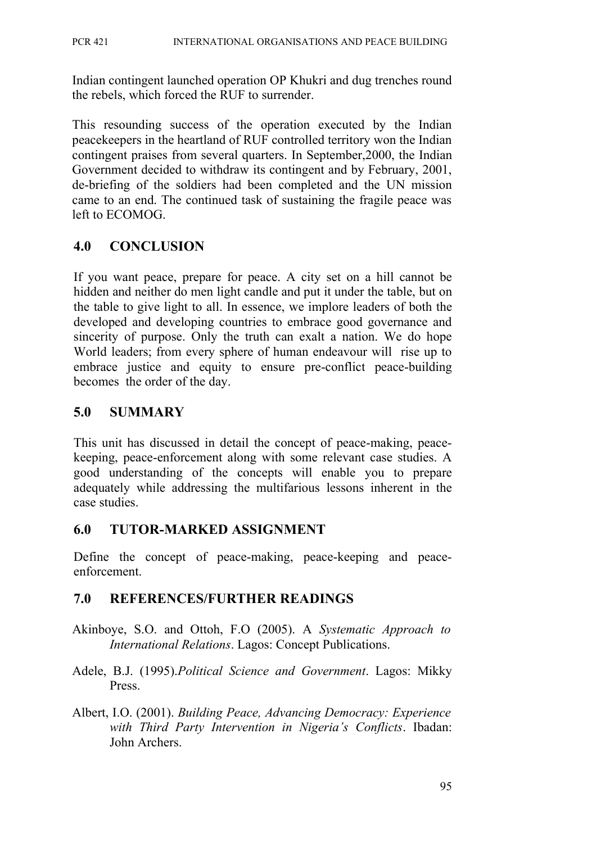Indian contingent launched operation OP Khukri and dug trenches round the rebels, which forced the RUF to surrender.

This resounding success of the operation executed by the Indian peacekeepers in the heartland of RUF controlled territory won the Indian contingent praises from several quarters. In September,2000, the Indian Government decided to withdraw its contingent and by February, 2001, de-briefing of the soldiers had been completed and the UN mission came to an end. The continued task of sustaining the fragile peace was left to ECOMOG.

# **4.0 CONCLUSION**

If you want peace, prepare for peace. A city set on a hill cannot be hidden and neither do men light candle and put it under the table, but on the table to give light to all. In essence, we implore leaders of both the developed and developing countries to embrace good governance and sincerity of purpose. Only the truth can exalt a nation. We do hope World leaders; from every sphere of human endeavour will rise up to embrace justice and equity to ensure pre-conflict peace-building becomes the order of the day.

## **5.0 SUMMARY**

This unit has discussed in detail the concept of peace-making, peacekeeping, peace-enforcement along with some relevant case studies. A good understanding of the concepts will enable you to prepare adequately while addressing the multifarious lessons inherent in the case studies.

## **6.0 TUTOR-MARKED ASSIGNMENT**

Define the concept of peace-making, peace-keeping and peaceenforcement.

## **7.0 REFERENCES/FURTHER READINGS**

- Akinboye, S.O. and Ottoh, F.O (2005). A *Systematic Approach to International Relations*. Lagos: Concept Publications.
- Adele, B.J. (1995).*Political Science and Government*. Lagos: Mikky Press.
- Albert, I.O. (2001). *Building Peace, Advancing Democracy: Experience with Third Party Intervention in Nigeria's Conflicts*. Ibadan: John Archers.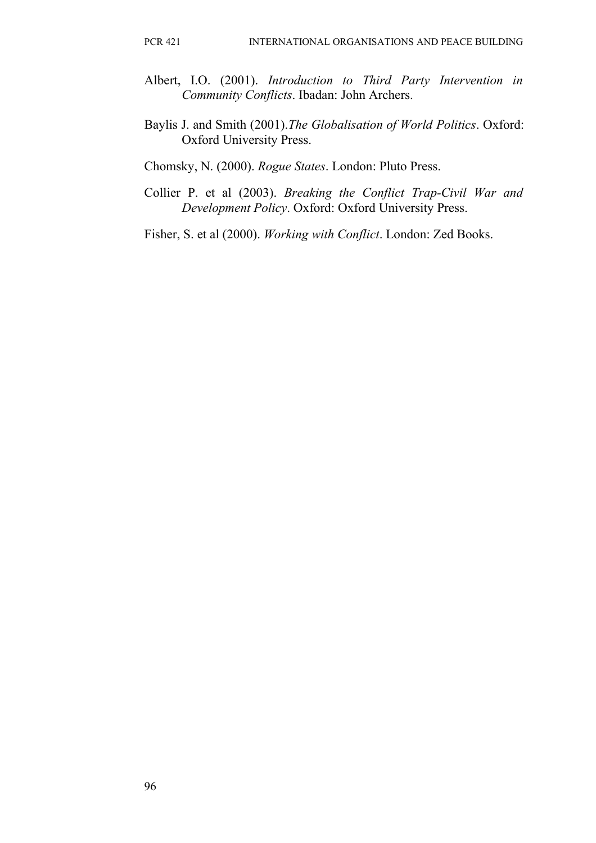- Albert, I.O. (2001). *Introduction to Third Party Intervention in Community Conflicts*. Ibadan: John Archers.
- Baylis J. and Smith (2001).*The Globalisation of World Politics*. Oxford: Oxford University Press.

Chomsky, N. (2000). *Rogue States*. London: Pluto Press.

Collier P. et al (2003). *Breaking the Conflict Trap-Civil War and Development Policy*. Oxford: Oxford University Press.

Fisher, S. et al (2000). *Working with Conflict*. London: Zed Books.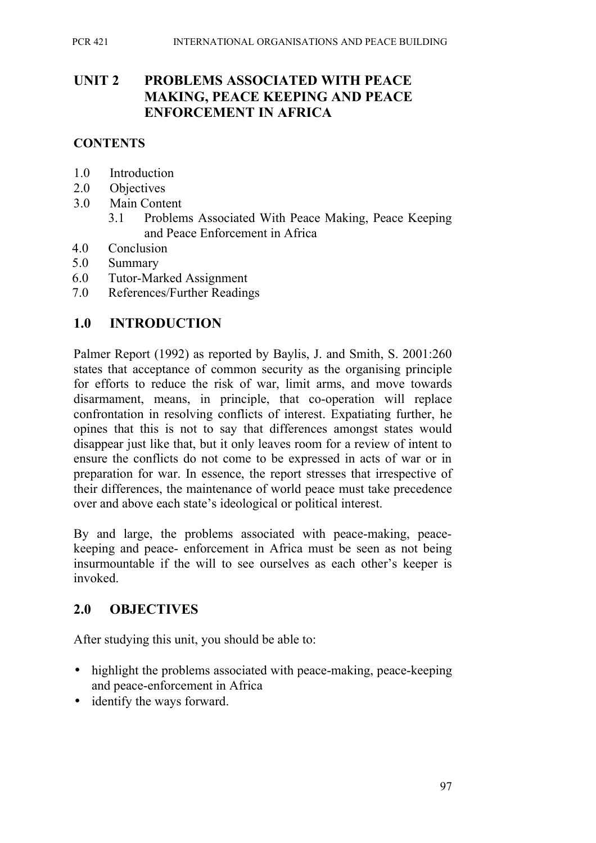## **UNIT 2 PROBLEMS ASSOCIATED WITH PEACE MAKING, PEACE KEEPING AND PEACE ENFORCEMENT IN AFRICA**

#### **CONTENTS**

- 1.0 Introduction
- 2.0 Objectives
- 3.0 Main Content
	- 3.1 Problems Associated With Peace Making, Peace Keeping and Peace Enforcement in Africa
- 4.0 Conclusion
- 5.0 Summary
- 6.0 Tutor-Marked Assignment
- 7.0 References/Further Readings

#### **1.0 INTRODUCTION**

Palmer Report (1992) as reported by Baylis, J. and Smith, S. 2001:260 states that acceptance of common security as the organising principle for efforts to reduce the risk of war, limit arms, and move towards disarmament, means, in principle, that co-operation will replace confrontation in resolving conflicts of interest. Expatiating further, he opines that this is not to say that differences amongst states would disappear just like that, but it only leaves room for a review of intent to ensure the conflicts do not come to be expressed in acts of war or in preparation for war. In essence, the report stresses that irrespective of their differences, the maintenance of world peace must take precedence over and above each state's ideological or political interest.

By and large, the problems associated with peace-making, peacekeeping and peace- enforcement in Africa must be seen as not being insurmountable if the will to see ourselves as each other's keeper is invoked.

## **2.0 OBJECTIVES**

After studying this unit, you should be able to:

- highlight the problems associated with peace-making, peace-keeping and peace-enforcement in Africa
- identify the ways forward.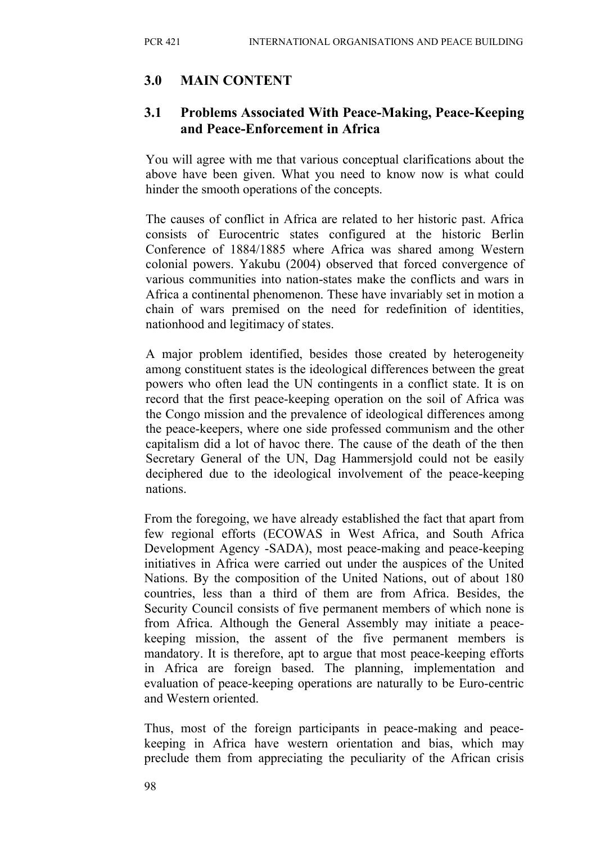# **3.0 MAIN CONTENT**

# **3.1 Problems Associated With Peace-Making, Peace-Keeping and Peace-Enforcement in Africa**

You will agree with me that various conceptual clarifications about the above have been given. What you need to know now is what could hinder the smooth operations of the concepts.

The causes of conflict in Africa are related to her historic past. Africa consists of Eurocentric states configured at the historic Berlin Conference of 1884/1885 where Africa was shared among Western colonial powers. Yakubu (2004) observed that forced convergence of various communities into nation-states make the conflicts and wars in Africa a continental phenomenon. These have invariably set in motion a chain of wars premised on the need for redefinition of identities, nationhood and legitimacy of states.

A major problem identified, besides those created by heterogeneity among constituent states is the ideological differences between the great powers who often lead the UN contingents in a conflict state. It is on record that the first peace-keeping operation on the soil of Africa was the Congo mission and the prevalence of ideological differences among the peace-keepers, where one side professed communism and the other capitalism did a lot of havoc there. The cause of the death of the then Secretary General of the UN, Dag Hammersjold could not be easily deciphered due to the ideological involvement of the peace-keeping nations.

From the foregoing, we have already established the fact that apart from few regional efforts (ECOWAS in West Africa, and South Africa Development Agency -SADA), most peace-making and peace-keeping initiatives in Africa were carried out under the auspices of the United Nations. By the composition of the United Nations, out of about 180 countries, less than a third of them are from Africa. Besides, the Security Council consists of five permanent members of which none is from Africa. Although the General Assembly may initiate a peacekeeping mission, the assent of the five permanent members is mandatory. It is therefore, apt to argue that most peace-keeping efforts in Africa are foreign based. The planning, implementation and evaluation of peace-keeping operations are naturally to be Euro-centric and Western oriented.

Thus, most of the foreign participants in peace-making and peacekeeping in Africa have western orientation and bias, which may preclude them from appreciating the peculiarity of the African crisis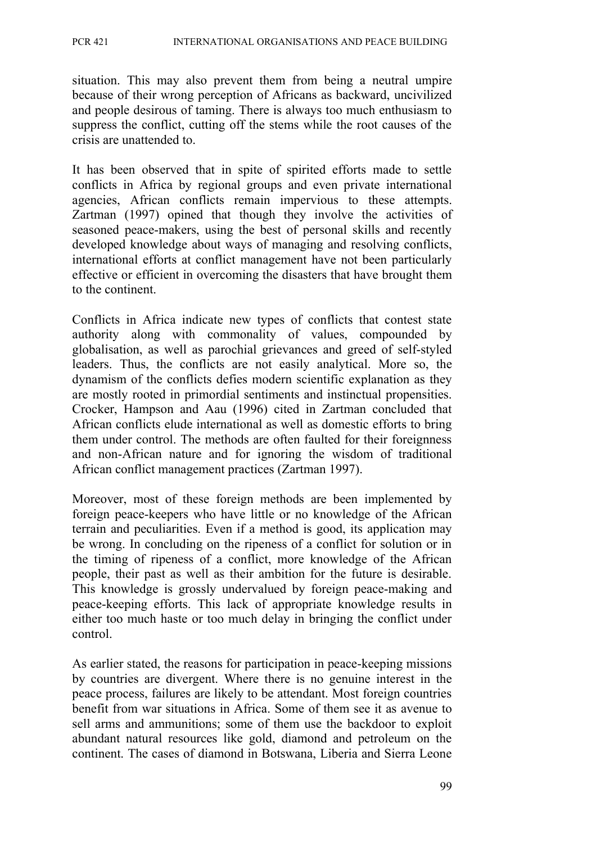situation. This may also prevent them from being a neutral umpire because of their wrong perception of Africans as backward, uncivilized and people desirous of taming. There is always too much enthusiasm to suppress the conflict, cutting off the stems while the root causes of the crisis are unattended to.

It has been observed that in spite of spirited efforts made to settle conflicts in Africa by regional groups and even private international agencies, African conflicts remain impervious to these attempts. Zartman (1997) opined that though they involve the activities of seasoned peace-makers, using the best of personal skills and recently developed knowledge about ways of managing and resolving conflicts, international efforts at conflict management have not been particularly effective or efficient in overcoming the disasters that have brought them to the continent.

Conflicts in Africa indicate new types of conflicts that contest state authority along with commonality of values, compounded by globalisation, as well as parochial grievances and greed of self-styled leaders. Thus, the conflicts are not easily analytical. More so, the dynamism of the conflicts defies modern scientific explanation as they are mostly rooted in primordial sentiments and instinctual propensities. Crocker, Hampson and Aau (1996) cited in Zartman concluded that African conflicts elude international as well as domestic efforts to bring them under control. The methods are often faulted for their foreignness and non-African nature and for ignoring the wisdom of traditional African conflict management practices (Zartman 1997).

Moreover, most of these foreign methods are been implemented by foreign peace-keepers who have little or no knowledge of the African terrain and peculiarities. Even if a method is good, its application may be wrong. In concluding on the ripeness of a conflict for solution or in the timing of ripeness of a conflict, more knowledge of the African people, their past as well as their ambition for the future is desirable. This knowledge is grossly undervalued by foreign peace-making and peace-keeping efforts. This lack of appropriate knowledge results in either too much haste or too much delay in bringing the conflict under control.

As earlier stated, the reasons for participation in peace-keeping missions by countries are divergent. Where there is no genuine interest in the peace process, failures are likely to be attendant. Most foreign countries benefit from war situations in Africa. Some of them see it as avenue to sell arms and ammunitions; some of them use the backdoor to exploit abundant natural resources like gold, diamond and petroleum on the continent. The cases of diamond in Botswana, Liberia and Sierra Leone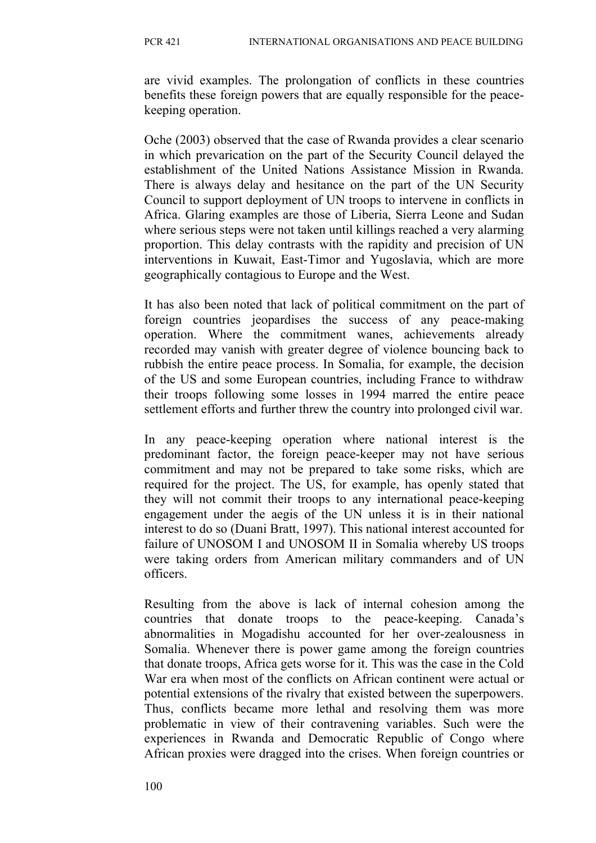are vivid examples. The prolongation of conflicts in these countries benefits these foreign powers that are equally responsible for the peacekeeping operation.

Oche (2003) observed that the case of Rwanda provides a clear scenario in which prevarication on the part of the Security Council delayed the establishment of the United Nations Assistance Mission in Rwanda. There is always delay and hesitance on the part of the UN Security Council to support deployment of UN troops to intervene in conflicts in Africa. Glaring examples are those of Liberia, Sierra Leone and Sudan where serious steps were not taken until killings reached a very alarming proportion. This delay contrasts with the rapidity and precision of UN interventions in Kuwait, East-Timor and Yugoslavia, which are more geographically contagious to Europe and the West.

It has also been noted that lack of political commitment on the part of foreign countries jeopardises the success of any peace-making operation. Where the commitment wanes, achievements already recorded may vanish with greater degree of violence bouncing back to rubbish the entire peace process. In Somalia, for example, the decision of the US and some European countries, including France to withdraw their troops following some losses in 1994 marred the entire peace settlement efforts and further threw the country into prolonged civil war.

In any peace-keeping operation where national interest is the predominant factor, the foreign peace-keeper may not have serious commitment and may not be prepared to take some risks, which are required for the project. The US, for example, has openly stated that they will not commit their troops to any international peace-keeping engagement under the aegis of the UN unless it is in their national interest to do so (Duani Bratt, 1997). This national interest accounted for failure of UNOSOM I and UNOSOM II in Somalia whereby US troops were taking orders from American military commanders and of UN officers.

Resulting from the above is lack of internal cohesion among the countries that donate troops to the peace-keeping. Canada's abnormalities in Mogadishu accounted for her over-zealousness in Somalia. Whenever there is power game among the foreign countries that donate troops, Africa gets worse for it. This was the case in the Cold War era when most of the conflicts on African continent were actual or potential extensions of the rivalry that existed between the superpowers. Thus, conflicts became more lethal and resolving them was more problematic in view of their contravening variables. Such were the experiences in Rwanda and Democratic Republic of Congo where African proxies were dragged into the crises. When foreign countries or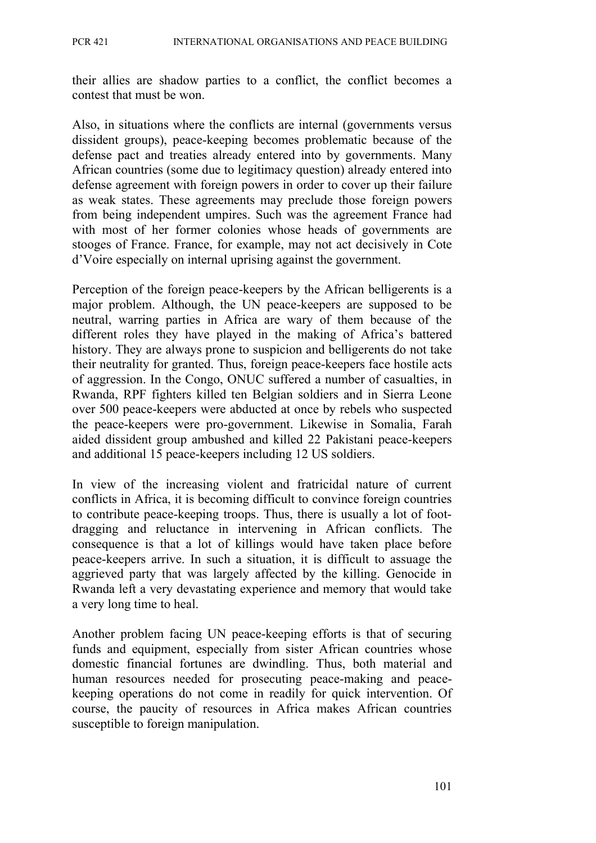their allies are shadow parties to a conflict, the conflict becomes a contest that must be won.

Also, in situations where the conflicts are internal (governments versus dissident groups), peace-keeping becomes problematic because of the defense pact and treaties already entered into by governments. Many African countries (some due to legitimacy question) already entered into defense agreement with foreign powers in order to cover up their failure as weak states. These agreements may preclude those foreign powers from being independent umpires. Such was the agreement France had with most of her former colonies whose heads of governments are stooges of France. France, for example, may not act decisively in Cote d'Voire especially on internal uprising against the government.

Perception of the foreign peace-keepers by the African belligerents is a major problem. Although, the UN peace-keepers are supposed to be neutral, warring parties in Africa are wary of them because of the different roles they have played in the making of Africa's battered history. They are always prone to suspicion and belligerents do not take their neutrality for granted. Thus, foreign peace-keepers face hostile acts of aggression. In the Congo, ONUC suffered a number of casualties, in Rwanda, RPF fighters killed ten Belgian soldiers and in Sierra Leone over 500 peace-keepers were abducted at once by rebels who suspected the peace-keepers were pro-government. Likewise in Somalia, Farah aided dissident group ambushed and killed 22 Pakistani peace-keepers and additional 15 peace-keepers including 12 US soldiers.

In view of the increasing violent and fratricidal nature of current conflicts in Africa, it is becoming difficult to convince foreign countries to contribute peace-keeping troops. Thus, there is usually a lot of footdragging and reluctance in intervening in African conflicts. The consequence is that a lot of killings would have taken place before peace-keepers arrive. In such a situation, it is difficult to assuage the aggrieved party that was largely affected by the killing. Genocide in Rwanda left a very devastating experience and memory that would take a very long time to heal.

Another problem facing UN peace-keeping efforts is that of securing funds and equipment, especially from sister African countries whose domestic financial fortunes are dwindling. Thus, both material and human resources needed for prosecuting peace-making and peacekeeping operations do not come in readily for quick intervention. Of course, the paucity of resources in Africa makes African countries susceptible to foreign manipulation.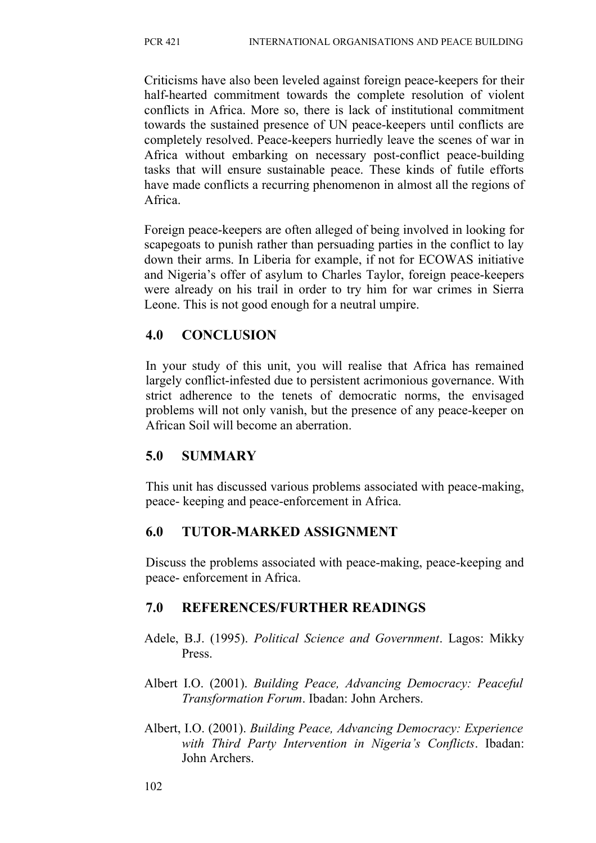Criticisms have also been leveled against foreign peace-keepers for their half-hearted commitment towards the complete resolution of violent conflicts in Africa. More so, there is lack of institutional commitment towards the sustained presence of UN peace-keepers until conflicts are completely resolved. Peace-keepers hurriedly leave the scenes of war in Africa without embarking on necessary post-conflict peace-building tasks that will ensure sustainable peace. These kinds of futile efforts have made conflicts a recurring phenomenon in almost all the regions of Africa.

Foreign peace-keepers are often alleged of being involved in looking for scapegoats to punish rather than persuading parties in the conflict to lay down their arms. In Liberia for example, if not for ECOWAS initiative and Nigeria's offer of asylum to Charles Taylor, foreign peace-keepers were already on his trail in order to try him for war crimes in Sierra Leone. This is not good enough for a neutral umpire.

## **4.0 CONCLUSION**

In your study of this unit, you will realise that Africa has remained largely conflict-infested due to persistent acrimonious governance. With strict adherence to the tenets of democratic norms, the envisaged problems will not only vanish, but the presence of any peace-keeper on African Soil will become an aberration.

# **5.0 SUMMARY**

This unit has discussed various problems associated with peace-making, peace- keeping and peace-enforcement in Africa.

# **6.0 TUTOR-MARKED ASSIGNMENT**

Discuss the problems associated with peace-making, peace-keeping and peace- enforcement in Africa.

# **7.0 REFERENCES/FURTHER READINGS**

- Adele, B.J. (1995). *Political Science and Government*. Lagos: Mikky Press.
- Albert I.O. (2001). *Building Peace, Advancing Democracy: Peaceful Transformation Forum*. Ibadan: John Archers.
- Albert, I.O. (2001). *Building Peace, Advancing Democracy: Experience with Third Party Intervention in Nigeria's Conflicts*. Ibadan: John Archers.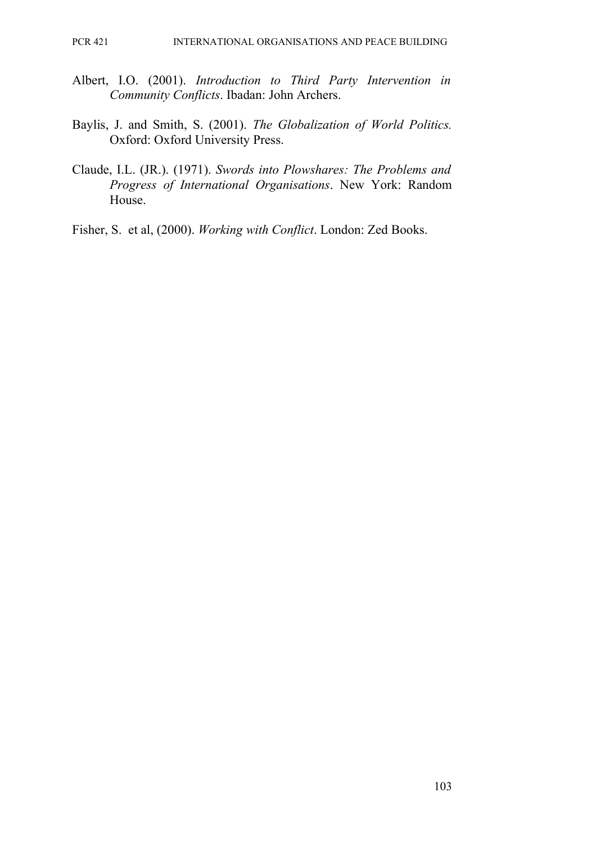- Albert, I.O. (2001). *Introduction to Third Party Intervention in Community Conflicts*. Ibadan: John Archers.
- Baylis, J. and Smith, S. (2001). *The Globalization of World Politics.* Oxford: Oxford University Press.
- Claude, I.L. (JR.). (1971). *Swords into Plowshares: The Problems and Progress of International Organisations*. New York: Random House.

Fisher, S. et al, (2000). *Working with Conflict*. London: Zed Books.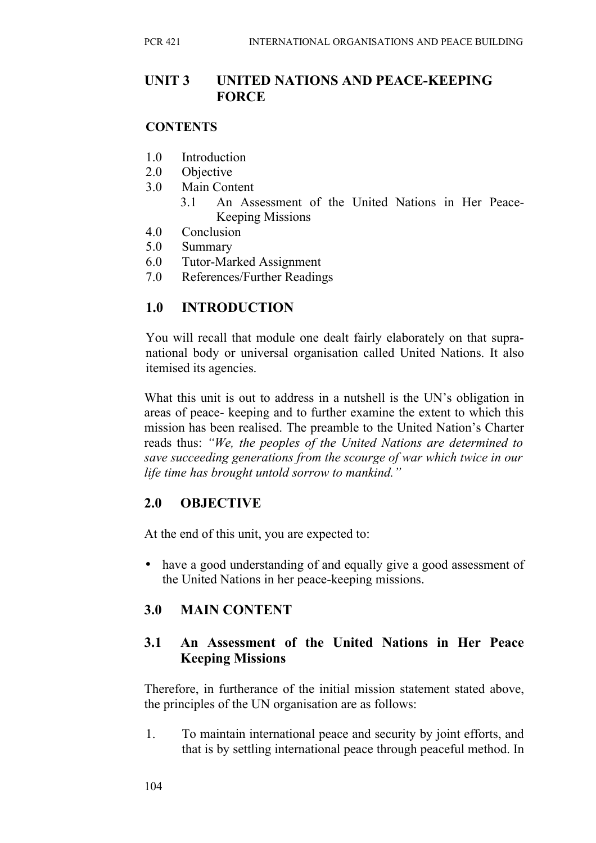## **UNIT 3 UNITED NATIONS AND PEACE-KEEPING FORCE**

#### **CONTENTS**

- 1.0 Introduction
- 2.0 Objective
- 3.0 Main Content
	- 3.1 An Assessment of the United Nations in Her Peace-Keeping Missions
- 4.0 Conclusion
- 5.0 Summary
- 6.0 Tutor-Marked Assignment
- 7.0 References/Further Readings

# **1.0 INTRODUCTION**

You will recall that module one dealt fairly elaborately on that supranational body or universal organisation called United Nations. It also itemised its agencies.

What this unit is out to address in a nutshell is the UN's obligation in areas of peace- keeping and to further examine the extent to which this mission has been realised. The preamble to the United Nation's Charter reads thus: *"We, the peoples of the United Nations are determined to save succeeding generations from the scourge of war which twice in our life time has brought untold sorrow to mankind."*

## **2.0 OBJECTIVE**

At the end of this unit, you are expected to:

• have a good understanding of and equally give a good assessment of the United Nations in her peace-keeping missions.

## **3.0 MAIN CONTENT**

## **3.1 An Assessment of the United Nations in Her Peace Keeping Missions**

Therefore, in furtherance of the initial mission statement stated above, the principles of the UN organisation are as follows:

1. To maintain international peace and security by joint efforts, and that is by settling international peace through peaceful method. In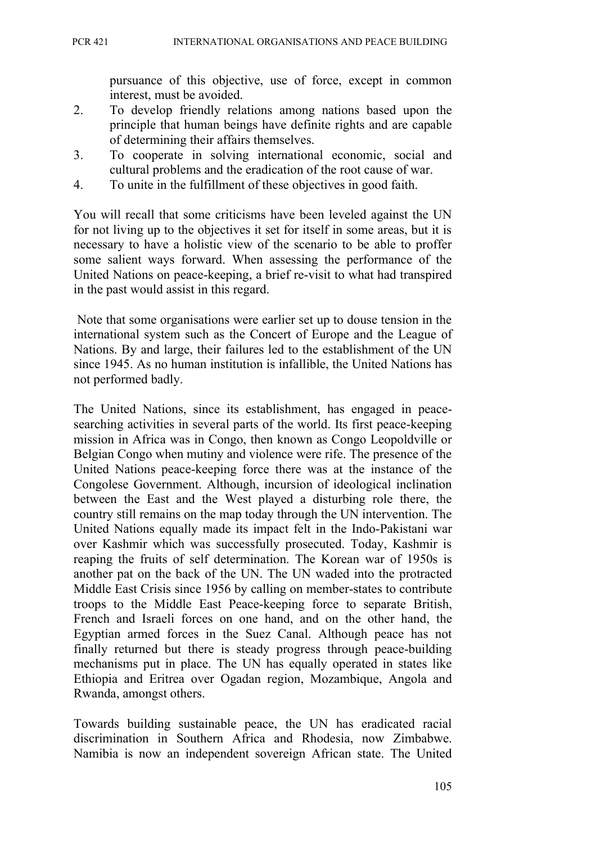pursuance of this objective, use of force, except in common interest, must be avoided.

- 2. To develop friendly relations among nations based upon the principle that human beings have definite rights and are capable of determining their affairs themselves.
- 3. To cooperate in solving international economic, social and cultural problems and the eradication of the root cause of war.
- 4. To unite in the fulfillment of these objectives in good faith.

You will recall that some criticisms have been leveled against the UN for not living up to the objectives it set for itself in some areas, but it is necessary to have a holistic view of the scenario to be able to proffer some salient ways forward. When assessing the performance of the United Nations on peace-keeping, a brief re-visit to what had transpired in the past would assist in this regard.

 Note that some organisations were earlier set up to douse tension in the international system such as the Concert of Europe and the League of Nations. By and large, their failures led to the establishment of the UN since 1945. As no human institution is infallible, the United Nations has not performed badly.

The United Nations, since its establishment, has engaged in peacesearching activities in several parts of the world. Its first peace-keeping mission in Africa was in Congo, then known as Congo Leopoldville or Belgian Congo when mutiny and violence were rife. The presence of the United Nations peace-keeping force there was at the instance of the Congolese Government. Although, incursion of ideological inclination between the East and the West played a disturbing role there, the country still remains on the map today through the UN intervention. The United Nations equally made its impact felt in the Indo-Pakistani war over Kashmir which was successfully prosecuted. Today, Kashmir is reaping the fruits of self determination. The Korean war of 1950s is another pat on the back of the UN. The UN waded into the protracted Middle East Crisis since 1956 by calling on member-states to contribute troops to the Middle East Peace-keeping force to separate British, French and Israeli forces on one hand, and on the other hand, the Egyptian armed forces in the Suez Canal. Although peace has not finally returned but there is steady progress through peace-building mechanisms put in place. The UN has equally operated in states like Ethiopia and Eritrea over Ogadan region, Mozambique, Angola and Rwanda, amongst others.

Towards building sustainable peace, the UN has eradicated racial discrimination in Southern Africa and Rhodesia, now Zimbabwe. Namibia is now an independent sovereign African state. The United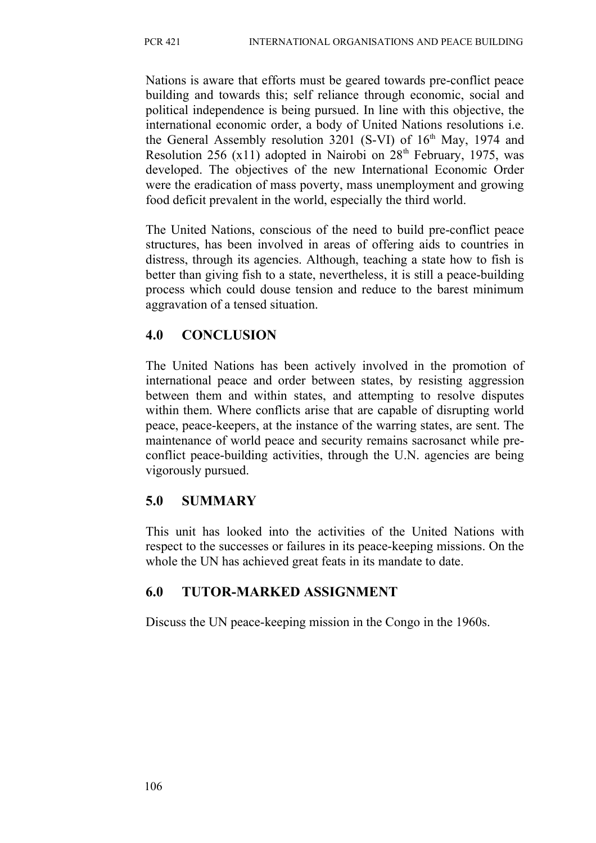Nations is aware that efforts must be geared towards pre-conflict peace building and towards this; self reliance through economic, social and political independence is being pursued. In line with this objective, the international economic order, a body of United Nations resolutions i.e. the General Assembly resolution  $3201$  (S-VI) of  $16<sup>th</sup>$  May, 1974 and Resolution 256 (x11) adopted in Nairobi on  $28<sup>th</sup>$  February, 1975, was developed. The objectives of the new International Economic Order were the eradication of mass poverty, mass unemployment and growing food deficit prevalent in the world, especially the third world.

The United Nations, conscious of the need to build pre-conflict peace structures, has been involved in areas of offering aids to countries in distress, through its agencies. Although, teaching a state how to fish is better than giving fish to a state, nevertheless, it is still a peace-building process which could douse tension and reduce to the barest minimum aggravation of a tensed situation.

## **4.0 CONCLUSION**

The United Nations has been actively involved in the promotion of international peace and order between states, by resisting aggression between them and within states, and attempting to resolve disputes within them. Where conflicts arise that are capable of disrupting world peace, peace-keepers, at the instance of the warring states, are sent. The maintenance of world peace and security remains sacrosanct while preconflict peace-building activities, through the U.N. agencies are being vigorously pursued.

# **5.0 SUMMARY**

This unit has looked into the activities of the United Nations with respect to the successes or failures in its peace-keeping missions. On the whole the UN has achieved great feats in its mandate to date.

# **6.0 TUTOR-MARKED ASSIGNMENT**

Discuss the UN peace-keeping mission in the Congo in the 1960s.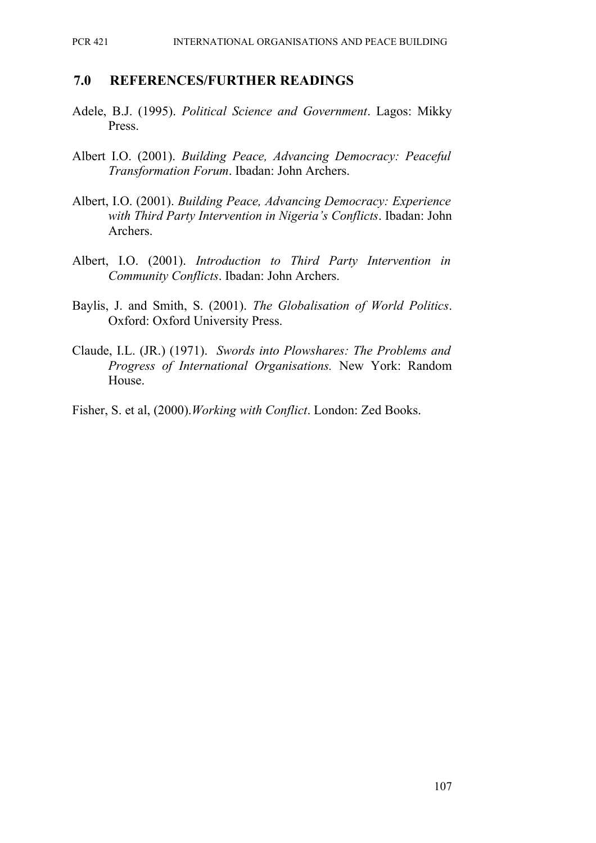#### **7.0 REFERENCES/FURTHER READINGS**

- Adele, B.J. (1995). *Political Science and Government*. Lagos: Mikky Press.
- Albert I.O. (2001). *Building Peace, Advancing Democracy: Peaceful Transformation Forum*. Ibadan: John Archers.
- Albert, I.O. (2001). *Building Peace, Advancing Democracy: Experience with Third Party Intervention in Nigeria's Conflicts*. Ibadan: John Archers.
- Albert, I.O. (2001). *Introduction to Third Party Intervention in Community Conflicts*. Ibadan: John Archers.
- Baylis, J. and Smith, S. (2001). *The Globalisation of World Politics*. Oxford: Oxford University Press.
- Claude, I.L. (JR.) (1971). *Swords into Plowshares: The Problems and Progress of International Organisations.* New York: Random House.
- Fisher, S. et al, (2000).*Working with Conflict*. London: Zed Books.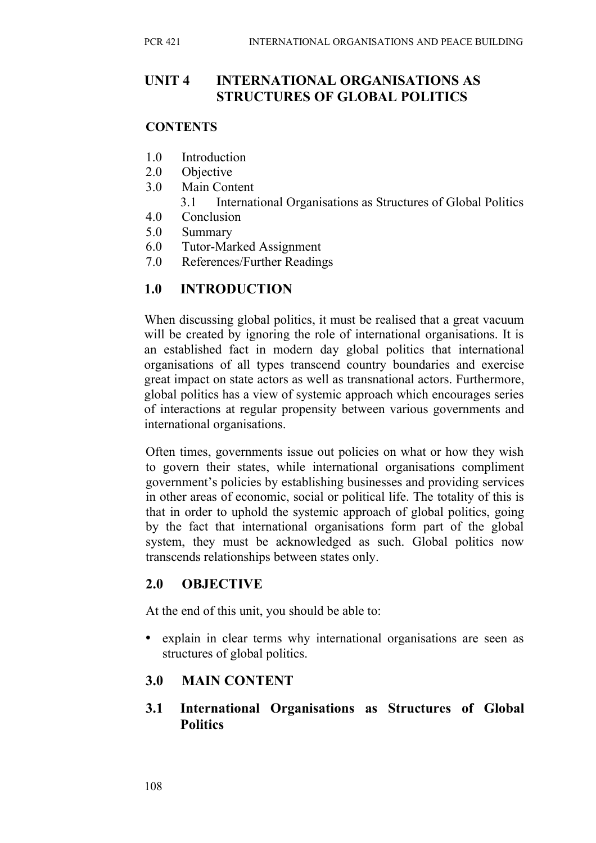## **UNIT 4 INTERNATIONAL ORGANISATIONS AS STRUCTURES OF GLOBAL POLITICS**

#### **CONTENTS**

- 1.0 Introduction
- 2.0 Objective
- 3.0 Main Content
	- 3.1 International Organisations as Structures of Global Politics
- 4.0 Conclusion
- 5.0 Summary
- 6.0 Tutor-Marked Assignment
- 7.0 References/Further Readings

## **1.0 INTRODUCTION**

When discussing global politics, it must be realised that a great vacuum will be created by ignoring the role of international organisations. It is an established fact in modern day global politics that international organisations of all types transcend country boundaries and exercise great impact on state actors as well as transnational actors. Furthermore, global politics has a view of systemic approach which encourages series of interactions at regular propensity between various governments and international organisations.

Often times, governments issue out policies on what or how they wish to govern their states, while international organisations compliment government's policies by establishing businesses and providing services in other areas of economic, social or political life. The totality of this is that in order to uphold the systemic approach of global politics, going by the fact that international organisations form part of the global system, they must be acknowledged as such. Global politics now transcends relationships between states only.

# **2.0 OBJECTIVE**

At the end of this unit, you should be able to:

• explain in clear terms why international organisations are seen as structures of global politics.

# **3.0 MAIN CONTENT**

**3.1 International Organisations as Structures of Global Politics**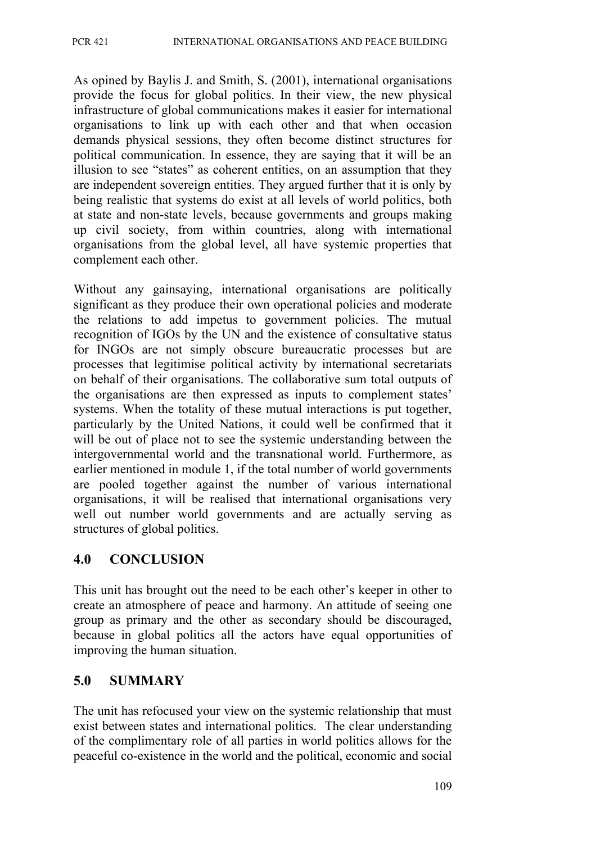As opined by Baylis J. and Smith, S. (2001), international organisations provide the focus for global politics. In their view, the new physical infrastructure of global communications makes it easier for international organisations to link up with each other and that when occasion demands physical sessions, they often become distinct structures for political communication. In essence, they are saying that it will be an illusion to see "states" as coherent entities, on an assumption that they are independent sovereign entities. They argued further that it is only by being realistic that systems do exist at all levels of world politics, both at state and non-state levels, because governments and groups making up civil society, from within countries, along with international organisations from the global level, all have systemic properties that complement each other.

Without any gainsaying, international organisations are politically significant as they produce their own operational policies and moderate the relations to add impetus to government policies. The mutual recognition of IGOs by the UN and the existence of consultative status for INGOs are not simply obscure bureaucratic processes but are processes that legitimise political activity by international secretariats on behalf of their organisations. The collaborative sum total outputs of the organisations are then expressed as inputs to complement states' systems. When the totality of these mutual interactions is put together, particularly by the United Nations, it could well be confirmed that it will be out of place not to see the systemic understanding between the intergovernmental world and the transnational world. Furthermore, as earlier mentioned in module 1, if the total number of world governments are pooled together against the number of various international organisations, it will be realised that international organisations very well out number world governments and are actually serving as structures of global politics.

# **4.0 CONCLUSION**

This unit has brought out the need to be each other's keeper in other to create an atmosphere of peace and harmony. An attitude of seeing one group as primary and the other as secondary should be discouraged, because in global politics all the actors have equal opportunities of improving the human situation.

# **5.0 SUMMARY**

The unit has refocused your view on the systemic relationship that must exist between states and international politics. The clear understanding of the complimentary role of all parties in world politics allows for the peaceful co-existence in the world and the political, economic and social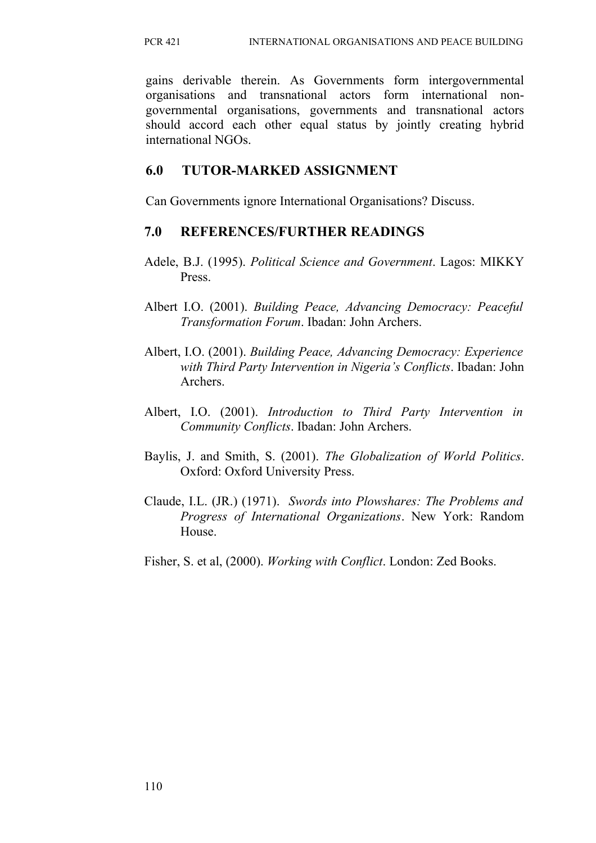gains derivable therein. As Governments form intergovernmental organisations and transnational actors form international nongovernmental organisations, governments and transnational actors should accord each other equal status by jointly creating hybrid international NGOs.

# **6.0 TUTOR-MARKED ASSIGNMENT**

Can Governments ignore International Organisations? Discuss.

# **7.0 REFERENCES/FURTHER READINGS**

- Adele, B.J. (1995). *Political Science and Government*. Lagos: MIKKY Press.
- Albert I.O. (2001). *Building Peace, Advancing Democracy: Peaceful Transformation Forum*. Ibadan: John Archers.
- Albert, I.O. (2001). *Building Peace, Advancing Democracy: Experience with Third Party Intervention in Nigeria's Conflicts*. Ibadan: John Archers.
- Albert, I.O. (2001). *Introduction to Third Party Intervention in Community Conflicts*. Ibadan: John Archers.
- Baylis, J. and Smith, S. (2001). *The Globalization of World Politics*. Oxford: Oxford University Press.
- Claude, I.L. (JR.) (1971). *Swords into Plowshares: The Problems and Progress of International Organizations*. New York: Random House.
- Fisher, S. et al, (2000). *Working with Conflict*. London: Zed Books.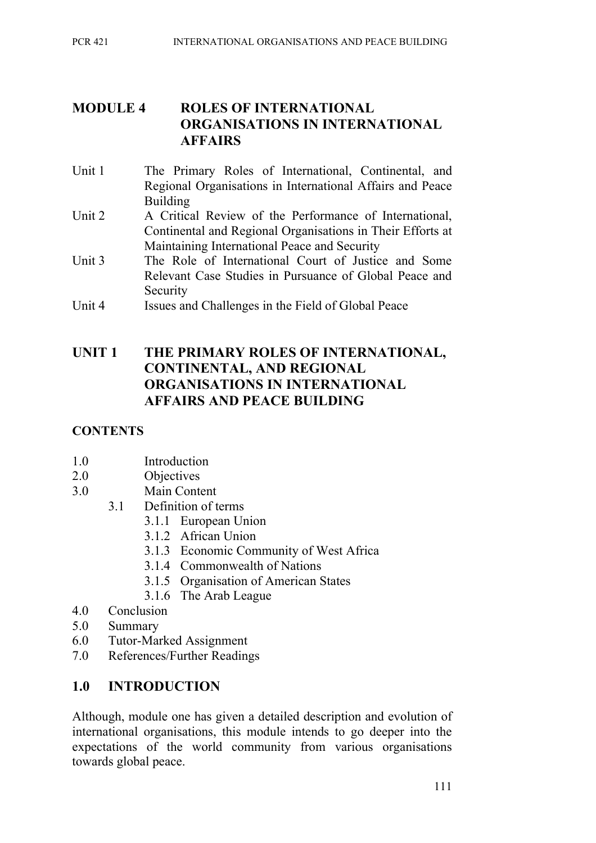# **MODULE 4 ROLES OF INTERNATIONAL ORGANISATIONS IN INTERNATIONAL AFFAIRS**

- Unit 1 The Primary Roles of International, Continental, and Regional Organisations in International Affairs and Peace Building
- Unit 2 A Critical Review of the Performance of International, Continental and Regional Organisations in Their Efforts at Maintaining International Peace and Security
- Unit 3 The Role of International Court of Justice and Some Relevant Case Studies in Pursuance of Global Peace and Security
- Unit 4 Issues and Challenges in the Field of Global Peace

# **UNIT 1 THE PRIMARY ROLES OF INTERNATIONAL, CONTINENTAL, AND REGIONAL ORGANISATIONS IN INTERNATIONAL AFFAIRS AND PEACE BUILDING**

## **CONTENTS**

- 1.0 Introduction
- 2.0 Objectives
- 3.0 Main Content
	- 3.1 Definition of terms
		- 3.1.1 European Union
		- 3.1.2 African Union
		- 3.1.3 Economic Community of West Africa
		- 3.1.4 Commonwealth of Nations
		- 3.1.5 Organisation of American States
		- 3.1.6 The Arab League
- 4.0 Conclusion
- 5.0 Summary
- 6.0 Tutor-Marked Assignment
- 7.0 References/Further Readings

## **1.0 INTRODUCTION**

Although, module one has given a detailed description and evolution of international organisations, this module intends to go deeper into the expectations of the world community from various organisations towards global peace.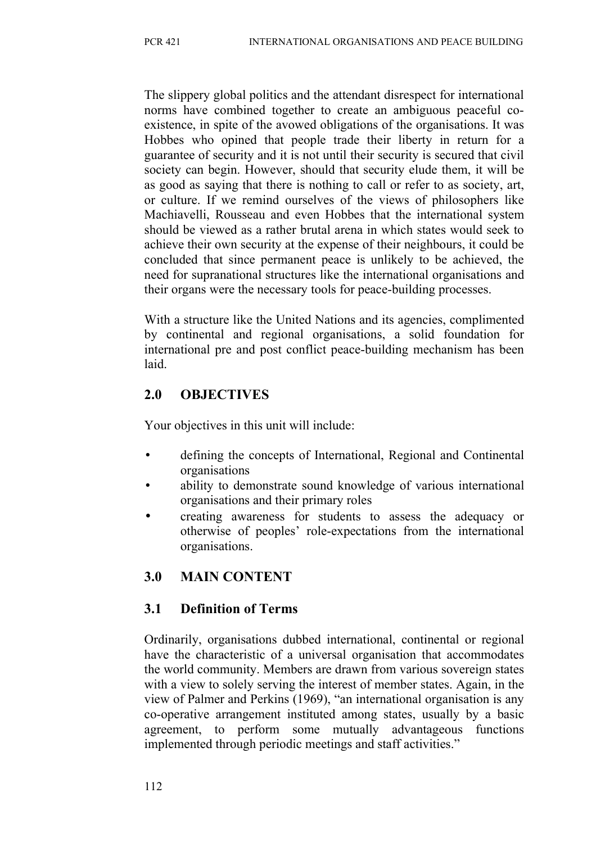The slippery global politics and the attendant disrespect for international norms have combined together to create an ambiguous peaceful coexistence, in spite of the avowed obligations of the organisations. It was Hobbes who opined that people trade their liberty in return for a guarantee of security and it is not until their security is secured that civil society can begin. However, should that security elude them, it will be as good as saying that there is nothing to call or refer to as society, art, or culture. If we remind ourselves of the views of philosophers like Machiavelli, Rousseau and even Hobbes that the international system should be viewed as a rather brutal arena in which states would seek to achieve their own security at the expense of their neighbours, it could be concluded that since permanent peace is unlikely to be achieved, the need for supranational structures like the international organisations and their organs were the necessary tools for peace-building processes.

With a structure like the United Nations and its agencies, complimented by continental and regional organisations, a solid foundation for international pre and post conflict peace-building mechanism has been laid.

# **2.0 OBJECTIVES**

Your objectives in this unit will include:

- defining the concepts of International, Regional and Continental organisations
- ability to demonstrate sound knowledge of various international organisations and their primary roles
- creating awareness for students to assess the adequacy or otherwise of peoples' role-expectations from the international organisations.

# **3.0 MAIN CONTENT**

## **3.1 Definition of Terms**

Ordinarily, organisations dubbed international, continental or regional have the characteristic of a universal organisation that accommodates the world community. Members are drawn from various sovereign states with a view to solely serving the interest of member states. Again, in the view of Palmer and Perkins (1969), "an international organisation is any co-operative arrangement instituted among states, usually by a basic agreement, to perform some mutually advantageous functions implemented through periodic meetings and staff activities."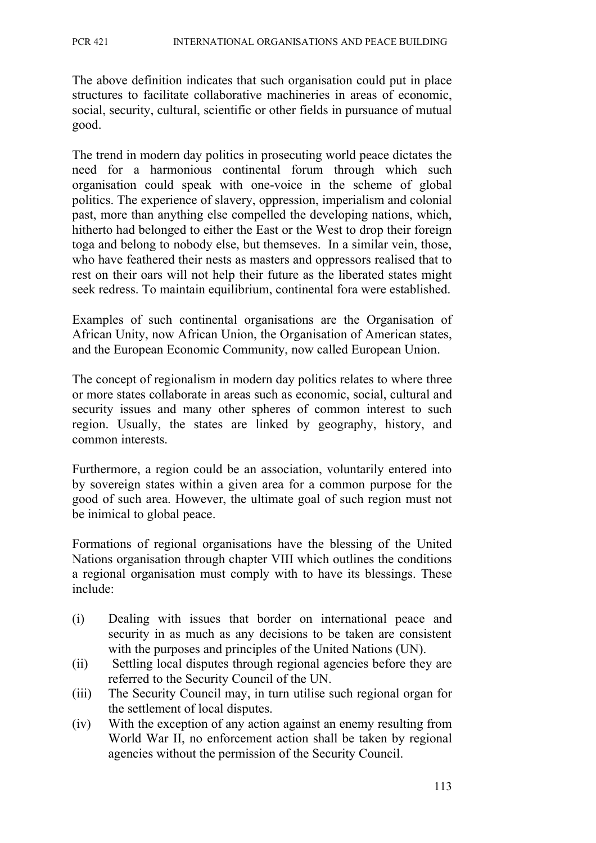The above definition indicates that such organisation could put in place structures to facilitate collaborative machineries in areas of economic, social, security, cultural, scientific or other fields in pursuance of mutual good.

The trend in modern day politics in prosecuting world peace dictates the need for a harmonious continental forum through which such organisation could speak with one-voice in the scheme of global politics. The experience of slavery, oppression, imperialism and colonial past, more than anything else compelled the developing nations, which, hitherto had belonged to either the East or the West to drop their foreign toga and belong to nobody else, but themseves. In a similar vein, those, who have feathered their nests as masters and oppressors realised that to rest on their oars will not help their future as the liberated states might seek redress. To maintain equilibrium, continental fora were established.

Examples of such continental organisations are the Organisation of African Unity, now African Union, the Organisation of American states, and the European Economic Community, now called European Union.

The concept of regionalism in modern day politics relates to where three or more states collaborate in areas such as economic, social, cultural and security issues and many other spheres of common interest to such region. Usually, the states are linked by geography, history, and common interests.

Furthermore, a region could be an association, voluntarily entered into by sovereign states within a given area for a common purpose for the good of such area. However, the ultimate goal of such region must not be inimical to global peace.

Formations of regional organisations have the blessing of the United Nations organisation through chapter VIII which outlines the conditions a regional organisation must comply with to have its blessings. These include:

- (i) Dealing with issues that border on international peace and security in as much as any decisions to be taken are consistent with the purposes and principles of the United Nations (UN).
- (ii) Settling local disputes through regional agencies before they are referred to the Security Council of the UN.
- (iii) The Security Council may, in turn utilise such regional organ for the settlement of local disputes.
- (iv) With the exception of any action against an enemy resulting from World War II, no enforcement action shall be taken by regional agencies without the permission of the Security Council.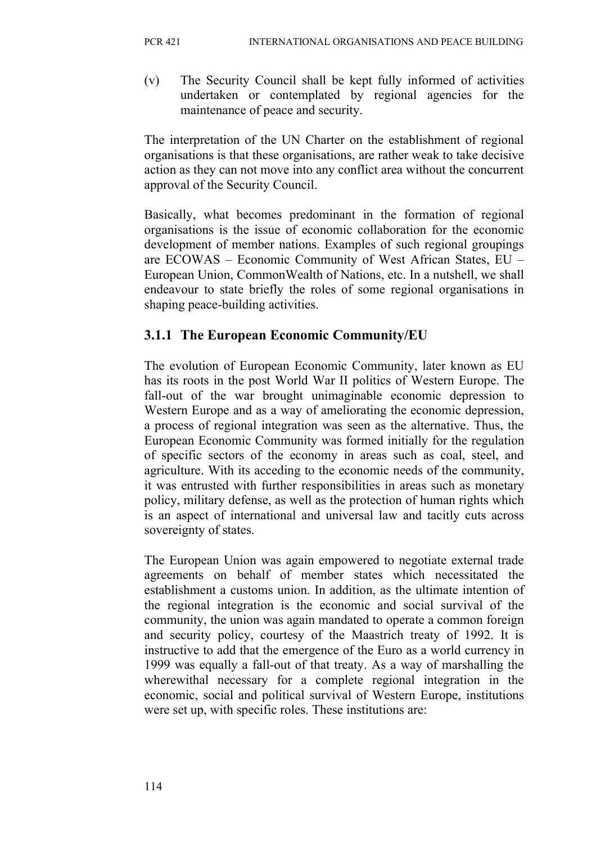(v) The Security Council shall be kept fully informed of activities undertaken or contemplated by regional agencies for the maintenance of peace and security.

The interpretation of the UN Charter on the establishment of regional organisations is that these organisations, are rather weak to take decisive action as they can not move into any conflict area without the concurrent approval of the Security Council.

Basically, what becomes predominant in the formation of regional organisations is the issue of economic collaboration for the economic development of member nations. Examples of such regional groupings are ECOWAS – Economic Community of West African States, EU – European Union, CommonWealth of Nations, etc. In a nutshell, we shall endeavour to state briefly the roles of some regional organisations in shaping peace-building activities.

## **3.1.1 The European Economic Community/EU**

The evolution of European Economic Community, later known as EU has its roots in the post World War II politics of Western Europe. The fall-out of the war brought unimaginable economic depression to Western Europe and as a way of ameliorating the economic depression, a process of regional integration was seen as the alternative. Thus, the European Economic Community was formed initially for the regulation of specific sectors of the economy in areas such as coal, steel, and agriculture. With its acceding to the economic needs of the community, it was entrusted with further responsibilities in areas such as monetary policy, military defense, as well as the protection of human rights which is an aspect of international and universal law and tacitly cuts across sovereignty of states.

The European Union was again empowered to negotiate external trade agreements on behalf of member states which necessitated the establishment a customs union. In addition, as the ultimate intention of the regional integration is the economic and social survival of the community, the union was again mandated to operate a common foreign and security policy, courtesy of the Maastrich treaty of 1992. It is instructive to add that the emergence of the Euro as a world currency in 1999 was equally a fall-out of that treaty. As a way of marshalling the wherewithal necessary for a complete regional integration in the economic, social and political survival of Western Europe, institutions were set up, with specific roles. These institutions are: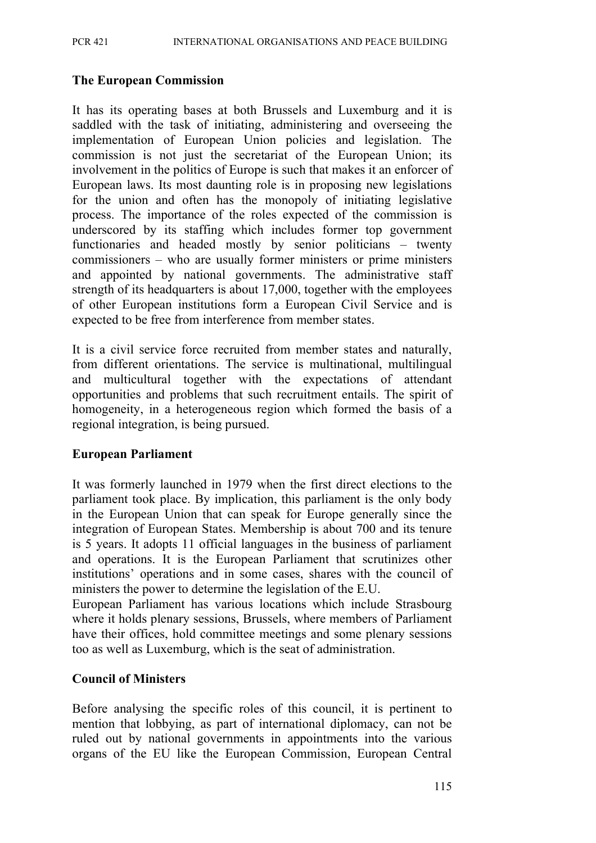#### **The European Commission**

It has its operating bases at both Brussels and Luxemburg and it is saddled with the task of initiating, administering and overseeing the implementation of European Union policies and legislation. The commission is not just the secretariat of the European Union; its involvement in the politics of Europe is such that makes it an enforcer of European laws. Its most daunting role is in proposing new legislations for the union and often has the monopoly of initiating legislative process. The importance of the roles expected of the commission is underscored by its staffing which includes former top government functionaries and headed mostly by senior politicians – twenty commissioners – who are usually former ministers or prime ministers and appointed by national governments. The administrative staff strength of its headquarters is about 17,000, together with the employees of other European institutions form a European Civil Service and is expected to be free from interference from member states.

It is a civil service force recruited from member states and naturally, from different orientations. The service is multinational, multilingual and multicultural together with the expectations of attendant opportunities and problems that such recruitment entails. The spirit of homogeneity, in a heterogeneous region which formed the basis of a regional integration, is being pursued.

#### **European Parliament**

It was formerly launched in 1979 when the first direct elections to the parliament took place. By implication, this parliament is the only body in the European Union that can speak for Europe generally since the integration of European States. Membership is about 700 and its tenure is 5 years. It adopts 11 official languages in the business of parliament and operations. It is the European Parliament that scrutinizes other institutions' operations and in some cases, shares with the council of ministers the power to determine the legislation of the E.U.

European Parliament has various locations which include Strasbourg where it holds plenary sessions, Brussels, where members of Parliament have their offices, hold committee meetings and some plenary sessions too as well as Luxemburg, which is the seat of administration.

#### **Council of Ministers**

Before analysing the specific roles of this council, it is pertinent to mention that lobbying, as part of international diplomacy, can not be ruled out by national governments in appointments into the various organs of the EU like the European Commission, European Central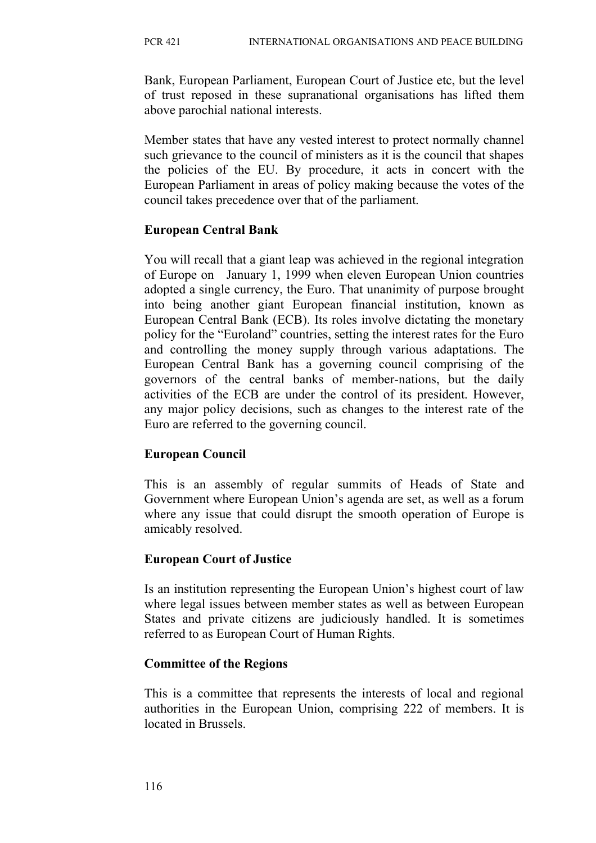Bank, European Parliament, European Court of Justice etc, but the level of trust reposed in these supranational organisations has lifted them above parochial national interests.

Member states that have any vested interest to protect normally channel such grievance to the council of ministers as it is the council that shapes the policies of the EU. By procedure, it acts in concert with the European Parliament in areas of policy making because the votes of the council takes precedence over that of the parliament.

#### **European Central Bank**

You will recall that a giant leap was achieved in the regional integration of Europe on January 1, 1999 when eleven European Union countries adopted a single currency, the Euro. That unanimity of purpose brought into being another giant European financial institution, known as European Central Bank (ECB). Its roles involve dictating the monetary policy for the "Euroland" countries, setting the interest rates for the Euro and controlling the money supply through various adaptations. The European Central Bank has a governing council comprising of the governors of the central banks of member-nations, but the daily activities of the ECB are under the control of its president. However, any major policy decisions, such as changes to the interest rate of the Euro are referred to the governing council.

## **European Council**

This is an assembly of regular summits of Heads of State and Government where European Union's agenda are set, as well as a forum where any issue that could disrupt the smooth operation of Europe is amicably resolved.

## **European Court of Justice**

Is an institution representing the European Union's highest court of law where legal issues between member states as well as between European States and private citizens are judiciously handled. It is sometimes referred to as European Court of Human Rights.

#### **Committee of the Regions**

This is a committee that represents the interests of local and regional authorities in the European Union, comprising 222 of members. It is located in Brussels.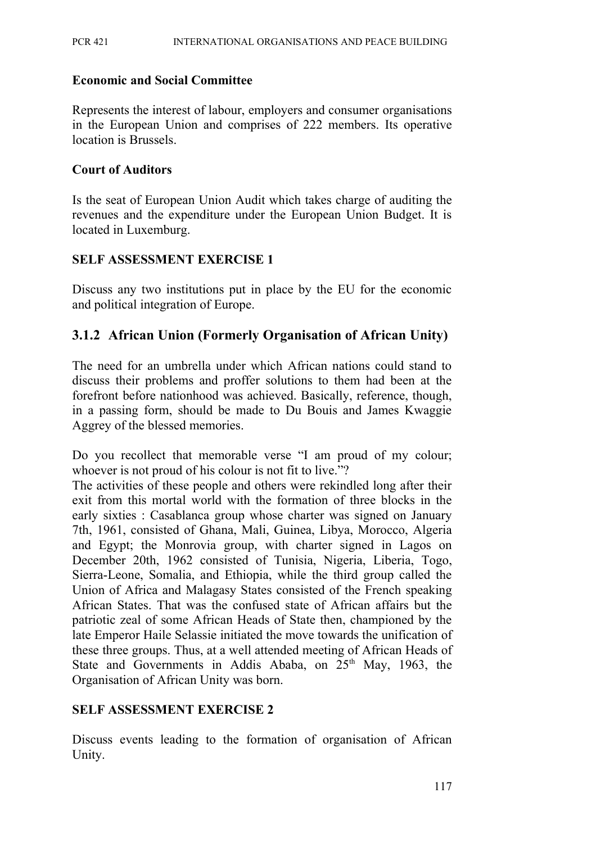#### **Economic and Social Committee**

Represents the interest of labour, employers and consumer organisations in the European Union and comprises of 222 members. Its operative location is Brussels.

#### **Court of Auditors**

Is the seat of European Union Audit which takes charge of auditing the revenues and the expenditure under the European Union Budget. It is located in Luxemburg.

#### **SELF ASSESSMENT EXERCISE 1**

Discuss any two institutions put in place by the EU for the economic and political integration of Europe.

## **3.1.2 African Union (Formerly Organisation of African Unity)**

The need for an umbrella under which African nations could stand to discuss their problems and proffer solutions to them had been at the forefront before nationhood was achieved. Basically, reference, though, in a passing form, should be made to Du Bouis and James Kwaggie Aggrey of the blessed memories.

Do you recollect that memorable verse "I am proud of my colour; whoever is not proud of his colour is not fit to live."?

The activities of these people and others were rekindled long after their exit from this mortal world with the formation of three blocks in the early sixties : Casablanca group whose charter was signed on January 7th, 1961, consisted of Ghana, Mali, Guinea, Libya, Morocco, Algeria and Egypt; the Monrovia group, with charter signed in Lagos on December 20th, 1962 consisted of Tunisia, Nigeria, Liberia, Togo, Sierra-Leone, Somalia, and Ethiopia, while the third group called the Union of Africa and Malagasy States consisted of the French speaking African States. That was the confused state of African affairs but the patriotic zeal of some African Heads of State then, championed by the late Emperor Haile Selassie initiated the move towards the unification of these three groups. Thus, at a well attended meeting of African Heads of State and Governments in Addis Ababa, on  $25<sup>th</sup>$  May, 1963, the Organisation of African Unity was born.

#### **SELF ASSESSMENT EXERCISE 2**

Discuss events leading to the formation of organisation of African Unity.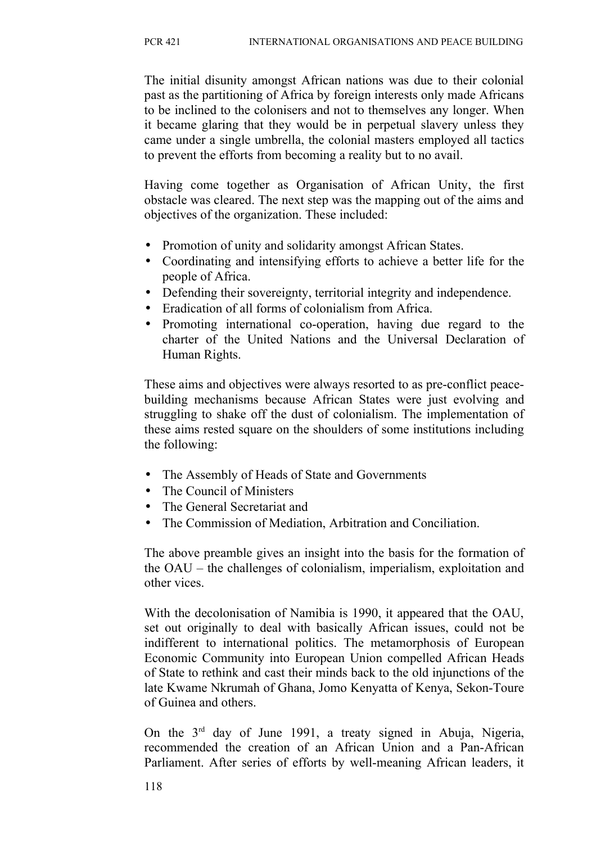The initial disunity amongst African nations was due to their colonial past as the partitioning of Africa by foreign interests only made Africans to be inclined to the colonisers and not to themselves any longer. When it became glaring that they would be in perpetual slavery unless they came under a single umbrella, the colonial masters employed all tactics to prevent the efforts from becoming a reality but to no avail.

Having come together as Organisation of African Unity, the first obstacle was cleared. The next step was the mapping out of the aims and objectives of the organization. These included:

- Promotion of unity and solidarity amongst African States.
- Coordinating and intensifying efforts to achieve a better life for the people of Africa.
- Defending their sovereignty, territorial integrity and independence.
- Eradication of all forms of colonialism from Africa.
- Promoting international co-operation, having due regard to the charter of the United Nations and the Universal Declaration of Human Rights.

These aims and objectives were always resorted to as pre-conflict peacebuilding mechanisms because African States were just evolving and struggling to shake off the dust of colonialism. The implementation of these aims rested square on the shoulders of some institutions including the following:

- The Assembly of Heads of State and Governments
- The Council of Ministers
- The General Secretariat and
- The Commission of Mediation, Arbitration and Conciliation.

The above preamble gives an insight into the basis for the formation of the OAU – the challenges of colonialism, imperialism, exploitation and other vices.

With the decolonisation of Namibia is 1990, it appeared that the OAU, set out originally to deal with basically African issues, could not be indifferent to international politics. The metamorphosis of European Economic Community into European Union compelled African Heads of State to rethink and cast their minds back to the old injunctions of the late Kwame Nkrumah of Ghana, Jomo Kenyatta of Kenya, Sekon-Toure of Guinea and others.

On the  $3<sup>rd</sup>$  day of June 1991, a treaty signed in Abuja, Nigeria, recommended the creation of an African Union and a Pan-African Parliament. After series of efforts by well-meaning African leaders, it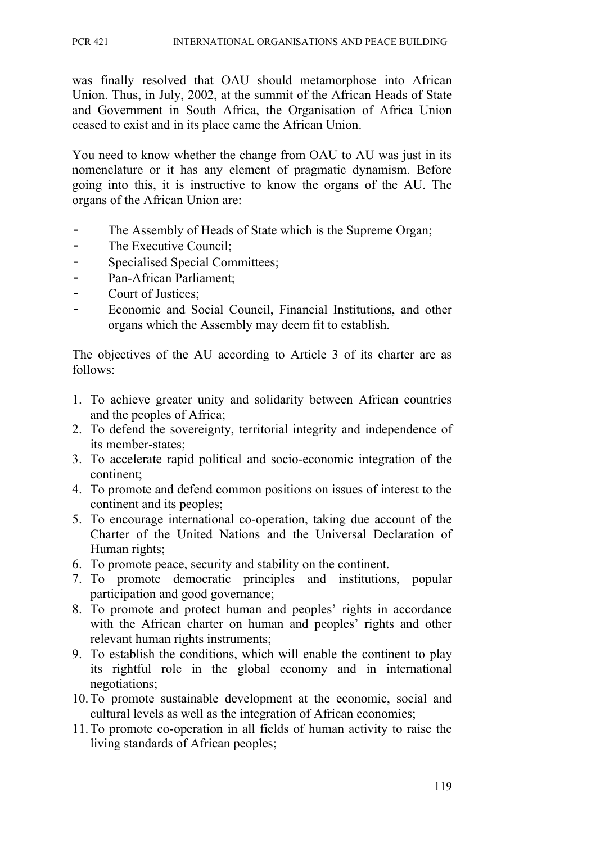was finally resolved that OAU should metamorphose into African Union. Thus, in July, 2002, at the summit of the African Heads of State and Government in South Africa, the Organisation of Africa Union ceased to exist and in its place came the African Union.

You need to know whether the change from OAU to AU was just in its nomenclature or it has any element of pragmatic dynamism. Before going into this, it is instructive to know the organs of the AU. The organs of the African Union are:

- The Assembly of Heads of State which is the Supreme Organ;
- The Executive Council;
- Specialised Special Committees;
- Pan-African Parliament;
- Court of Justices;
- Economic and Social Council, Financial Institutions, and other organs which the Assembly may deem fit to establish.

The objectives of the AU according to Article 3 of its charter are as follows:

- 1. To achieve greater unity and solidarity between African countries and the peoples of Africa;
- 2. To defend the sovereignty, territorial integrity and independence of its member-states;
- 3. To accelerate rapid political and socio-economic integration of the continent;
- 4. To promote and defend common positions on issues of interest to the continent and its peoples;
- 5. To encourage international co-operation, taking due account of the Charter of the United Nations and the Universal Declaration of Human rights;
- 6. To promote peace, security and stability on the continent.
- 7. To promote democratic principles and institutions, popular participation and good governance;
- 8. To promote and protect human and peoples' rights in accordance with the African charter on human and peoples' rights and other relevant human rights instruments;
- 9. To establish the conditions, which will enable the continent to play its rightful role in the global economy and in international negotiations;
- 10.To promote sustainable development at the economic, social and cultural levels as well as the integration of African economies;
- 11.To promote co-operation in all fields of human activity to raise the living standards of African peoples;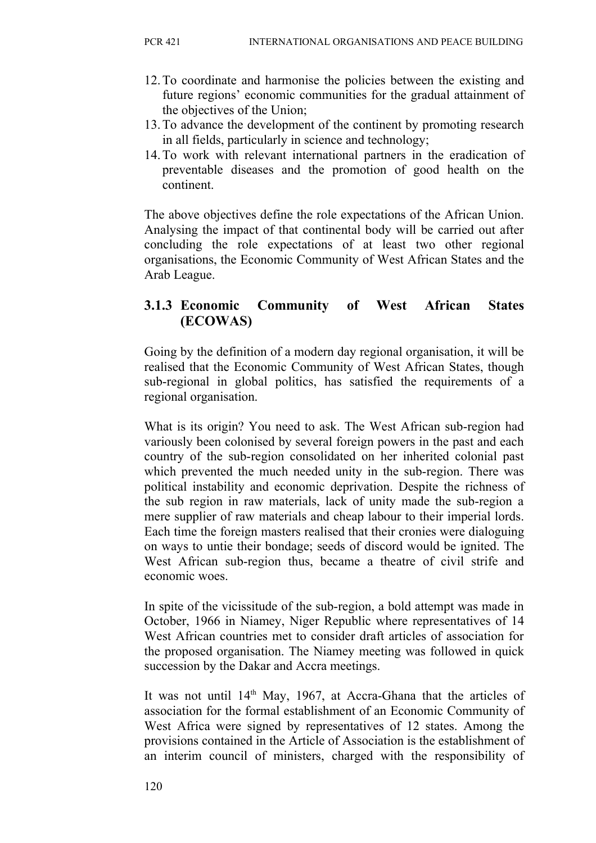- 12.To coordinate and harmonise the policies between the existing and future regions' economic communities for the gradual attainment of the objectives of the Union;
- 13.To advance the development of the continent by promoting research in all fields, particularly in science and technology;
- 14.To work with relevant international partners in the eradication of preventable diseases and the promotion of good health on the continent.

The above objectives define the role expectations of the African Union. Analysing the impact of that continental body will be carried out after concluding the role expectations of at least two other regional organisations, the Economic Community of West African States and the Arab League.

## **3.1.3 Economic Community of West African States (ECOWAS)**

Going by the definition of a modern day regional organisation, it will be realised that the Economic Community of West African States, though sub-regional in global politics, has satisfied the requirements of a regional organisation.

What is its origin? You need to ask. The West African sub-region had variously been colonised by several foreign powers in the past and each country of the sub-region consolidated on her inherited colonial past which prevented the much needed unity in the sub-region. There was political instability and economic deprivation. Despite the richness of the sub region in raw materials, lack of unity made the sub-region a mere supplier of raw materials and cheap labour to their imperial lords. Each time the foreign masters realised that their cronies were dialoguing on ways to untie their bondage; seeds of discord would be ignited. The West African sub-region thus, became a theatre of civil strife and economic woes.

In spite of the vicissitude of the sub-region, a bold attempt was made in October, 1966 in Niamey, Niger Republic where representatives of 14 West African countries met to consider draft articles of association for the proposed organisation. The Niamey meeting was followed in quick succession by the Dakar and Accra meetings.

It was not until 14<sup>th</sup> May, 1967, at Accra-Ghana that the articles of association for the formal establishment of an Economic Community of West Africa were signed by representatives of 12 states. Among the provisions contained in the Article of Association is the establishment of an interim council of ministers, charged with the responsibility of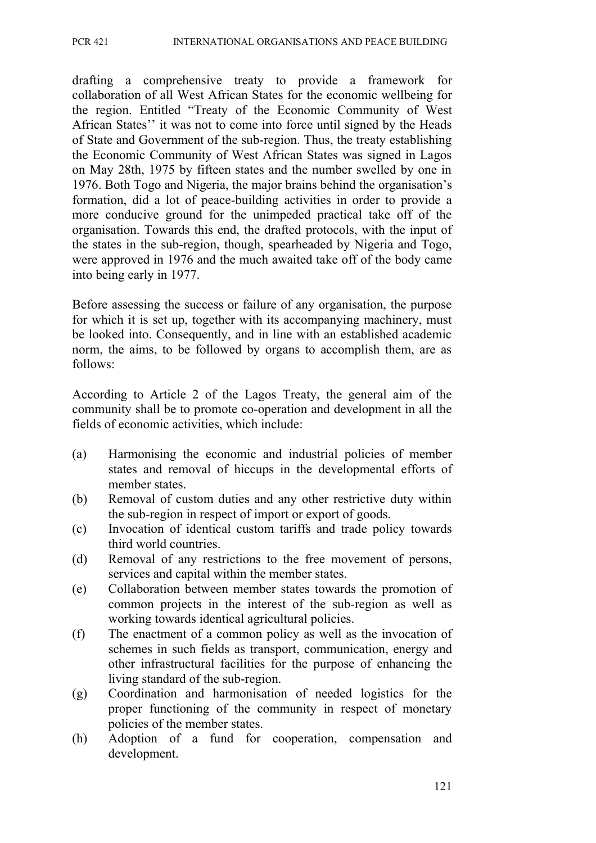drafting a comprehensive treaty to provide a framework for collaboration of all West African States for the economic wellbeing for the region. Entitled "Treaty of the Economic Community of West African States'' it was not to come into force until signed by the Heads of State and Government of the sub-region. Thus, the treaty establishing the Economic Community of West African States was signed in Lagos on May 28th, 1975 by fifteen states and the number swelled by one in 1976. Both Togo and Nigeria, the major brains behind the organisation's formation, did a lot of peace-building activities in order to provide a more conducive ground for the unimpeded practical take off of the organisation. Towards this end, the drafted protocols, with the input of the states in the sub-region, though, spearheaded by Nigeria and Togo, were approved in 1976 and the much awaited take off of the body came into being early in 1977.

Before assessing the success or failure of any organisation, the purpose for which it is set up, together with its accompanying machinery, must be looked into. Consequently, and in line with an established academic norm, the aims, to be followed by organs to accomplish them, are as follows:

According to Article 2 of the Lagos Treaty, the general aim of the community shall be to promote co-operation and development in all the fields of economic activities, which include:

- (a) Harmonising the economic and industrial policies of member states and removal of hiccups in the developmental efforts of member states.
- (b) Removal of custom duties and any other restrictive duty within the sub-region in respect of import or export of goods.
- (c) Invocation of identical custom tariffs and trade policy towards third world countries.
- (d) Removal of any restrictions to the free movement of persons, services and capital within the member states.
- (e) Collaboration between member states towards the promotion of common projects in the interest of the sub-region as well as working towards identical agricultural policies.
- (f) The enactment of a common policy as well as the invocation of schemes in such fields as transport, communication, energy and other infrastructural facilities for the purpose of enhancing the living standard of the sub-region.
- (g) Coordination and harmonisation of needed logistics for the proper functioning of the community in respect of monetary policies of the member states.
- (h) Adoption of a fund for cooperation, compensation and development.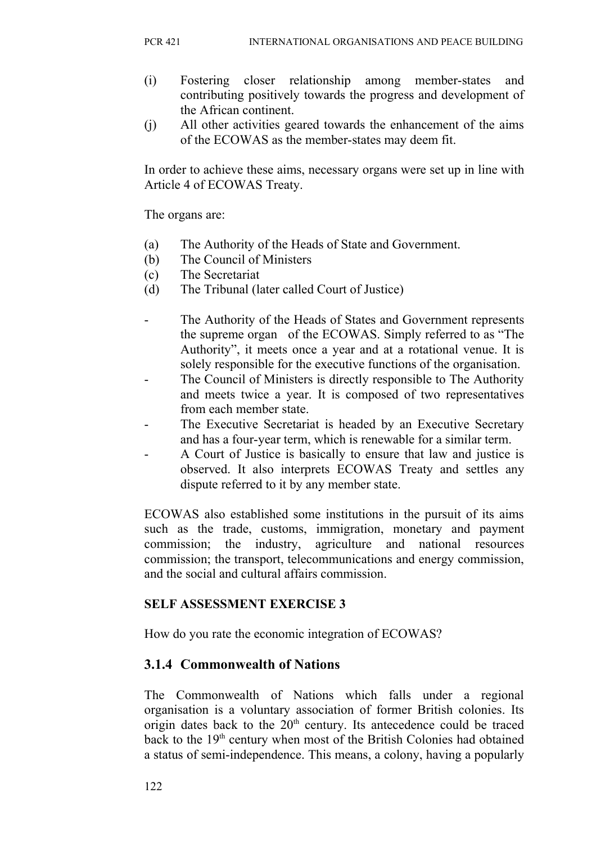- (i) Fostering closer relationship among member-states and contributing positively towards the progress and development of the African continent.
- (j) All other activities geared towards the enhancement of the aims of the ECOWAS as the member-states may deem fit.

In order to achieve these aims, necessary organs were set up in line with Article 4 of ECOWAS Treaty.

The organs are:

- (a) The Authority of the Heads of State and Government.
- (b) The Council of Ministers
- (c) The Secretariat
- (d) The Tribunal (later called Court of Justice)
- The Authority of the Heads of States and Government represents the supreme organ of the ECOWAS. Simply referred to as "The Authority", it meets once a year and at a rotational venue. It is solely responsible for the executive functions of the organisation.
- The Council of Ministers is directly responsible to The Authority and meets twice a year. It is composed of two representatives from each member state.
- The Executive Secretariat is headed by an Executive Secretary and has a four-year term, which is renewable for a similar term.
- A Court of Justice is basically to ensure that law and justice is observed. It also interprets ECOWAS Treaty and settles any dispute referred to it by any member state.

ECOWAS also established some institutions in the pursuit of its aims such as the trade, customs, immigration, monetary and payment commission; the industry, agriculture and national resources commission; the transport, telecommunications and energy commission, and the social and cultural affairs commission.

## **SELF ASSESSMENT EXERCISE 3**

How do you rate the economic integration of ECOWAS?

## **3.1.4 Commonwealth of Nations**

The Commonwealth of Nations which falls under a regional organisation is a voluntary association of former British colonies. Its origin dates back to the  $20<sup>th</sup>$  century. Its antecedence could be traced back to the 19th century when most of the British Colonies had obtained a status of semi-independence. This means, a colony, having a popularly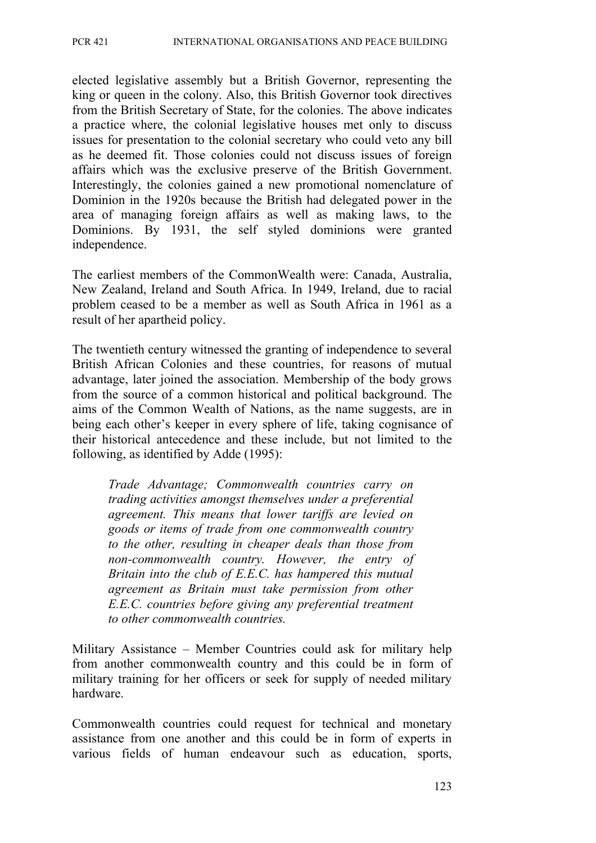elected legislative assembly but a British Governor, representing the king or queen in the colony. Also, this British Governor took directives from the British Secretary of State, for the colonies. The above indicates a practice where, the colonial legislative houses met only to discuss issues for presentation to the colonial secretary who could veto any bill as he deemed fit. Those colonies could not discuss issues of foreign affairs which was the exclusive preserve of the British Government. Interestingly, the colonies gained a new promotional nomenclature of Dominion in the 1920s because the British had delegated power in the area of managing foreign affairs as well as making laws, to the Dominions. By 1931, the self styled dominions were granted independence.

The earliest members of the CommonWealth were: Canada, Australia, New Zealand, Ireland and South Africa. In 1949, Ireland, due to racial problem ceased to be a member as well as South Africa in 1961 as a result of her apartheid policy.

The twentieth century witnessed the granting of independence to several British African Colonies and these countries, for reasons of mutual advantage, later joined the association. Membership of the body grows from the source of a common historical and political background. The aims of the Common Wealth of Nations, as the name suggests, are in being each other's keeper in every sphere of life, taking cognisance of their historical antecedence and these include, but not limited to the following, as identified by Adde (1995):

*Trade Advantage; Commonwealth countries carry on trading activities amongst themselves under a preferential agreement. This means that lower tariffs are levied on goods or items of trade from one commonwealth country to the other, resulting in cheaper deals than those from non-commonwealth country. However, the entry of Britain into the club of E.E.C. has hampered this mutual agreement as Britain must take permission from other E.E.C. countries before giving any preferential treatment to other commonwealth countries.* 

Military Assistance – Member Countries could ask for military help from another commonwealth country and this could be in form of military training for her officers or seek for supply of needed military hardware.

Commonwealth countries could request for technical and monetary assistance from one another and this could be in form of experts in various fields of human endeavour such as education, sports,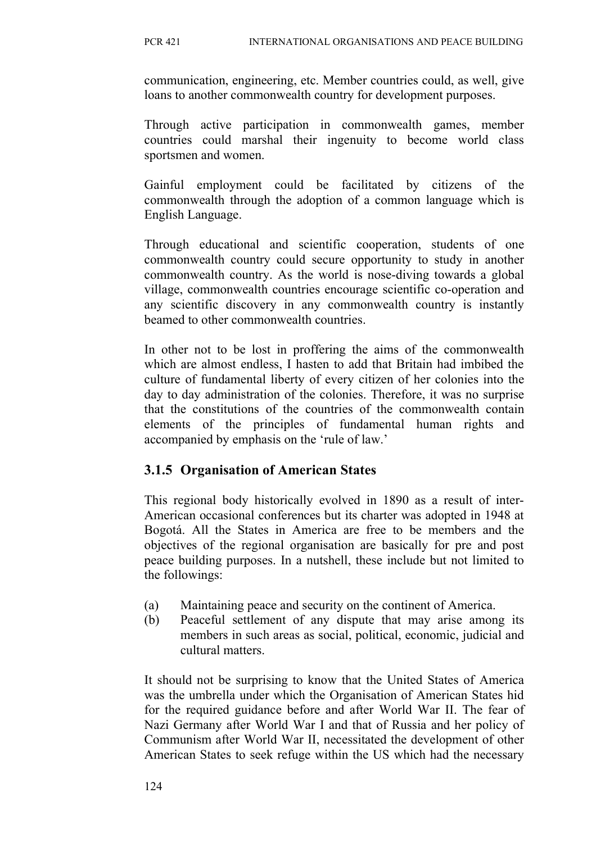communication, engineering, etc. Member countries could, as well, give loans to another commonwealth country for development purposes.

Through active participation in commonwealth games, member countries could marshal their ingenuity to become world class sportsmen and women.

Gainful employment could be facilitated by citizens of the commonwealth through the adoption of a common language which is English Language.

Through educational and scientific cooperation, students of one commonwealth country could secure opportunity to study in another commonwealth country. As the world is nose-diving towards a global village, commonwealth countries encourage scientific co-operation and any scientific discovery in any commonwealth country is instantly beamed to other commonwealth countries.

In other not to be lost in proffering the aims of the commonwealth which are almost endless, I hasten to add that Britain had imbibed the culture of fundamental liberty of every citizen of her colonies into the day to day administration of the colonies. Therefore, it was no surprise that the constitutions of the countries of the commonwealth contain elements of the principles of fundamental human rights and accompanied by emphasis on the 'rule of law.'

## **3.1.5 Organisation of American States**

This regional body historically evolved in 1890 as a result of inter-American occasional conferences but its charter was adopted in 1948 at Bogotá. All the States in America are free to be members and the objectives of the regional organisation are basically for pre and post peace building purposes. In a nutshell, these include but not limited to the followings:

- (a) Maintaining peace and security on the continent of America.
- (b) Peaceful settlement of any dispute that may arise among its members in such areas as social, political, economic, judicial and cultural matters.

It should not be surprising to know that the United States of America was the umbrella under which the Organisation of American States hid for the required guidance before and after World War II. The fear of Nazi Germany after World War I and that of Russia and her policy of Communism after World War II, necessitated the development of other American States to seek refuge within the US which had the necessary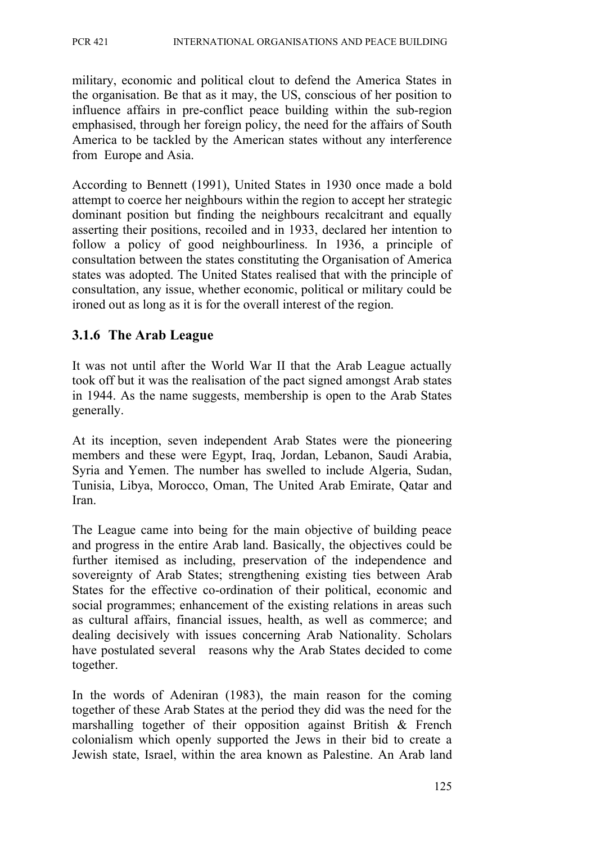military, economic and political clout to defend the America States in the organisation. Be that as it may, the US, conscious of her position to influence affairs in pre-conflict peace building within the sub-region emphasised, through her foreign policy, the need for the affairs of South America to be tackled by the American states without any interference from Europe and Asia.

According to Bennett (1991), United States in 1930 once made a bold attempt to coerce her neighbours within the region to accept her strategic dominant position but finding the neighbours recalcitrant and equally asserting their positions, recoiled and in 1933, declared her intention to follow a policy of good neighbourliness. In 1936, a principle of consultation between the states constituting the Organisation of America states was adopted. The United States realised that with the principle of consultation, any issue, whether economic, political or military could be ironed out as long as it is for the overall interest of the region.

## **3.1.6 The Arab League**

It was not until after the World War II that the Arab League actually took off but it was the realisation of the pact signed amongst Arab states in 1944. As the name suggests, membership is open to the Arab States generally.

At its inception, seven independent Arab States were the pioneering members and these were Egypt, Iraq, Jordan, Lebanon, Saudi Arabia, Syria and Yemen. The number has swelled to include Algeria, Sudan, Tunisia, Libya, Morocco, Oman, The United Arab Emirate, Qatar and Iran.

The League came into being for the main objective of building peace and progress in the entire Arab land. Basically, the objectives could be further itemised as including, preservation of the independence and sovereignty of Arab States; strengthening existing ties between Arab States for the effective co-ordination of their political, economic and social programmes; enhancement of the existing relations in areas such as cultural affairs, financial issues, health, as well as commerce; and dealing decisively with issues concerning Arab Nationality. Scholars have postulated several reasons why the Arab States decided to come together.

In the words of Adeniran (1983), the main reason for the coming together of these Arab States at the period they did was the need for the marshalling together of their opposition against British & French colonialism which openly supported the Jews in their bid to create a Jewish state, Israel, within the area known as Palestine. An Arab land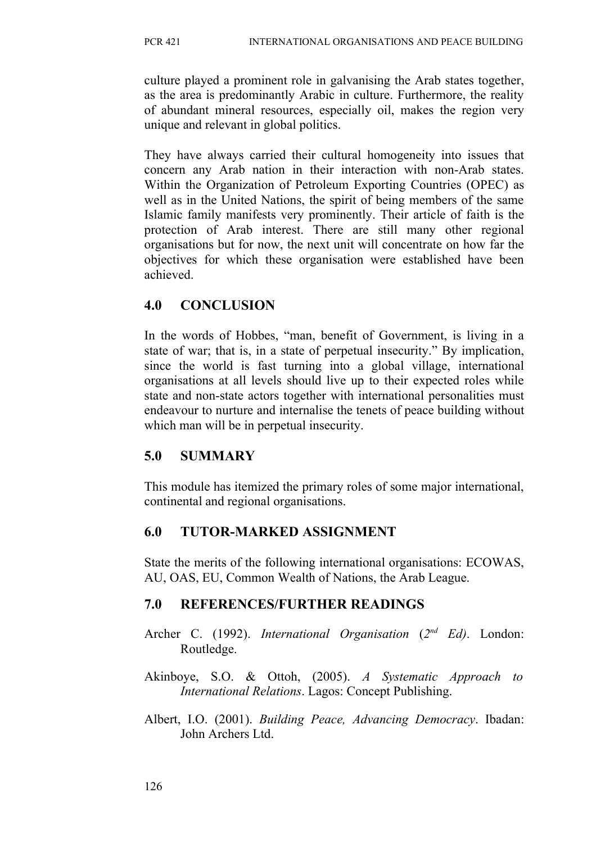culture played a prominent role in galvanising the Arab states together, as the area is predominantly Arabic in culture. Furthermore, the reality of abundant mineral resources, especially oil, makes the region very unique and relevant in global politics.

They have always carried their cultural homogeneity into issues that concern any Arab nation in their interaction with non-Arab states. Within the Organization of Petroleum Exporting Countries (OPEC) as well as in the United Nations, the spirit of being members of the same Islamic family manifests very prominently. Their article of faith is the protection of Arab interest. There are still many other regional organisations but for now, the next unit will concentrate on how far the objectives for which these organisation were established have been achieved.

## **4.0 CONCLUSION**

In the words of Hobbes, "man, benefit of Government, is living in a state of war; that is, in a state of perpetual insecurity." By implication, since the world is fast turning into a global village, international organisations at all levels should live up to their expected roles while state and non-state actors together with international personalities must endeavour to nurture and internalise the tenets of peace building without which man will be in perpetual insecurity.

# **5.0 SUMMARY**

This module has itemized the primary roles of some major international, continental and regional organisations.

# **6.0 TUTOR-MARKED ASSIGNMENT**

State the merits of the following international organisations: ECOWAS, AU, OAS, EU, Common Wealth of Nations, the Arab League.

## **7.0 REFERENCES/FURTHER READINGS**

- Archer C. (1992). *International Organisation (2<sup>nd</sup> Ed)*. London: Routledge.
- Akinboye, S.O. & Ottoh, (2005). *A Systematic Approach to International Relations*. Lagos: Concept Publishing.
- Albert, I.O. (2001). *Building Peace, Advancing Democracy*. Ibadan: John Archers Ltd.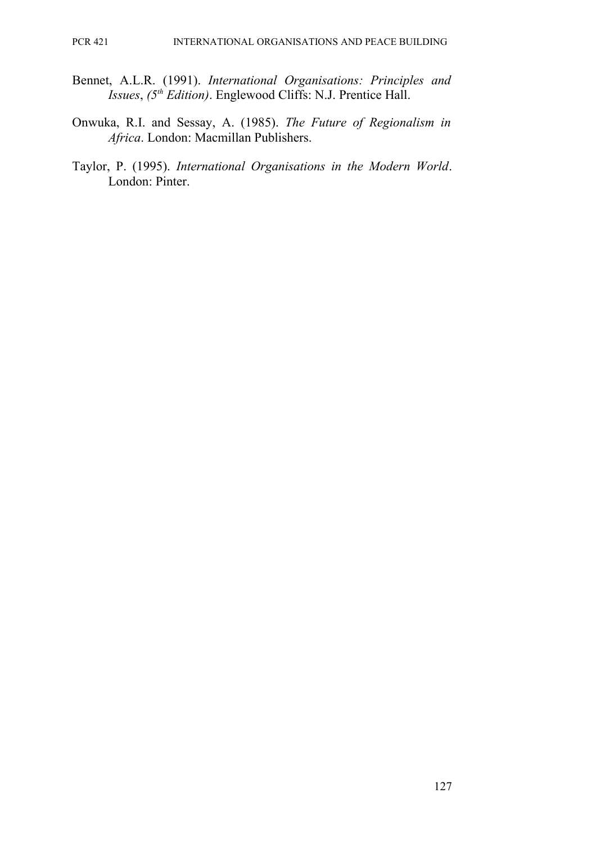- Bennet, A.L.R. (1991). *International Organisations: Principles and Issues*, *(5th Edition)*. Englewood Cliffs: N.J. Prentice Hall.
- Onwuka, R.I. and Sessay, A. (1985). *The Future of Regionalism in Africa*. London: Macmillan Publishers.
- Taylor, P. (1995). *International Organisations in the Modern World*. London: Pinter.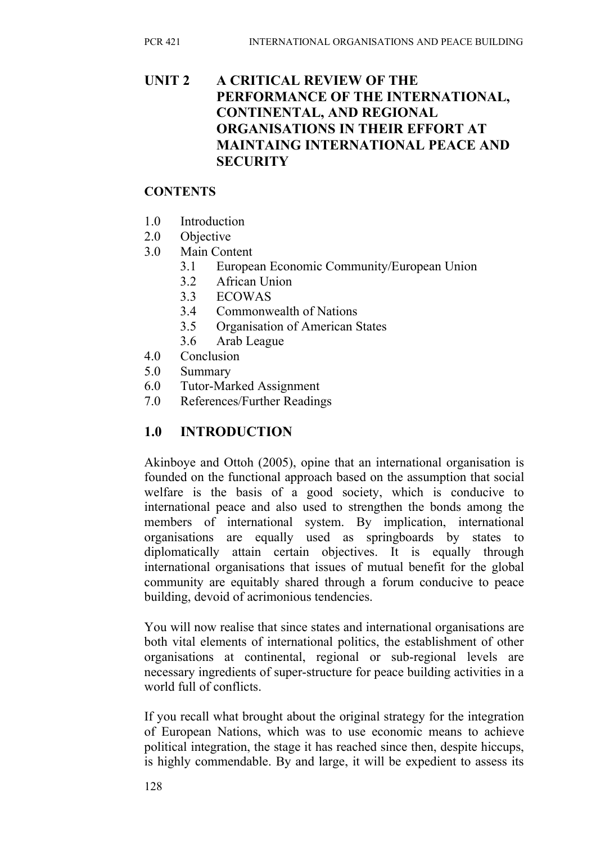# **UNIT 2 A CRITICAL REVIEW OF THE PERFORMANCE OF THE INTERNATIONAL, CONTINENTAL, AND REGIONAL ORGANISATIONS IN THEIR EFFORT AT MAINTAING INTERNATIONAL PEACE AND SECURITY**

#### **CONTENTS**

- 1.0 Introduction
- 2.0 Objective
- 3.0 Main Content
	- 3.1 European Economic Community/European Union
	- 3.2 African Union
	- 3.3 ECOWAS
	- 3.4 Commonwealth of Nations
	- 3.5 Organisation of American States
	- 3.6 Arab League
- 4.0 Conclusion
- 5.0 Summary
- 6.0 Tutor-Marked Assignment
- 7.0 References/Further Readings

# **1.0 INTRODUCTION**

Akinboye and Ottoh (2005), opine that an international organisation is founded on the functional approach based on the assumption that social welfare is the basis of a good society, which is conducive to international peace and also used to strengthen the bonds among the members of international system. By implication, international organisations are equally used as springboards by states to diplomatically attain certain objectives. It is equally through international organisations that issues of mutual benefit for the global community are equitably shared through a forum conducive to peace building, devoid of acrimonious tendencies.

You will now realise that since states and international organisations are both vital elements of international politics, the establishment of other organisations at continental, regional or sub-regional levels are necessary ingredients of super-structure for peace building activities in a world full of conflicts.

If you recall what brought about the original strategy for the integration of European Nations, which was to use economic means to achieve political integration, the stage it has reached since then, despite hiccups, is highly commendable. By and large, it will be expedient to assess its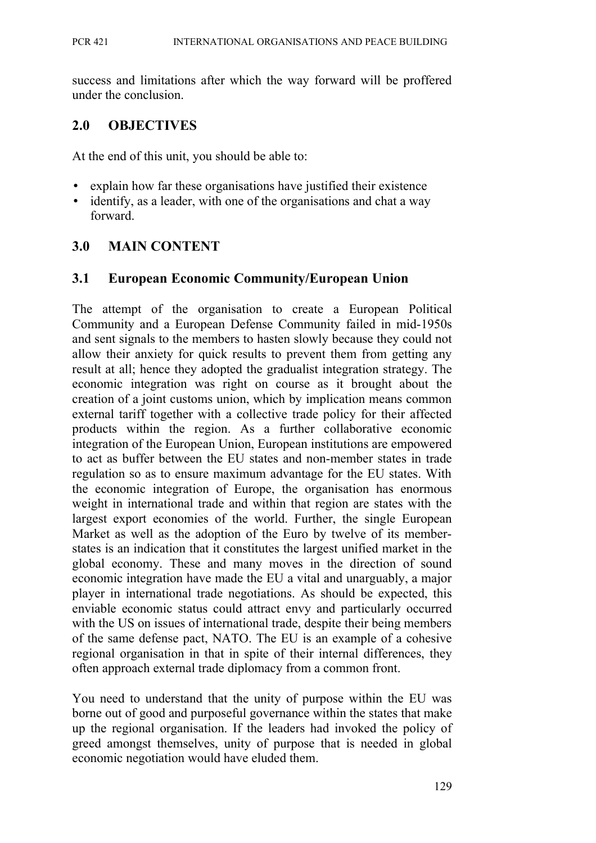success and limitations after which the way forward will be proffered under the conclusion.

#### **2.0 OBJECTIVES**

At the end of this unit, you should be able to:

- explain how far these organisations have justified their existence
- identify, as a leader, with one of the organisations and chat a way forward.

#### **3.0 MAIN CONTENT**

#### **3.1 European Economic Community/European Union**

The attempt of the organisation to create a European Political Community and a European Defense Community failed in mid-1950s and sent signals to the members to hasten slowly because they could not allow their anxiety for quick results to prevent them from getting any result at all; hence they adopted the gradualist integration strategy. The economic integration was right on course as it brought about the creation of a joint customs union, which by implication means common external tariff together with a collective trade policy for their affected products within the region. As a further collaborative economic integration of the European Union, European institutions are empowered to act as buffer between the EU states and non-member states in trade regulation so as to ensure maximum advantage for the EU states. With the economic integration of Europe, the organisation has enormous weight in international trade and within that region are states with the largest export economies of the world. Further, the single European Market as well as the adoption of the Euro by twelve of its memberstates is an indication that it constitutes the largest unified market in the global economy. These and many moves in the direction of sound economic integration have made the EU a vital and unarguably, a major player in international trade negotiations. As should be expected, this enviable economic status could attract envy and particularly occurred with the US on issues of international trade, despite their being members of the same defense pact, NATO. The EU is an example of a cohesive regional organisation in that in spite of their internal differences, they often approach external trade diplomacy from a common front.

You need to understand that the unity of purpose within the EU was borne out of good and purposeful governance within the states that make up the regional organisation. If the leaders had invoked the policy of greed amongst themselves, unity of purpose that is needed in global economic negotiation would have eluded them.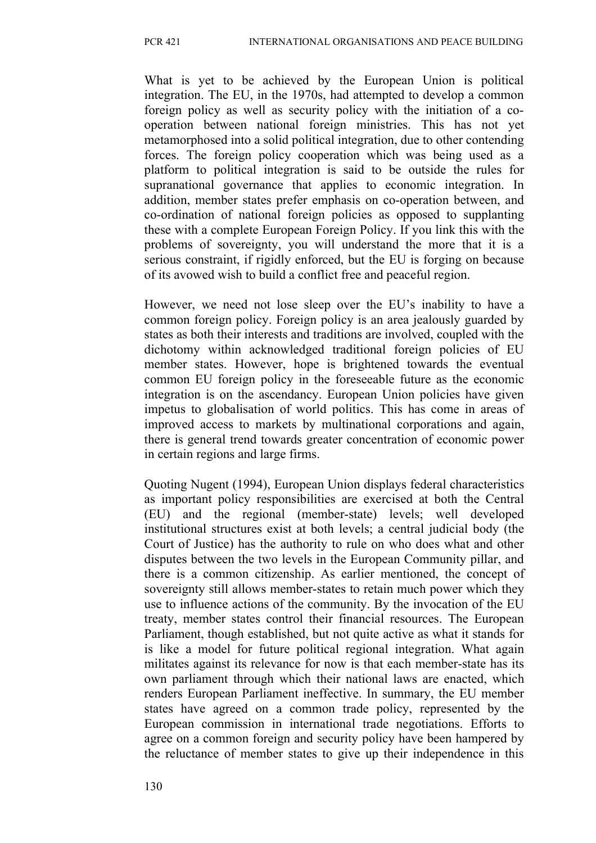What is yet to be achieved by the European Union is political integration. The EU, in the 1970s, had attempted to develop a common foreign policy as well as security policy with the initiation of a cooperation between national foreign ministries. This has not yet metamorphosed into a solid political integration, due to other contending forces. The foreign policy cooperation which was being used as a platform to political integration is said to be outside the rules for supranational governance that applies to economic integration. In addition, member states prefer emphasis on co-operation between, and co-ordination of national foreign policies as opposed to supplanting these with a complete European Foreign Policy. If you link this with the problems of sovereignty, you will understand the more that it is a serious constraint, if rigidly enforced, but the EU is forging on because of its avowed wish to build a conflict free and peaceful region.

However, we need not lose sleep over the EU's inability to have a common foreign policy. Foreign policy is an area jealously guarded by states as both their interests and traditions are involved, coupled with the dichotomy within acknowledged traditional foreign policies of EU member states. However, hope is brightened towards the eventual common EU foreign policy in the foreseeable future as the economic integration is on the ascendancy. European Union policies have given impetus to globalisation of world politics. This has come in areas of improved access to markets by multinational corporations and again, there is general trend towards greater concentration of economic power in certain regions and large firms.

Quoting Nugent (1994), European Union displays federal characteristics as important policy responsibilities are exercised at both the Central (EU) and the regional (member-state) levels; well developed institutional structures exist at both levels; a central judicial body (the Court of Justice) has the authority to rule on who does what and other disputes between the two levels in the European Community pillar, and there is a common citizenship. As earlier mentioned, the concept of sovereignty still allows member-states to retain much power which they use to influence actions of the community. By the invocation of the EU treaty, member states control their financial resources. The European Parliament, though established, but not quite active as what it stands for is like a model for future political regional integration. What again militates against its relevance for now is that each member-state has its own parliament through which their national laws are enacted, which renders European Parliament ineffective. In summary, the EU member states have agreed on a common trade policy, represented by the European commission in international trade negotiations. Efforts to agree on a common foreign and security policy have been hampered by the reluctance of member states to give up their independence in this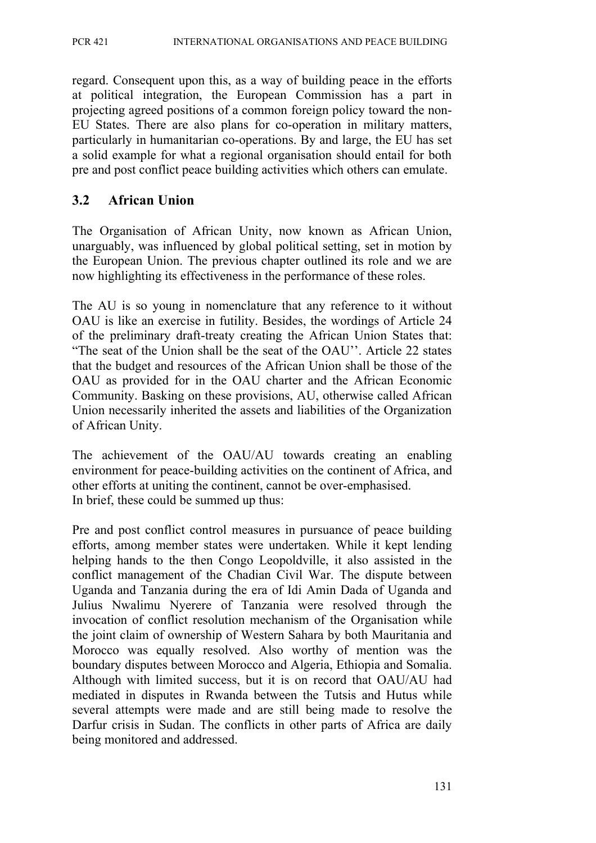regard. Consequent upon this, as a way of building peace in the efforts at political integration, the European Commission has a part in projecting agreed positions of a common foreign policy toward the non-EU States. There are also plans for co-operation in military matters, particularly in humanitarian co-operations. By and large, the EU has set a solid example for what a regional organisation should entail for both pre and post conflict peace building activities which others can emulate.

## **3.2 African Union**

The Organisation of African Unity, now known as African Union, unarguably, was influenced by global political setting, set in motion by the European Union. The previous chapter outlined its role and we are now highlighting its effectiveness in the performance of these roles.

The AU is so young in nomenclature that any reference to it without OAU is like an exercise in futility. Besides, the wordings of Article 24 of the preliminary draft-treaty creating the African Union States that: "The seat of the Union shall be the seat of the OAU''. Article 22 states that the budget and resources of the African Union shall be those of the OAU as provided for in the OAU charter and the African Economic Community. Basking on these provisions, AU, otherwise called African Union necessarily inherited the assets and liabilities of the Organization of African Unity.

The achievement of the OAU/AU towards creating an enabling environment for peace-building activities on the continent of Africa, and other efforts at uniting the continent, cannot be over-emphasised. In brief, these could be summed up thus:

Pre and post conflict control measures in pursuance of peace building efforts, among member states were undertaken. While it kept lending helping hands to the then Congo Leopoldville, it also assisted in the conflict management of the Chadian Civil War. The dispute between Uganda and Tanzania during the era of Idi Amin Dada of Uganda and Julius Nwalimu Nyerere of Tanzania were resolved through the invocation of conflict resolution mechanism of the Organisation while the joint claim of ownership of Western Sahara by both Mauritania and Morocco was equally resolved. Also worthy of mention was the boundary disputes between Morocco and Algeria, Ethiopia and Somalia. Although with limited success, but it is on record that OAU/AU had mediated in disputes in Rwanda between the Tutsis and Hutus while several attempts were made and are still being made to resolve the Darfur crisis in Sudan. The conflicts in other parts of Africa are daily being monitored and addressed.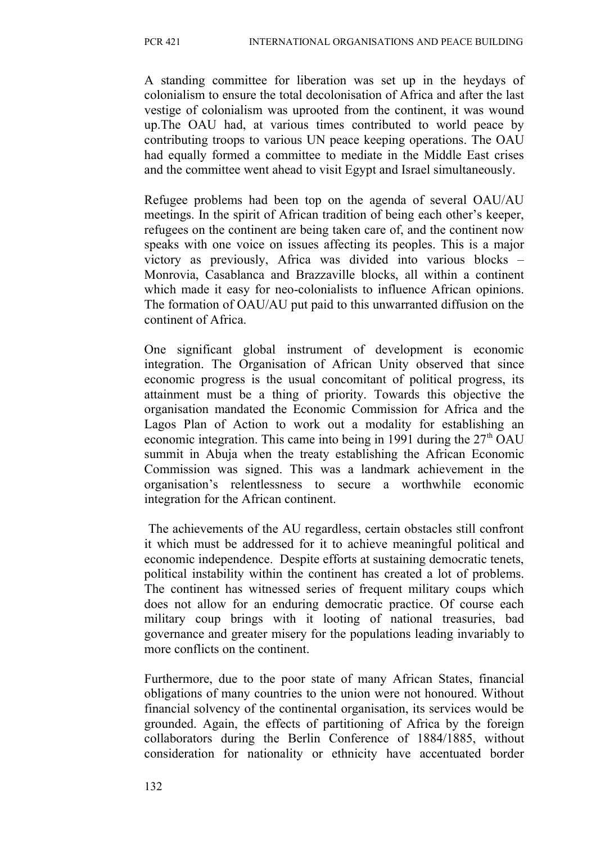A standing committee for liberation was set up in the heydays of colonialism to ensure the total decolonisation of Africa and after the last vestige of colonialism was uprooted from the continent, it was wound up.The OAU had, at various times contributed to world peace by contributing troops to various UN peace keeping operations. The OAU had equally formed a committee to mediate in the Middle East crises and the committee went ahead to visit Egypt and Israel simultaneously.

Refugee problems had been top on the agenda of several OAU/AU meetings. In the spirit of African tradition of being each other's keeper, refugees on the continent are being taken care of, and the continent now speaks with one voice on issues affecting its peoples. This is a major victory as previously, Africa was divided into various blocks – Monrovia, Casablanca and Brazzaville blocks, all within a continent which made it easy for neo-colonialists to influence African opinions. The formation of OAU/AU put paid to this unwarranted diffusion on the continent of Africa.

One significant global instrument of development is economic integration. The Organisation of African Unity observed that since economic progress is the usual concomitant of political progress, its attainment must be a thing of priority. Towards this objective the organisation mandated the Economic Commission for Africa and the Lagos Plan of Action to work out a modality for establishing an economic integration. This came into being in 1991 during the  $27<sup>th</sup> OAU$ summit in Abuja when the treaty establishing the African Economic Commission was signed. This was a landmark achievement in the organisation's relentlessness to secure a worthwhile economic integration for the African continent.

 The achievements of the AU regardless, certain obstacles still confront it which must be addressed for it to achieve meaningful political and economic independence. Despite efforts at sustaining democratic tenets, political instability within the continent has created a lot of problems. The continent has witnessed series of frequent military coups which does not allow for an enduring democratic practice. Of course each military coup brings with it looting of national treasuries, bad governance and greater misery for the populations leading invariably to more conflicts on the continent.

Furthermore, due to the poor state of many African States, financial obligations of many countries to the union were not honoured. Without financial solvency of the continental organisation, its services would be grounded. Again, the effects of partitioning of Africa by the foreign collaborators during the Berlin Conference of 1884/1885, without consideration for nationality or ethnicity have accentuated border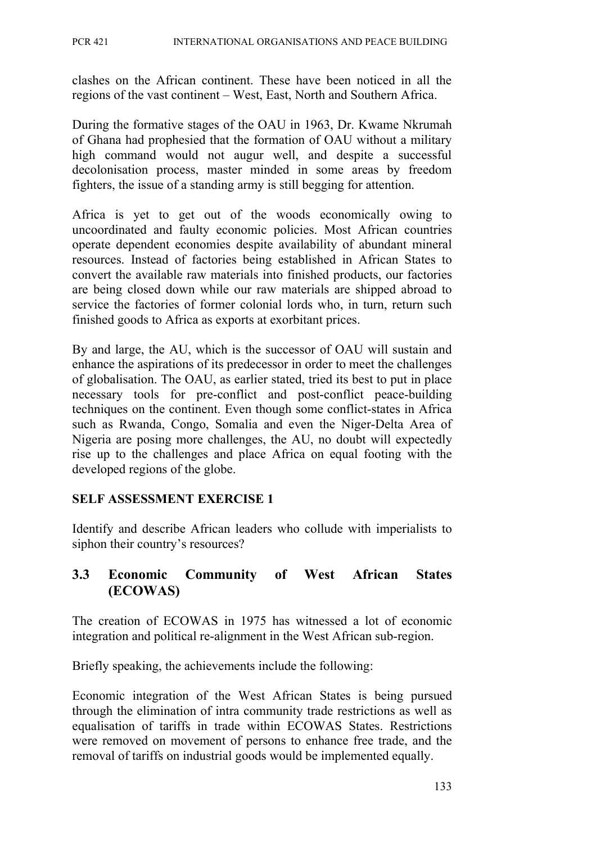clashes on the African continent. These have been noticed in all the regions of the vast continent – West, East, North and Southern Africa.

During the formative stages of the OAU in 1963, Dr. Kwame Nkrumah of Ghana had prophesied that the formation of OAU without a military high command would not augur well, and despite a successful decolonisation process, master minded in some areas by freedom fighters, the issue of a standing army is still begging for attention.

Africa is yet to get out of the woods economically owing to uncoordinated and faulty economic policies. Most African countries operate dependent economies despite availability of abundant mineral resources. Instead of factories being established in African States to convert the available raw materials into finished products, our factories are being closed down while our raw materials are shipped abroad to service the factories of former colonial lords who, in turn, return such finished goods to Africa as exports at exorbitant prices.

By and large, the AU, which is the successor of OAU will sustain and enhance the aspirations of its predecessor in order to meet the challenges of globalisation. The OAU, as earlier stated, tried its best to put in place necessary tools for pre-conflict and post-conflict peace-building techniques on the continent. Even though some conflict-states in Africa such as Rwanda, Congo, Somalia and even the Niger-Delta Area of Nigeria are posing more challenges, the AU, no doubt will expectedly rise up to the challenges and place Africa on equal footing with the developed regions of the globe.

#### **SELF ASSESSMENT EXERCISE 1**

Identify and describe African leaders who collude with imperialists to siphon their country's resources?

## **3.3 Economic Community of West African States (ECOWAS)**

The creation of ECOWAS in 1975 has witnessed a lot of economic integration and political re-alignment in the West African sub-region.

Briefly speaking, the achievements include the following:

Economic integration of the West African States is being pursued through the elimination of intra community trade restrictions as well as equalisation of tariffs in trade within ECOWAS States. Restrictions were removed on movement of persons to enhance free trade, and the removal of tariffs on industrial goods would be implemented equally.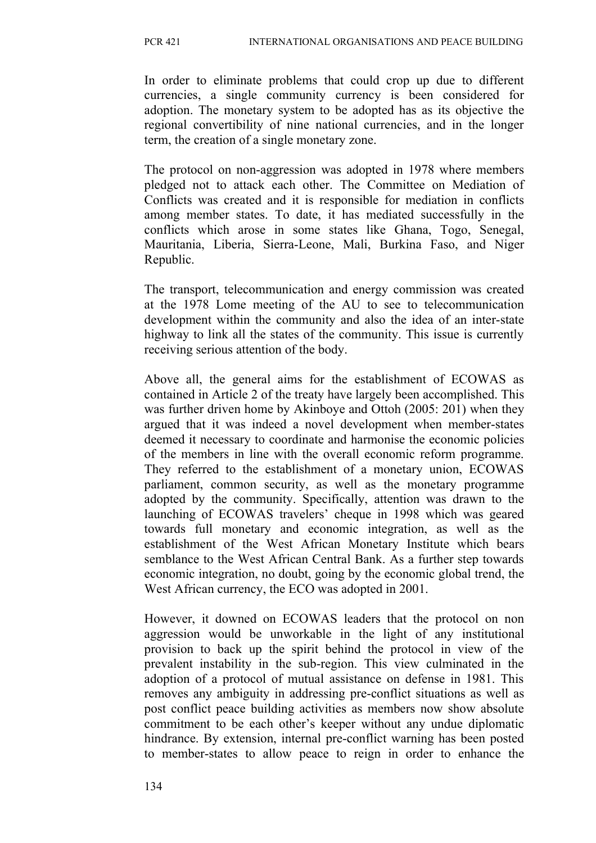In order to eliminate problems that could crop up due to different currencies, a single community currency is been considered for adoption. The monetary system to be adopted has as its objective the regional convertibility of nine national currencies, and in the longer term, the creation of a single monetary zone.

The protocol on non-aggression was adopted in 1978 where members pledged not to attack each other. The Committee on Mediation of Conflicts was created and it is responsible for mediation in conflicts among member states. To date, it has mediated successfully in the conflicts which arose in some states like Ghana, Togo, Senegal, Mauritania, Liberia, Sierra-Leone, Mali, Burkina Faso, and Niger Republic.

The transport, telecommunication and energy commission was created at the 1978 Lome meeting of the AU to see to telecommunication development within the community and also the idea of an inter-state highway to link all the states of the community. This issue is currently receiving serious attention of the body.

Above all, the general aims for the establishment of ECOWAS as contained in Article 2 of the treaty have largely been accomplished. This was further driven home by Akinboye and Ottoh (2005: 201) when they argued that it was indeed a novel development when member-states deemed it necessary to coordinate and harmonise the economic policies of the members in line with the overall economic reform programme. They referred to the establishment of a monetary union, ECOWAS parliament, common security, as well as the monetary programme adopted by the community. Specifically, attention was drawn to the launching of ECOWAS travelers' cheque in 1998 which was geared towards full monetary and economic integration, as well as the establishment of the West African Monetary Institute which bears semblance to the West African Central Bank. As a further step towards economic integration, no doubt, going by the economic global trend, the West African currency, the ECO was adopted in 2001.

However, it downed on ECOWAS leaders that the protocol on non aggression would be unworkable in the light of any institutional provision to back up the spirit behind the protocol in view of the prevalent instability in the sub-region. This view culminated in the adoption of a protocol of mutual assistance on defense in 1981. This removes any ambiguity in addressing pre-conflict situations as well as post conflict peace building activities as members now show absolute commitment to be each other's keeper without any undue diplomatic hindrance. By extension, internal pre-conflict warning has been posted to member-states to allow peace to reign in order to enhance the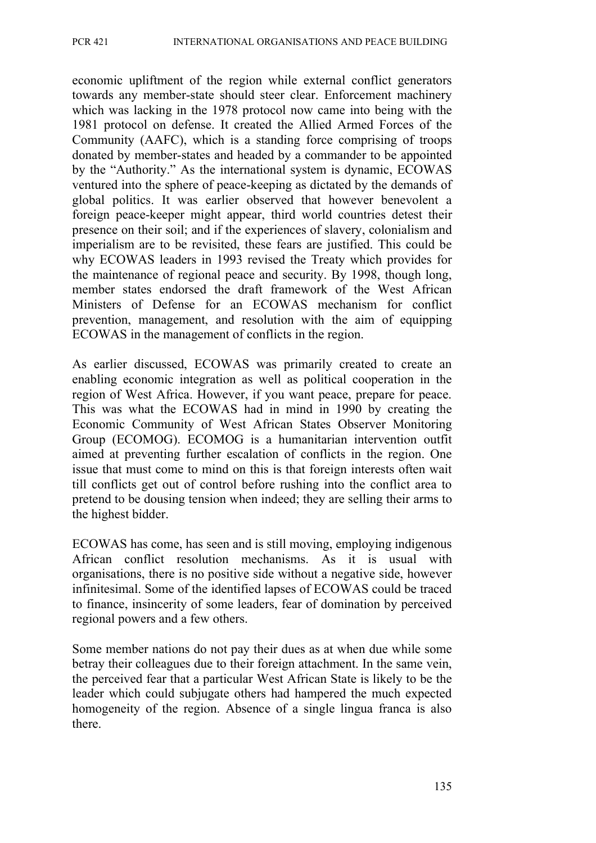economic upliftment of the region while external conflict generators towards any member-state should steer clear. Enforcement machinery which was lacking in the 1978 protocol now came into being with the 1981 protocol on defense. It created the Allied Armed Forces of the Community (AAFC), which is a standing force comprising of troops donated by member-states and headed by a commander to be appointed by the "Authority." As the international system is dynamic, ECOWAS ventured into the sphere of peace-keeping as dictated by the demands of global politics. It was earlier observed that however benevolent a foreign peace-keeper might appear, third world countries detest their presence on their soil; and if the experiences of slavery, colonialism and imperialism are to be revisited, these fears are justified. This could be why ECOWAS leaders in 1993 revised the Treaty which provides for the maintenance of regional peace and security. By 1998, though long, member states endorsed the draft framework of the West African Ministers of Defense for an ECOWAS mechanism for conflict prevention, management, and resolution with the aim of equipping ECOWAS in the management of conflicts in the region.

As earlier discussed, ECOWAS was primarily created to create an enabling economic integration as well as political cooperation in the region of West Africa. However, if you want peace, prepare for peace. This was what the ECOWAS had in mind in 1990 by creating the Economic Community of West African States Observer Monitoring Group (ECOMOG). ECOMOG is a humanitarian intervention outfit aimed at preventing further escalation of conflicts in the region. One issue that must come to mind on this is that foreign interests often wait till conflicts get out of control before rushing into the conflict area to pretend to be dousing tension when indeed; they are selling their arms to the highest bidder.

ECOWAS has come, has seen and is still moving, employing indigenous African conflict resolution mechanisms. As it is usual with organisations, there is no positive side without a negative side, however infinitesimal. Some of the identified lapses of ECOWAS could be traced to finance, insincerity of some leaders, fear of domination by perceived regional powers and a few others.

Some member nations do not pay their dues as at when due while some betray their colleagues due to their foreign attachment. In the same vein, the perceived fear that a particular West African State is likely to be the leader which could subjugate others had hampered the much expected homogeneity of the region. Absence of a single lingua franca is also there.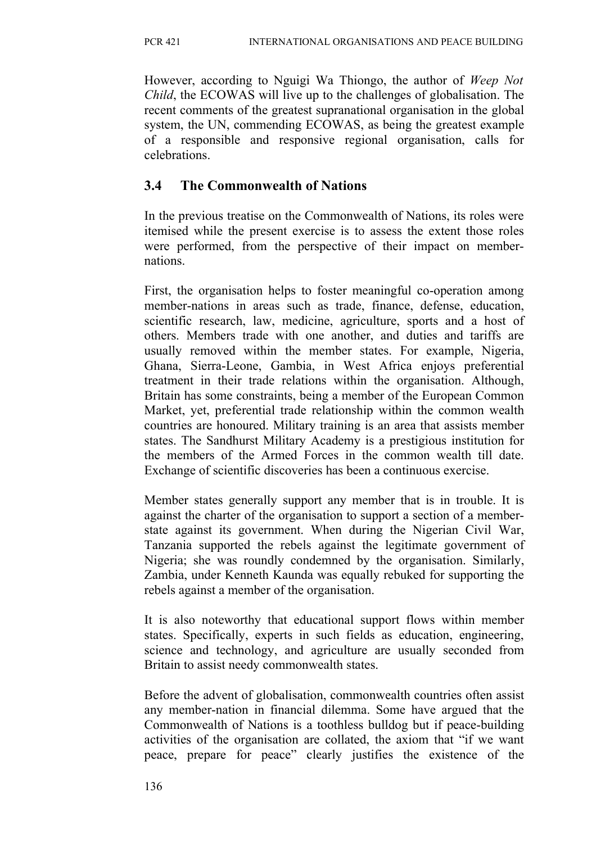However, according to Nguigi Wa Thiongo, the author of *Weep Not Child*, the ECOWAS will live up to the challenges of globalisation. The recent comments of the greatest supranational organisation in the global system, the UN, commending ECOWAS, as being the greatest example of a responsible and responsive regional organisation, calls for celebrations.

# **3.4 The Commonwealth of Nations**

In the previous treatise on the Commonwealth of Nations, its roles were itemised while the present exercise is to assess the extent those roles were performed, from the perspective of their impact on membernations.

First, the organisation helps to foster meaningful co-operation among member-nations in areas such as trade, finance, defense, education, scientific research, law, medicine, agriculture, sports and a host of others. Members trade with one another, and duties and tariffs are usually removed within the member states. For example, Nigeria, Ghana, Sierra-Leone, Gambia, in West Africa enjoys preferential treatment in their trade relations within the organisation. Although, Britain has some constraints, being a member of the European Common Market, yet, preferential trade relationship within the common wealth countries are honoured. Military training is an area that assists member states. The Sandhurst Military Academy is a prestigious institution for the members of the Armed Forces in the common wealth till date. Exchange of scientific discoveries has been a continuous exercise.

Member states generally support any member that is in trouble. It is against the charter of the organisation to support a section of a memberstate against its government. When during the Nigerian Civil War, Tanzania supported the rebels against the legitimate government of Nigeria; she was roundly condemned by the organisation. Similarly, Zambia, under Kenneth Kaunda was equally rebuked for supporting the rebels against a member of the organisation.

It is also noteworthy that educational support flows within member states. Specifically, experts in such fields as education, engineering, science and technology, and agriculture are usually seconded from Britain to assist needy commonwealth states.

Before the advent of globalisation, commonwealth countries often assist any member-nation in financial dilemma. Some have argued that the Commonwealth of Nations is a toothless bulldog but if peace-building activities of the organisation are collated, the axiom that "if we want peace, prepare for peace" clearly justifies the existence of the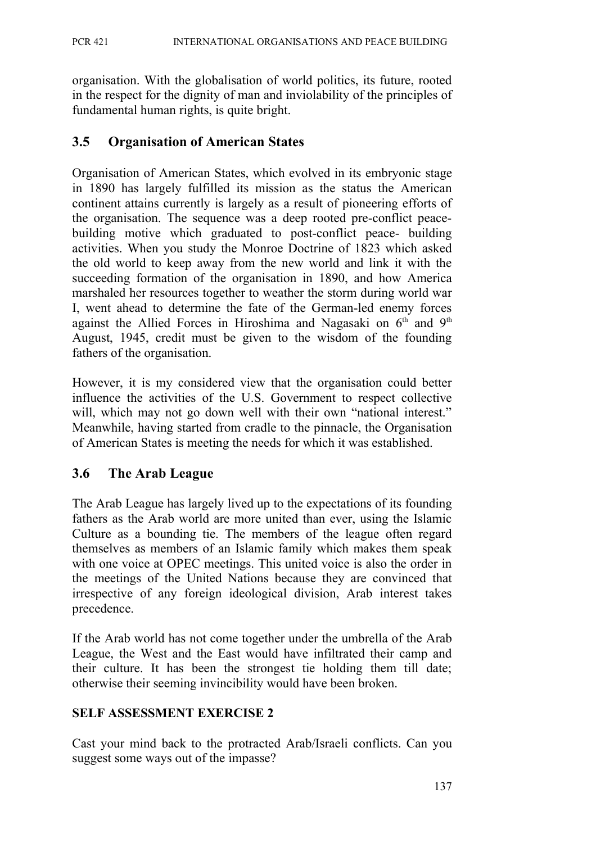organisation. With the globalisation of world politics, its future, rooted in the respect for the dignity of man and inviolability of the principles of fundamental human rights, is quite bright.

## **3.5 Organisation of American States**

Organisation of American States, which evolved in its embryonic stage in 1890 has largely fulfilled its mission as the status the American continent attains currently is largely as a result of pioneering efforts of the organisation. The sequence was a deep rooted pre-conflict peacebuilding motive which graduated to post-conflict peace- building activities. When you study the Monroe Doctrine of 1823 which asked the old world to keep away from the new world and link it with the succeeding formation of the organisation in 1890, and how America marshaled her resources together to weather the storm during world war I, went ahead to determine the fate of the German-led enemy forces against the Allied Forces in Hiroshima and Nagasaki on  $6<sup>th</sup>$  and  $9<sup>th</sup>$ August, 1945, credit must be given to the wisdom of the founding fathers of the organisation.

However, it is my considered view that the organisation could better influence the activities of the U.S. Government to respect collective will, which may not go down well with their own "national interest." Meanwhile, having started from cradle to the pinnacle, the Organisation of American States is meeting the needs for which it was established.

## **3.6 The Arab League**

The Arab League has largely lived up to the expectations of its founding fathers as the Arab world are more united than ever, using the Islamic Culture as a bounding tie. The members of the league often regard themselves as members of an Islamic family which makes them speak with one voice at OPEC meetings. This united voice is also the order in the meetings of the United Nations because they are convinced that irrespective of any foreign ideological division, Arab interest takes precedence.

If the Arab world has not come together under the umbrella of the Arab League, the West and the East would have infiltrated their camp and their culture. It has been the strongest tie holding them till date; otherwise their seeming invincibility would have been broken.

## **SELF ASSESSMENT EXERCISE 2**

Cast your mind back to the protracted Arab/Israeli conflicts. Can you suggest some ways out of the impasse?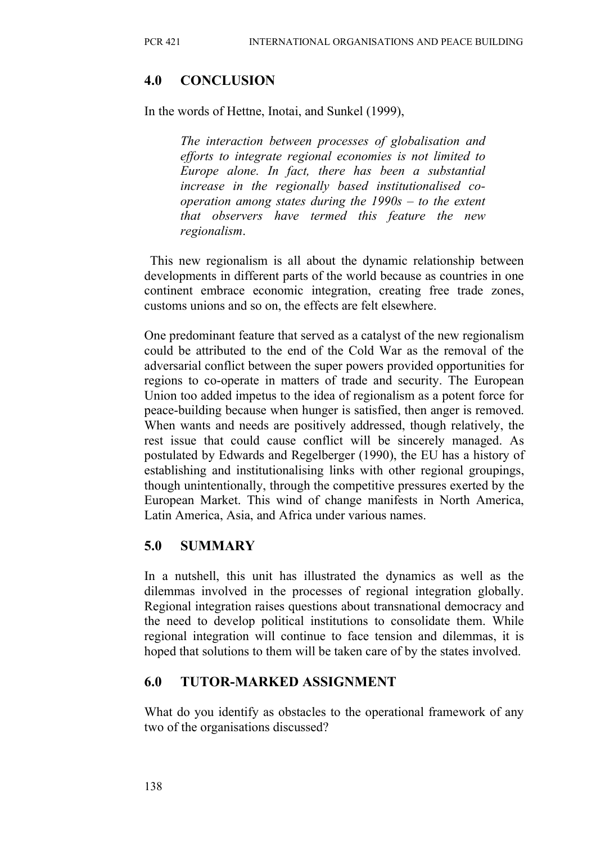# **4.0 CONCLUSION**

In the words of Hettne, Inotai, and Sunkel (1999),

*The interaction between processes of globalisation and efforts to integrate regional economies is not limited to Europe alone. In fact, there has been a substantial increase in the regionally based institutionalised cooperation among states during the 1990s – to the extent that observers have termed this feature the new regionalism*.

 This new regionalism is all about the dynamic relationship between developments in different parts of the world because as countries in one continent embrace economic integration, creating free trade zones, customs unions and so on, the effects are felt elsewhere.

One predominant feature that served as a catalyst of the new regionalism could be attributed to the end of the Cold War as the removal of the adversarial conflict between the super powers provided opportunities for regions to co-operate in matters of trade and security. The European Union too added impetus to the idea of regionalism as a potent force for peace-building because when hunger is satisfied, then anger is removed. When wants and needs are positively addressed, though relatively, the rest issue that could cause conflict will be sincerely managed. As postulated by Edwards and Regelberger (1990), the EU has a history of establishing and institutionalising links with other regional groupings, though unintentionally, through the competitive pressures exerted by the European Market. This wind of change manifests in North America, Latin America, Asia, and Africa under various names.

# **5.0 SUMMARY**

In a nutshell, this unit has illustrated the dynamics as well as the dilemmas involved in the processes of regional integration globally. Regional integration raises questions about transnational democracy and the need to develop political institutions to consolidate them. While regional integration will continue to face tension and dilemmas, it is hoped that solutions to them will be taken care of by the states involved.

## **6.0 TUTOR-MARKED ASSIGNMENT**

What do you identify as obstacles to the operational framework of any two of the organisations discussed?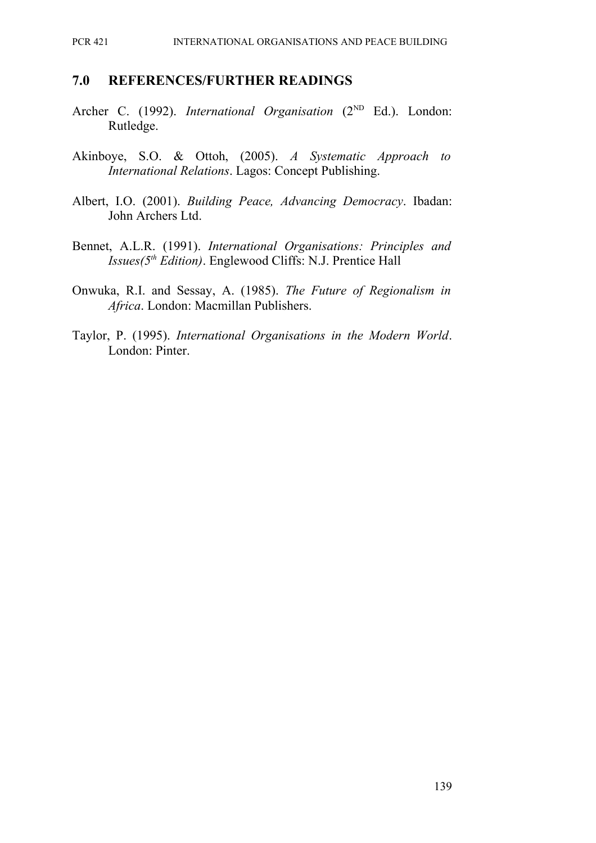#### **7.0 REFERENCES/FURTHER READINGS**

- Archer C. (1992). *International Organisation* (2<sup>ND</sup> Ed.). London: Rutledge.
- Akinboye, S.O. & Ottoh, (2005). *A Systematic Approach to International Relations*. Lagos: Concept Publishing.
- Albert, I.O. (2001). *Building Peace, Advancing Democracy*. Ibadan: John Archers Ltd.
- Bennet, A.L.R. (1991). *International Organisations: Principles and Issues(5th Edition)*. Englewood Cliffs: N.J. Prentice Hall
- Onwuka, R.I. and Sessay, A. (1985). *The Future of Regionalism in Africa*. London: Macmillan Publishers.
- Taylor, P. (1995). *International Organisations in the Modern World*. London: Pinter.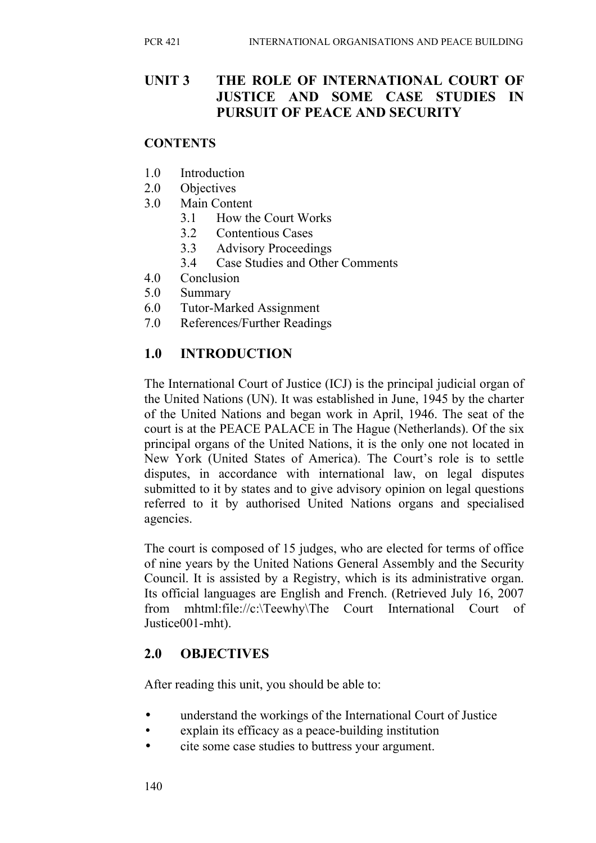## **UNIT 3 THE ROLE OF INTERNATIONAL COURT OF JUSTICE AND SOME CASE STUDIES IN PURSUIT OF PEACE AND SECURITY**

#### **CONTENTS**

- 1.0 Introduction
- 2.0 Objectives
- 3.0 Main Content
	- 3.1 How the Court Works
	- 3.2 Contentious Cases
	- 3.3 Advisory Proceedings
	- 3.4 Case Studies and Other Comments
- 4.0 Conclusion
- 5.0 Summary
- 6.0 Tutor-Marked Assignment
- 7.0 References/Further Readings

## **1.0 INTRODUCTION**

The International Court of Justice (ICJ) is the principal judicial organ of the United Nations (UN). It was established in June, 1945 by the charter of the United Nations and began work in April, 1946. The seat of the court is at the PEACE PALACE in The Hague (Netherlands). Of the six principal organs of the United Nations, it is the only one not located in New York (United States of America). The Court's role is to settle disputes, in accordance with international law, on legal disputes submitted to it by states and to give advisory opinion on legal questions referred to it by authorised United Nations organs and specialised agencies.

The court is composed of 15 judges, who are elected for terms of office of nine years by the United Nations General Assembly and the Security Council. It is assisted by a Registry, which is its administrative organ. Its official languages are English and French. (Retrieved July 16, 2007 from mhtml:file://c:\Teewhy\The Court International Court of Justice001-mht).

## **2.0 OBJECTIVES**

After reading this unit, you should be able to:

- understand the workings of the International Court of Justice
- explain its efficacy as a peace-building institution
- cite some case studies to buttress your argument.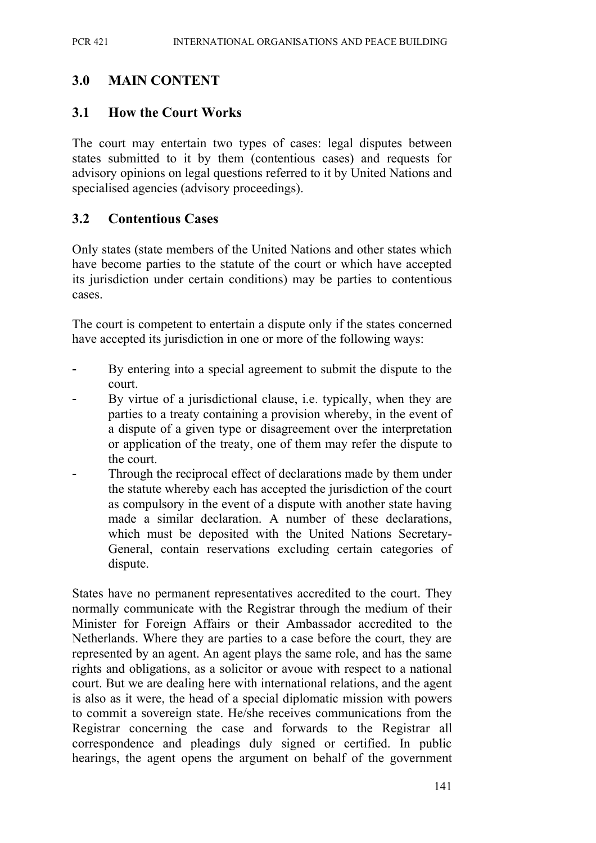## **3.0 MAIN CONTENT**

#### **3.1 How the Court Works**

The court may entertain two types of cases: legal disputes between states submitted to it by them (contentious cases) and requests for advisory opinions on legal questions referred to it by United Nations and specialised agencies (advisory proceedings).

#### **3.2 Contentious Cases**

Only states (state members of the United Nations and other states which have become parties to the statute of the court or which have accepted its jurisdiction under certain conditions) may be parties to contentious cases.

The court is competent to entertain a dispute only if the states concerned have accepted its jurisdiction in one or more of the following ways:

- By entering into a special agreement to submit the dispute to the court.
- By virtue of a jurisdictional clause, i.e. typically, when they are parties to a treaty containing a provision whereby, in the event of a dispute of a given type or disagreement over the interpretation or application of the treaty, one of them may refer the dispute to the court.
- Through the reciprocal effect of declarations made by them under the statute whereby each has accepted the jurisdiction of the court as compulsory in the event of a dispute with another state having made a similar declaration. A number of these declarations, which must be deposited with the United Nations Secretary-General, contain reservations excluding certain categories of dispute.

States have no permanent representatives accredited to the court. They normally communicate with the Registrar through the medium of their Minister for Foreign Affairs or their Ambassador accredited to the Netherlands. Where they are parties to a case before the court, they are represented by an agent. An agent plays the same role, and has the same rights and obligations, as a solicitor or avoue with respect to a national court. But we are dealing here with international relations, and the agent is also as it were, the head of a special diplomatic mission with powers to commit a sovereign state. He/she receives communications from the Registrar concerning the case and forwards to the Registrar all correspondence and pleadings duly signed or certified. In public hearings, the agent opens the argument on behalf of the government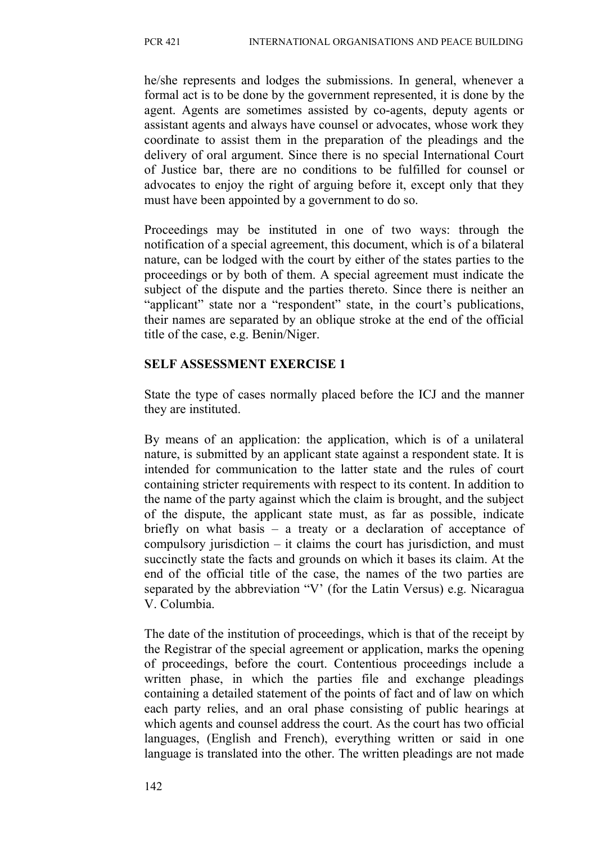he/she represents and lodges the submissions. In general, whenever a formal act is to be done by the government represented, it is done by the agent. Agents are sometimes assisted by co-agents, deputy agents or assistant agents and always have counsel or advocates, whose work they coordinate to assist them in the preparation of the pleadings and the delivery of oral argument. Since there is no special International Court of Justice bar, there are no conditions to be fulfilled for counsel or advocates to enjoy the right of arguing before it, except only that they must have been appointed by a government to do so.

Proceedings may be instituted in one of two ways: through the notification of a special agreement, this document, which is of a bilateral nature, can be lodged with the court by either of the states parties to the proceedings or by both of them. A special agreement must indicate the subject of the dispute and the parties thereto. Since there is neither an "applicant" state nor a "respondent" state, in the court's publications, their names are separated by an oblique stroke at the end of the official title of the case, e.g. Benin/Niger.

#### **SELF ASSESSMENT EXERCISE 1**

State the type of cases normally placed before the ICJ and the manner they are instituted.

By means of an application: the application, which is of a unilateral nature, is submitted by an applicant state against a respondent state. It is intended for communication to the latter state and the rules of court containing stricter requirements with respect to its content. In addition to the name of the party against which the claim is brought, and the subject of the dispute, the applicant state must, as far as possible, indicate briefly on what basis – a treaty or a declaration of acceptance of compulsory jurisdiction – it claims the court has jurisdiction, and must succinctly state the facts and grounds on which it bases its claim. At the end of the official title of the case, the names of the two parties are separated by the abbreviation "V' (for the Latin Versus) e.g. Nicaragua V. Columbia.

The date of the institution of proceedings, which is that of the receipt by the Registrar of the special agreement or application, marks the opening of proceedings, before the court. Contentious proceedings include a written phase, in which the parties file and exchange pleadings containing a detailed statement of the points of fact and of law on which each party relies, and an oral phase consisting of public hearings at which agents and counsel address the court. As the court has two official languages, (English and French), everything written or said in one language is translated into the other. The written pleadings are not made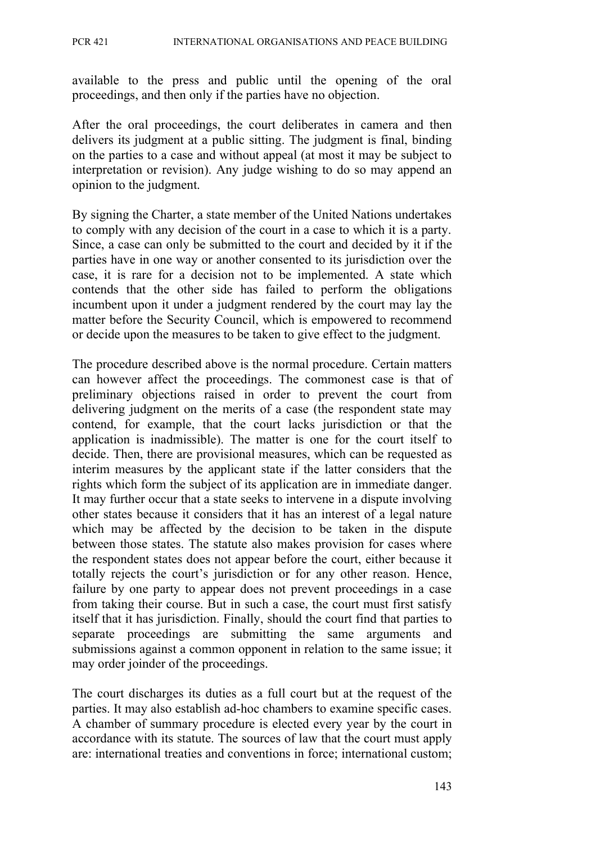available to the press and public until the opening of the oral proceedings, and then only if the parties have no objection.

After the oral proceedings, the court deliberates in camera and then delivers its judgment at a public sitting. The judgment is final, binding on the parties to a case and without appeal (at most it may be subject to interpretation or revision). Any judge wishing to do so may append an opinion to the judgment.

By signing the Charter, a state member of the United Nations undertakes to comply with any decision of the court in a case to which it is a party. Since, a case can only be submitted to the court and decided by it if the parties have in one way or another consented to its jurisdiction over the case, it is rare for a decision not to be implemented. A state which contends that the other side has failed to perform the obligations incumbent upon it under a judgment rendered by the court may lay the matter before the Security Council, which is empowered to recommend or decide upon the measures to be taken to give effect to the judgment.

The procedure described above is the normal procedure. Certain matters can however affect the proceedings. The commonest case is that of preliminary objections raised in order to prevent the court from delivering judgment on the merits of a case (the respondent state may contend, for example, that the court lacks jurisdiction or that the application is inadmissible). The matter is one for the court itself to decide. Then, there are provisional measures, which can be requested as interim measures by the applicant state if the latter considers that the rights which form the subject of its application are in immediate danger. It may further occur that a state seeks to intervene in a dispute involving other states because it considers that it has an interest of a legal nature which may be affected by the decision to be taken in the dispute between those states. The statute also makes provision for cases where the respondent states does not appear before the court, either because it totally rejects the court's jurisdiction or for any other reason. Hence, failure by one party to appear does not prevent proceedings in a case from taking their course. But in such a case, the court must first satisfy itself that it has jurisdiction. Finally, should the court find that parties to separate proceedings are submitting the same arguments and submissions against a common opponent in relation to the same issue; it may order joinder of the proceedings.

The court discharges its duties as a full court but at the request of the parties. It may also establish ad-hoc chambers to examine specific cases. A chamber of summary procedure is elected every year by the court in accordance with its statute. The sources of law that the court must apply are: international treaties and conventions in force; international custom;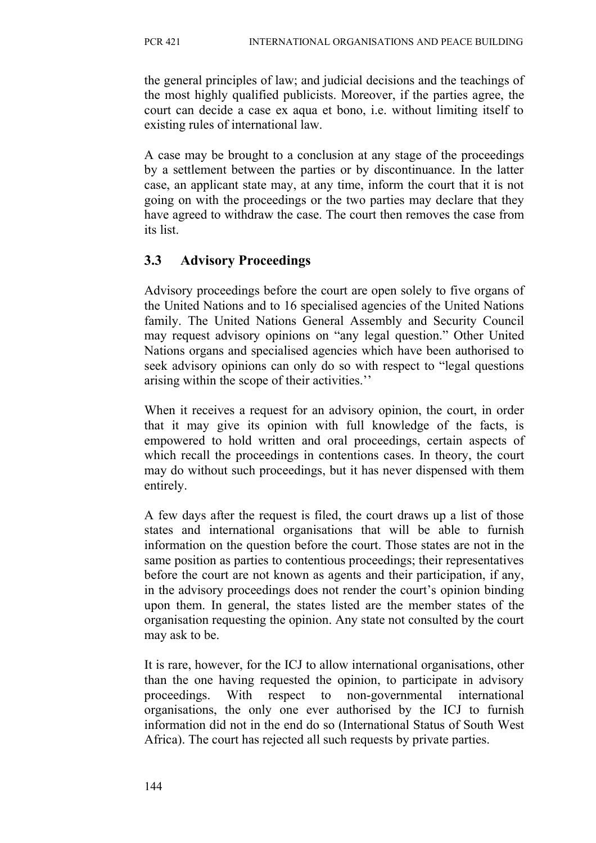the general principles of law; and judicial decisions and the teachings of the most highly qualified publicists. Moreover, if the parties agree, the court can decide a case ex aqua et bono, i.e. without limiting itself to existing rules of international law.

A case may be brought to a conclusion at any stage of the proceedings by a settlement between the parties or by discontinuance. In the latter case, an applicant state may, at any time, inform the court that it is not going on with the proceedings or the two parties may declare that they have agreed to withdraw the case. The court then removes the case from its list.

# **3.3 Advisory Proceedings**

Advisory proceedings before the court are open solely to five organs of the United Nations and to 16 specialised agencies of the United Nations family. The United Nations General Assembly and Security Council may request advisory opinions on "any legal question." Other United Nations organs and specialised agencies which have been authorised to seek advisory opinions can only do so with respect to "legal questions arising within the scope of their activities.''

When it receives a request for an advisory opinion, the court, in order that it may give its opinion with full knowledge of the facts, is empowered to hold written and oral proceedings, certain aspects of which recall the proceedings in contentions cases. In theory, the court may do without such proceedings, but it has never dispensed with them entirely.

A few days after the request is filed, the court draws up a list of those states and international organisations that will be able to furnish information on the question before the court. Those states are not in the same position as parties to contentious proceedings; their representatives before the court are not known as agents and their participation, if any, in the advisory proceedings does not render the court's opinion binding upon them. In general, the states listed are the member states of the organisation requesting the opinion. Any state not consulted by the court may ask to be.

It is rare, however, for the ICJ to allow international organisations, other than the one having requested the opinion, to participate in advisory proceedings. With respect to non-governmental international organisations, the only one ever authorised by the ICJ to furnish information did not in the end do so (International Status of South West Africa). The court has rejected all such requests by private parties.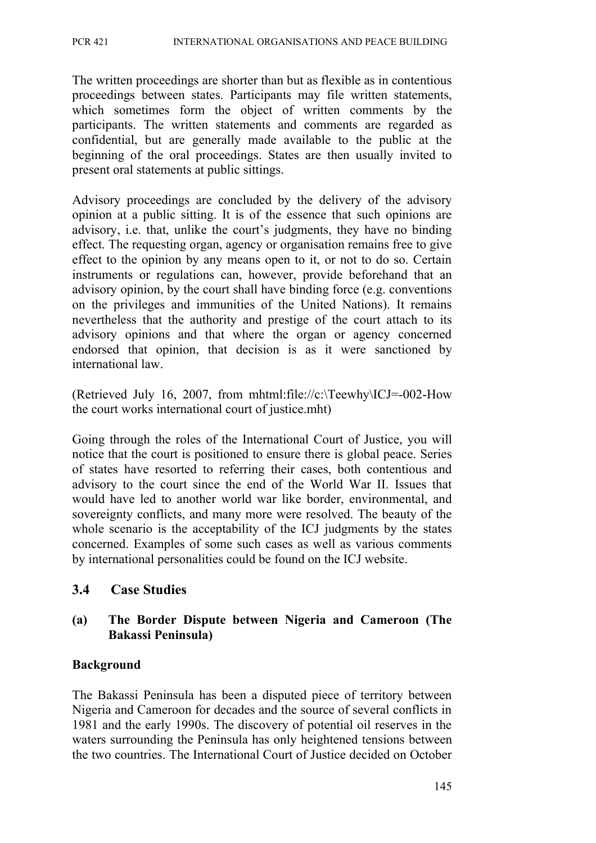The written proceedings are shorter than but as flexible as in contentious proceedings between states. Participants may file written statements, which sometimes form the object of written comments by the participants. The written statements and comments are regarded as confidential, but are generally made available to the public at the beginning of the oral proceedings. States are then usually invited to present oral statements at public sittings.

Advisory proceedings are concluded by the delivery of the advisory opinion at a public sitting. It is of the essence that such opinions are advisory, i.e. that, unlike the court's judgments, they have no binding effect. The requesting organ, agency or organisation remains free to give effect to the opinion by any means open to it, or not to do so. Certain instruments or regulations can, however, provide beforehand that an advisory opinion, by the court shall have binding force (e.g. conventions on the privileges and immunities of the United Nations). It remains nevertheless that the authority and prestige of the court attach to its advisory opinions and that where the organ or agency concerned endorsed that opinion, that decision is as it were sanctioned by international law.

(Retrieved July 16, 2007, from mhtml:file://c:\Teewhy\ICJ=-002-How the court works international court of justice.mht)

Going through the roles of the International Court of Justice, you will notice that the court is positioned to ensure there is global peace. Series of states have resorted to referring their cases, both contentious and advisory to the court since the end of the World War II. Issues that would have led to another world war like border, environmental, and sovereignty conflicts, and many more were resolved. The beauty of the whole scenario is the acceptability of the ICJ judgments by the states concerned. Examples of some such cases as well as various comments by international personalities could be found on the ICJ website.

#### **3.4 Case Studies**

#### **(a) The Border Dispute between Nigeria and Cameroon (The Bakassi Peninsula)**

#### **Background**

The Bakassi Peninsula has been a disputed piece of territory between Nigeria and Cameroon for decades and the source of several conflicts in 1981 and the early 1990s. The discovery of potential oil reserves in the waters surrounding the Peninsula has only heightened tensions between the two countries. The International Court of Justice decided on October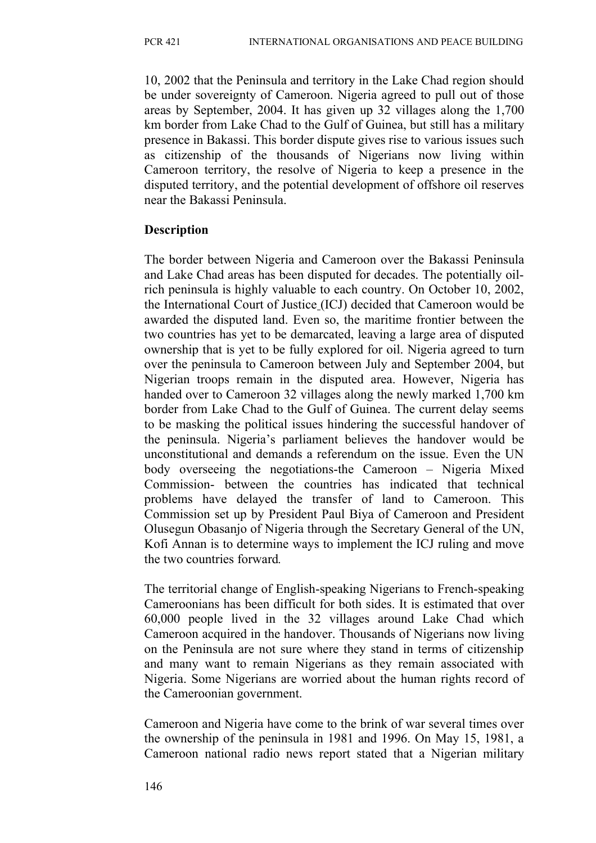10, 2002 that the Peninsula and territory in the Lake Chad region should be under sovereignty of Cameroon. Nigeria agreed to pull out of those areas by September, 2004. It has given up 32 villages along the 1,700 km border from Lake Chad to the Gulf of Guinea, but still has a military presence in Bakassi. This border dispute gives rise to various issues such as citizenship of the thousands of Nigerians now living within Cameroon territory, the resolve of Nigeria to keep a presence in the disputed territory, and the potential development of offshore oil reserves near the Bakassi Peninsula.

## **Description**

The border between Nigeria and Cameroon over the Bakassi Peninsula and Lake Chad areas has been disputed for decades. The potentially oilrich peninsula is highly valuable to each country. On October 10, 2002, the International Court of Justice (ICJ) decided that Cameroon would be awarded the disputed land. Even so, the maritime frontier between the two countries has yet to be demarcated, leaving a large area of disputed ownership that is yet to be fully explored for oil. Nigeria agreed to turn over the peninsula to Cameroon between July and September 2004, but Nigerian troops remain in the disputed area. However, Nigeria has handed over to Cameroon 32 villages along the newly marked 1,700 km border from Lake Chad to the Gulf of Guinea. The current delay seems to be masking the political issues hindering the successful handover of the peninsula. Nigeria's parliament believes the handover would be unconstitutional and demands a referendum on the issue. Even the UN body overseeing the negotiations-the Cameroon – Nigeria Mixed Commission- between the countries has indicated that technical problems have delayed the transfer of land to Cameroon. This Commission set up by President Paul Biya of Cameroon and President Olusegun Obasanjo of Nigeria through the Secretary General of the UN, Kofi Annan is to determine ways to implement the ICJ ruling and move the two countries forward*.*

The territorial change of English-speaking Nigerians to French-speaking Cameroonians has been difficult for both sides. It is estimated that over 60,000 people lived in the 32 villages around Lake Chad which Cameroon acquired in the handover. Thousands of Nigerians now living on the Peninsula are not sure where they stand in terms of citizenship and many want to remain Nigerians as they remain associated with Nigeria. Some Nigerians are worried about the human rights record of the Cameroonian government.

Cameroon and Nigeria have come to the brink of war several times over the ownership of the peninsula in 1981 and 1996. On May 15, 1981, a Cameroon national radio news report stated that a Nigerian military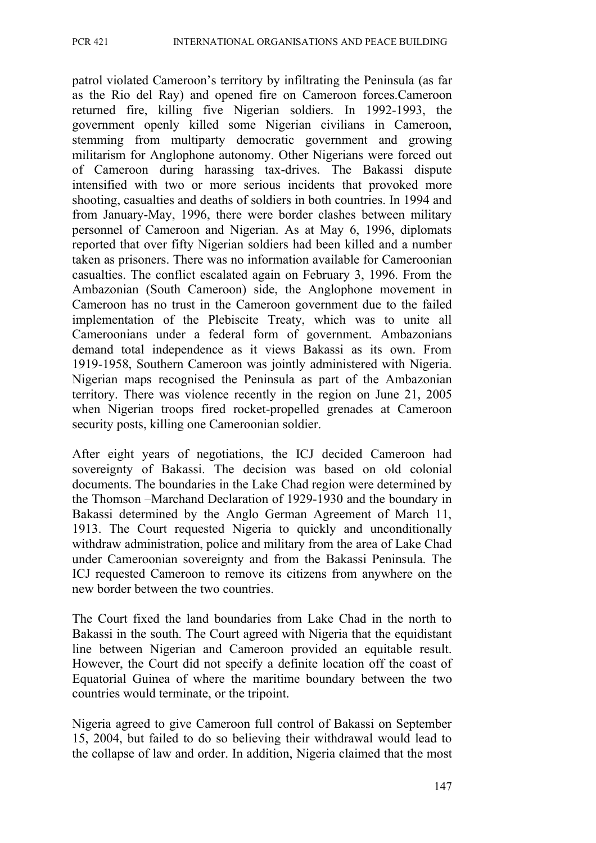patrol violated Cameroon's territory by infiltrating the Peninsula (as far as the Rio del Ray) and opened fire on Cameroon forces.Cameroon returned fire, killing five Nigerian soldiers. In 1992-1993, the government openly killed some Nigerian civilians in Cameroon, stemming from multiparty democratic government and growing militarism for Anglophone autonomy. Other Nigerians were forced out of Cameroon during harassing tax-drives. The Bakassi dispute intensified with two or more serious incidents that provoked more shooting, casualties and deaths of soldiers in both countries. In 1994 and from January-May, 1996, there were border clashes between military personnel of Cameroon and Nigerian. As at May 6, 1996, diplomats reported that over fifty Nigerian soldiers had been killed and a number taken as prisoners. There was no information available for Cameroonian casualties. The conflict escalated again on February 3, 1996. From the Ambazonian (South Cameroon) side, the Anglophone movement in Cameroon has no trust in the Cameroon government due to the failed implementation of the Plebiscite Treaty, which was to unite all Cameroonians under a federal form of government. Ambazonians demand total independence as it views Bakassi as its own. From 1919-1958, Southern Cameroon was jointly administered with Nigeria. Nigerian maps recognised the Peninsula as part of the Ambazonian territory. There was violence recently in the region on June 21, 2005 when Nigerian troops fired rocket-propelled grenades at Cameroon security posts, killing one Cameroonian soldier.

After eight years of negotiations, the ICJ decided Cameroon had sovereignty of Bakassi. The decision was based on old colonial documents. The boundaries in the Lake Chad region were determined by the Thomson –Marchand Declaration of 1929-1930 and the boundary in Bakassi determined by the Anglo German Agreement of March 11, 1913. The Court requested Nigeria to quickly and unconditionally withdraw administration, police and military from the area of Lake Chad under Cameroonian sovereignty and from the Bakassi Peninsula. The ICJ requested Cameroon to remove its citizens from anywhere on the new border between the two countries.

The Court fixed the land boundaries from Lake Chad in the north to Bakassi in the south. The Court agreed with Nigeria that the equidistant line between Nigerian and Cameroon provided an equitable result. However, the Court did not specify a definite location off the coast of Equatorial Guinea of where the maritime boundary between the two countries would terminate, or the tripoint.

Nigeria agreed to give Cameroon full control of Bakassi on September 15, 2004, but failed to do so believing their withdrawal would lead to the collapse of law and order. In addition, Nigeria claimed that the most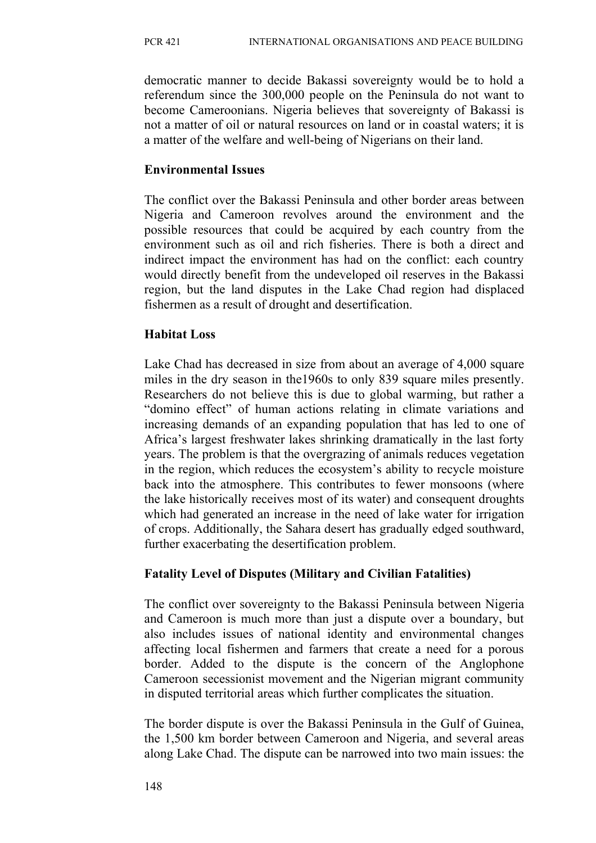democratic manner to decide Bakassi sovereignty would be to hold a referendum since the 300,000 people on the Peninsula do not want to become Cameroonians. Nigeria believes that sovereignty of Bakassi is not a matter of oil or natural resources on land or in coastal waters; it is a matter of the welfare and well-being of Nigerians on their land.

## **Environmental Issues**

The conflict over the Bakassi Peninsula and other border areas between Nigeria and Cameroon revolves around the environment and the possible resources that could be acquired by each country from the environment such as oil and rich fisheries. There is both a direct and indirect impact the environment has had on the conflict: each country would directly benefit from the undeveloped oil reserves in the Bakassi region, but the land disputes in the Lake Chad region had displaced fishermen as a result of drought and desertification.

## **Habitat Loss**

Lake Chad has decreased in size from about an average of 4,000 square miles in the dry season in the1960s to only 839 square miles presently. Researchers do not believe this is due to global warming, but rather a "domino effect" of human actions relating in climate variations and increasing demands of an expanding population that has led to one of Africa's largest freshwater lakes shrinking dramatically in the last forty years. The problem is that the overgrazing of animals reduces vegetation in the region, which reduces the ecosystem's ability to recycle moisture back into the atmosphere. This contributes to fewer monsoons (where the lake historically receives most of its water) and consequent droughts which had generated an increase in the need of lake water for irrigation of crops. Additionally, the Sahara desert has gradually edged southward, further exacerbating the desertification problem.

## **Fatality Level of Disputes (Military and Civilian Fatalities)**

The conflict over sovereignty to the Bakassi Peninsula between Nigeria and Cameroon is much more than just a dispute over a boundary, but also includes issues of national identity and environmental changes affecting local fishermen and farmers that create a need for a porous border. Added to the dispute is the concern of the Anglophone Cameroon secessionist movement and the Nigerian migrant community in disputed territorial areas which further complicates the situation.

The border dispute is over the Bakassi Peninsula in the Gulf of Guinea, the 1,500 km border between Cameroon and Nigeria, and several areas along Lake Chad. The dispute can be narrowed into two main issues: the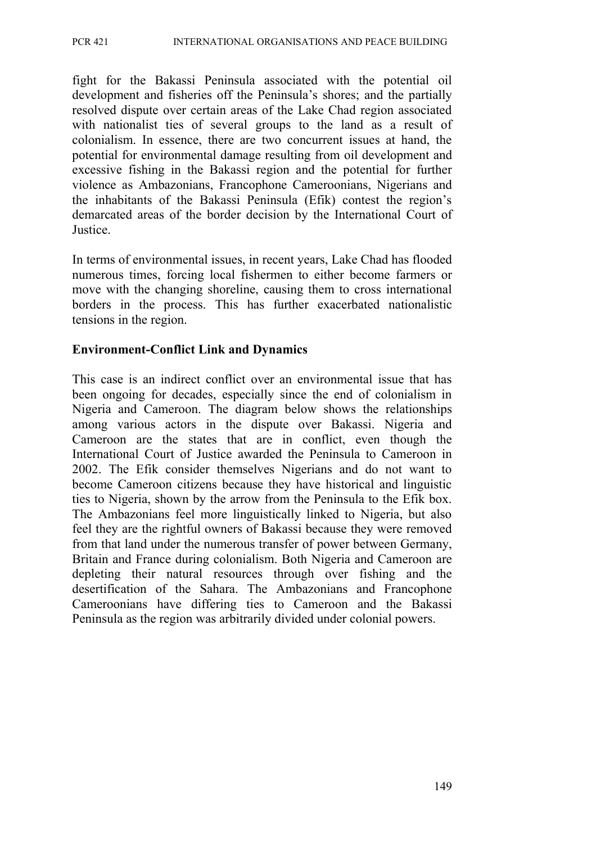fight for the Bakassi Peninsula associated with the potential oil development and fisheries off the Peninsula's shores; and the partially resolved dispute over certain areas of the Lake Chad region associated with nationalist ties of several groups to the land as a result of colonialism. In essence, there are two concurrent issues at hand, the potential for environmental damage resulting from oil development and excessive fishing in the Bakassi region and the potential for further violence as Ambazonians, Francophone Cameroonians, Nigerians and the inhabitants of the Bakassi Peninsula (Efik) contest the region's demarcated areas of the border decision by the International Court of Justice.

In terms of environmental issues, in recent years, Lake Chad has flooded numerous times, forcing local fishermen to either become farmers or move with the changing shoreline, causing them to cross international borders in the process. This has further exacerbated nationalistic tensions in the region.

#### **Environment-Conflict Link and Dynamics**

This case is an indirect conflict over an environmental issue that has been ongoing for decades, especially since the end of colonialism in Nigeria and Cameroon. The diagram below shows the relationships among various actors in the dispute over Bakassi. Nigeria and Cameroon are the states that are in conflict, even though the International Court of Justice awarded the Peninsula to Cameroon in 2002. The Efik consider themselves Nigerians and do not want to become Cameroon citizens because they have historical and linguistic ties to Nigeria, shown by the arrow from the Peninsula to the Efik box. The Ambazonians feel more linguistically linked to Nigeria, but also feel they are the rightful owners of Bakassi because they were removed from that land under the numerous transfer of power between Germany, Britain and France during colonialism. Both Nigeria and Cameroon are depleting their natural resources through over fishing and the desertification of the Sahara. The Ambazonians and Francophone Cameroonians have differing ties to Cameroon and the Bakassi Peninsula as the region was arbitrarily divided under colonial powers.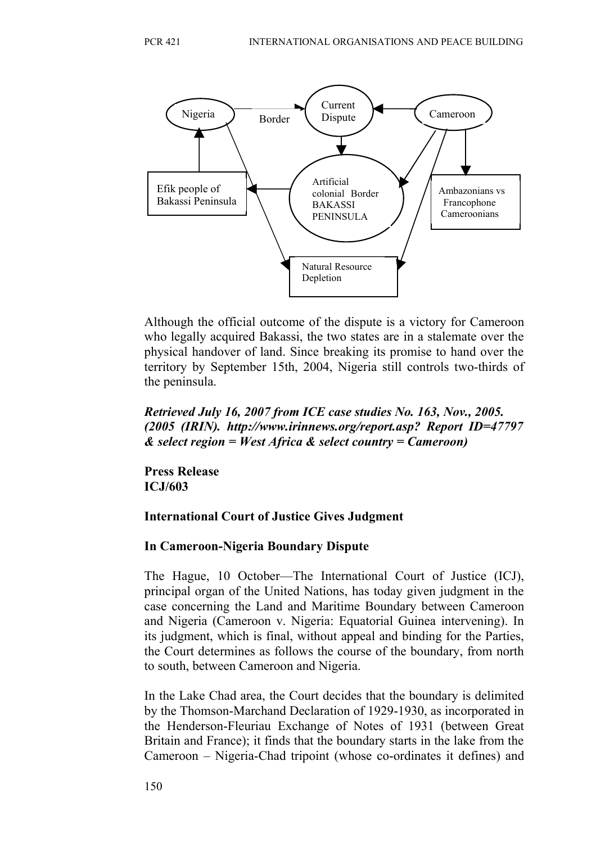

Although the official outcome of the dispute is a victory for Cameroon who legally acquired Bakassi, the two states are in a stalemate over the physical handover of land. Since breaking its promise to hand over the territory by September 15th, 2004, Nigeria still controls two-thirds of the peninsula.

#### *Retrieved July 16, 2007 from ICE case studies No. 163, Nov., 2005. (2005 (IRIN). http://www.irinnews.org/report.asp? Report ID=47797 & select region = West Africa & select country = Cameroon)*

**Press Release ICJ/603**

#### **International Court of Justice Gives Judgment**

#### **In Cameroon-Nigeria Boundary Dispute**

The Hague, 10 October—The International Court of Justice (ICJ), principal organ of the United Nations, has today given judgment in the case concerning the Land and Maritime Boundary between Cameroon and Nigeria (Cameroon v. Nigeria: Equatorial Guinea intervening). In its judgment, which is final, without appeal and binding for the Parties, the Court determines as follows the course of the boundary, from north to south, between Cameroon and Nigeria.

In the Lake Chad area, the Court decides that the boundary is delimited by the Thomson-Marchand Declaration of 1929-1930, as incorporated in the Henderson-Fleuriau Exchange of Notes of 1931 (between Great Britain and France); it finds that the boundary starts in the lake from the Cameroon – Nigeria-Chad tripoint (whose co-ordinates it defines) and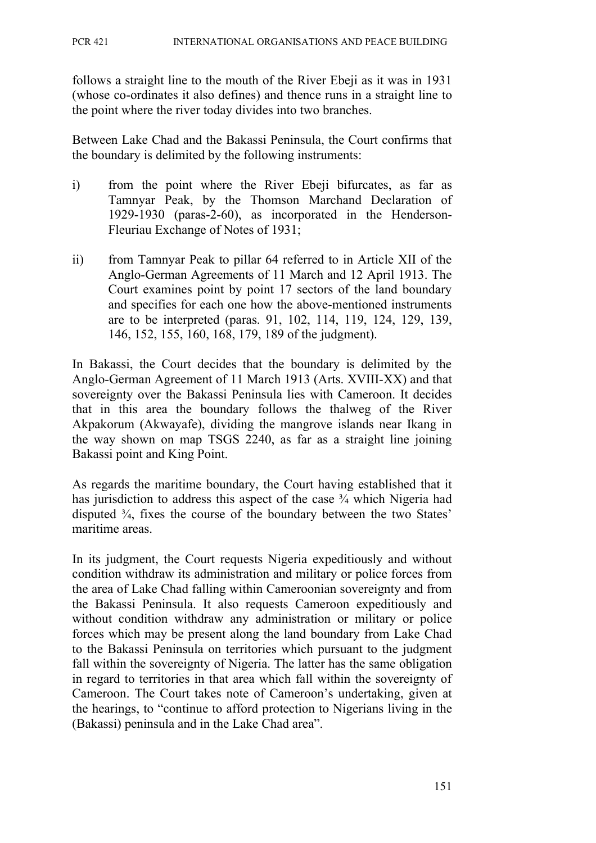follows a straight line to the mouth of the River Ebeji as it was in 1931 (whose co-ordinates it also defines) and thence runs in a straight line to the point where the river today divides into two branches.

Between Lake Chad and the Bakassi Peninsula, the Court confirms that the boundary is delimited by the following instruments:

- i) from the point where the River Ebeji bifurcates, as far as Tamnyar Peak, by the Thomson Marchand Declaration of 1929-1930 (paras-2-60), as incorporated in the Henderson-Fleuriau Exchange of Notes of 1931;
- ii) from Tamnyar Peak to pillar 64 referred to in Article XII of the Anglo-German Agreements of 11 March and 12 April 1913. The Court examines point by point 17 sectors of the land boundary and specifies for each one how the above-mentioned instruments are to be interpreted (paras. 91, 102, 114, 119, 124, 129, 139, 146, 152, 155, 160, 168, 179, 189 of the judgment).

In Bakassi, the Court decides that the boundary is delimited by the Anglo-German Agreement of 11 March 1913 (Arts. XVIII-XX) and that sovereignty over the Bakassi Peninsula lies with Cameroon. It decides that in this area the boundary follows the thalweg of the River Akpakorum (Akwayafe), dividing the mangrove islands near Ikang in the way shown on map TSGS 2240, as far as a straight line joining Bakassi point and King Point.

As regards the maritime boundary, the Court having established that it has jurisdiction to address this aspect of the case  $\frac{3}{4}$  which Nigeria had disputed ¾, fixes the course of the boundary between the two States' maritime areas.

In its judgment, the Court requests Nigeria expeditiously and without condition withdraw its administration and military or police forces from the area of Lake Chad falling within Cameroonian sovereignty and from the Bakassi Peninsula. It also requests Cameroon expeditiously and without condition withdraw any administration or military or police forces which may be present along the land boundary from Lake Chad to the Bakassi Peninsula on territories which pursuant to the judgment fall within the sovereignty of Nigeria. The latter has the same obligation in regard to territories in that area which fall within the sovereignty of Cameroon. The Court takes note of Cameroon's undertaking, given at the hearings, to "continue to afford protection to Nigerians living in the (Bakassi) peninsula and in the Lake Chad area".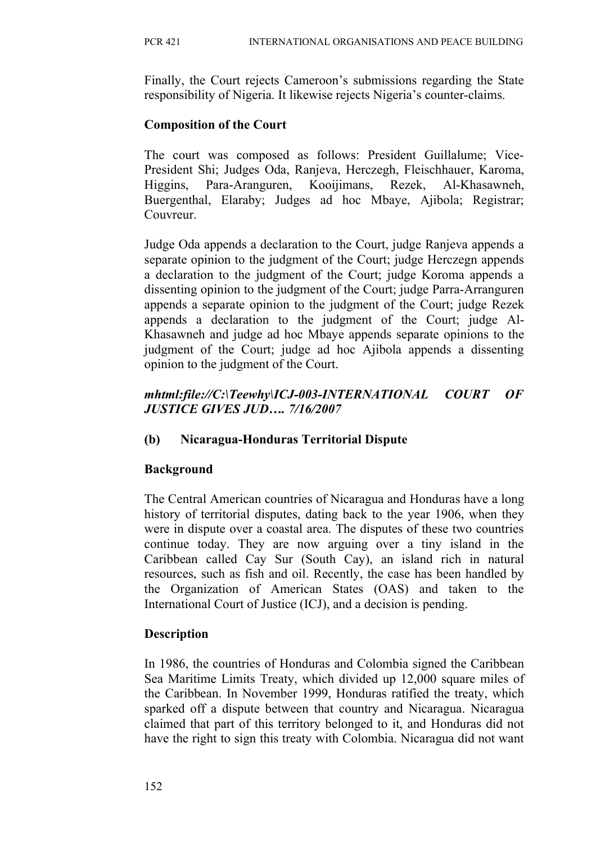Finally, the Court rejects Cameroon's submissions regarding the State responsibility of Nigeria. It likewise rejects Nigeria's counter-claims.

#### **Composition of the Court**

The court was composed as follows: President Guillalume; Vice-President Shi; Judges Oda, Ranjeva, Herczegh, Fleischhauer, Karoma, Higgins, Para-Aranguren, Kooijimans, Rezek, Al-Khasawneh, Buergenthal, Elaraby; Judges ad hoc Mbaye, Ajibola; Registrar; Couvreur.

Judge Oda appends a declaration to the Court, judge Ranjeva appends a separate opinion to the judgment of the Court; judge Herczegn appends a declaration to the judgment of the Court; judge Koroma appends a dissenting opinion to the judgment of the Court; judge Parra-Arranguren appends a separate opinion to the judgment of the Court; judge Rezek appends a declaration to the judgment of the Court; judge Al-Khasawneh and judge ad hoc Mbaye appends separate opinions to the judgment of the Court; judge ad hoc Ajibola appends a dissenting opinion to the judgment of the Court.

### *mhtml:file://C:\Teewhy\ICJ-003-INTERNATIONAL COURT OF JUSTICE GIVES JUD…. 7/16/2007*

#### **(b) Nicaragua-Honduras Territorial Dispute**

#### **Background**

The Central American countries of Nicaragua and Honduras have a long history of territorial disputes, dating back to the year 1906, when they were in dispute over a coastal area. The disputes of these two countries continue today. They are now arguing over a tiny island in the Caribbean called Cay Sur (South Cay), an island rich in natural resources, such as fish and oil. Recently, the case has been handled by the Organization of American States (OAS) and taken to the International Court of Justice (ICJ), and a decision is pending.

#### **Description**

In 1986, the countries of Honduras and Colombia signed the Caribbean Sea Maritime Limits Treaty, which divided up 12,000 square miles of the Caribbean. In November 1999, Honduras ratified the treaty, which sparked off a dispute between that country and Nicaragua. Nicaragua claimed that part of this territory belonged to it, and Honduras did not have the right to sign this treaty with Colombia. Nicaragua did not want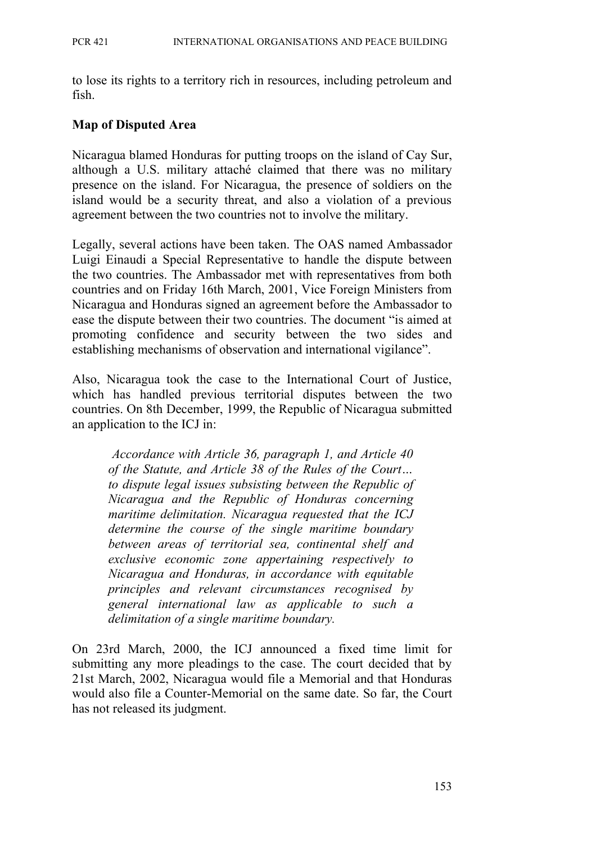to lose its rights to a territory rich in resources, including petroleum and fish.

## **Map of Disputed Area**

Nicaragua blamed Honduras for putting troops on the island of Cay Sur, although a U.S. military attaché claimed that there was no military presence on the island. For Nicaragua, the presence of soldiers on the island would be a security threat, and also a violation of a previous agreement between the two countries not to involve the military.

Legally, several actions have been taken. The OAS named Ambassador Luigi Einaudi a Special Representative to handle the dispute between the two countries. The Ambassador met with representatives from both countries and on Friday 16th March, 2001, Vice Foreign Ministers from Nicaragua and Honduras signed an agreement before the Ambassador to ease the dispute between their two countries. The document "is aimed at promoting confidence and security between the two sides and establishing mechanisms of observation and international vigilance".

Also, Nicaragua took the case to the International Court of Justice, which has handled previous territorial disputes between the two countries. On 8th December, 1999, the Republic of Nicaragua submitted an application to the ICJ in:

*Accordance with Article 36, paragraph 1, and Article 40 of the Statute, and Article 38 of the Rules of the Court… to dispute legal issues subsisting between the Republic of Nicaragua and the Republic of Honduras concerning maritime delimitation. Nicaragua requested that the ICJ determine the course of the single maritime boundary between areas of territorial sea, continental shelf and exclusive economic zone appertaining respectively to Nicaragua and Honduras, in accordance with equitable principles and relevant circumstances recognised by general international law as applicable to such a delimitation of a single maritime boundary.*

On 23rd March, 2000, the ICJ announced a fixed time limit for submitting any more pleadings to the case. The court decided that by 21st March, 2002, Nicaragua would file a Memorial and that Honduras would also file a Counter-Memorial on the same date. So far, the Court has not released its judgment.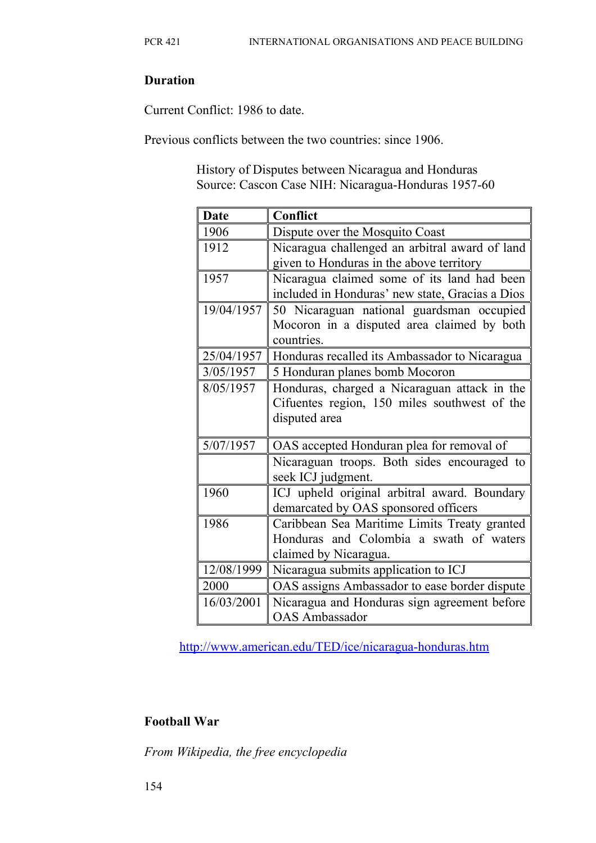## **Duration**

Current Conflict: 1986 to date.

Previous conflicts between the two countries: since 1906.

 History of Disputes between Nicaragua and Honduras Source: Cascon Case NIH: Nicaragua-Honduras 1957-60

| <b>Date</b> | <b>Conflict</b>                                                                      |
|-------------|--------------------------------------------------------------------------------------|
| 1906        | Dispute over the Mosquito Coast                                                      |
| 1912        | Nicaragua challenged an arbitral award of land                                       |
|             | given to Honduras in the above territory                                             |
| 1957        | Nicaragua claimed some of its land had been                                          |
|             | included in Honduras' new state, Gracias a Dios                                      |
| 19/04/1957  | 50 Nicaraguan national guardsman occupied                                            |
|             | Mocoron in a disputed area claimed by both                                           |
|             | countries.                                                                           |
| 25/04/1957  | Honduras recalled its Ambassador to Nicaragua                                        |
| 3/05/1957   | 5 Honduran planes bomb Mocoron                                                       |
| 8/05/1957   | Honduras, charged a Nicaraguan attack in the                                         |
|             | Cifuentes region, 150 miles southwest of the                                         |
|             | disputed area                                                                        |
| 5/07/1957   | OAS accepted Honduran plea for removal of                                            |
|             | Nicaraguan troops. Both sides encouraged to<br>seek ICJ judgment.                    |
| 1960        | ICJ upheld original arbitral award. Boundary<br>demarcated by OAS sponsored officers |
| 1986        | Caribbean Sea Maritime Limits Treaty granted                                         |
|             | Honduras and Colombia a swath of waters                                              |
|             | claimed by Nicaragua.                                                                |
| 12/08/1999  | Nicaragua submits application to ICJ                                                 |
| 2000        | OAS assigns Ambassador to ease border dispute                                        |
| 16/03/2001  | Nicaragua and Honduras sign agreement before                                         |
|             | <b>OAS</b> Ambassador                                                                |

<http://www.american.edu/TED/ice/nicaragua-honduras.htm>

# **Football War**

*From Wikipedia, the free encyclopedia*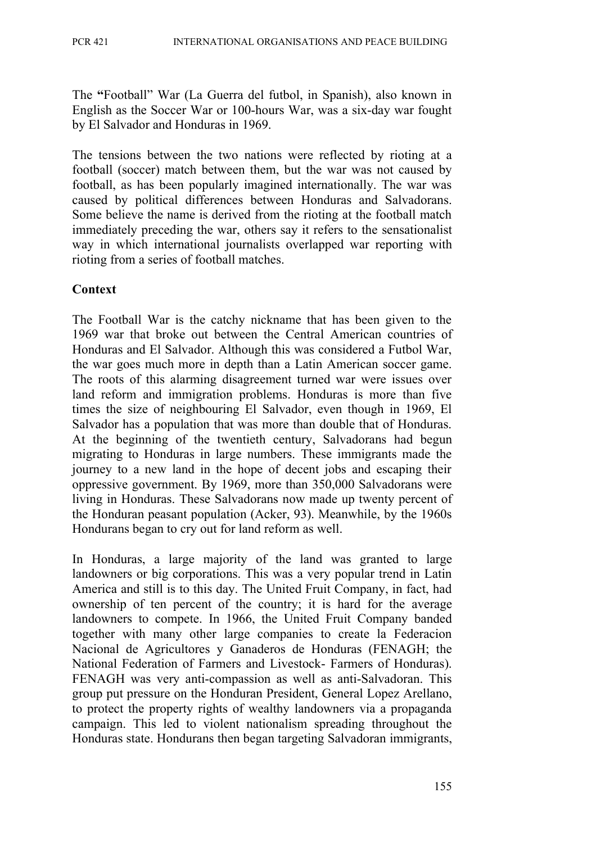The **"**Football" War (La Guerra del futbol, in Spanish), also known in English as the Soccer War or 100-hours War, was a six-day war fought by El Salvador and Honduras in 1969.

The tensions between the two nations were reflected by rioting at a football (soccer) match between them, but the war was not caused by football, as has been popularly imagined internationally. The war was caused by political differences between Honduras and Salvadorans. Some believe the name is derived from the rioting at the football match immediately preceding the war, others say it refers to the sensationalist way in which international journalists overlapped war reporting with rioting from a series of football matches.

#### **Context**

The Football War is the catchy nickname that has been given to the 1969 war that broke out between the Central American countries of Honduras and El Salvador. Although this was considered a Futbol War, the war goes much more in depth than a Latin American soccer game. The roots of this alarming disagreement turned war were issues over land reform and immigration problems. Honduras is more than five times the size of neighbouring El Salvador, even though in 1969, El Salvador has a population that was more than double that of Honduras. At the beginning of the twentieth century, Salvadorans had begun migrating to Honduras in large numbers. These immigrants made the journey to a new land in the hope of decent jobs and escaping their oppressive government. By 1969, more than 350,000 Salvadorans were living in Honduras. These Salvadorans now made up twenty percent of the Honduran peasant population (Acker, 93). Meanwhile, by the 1960s Hondurans began to cry out for land reform as well.

In Honduras, a large majority of the land was granted to large landowners or big corporations. This was a very popular trend in Latin America and still is to this day. The United Fruit Company, in fact, had ownership of ten percent of the country; it is hard for the average landowners to compete. In 1966, the United Fruit Company banded together with many other large companies to create la Federacion Nacional de Agricultores y Ganaderos de Honduras (FENAGH; the National Federation of Farmers and Livestock- Farmers of Honduras). FENAGH was very anti-compassion as well as anti-Salvadoran. This group put pressure on the Honduran President, General Lopez Arellano, to protect the property rights of wealthy landowners via a propaganda campaign. This led to violent nationalism spreading throughout the Honduras state. Hondurans then began targeting Salvadoran immigrants,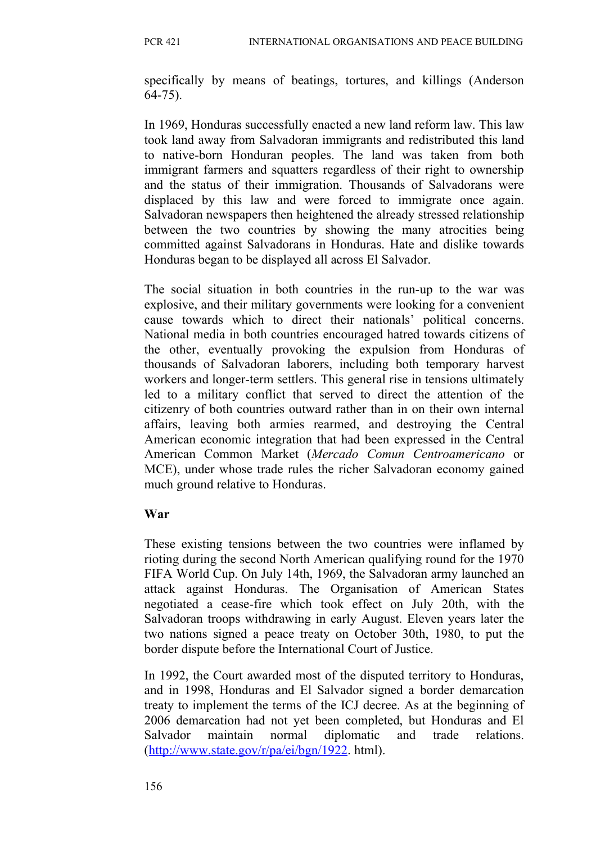specifically by means of beatings, tortures, and killings (Anderson 64-75).

In 1969, Honduras successfully enacted a new land reform law. This law took land away from Salvadoran immigrants and redistributed this land to native-born Honduran peoples. The land was taken from both immigrant farmers and squatters regardless of their right to ownership and the status of their immigration. Thousands of Salvadorans were displaced by this law and were forced to immigrate once again. Salvadoran newspapers then heightened the already stressed relationship between the two countries by showing the many atrocities being committed against Salvadorans in Honduras. Hate and dislike towards Honduras began to be displayed all across El Salvador.

The social situation in both countries in the run-up to the war was explosive, and their military governments were looking for a convenient cause towards which to direct their nationals' political concerns. National media in both countries encouraged hatred towards citizens of the other, eventually provoking the expulsion from Honduras of thousands of Salvadoran laborers, including both temporary harvest workers and longer-term settlers. This general rise in tensions ultimately led to a military conflict that served to direct the attention of the citizenry of both countries outward rather than in on their own internal affairs, leaving both armies rearmed, and destroying the Central American economic integration that had been expressed in the Central American Common Market (*Mercado Comun Centroamericano* or MCE), under whose trade rules the richer Salvadoran economy gained much ground relative to Honduras.

## **War**

These existing tensions between the two countries were inflamed by rioting during the second North American qualifying round for the 1970 FIFA World Cup. On July 14th, 1969, the Salvadoran army launched an attack against Honduras. The Organisation of American States negotiated a cease-fire which took effect on July 20th, with the Salvadoran troops withdrawing in early August. Eleven years later the two nations signed a peace treaty on October 30th, 1980, to put the border dispute before the International Court of Justice.

In 1992, the Court awarded most of the disputed territory to Honduras, and in 1998, Honduras and El Salvador signed a border demarcation treaty to implement the terms of the ICJ decree. As at the beginning of 2006 demarcation had not yet been completed, but Honduras and El Salvador maintain normal diplomatic and trade relations. [\(http://www.state.gov/r/pa/ei/bgn/1922.](http://www.state.gov/r/pa/ei/bgn/1922) html).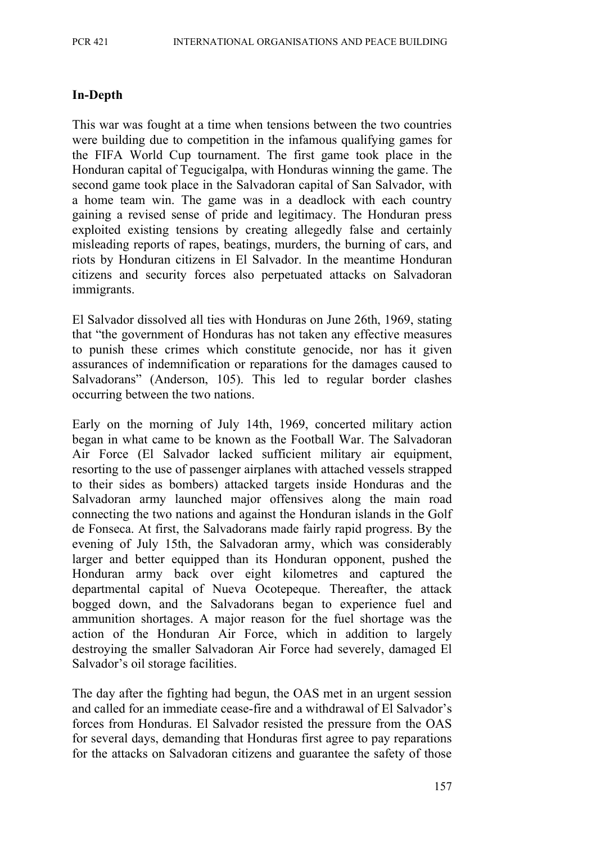#### **In-Depth**

This war was fought at a time when tensions between the two countries were building due to competition in the infamous qualifying games for the FIFA World Cup tournament. The first game took place in the Honduran capital of Tegucigalpa, with Honduras winning the game. The second game took place in the Salvadoran capital of San Salvador, with a home team win. The game was in a deadlock with each country gaining a revised sense of pride and legitimacy. The Honduran press exploited existing tensions by creating allegedly false and certainly misleading reports of rapes, beatings, murders, the burning of cars, and riots by Honduran citizens in El Salvador. In the meantime Honduran citizens and security forces also perpetuated attacks on Salvadoran immigrants.

El Salvador dissolved all ties with Honduras on June 26th, 1969, stating that "the government of Honduras has not taken any effective measures to punish these crimes which constitute genocide, nor has it given assurances of indemnification or reparations for the damages caused to Salvadorans" (Anderson, 105). This led to regular border clashes occurring between the two nations.

Early on the morning of July 14th, 1969, concerted military action began in what came to be known as the Football War. The Salvadoran Air Force (El Salvador lacked sufficient military air equipment, resorting to the use of passenger airplanes with attached vessels strapped to their sides as bombers) attacked targets inside Honduras and the Salvadoran army launched major offensives along the main road connecting the two nations and against the Honduran islands in the Golf de Fonseca. At first, the Salvadorans made fairly rapid progress. By the evening of July 15th, the Salvadoran army, which was considerably larger and better equipped than its Honduran opponent, pushed the Honduran army back over eight kilometres and captured the departmental capital of Nueva Ocotepeque. Thereafter, the attack bogged down, and the Salvadorans began to experience fuel and ammunition shortages. A major reason for the fuel shortage was the action of the Honduran Air Force, which in addition to largely destroying the smaller Salvadoran Air Force had severely, damaged El Salvador's oil storage facilities.

The day after the fighting had begun, the OAS met in an urgent session and called for an immediate cease-fire and a withdrawal of El Salvador's forces from Honduras. El Salvador resisted the pressure from the OAS for several days, demanding that Honduras first agree to pay reparations for the attacks on Salvadoran citizens and guarantee the safety of those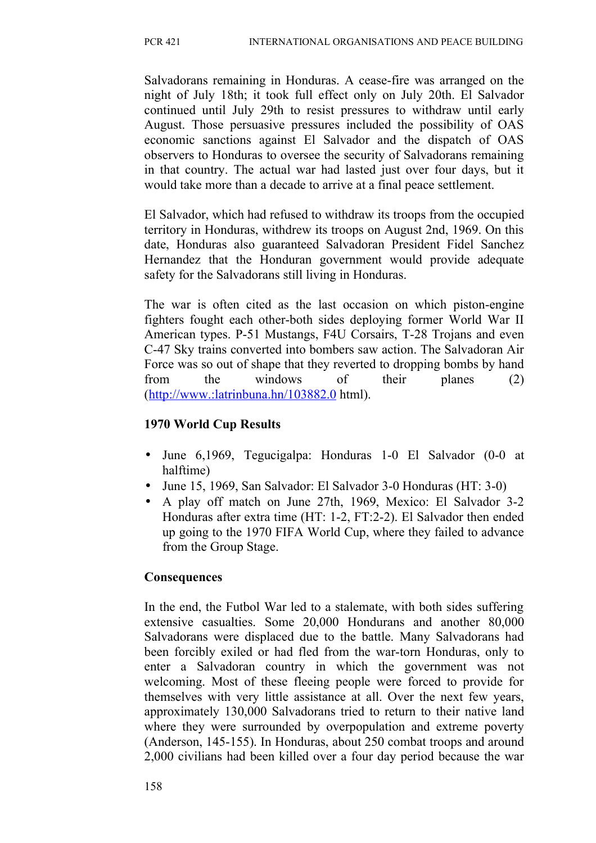Salvadorans remaining in Honduras. A cease-fire was arranged on the night of July 18th; it took full effect only on July 20th. El Salvador continued until July 29th to resist pressures to withdraw until early August. Those persuasive pressures included the possibility of OAS economic sanctions against El Salvador and the dispatch of OAS observers to Honduras to oversee the security of Salvadorans remaining in that country. The actual war had lasted just over four days, but it would take more than a decade to arrive at a final peace settlement.

El Salvador, which had refused to withdraw its troops from the occupied territory in Honduras, withdrew its troops on August 2nd, 1969. On this date, Honduras also guaranteed Salvadoran President Fidel Sanchez Hernandez that the Honduran government would provide adequate safety for the Salvadorans still living in Honduras.

The war is often cited as the last occasion on which piston-engine fighters fought each other-both sides deploying former World War II American types. P-51 Mustangs, F4U Corsairs, T-28 Trojans and even C-47 Sky trains converted into bombers saw action. The Salvadoran Air Force was so out of shape that they reverted to dropping bombs by hand from the windows of their planes (2) (http://www.:latrinbuna.hn/103882.0 html).

# **1970 World Cup Results**

- June 6,1969, Tegucigalpa: Honduras 1-0 El Salvador (0-0 at halftime)
- June 15, 1969, San Salvador: El Salvador 3-0 Honduras (HT: 3-0)
- A play off match on June 27th, 1969, Mexico: El Salvador 3-2 Honduras after extra time (HT: 1-2, FT:2-2). El Salvador then ended up going to the 1970 FIFA World Cup, where they failed to advance from the Group Stage.

# **Consequences**

In the end, the Futbol War led to a stalemate, with both sides suffering extensive casualties. Some 20,000 Hondurans and another 80,000 Salvadorans were displaced due to the battle. Many Salvadorans had been forcibly exiled or had fled from the war-torn Honduras, only to enter a Salvadoran country in which the government was not welcoming. Most of these fleeing people were forced to provide for themselves with very little assistance at all. Over the next few years, approximately 130,000 Salvadorans tried to return to their native land where they were surrounded by overpopulation and extreme poverty (Anderson, 145-155). In Honduras, about 250 combat troops and around 2,000 civilians had been killed over a four day period because the war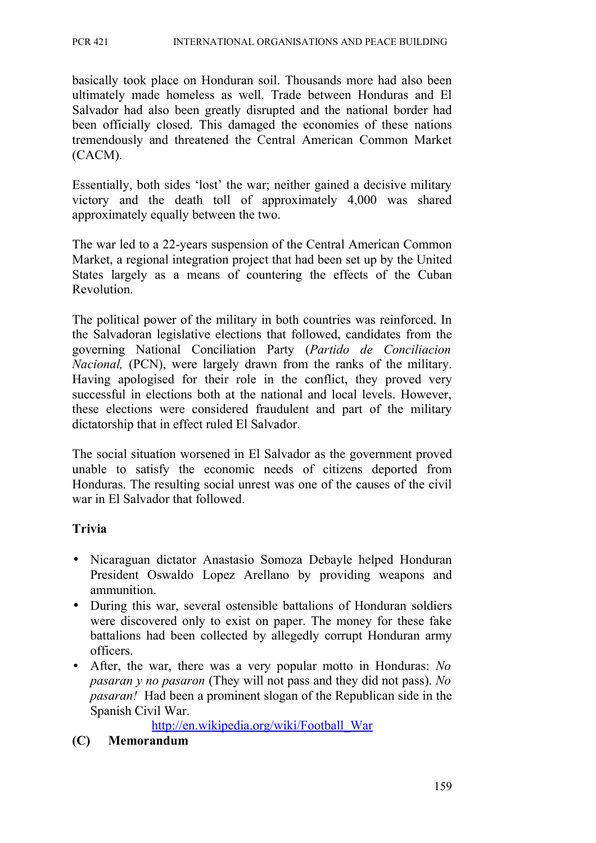basically took place on Honduran soil. Thousands more had also been ultimately made homeless as well. Trade between Honduras and El Salvador had also been greatly disrupted and the national border had been officially closed. This damaged the economies of these nations tremendously and threatened the Central American Common Market (CACM).

Essentially, both sides 'lost' the war; neither gained a decisive military victory and the death toll of approximately 4,000 was shared approximately equally between the two.

The war led to a 22-years suspension of the Central American Common Market, a regional integration project that had been set up by the United States largely as a means of countering the effects of the Cuban Revolution.

The political power of the military in both countries was reinforced. In the Salvadoran legislative elections that followed, candidates from the governing National Conciliation Party (*Partido de Conciliacion Nacional,* (PCN), were largely drawn from the ranks of the military. Having apologised for their role in the conflict, they proved very successful in elections both at the national and local levels. However, these elections were considered fraudulent and part of the military dictatorship that in effect ruled El Salvador.

The social situation worsened in El Salvador as the government proved unable to satisfy the economic needs of citizens deported from Honduras. The resulting social unrest was one of the causes of the civil war in El Salvador that followed.

## **Trivia**

- Nicaraguan dictator Anastasio Somoza Debayle helped Honduran President Oswaldo Lopez Arellano by providing weapons and ammunition.
- During this war, several ostensible battalions of Honduran soldiers were discovered only to exist on paper. The money for these fake battalions had been collected by allegedly corrupt Honduran army officers.
- After, the war, there was a very popular motto in Honduras: *No pasaran y no pasaron* (They will not pass and they did not pass). *No pasaran!* Had been a prominent slogan of the Republican side in the Spanish Civil War.

[http://en.wikipedia.org/wiki/Football\\_War](http://en.wikipedia.org/wiki/Football_War)

#### **(C) Memorandum**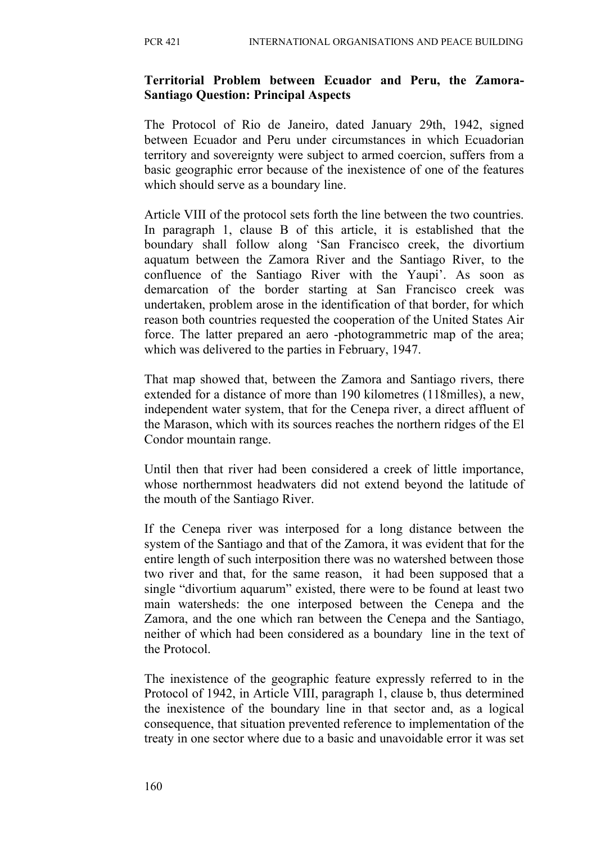#### **Territorial Problem between Ecuador and Peru, the Zamora-Santiago Question: Principal Aspects**

The Protocol of Rio de Janeiro, dated January 29th, 1942, signed between Ecuador and Peru under circumstances in which Ecuadorian territory and sovereignty were subject to armed coercion, suffers from a basic geographic error because of the inexistence of one of the features which should serve as a boundary line.

Article VIII of the protocol sets forth the line between the two countries. In paragraph 1, clause B of this article, it is established that the boundary shall follow along 'San Francisco creek, the divortium aquatum between the Zamora River and the Santiago River, to the confluence of the Santiago River with the Yaupi'. As soon as demarcation of the border starting at San Francisco creek was undertaken, problem arose in the identification of that border, for which reason both countries requested the cooperation of the United States Air force. The latter prepared an aero -photogrammetric map of the area; which was delivered to the parties in February, 1947.

That map showed that, between the Zamora and Santiago rivers, there extended for a distance of more than 190 kilometres (118milles), a new, independent water system, that for the Cenepa river, a direct affluent of the Marason, which with its sources reaches the northern ridges of the El Condor mountain range.

Until then that river had been considered a creek of little importance, whose northernmost headwaters did not extend beyond the latitude of the mouth of the Santiago River.

If the Cenepa river was interposed for a long distance between the system of the Santiago and that of the Zamora, it was evident that for the entire length of such interposition there was no watershed between those two river and that, for the same reason, it had been supposed that a single "divortium aquarum" existed, there were to be found at least two main watersheds: the one interposed between the Cenepa and the Zamora, and the one which ran between the Cenepa and the Santiago, neither of which had been considered as a boundary line in the text of the Protocol.

The inexistence of the geographic feature expressly referred to in the Protocol of 1942, in Article VIII, paragraph 1, clause b, thus determined the inexistence of the boundary line in that sector and, as a logical consequence, that situation prevented reference to implementation of the treaty in one sector where due to a basic and unavoidable error it was set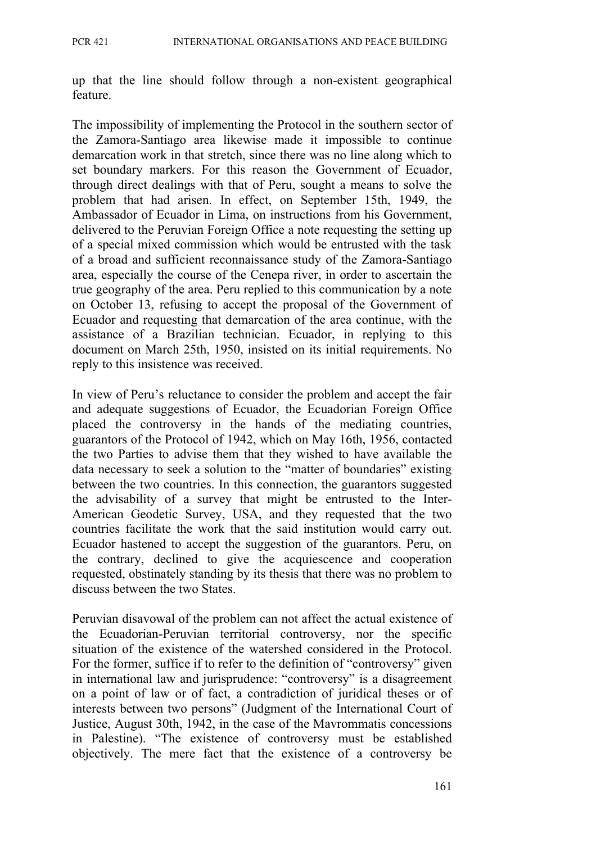up that the line should follow through a non-existent geographical feature.

The impossibility of implementing the Protocol in the southern sector of the Zamora-Santiago area likewise made it impossible to continue demarcation work in that stretch, since there was no line along which to set boundary markers. For this reason the Government of Ecuador, through direct dealings with that of Peru, sought a means to solve the problem that had arisen. In effect, on September 15th, 1949, the Ambassador of Ecuador in Lima, on instructions from his Government, delivered to the Peruvian Foreign Office a note requesting the setting up of a special mixed commission which would be entrusted with the task of a broad and sufficient reconnaissance study of the Zamora-Santiago area, especially the course of the Cenepa river, in order to ascertain the true geography of the area. Peru replied to this communication by a note on October 13, refusing to accept the proposal of the Government of Ecuador and requesting that demarcation of the area continue, with the assistance of a Brazilian technician. Ecuador, in replying to this document on March 25th, 1950, insisted on its initial requirements. No reply to this insistence was received.

In view of Peru's reluctance to consider the problem and accept the fair and adequate suggestions of Ecuador, the Ecuadorian Foreign Office placed the controversy in the hands of the mediating countries, guarantors of the Protocol of 1942, which on May 16th, 1956, contacted the two Parties to advise them that they wished to have available the data necessary to seek a solution to the "matter of boundaries" existing between the two countries. In this connection, the guarantors suggested the advisability of a survey that might be entrusted to the Inter-American Geodetic Survey, USA, and they requested that the two countries facilitate the work that the said institution would carry out. Ecuador hastened to accept the suggestion of the guarantors. Peru, on the contrary, declined to give the acquiescence and cooperation requested, obstinately standing by its thesis that there was no problem to discuss between the two States.

Peruvian disavowal of the problem can not affect the actual existence of the Ecuadorian-Peruvian territorial controversy, nor the specific situation of the existence of the watershed considered in the Protocol. For the former, suffice if to refer to the definition of "controversy" given in international law and jurisprudence: "controversy" is a disagreement on a point of law or of fact, a contradiction of juridical theses or of interests between two persons" (Judgment of the International Court of Justice, August 30th, 1942, in the case of the Mavrommatis concessions in Palestine). "The existence of controversy must be established objectively. The mere fact that the existence of a controversy be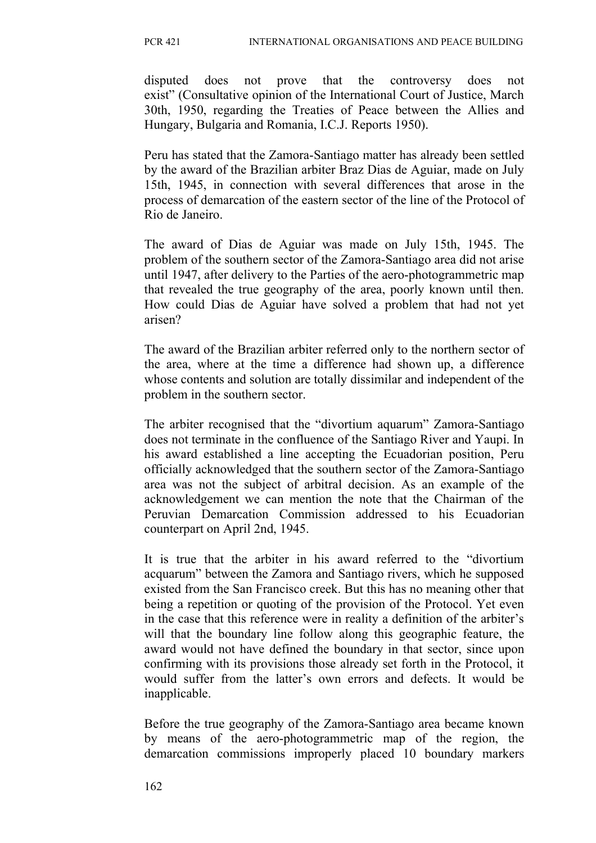disputed does not prove that the controversy does not exist" (Consultative opinion of the International Court of Justice, March 30th, 1950, regarding the Treaties of Peace between the Allies and Hungary, Bulgaria and Romania, I.C.J. Reports 1950).

Peru has stated that the Zamora-Santiago matter has already been settled by the award of the Brazilian arbiter Braz Dias de Aguiar, made on July 15th, 1945, in connection with several differences that arose in the process of demarcation of the eastern sector of the line of the Protocol of Rio de Janeiro.

The award of Dias de Aguiar was made on July 15th, 1945. The problem of the southern sector of the Zamora-Santiago area did not arise until 1947, after delivery to the Parties of the aero-photogrammetric map that revealed the true geography of the area, poorly known until then. How could Dias de Aguiar have solved a problem that had not yet arisen?

The award of the Brazilian arbiter referred only to the northern sector of the area, where at the time a difference had shown up, a difference whose contents and solution are totally dissimilar and independent of the problem in the southern sector.

The arbiter recognised that the "divortium aquarum" Zamora-Santiago does not terminate in the confluence of the Santiago River and Yaupi. In his award established a line accepting the Ecuadorian position, Peru officially acknowledged that the southern sector of the Zamora-Santiago area was not the subject of arbitral decision. As an example of the acknowledgement we can mention the note that the Chairman of the Peruvian Demarcation Commission addressed to his Ecuadorian counterpart on April 2nd, 1945.

It is true that the arbiter in his award referred to the "divortium acquarum" between the Zamora and Santiago rivers, which he supposed existed from the San Francisco creek. But this has no meaning other that being a repetition or quoting of the provision of the Protocol. Yet even in the case that this reference were in reality a definition of the arbiter's will that the boundary line follow along this geographic feature, the award would not have defined the boundary in that sector, since upon confirming with its provisions those already set forth in the Protocol, it would suffer from the latter's own errors and defects. It would be inapplicable.

Before the true geography of the Zamora-Santiago area became known by means of the aero-photogrammetric map of the region, the demarcation commissions improperly placed 10 boundary markers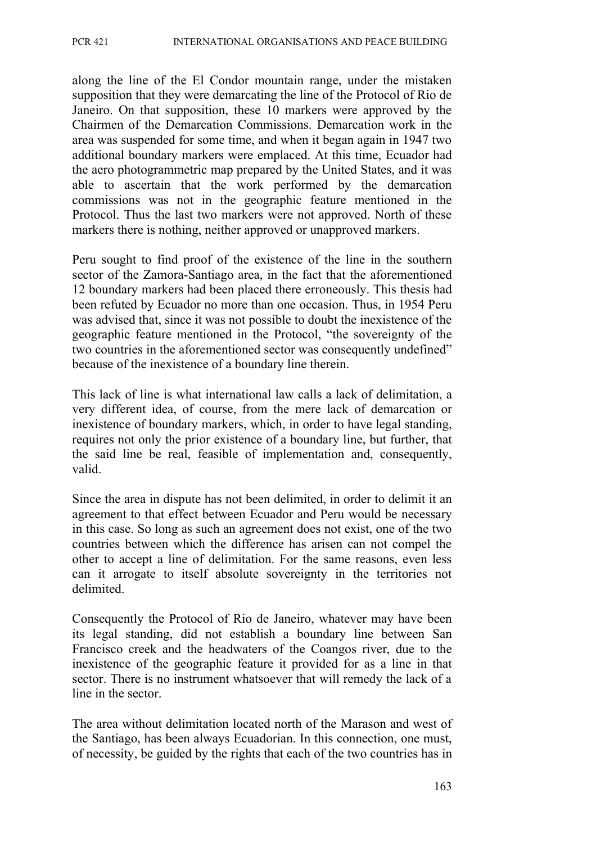along the line of the El Condor mountain range, under the mistaken supposition that they were demarcating the line of the Protocol of Rio de Janeiro. On that supposition, these 10 markers were approved by the Chairmen of the Demarcation Commissions. Demarcation work in the area was suspended for some time, and when it began again in 1947 two additional boundary markers were emplaced. At this time, Ecuador had the aero photogrammetric map prepared by the United States, and it was able to ascertain that the work performed by the demarcation commissions was not in the geographic feature mentioned in the Protocol. Thus the last two markers were not approved. North of these markers there is nothing, neither approved or unapproved markers.

Peru sought to find proof of the existence of the line in the southern sector of the Zamora-Santiago area, in the fact that the aforementioned 12 boundary markers had been placed there erroneously. This thesis had been refuted by Ecuador no more than one occasion. Thus, in 1954 Peru was advised that, since it was not possible to doubt the inexistence of the geographic feature mentioned in the Protocol, "the sovereignty of the two countries in the aforementioned sector was consequently undefined" because of the inexistence of a boundary line therein.

This lack of line is what international law calls a lack of delimitation, a very different idea, of course, from the mere lack of demarcation or inexistence of boundary markers, which, in order to have legal standing, requires not only the prior existence of a boundary line, but further, that the said line be real, feasible of implementation and, consequently, valid.

Since the area in dispute has not been delimited, in order to delimit it an agreement to that effect between Ecuador and Peru would be necessary in this case. So long as such an agreement does not exist, one of the two countries between which the difference has arisen can not compel the other to accept a line of delimitation. For the same reasons, even less can it arrogate to itself absolute sovereignty in the territories not delimited.

Consequently the Protocol of Rio de Janeiro, whatever may have been its legal standing, did not establish a boundary line between San Francisco creek and the headwaters of the Coangos river, due to the inexistence of the geographic feature it provided for as a line in that sector. There is no instrument whatsoever that will remedy the lack of a line in the sector.

The area without delimitation located north of the Marason and west of the Santiago, has been always Ecuadorian. In this connection, one must, of necessity, be guided by the rights that each of the two countries has in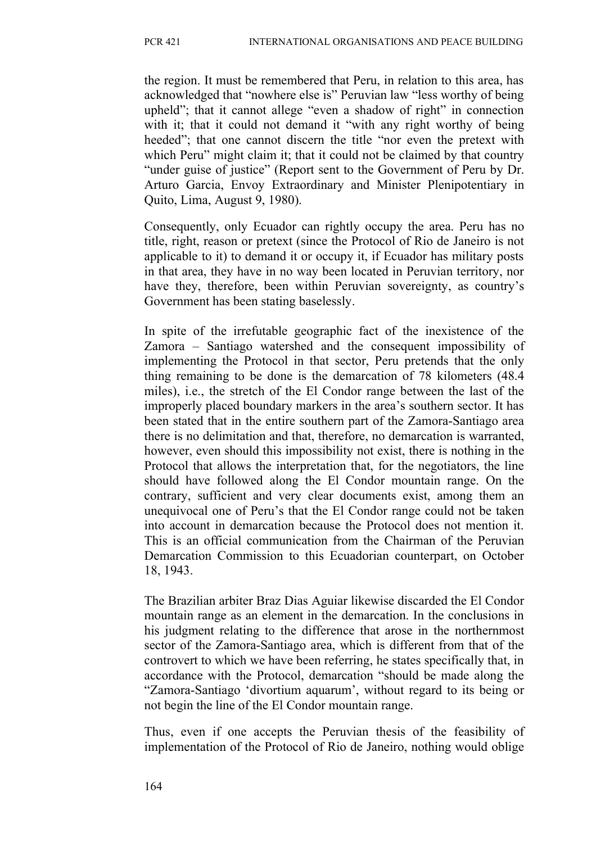the region. It must be remembered that Peru, in relation to this area, has acknowledged that "nowhere else is" Peruvian law "less worthy of being upheld"; that it cannot allege "even a shadow of right" in connection with it; that it could not demand it "with any right worthy of being heeded"; that one cannot discern the title "nor even the pretext with which Peru" might claim it; that it could not be claimed by that country "under guise of justice" (Report sent to the Government of Peru by Dr. Arturo Garcia, Envoy Extraordinary and Minister Plenipotentiary in Quito, Lima, August 9, 1980).

Consequently, only Ecuador can rightly occupy the area. Peru has no title, right, reason or pretext (since the Protocol of Rio de Janeiro is not applicable to it) to demand it or occupy it, if Ecuador has military posts in that area, they have in no way been located in Peruvian territory, nor have they, therefore, been within Peruvian sovereignty, as country's Government has been stating baselessly.

In spite of the irrefutable geographic fact of the inexistence of the Zamora – Santiago watershed and the consequent impossibility of implementing the Protocol in that sector, Peru pretends that the only thing remaining to be done is the demarcation of 78 kilometers (48.4 miles), i.e., the stretch of the El Condor range between the last of the improperly placed boundary markers in the area's southern sector. It has been stated that in the entire southern part of the Zamora-Santiago area there is no delimitation and that, therefore, no demarcation is warranted, however, even should this impossibility not exist, there is nothing in the Protocol that allows the interpretation that, for the negotiators, the line should have followed along the El Condor mountain range. On the contrary, sufficient and very clear documents exist, among them an unequivocal one of Peru's that the El Condor range could not be taken into account in demarcation because the Protocol does not mention it. This is an official communication from the Chairman of the Peruvian Demarcation Commission to this Ecuadorian counterpart, on October 18, 1943.

The Brazilian arbiter Braz Dias Aguiar likewise discarded the El Condor mountain range as an element in the demarcation. In the conclusions in his judgment relating to the difference that arose in the northernmost sector of the Zamora-Santiago area, which is different from that of the controvert to which we have been referring, he states specifically that, in accordance with the Protocol, demarcation "should be made along the "Zamora-Santiago 'divortium aquarum', without regard to its being or not begin the line of the El Condor mountain range.

Thus, even if one accepts the Peruvian thesis of the feasibility of implementation of the Protocol of Rio de Janeiro, nothing would oblige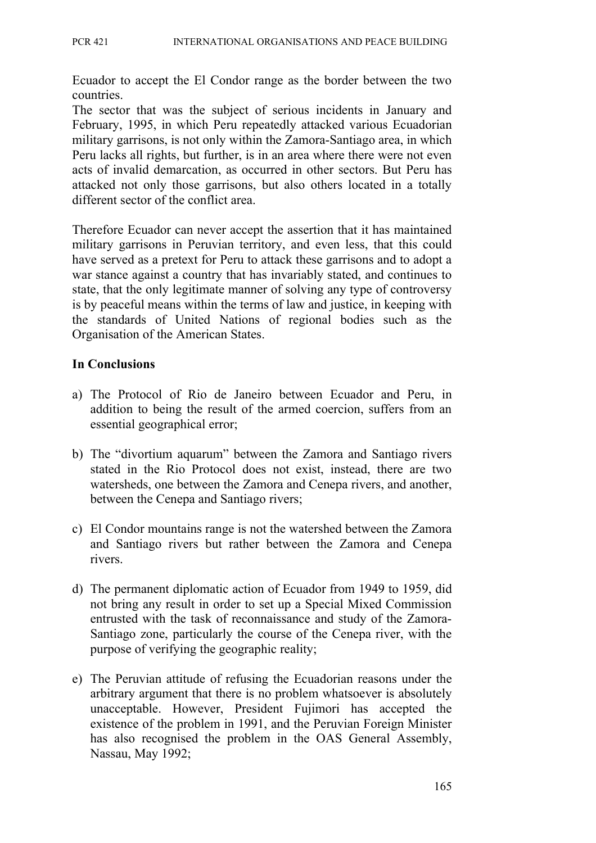Ecuador to accept the El Condor range as the border between the two countries.

The sector that was the subject of serious incidents in January and February, 1995, in which Peru repeatedly attacked various Ecuadorian military garrisons, is not only within the Zamora-Santiago area, in which Peru lacks all rights, but further, is in an area where there were not even acts of invalid demarcation, as occurred in other sectors. But Peru has attacked not only those garrisons, but also others located in a totally different sector of the conflict area.

Therefore Ecuador can never accept the assertion that it has maintained military garrisons in Peruvian territory, and even less, that this could have served as a pretext for Peru to attack these garrisons and to adopt a war stance against a country that has invariably stated, and continues to state, that the only legitimate manner of solving any type of controversy is by peaceful means within the terms of law and justice, in keeping with the standards of United Nations of regional bodies such as the Organisation of the American States.

#### **In Conclusions**

- a) The Protocol of Rio de Janeiro between Ecuador and Peru, in addition to being the result of the armed coercion, suffers from an essential geographical error;
- b) The "divortium aquarum" between the Zamora and Santiago rivers stated in the Rio Protocol does not exist, instead, there are two watersheds, one between the Zamora and Cenepa rivers, and another, between the Cenepa and Santiago rivers;
- c) El Condor mountains range is not the watershed between the Zamora and Santiago rivers but rather between the Zamora and Cenepa rivers.
- d) The permanent diplomatic action of Ecuador from 1949 to 1959, did not bring any result in order to set up a Special Mixed Commission entrusted with the task of reconnaissance and study of the Zamora-Santiago zone, particularly the course of the Cenepa river, with the purpose of verifying the geographic reality;
- e) The Peruvian attitude of refusing the Ecuadorian reasons under the arbitrary argument that there is no problem whatsoever is absolutely unacceptable. However, President Fujimori has accepted the existence of the problem in 1991, and the Peruvian Foreign Minister has also recognised the problem in the OAS General Assembly, Nassau, May 1992;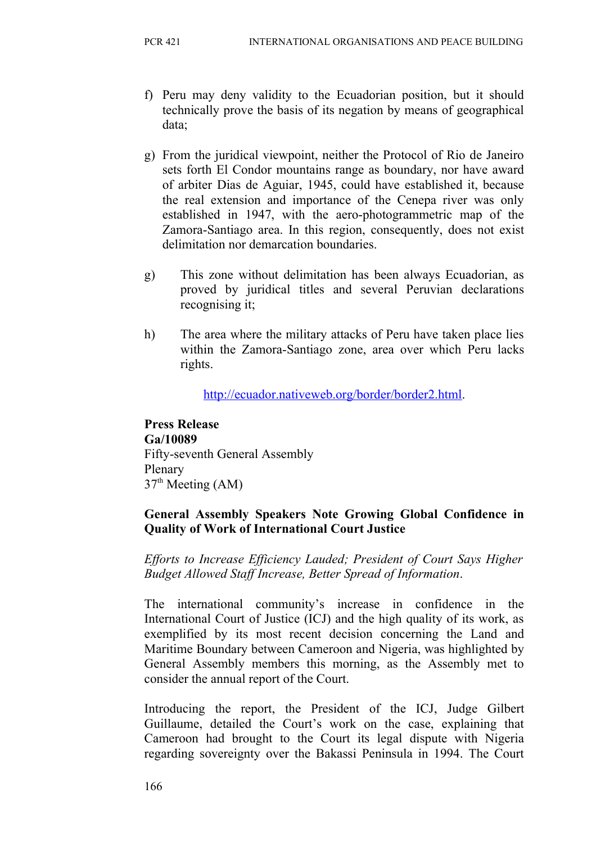- f) Peru may deny validity to the Ecuadorian position, but it should technically prove the basis of its negation by means of geographical data;
- g) From the juridical viewpoint, neither the Protocol of Rio de Janeiro sets forth El Condor mountains range as boundary, nor have award of arbiter Dias de Aguiar, 1945, could have established it, because the real extension and importance of the Cenepa river was only established in 1947, with the aero-photogrammetric map of the Zamora-Santiago area. In this region, consequently, does not exist delimitation nor demarcation boundaries.
- g) This zone without delimitation has been always Ecuadorian, as proved by juridical titles and several Peruvian declarations recognising it;
- h) The area where the military attacks of Peru have taken place lies within the Zamora-Santiago zone, area over which Peru lacks rights.

[http://ecuador.nativeweb.org/border/border2.html.](http://ecuador.nativeweb.org/border/border2.html)

**Press Release Ga/10089** Fifty-seventh General Assembly Plenary  $37<sup>th</sup>$  Meeting (AM)

#### **General Assembly Speakers Note Growing Global Confidence in Quality of Work of International Court Justice**

*Efforts to Increase Efficiency Lauded; President of Court Says Higher Budget Allowed Staff Increase, Better Spread of Information*.

The international community's increase in confidence in the International Court of Justice (ICJ) and the high quality of its work, as exemplified by its most recent decision concerning the Land and Maritime Boundary between Cameroon and Nigeria, was highlighted by General Assembly members this morning, as the Assembly met to consider the annual report of the Court.

Introducing the report, the President of the ICJ, Judge Gilbert Guillaume, detailed the Court's work on the case, explaining that Cameroon had brought to the Court its legal dispute with Nigeria regarding sovereignty over the Bakassi Peninsula in 1994. The Court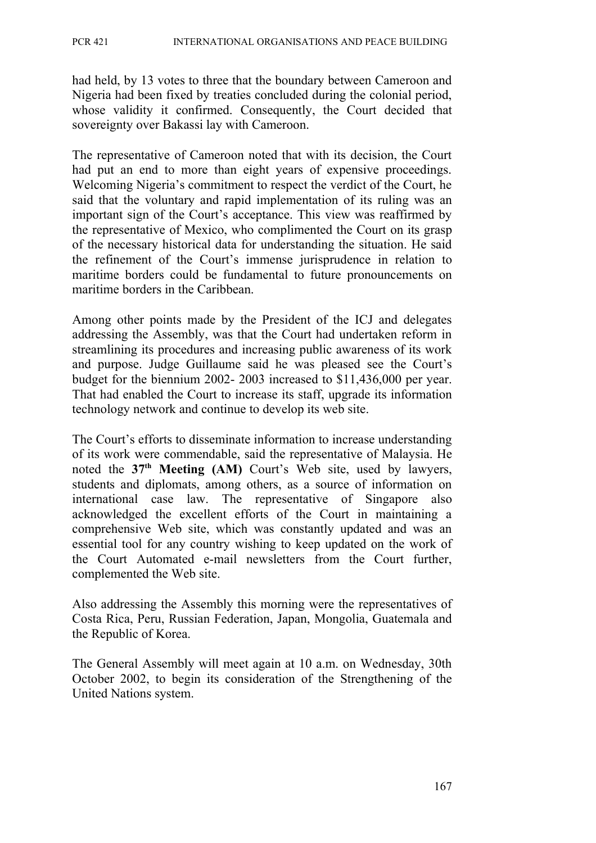had held, by 13 votes to three that the boundary between Cameroon and Nigeria had been fixed by treaties concluded during the colonial period, whose validity it confirmed. Consequently, the Court decided that sovereignty over Bakassi lay with Cameroon.

The representative of Cameroon noted that with its decision, the Court had put an end to more than eight years of expensive proceedings. Welcoming Nigeria's commitment to respect the verdict of the Court, he said that the voluntary and rapid implementation of its ruling was an important sign of the Court's acceptance. This view was reaffirmed by the representative of Mexico, who complimented the Court on its grasp of the necessary historical data for understanding the situation. He said the refinement of the Court's immense jurisprudence in relation to maritime borders could be fundamental to future pronouncements on maritime borders in the Caribbean.

Among other points made by the President of the ICJ and delegates addressing the Assembly, was that the Court had undertaken reform in streamlining its procedures and increasing public awareness of its work and purpose. Judge Guillaume said he was pleased see the Court's budget for the biennium 2002- 2003 increased to \$11,436,000 per year. That had enabled the Court to increase its staff, upgrade its information technology network and continue to develop its web site.

The Court's efforts to disseminate information to increase understanding of its work were commendable, said the representative of Malaysia. He noted the **37th Meeting (AM)** Court's Web site, used by lawyers, students and diplomats, among others, as a source of information on international case law. The representative of Singapore also acknowledged the excellent efforts of the Court in maintaining a comprehensive Web site, which was constantly updated and was an essential tool for any country wishing to keep updated on the work of the Court Automated e-mail newsletters from the Court further, complemented the Web site.

Also addressing the Assembly this morning were the representatives of Costa Rica, Peru, Russian Federation, Japan, Mongolia, Guatemala and the Republic of Korea.

The General Assembly will meet again at 10 a.m. on Wednesday, 30th October 2002, to begin its consideration of the Strengthening of the United Nations system.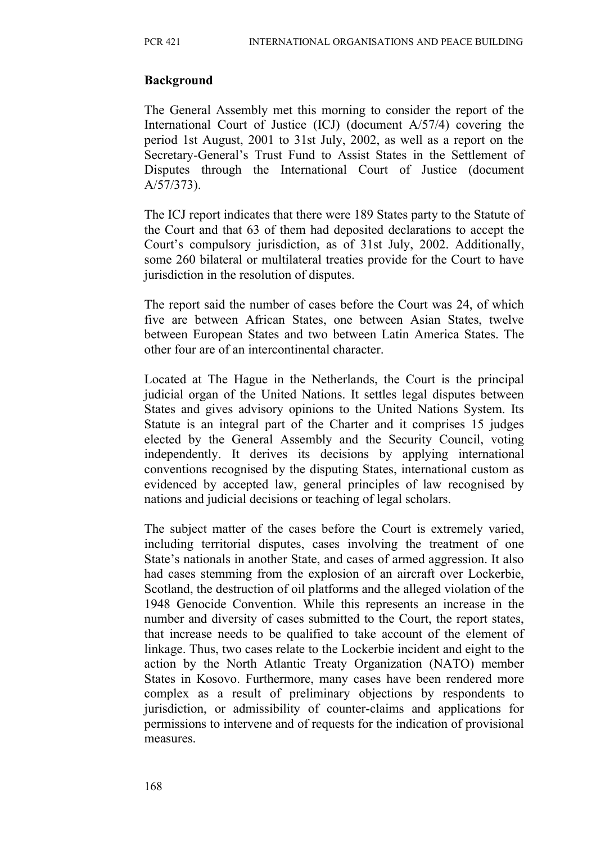#### **Background**

The General Assembly met this morning to consider the report of the International Court of Justice (ICJ) (document A/57/4) covering the period 1st August, 2001 to 31st July, 2002, as well as a report on the Secretary-General's Trust Fund to Assist States in the Settlement of Disputes through the International Court of Justice (document A/57/373).

The ICJ report indicates that there were 189 States party to the Statute of the Court and that 63 of them had deposited declarations to accept the Court's compulsory jurisdiction, as of 31st July, 2002. Additionally, some 260 bilateral or multilateral treaties provide for the Court to have jurisdiction in the resolution of disputes.

The report said the number of cases before the Court was 24, of which five are between African States, one between Asian States, twelve between European States and two between Latin America States. The other four are of an intercontinental character.

Located at The Hague in the Netherlands, the Court is the principal judicial organ of the United Nations. It settles legal disputes between States and gives advisory opinions to the United Nations System. Its Statute is an integral part of the Charter and it comprises 15 judges elected by the General Assembly and the Security Council, voting independently. It derives its decisions by applying international conventions recognised by the disputing States, international custom as evidenced by accepted law, general principles of law recognised by nations and judicial decisions or teaching of legal scholars.

The subject matter of the cases before the Court is extremely varied, including territorial disputes, cases involving the treatment of one State's nationals in another State, and cases of armed aggression. It also had cases stemming from the explosion of an aircraft over Lockerbie, Scotland, the destruction of oil platforms and the alleged violation of the 1948 Genocide Convention. While this represents an increase in the number and diversity of cases submitted to the Court, the report states, that increase needs to be qualified to take account of the element of linkage. Thus, two cases relate to the Lockerbie incident and eight to the action by the North Atlantic Treaty Organization (NATO) member States in Kosovo. Furthermore, many cases have been rendered more complex as a result of preliminary objections by respondents to jurisdiction, or admissibility of counter-claims and applications for permissions to intervene and of requests for the indication of provisional measures.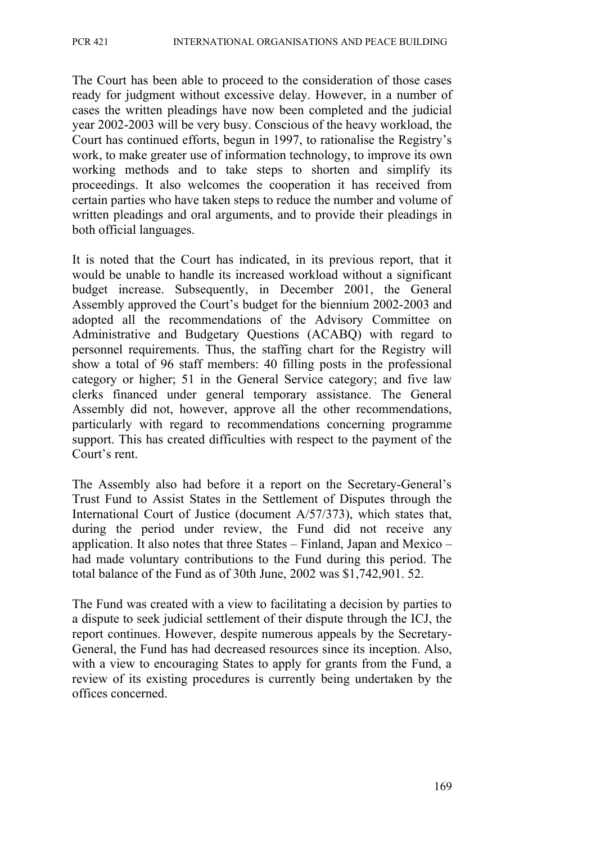The Court has been able to proceed to the consideration of those cases ready for judgment without excessive delay. However, in a number of cases the written pleadings have now been completed and the judicial year 2002-2003 will be very busy. Conscious of the heavy workload, the Court has continued efforts, begun in 1997, to rationalise the Registry's work, to make greater use of information technology, to improve its own working methods and to take steps to shorten and simplify its proceedings. It also welcomes the cooperation it has received from certain parties who have taken steps to reduce the number and volume of written pleadings and oral arguments, and to provide their pleadings in both official languages.

It is noted that the Court has indicated, in its previous report, that it would be unable to handle its increased workload without a significant budget increase. Subsequently, in December 2001, the General Assembly approved the Court's budget for the biennium 2002-2003 and adopted all the recommendations of the Advisory Committee on Administrative and Budgetary Questions (ACABQ) with regard to personnel requirements. Thus, the staffing chart for the Registry will show a total of 96 staff members: 40 filling posts in the professional category or higher; 51 in the General Service category; and five law clerks financed under general temporary assistance. The General Assembly did not, however, approve all the other recommendations, particularly with regard to recommendations concerning programme support. This has created difficulties with respect to the payment of the Court's rent.

The Assembly also had before it a report on the Secretary-General's Trust Fund to Assist States in the Settlement of Disputes through the International Court of Justice (document A/57/373), which states that, during the period under review, the Fund did not receive any application. It also notes that three States – Finland, Japan and Mexico – had made voluntary contributions to the Fund during this period. The total balance of the Fund as of 30th June, 2002 was \$1,742,901. 52.

The Fund was created with a view to facilitating a decision by parties to a dispute to seek judicial settlement of their dispute through the ICJ, the report continues. However, despite numerous appeals by the Secretary-General, the Fund has had decreased resources since its inception. Also, with a view to encouraging States to apply for grants from the Fund, a review of its existing procedures is currently being undertaken by the offices concerned.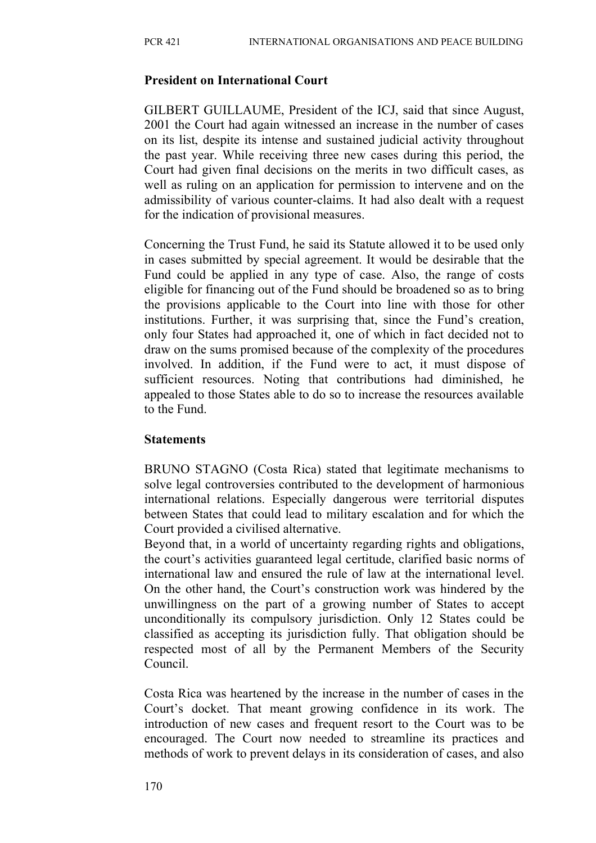#### **President on International Court**

GILBERT GUILLAUME, President of the ICJ, said that since August, 2001 the Court had again witnessed an increase in the number of cases on its list, despite its intense and sustained judicial activity throughout the past year. While receiving three new cases during this period, the Court had given final decisions on the merits in two difficult cases, as well as ruling on an application for permission to intervene and on the admissibility of various counter-claims. It had also dealt with a request for the indication of provisional measures.

Concerning the Trust Fund, he said its Statute allowed it to be used only in cases submitted by special agreement. It would be desirable that the Fund could be applied in any type of case. Also, the range of costs eligible for financing out of the Fund should be broadened so as to bring the provisions applicable to the Court into line with those for other institutions. Further, it was surprising that, since the Fund's creation, only four States had approached it, one of which in fact decided not to draw on the sums promised because of the complexity of the procedures involved. In addition, if the Fund were to act, it must dispose of sufficient resources. Noting that contributions had diminished, he appealed to those States able to do so to increase the resources available to the Fund.

#### **Statements**

BRUNO STAGNO (Costa Rica) stated that legitimate mechanisms to solve legal controversies contributed to the development of harmonious international relations. Especially dangerous were territorial disputes between States that could lead to military escalation and for which the Court provided a civilised alternative.

Beyond that, in a world of uncertainty regarding rights and obligations, the court's activities guaranteed legal certitude, clarified basic norms of international law and ensured the rule of law at the international level. On the other hand, the Court's construction work was hindered by the unwillingness on the part of a growing number of States to accept unconditionally its compulsory jurisdiction. Only 12 States could be classified as accepting its jurisdiction fully. That obligation should be respected most of all by the Permanent Members of the Security Council.

Costa Rica was heartened by the increase in the number of cases in the Court's docket. That meant growing confidence in its work. The introduction of new cases and frequent resort to the Court was to be encouraged. The Court now needed to streamline its practices and methods of work to prevent delays in its consideration of cases, and also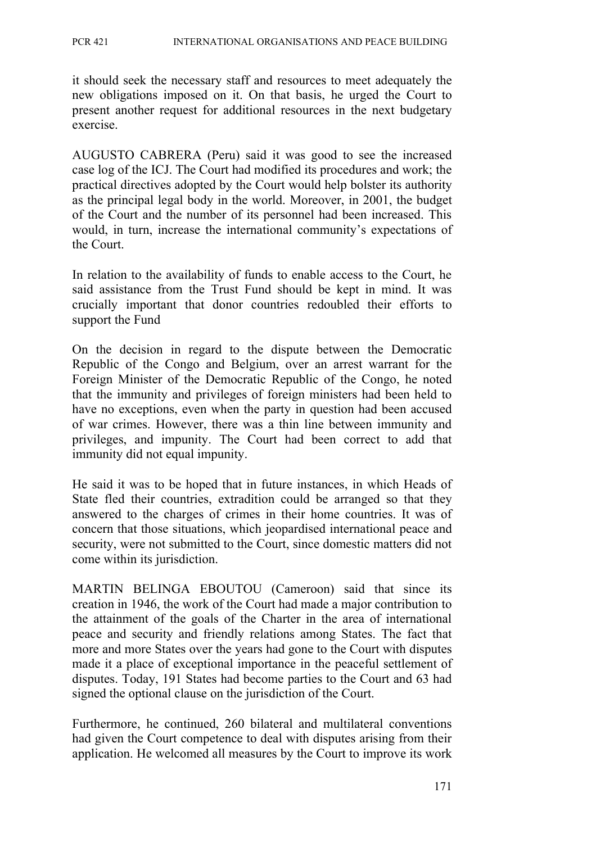it should seek the necessary staff and resources to meet adequately the new obligations imposed on it. On that basis, he urged the Court to present another request for additional resources in the next budgetary exercise.

AUGUSTO CABRERA (Peru) said it was good to see the increased case log of the ICJ. The Court had modified its procedures and work; the practical directives adopted by the Court would help bolster its authority as the principal legal body in the world. Moreover, in 2001, the budget of the Court and the number of its personnel had been increased. This would, in turn, increase the international community's expectations of the Court.

In relation to the availability of funds to enable access to the Court, he said assistance from the Trust Fund should be kept in mind. It was crucially important that donor countries redoubled their efforts to support the Fund

On the decision in regard to the dispute between the Democratic Republic of the Congo and Belgium, over an arrest warrant for the Foreign Minister of the Democratic Republic of the Congo, he noted that the immunity and privileges of foreign ministers had been held to have no exceptions, even when the party in question had been accused of war crimes. However, there was a thin line between immunity and privileges, and impunity. The Court had been correct to add that immunity did not equal impunity.

He said it was to be hoped that in future instances, in which Heads of State fled their countries, extradition could be arranged so that they answered to the charges of crimes in their home countries. It was of concern that those situations, which jeopardised international peace and security, were not submitted to the Court, since domestic matters did not come within its jurisdiction.

MARTIN BELINGA EBOUTOU (Cameroon) said that since its creation in 1946, the work of the Court had made a major contribution to the attainment of the goals of the Charter in the area of international peace and security and friendly relations among States. The fact that more and more States over the years had gone to the Court with disputes made it a place of exceptional importance in the peaceful settlement of disputes. Today, 191 States had become parties to the Court and 63 had signed the optional clause on the jurisdiction of the Court.

Furthermore, he continued, 260 bilateral and multilateral conventions had given the Court competence to deal with disputes arising from their application. He welcomed all measures by the Court to improve its work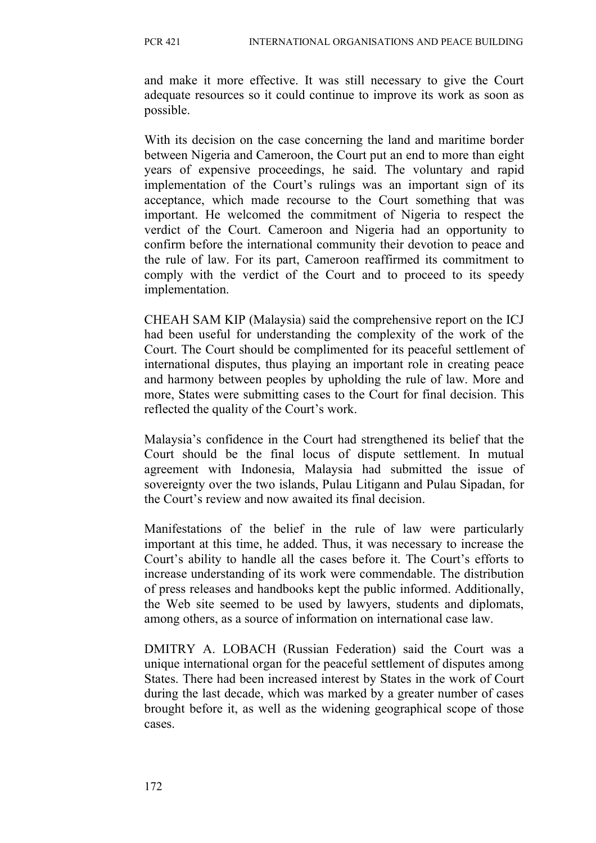and make it more effective. It was still necessary to give the Court adequate resources so it could continue to improve its work as soon as possible.

With its decision on the case concerning the land and maritime border between Nigeria and Cameroon, the Court put an end to more than eight years of expensive proceedings, he said. The voluntary and rapid implementation of the Court's rulings was an important sign of its acceptance, which made recourse to the Court something that was important. He welcomed the commitment of Nigeria to respect the verdict of the Court. Cameroon and Nigeria had an opportunity to confirm before the international community their devotion to peace and the rule of law. For its part, Cameroon reaffirmed its commitment to comply with the verdict of the Court and to proceed to its speedy implementation.

CHEAH SAM KIP (Malaysia) said the comprehensive report on the ICJ had been useful for understanding the complexity of the work of the Court. The Court should be complimented for its peaceful settlement of international disputes, thus playing an important role in creating peace and harmony between peoples by upholding the rule of law. More and more, States were submitting cases to the Court for final decision. This reflected the quality of the Court's work.

Malaysia's confidence in the Court had strengthened its belief that the Court should be the final locus of dispute settlement. In mutual agreement with Indonesia, Malaysia had submitted the issue of sovereignty over the two islands, Pulau Litigann and Pulau Sipadan, for the Court's review and now awaited its final decision.

Manifestations of the belief in the rule of law were particularly important at this time, he added. Thus, it was necessary to increase the Court's ability to handle all the cases before it. The Court's efforts to increase understanding of its work were commendable. The distribution of press releases and handbooks kept the public informed. Additionally, the Web site seemed to be used by lawyers, students and diplomats, among others, as a source of information on international case law.

DMITRY A. LOBACH (Russian Federation) said the Court was a unique international organ for the peaceful settlement of disputes among States. There had been increased interest by States in the work of Court during the last decade, which was marked by a greater number of cases brought before it, as well as the widening geographical scope of those cases.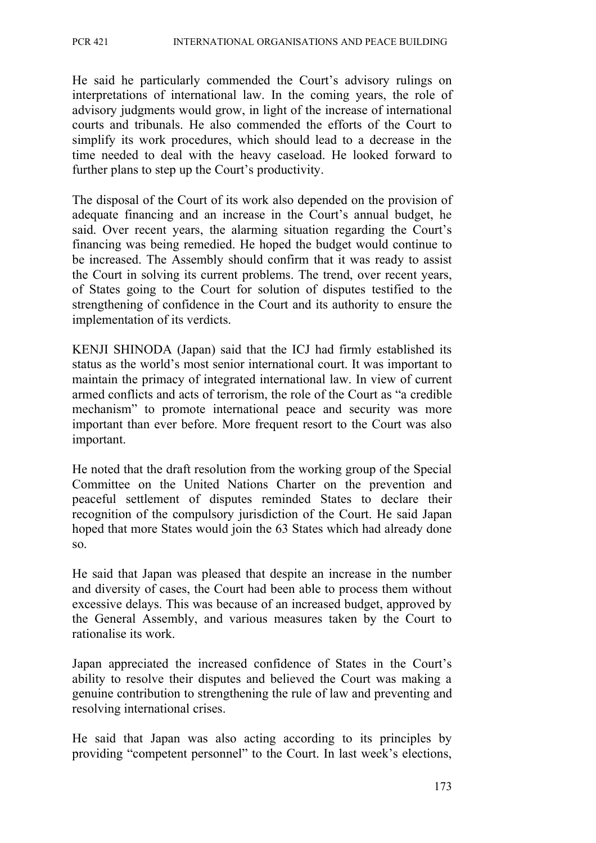He said he particularly commended the Court's advisory rulings on interpretations of international law. In the coming years, the role of advisory judgments would grow, in light of the increase of international courts and tribunals. He also commended the efforts of the Court to simplify its work procedures, which should lead to a decrease in the time needed to deal with the heavy caseload. He looked forward to further plans to step up the Court's productivity.

The disposal of the Court of its work also depended on the provision of adequate financing and an increase in the Court's annual budget, he said. Over recent years, the alarming situation regarding the Court's financing was being remedied. He hoped the budget would continue to be increased. The Assembly should confirm that it was ready to assist the Court in solving its current problems. The trend, over recent years, of States going to the Court for solution of disputes testified to the strengthening of confidence in the Court and its authority to ensure the implementation of its verdicts.

KENJI SHINODA (Japan) said that the ICJ had firmly established its status as the world's most senior international court. It was important to maintain the primacy of integrated international law. In view of current armed conflicts and acts of terrorism, the role of the Court as "a credible mechanism" to promote international peace and security was more important than ever before. More frequent resort to the Court was also important.

He noted that the draft resolution from the working group of the Special Committee on the United Nations Charter on the prevention and peaceful settlement of disputes reminded States to declare their recognition of the compulsory jurisdiction of the Court. He said Japan hoped that more States would join the 63 States which had already done so.

He said that Japan was pleased that despite an increase in the number and diversity of cases, the Court had been able to process them without excessive delays. This was because of an increased budget, approved by the General Assembly, and various measures taken by the Court to rationalise its work.

Japan appreciated the increased confidence of States in the Court's ability to resolve their disputes and believed the Court was making a genuine contribution to strengthening the rule of law and preventing and resolving international crises.

He said that Japan was also acting according to its principles by providing "competent personnel" to the Court. In last week's elections,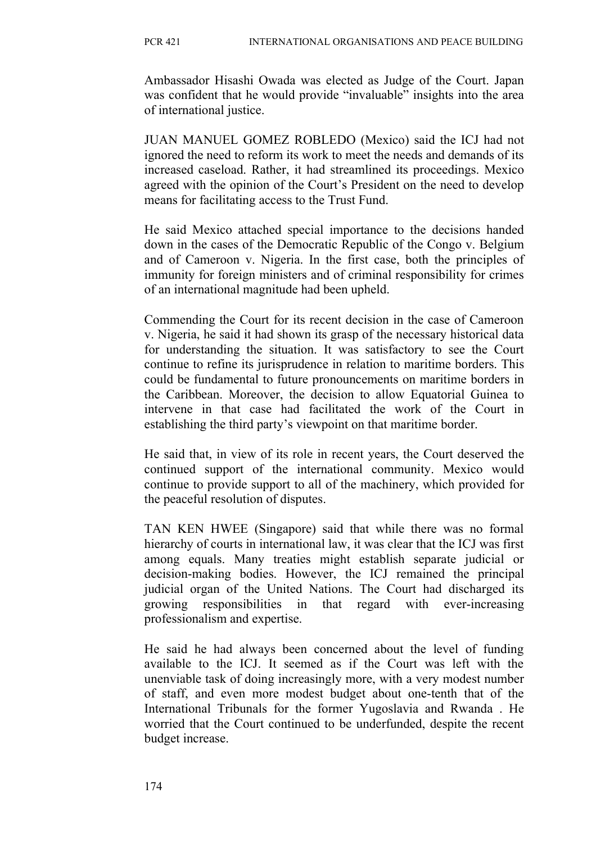Ambassador Hisashi Owada was elected as Judge of the Court. Japan was confident that he would provide "invaluable" insights into the area of international justice.

JUAN MANUEL GOMEZ ROBLEDO (Mexico) said the ICJ had not ignored the need to reform its work to meet the needs and demands of its increased caseload. Rather, it had streamlined its proceedings. Mexico agreed with the opinion of the Court's President on the need to develop means for facilitating access to the Trust Fund.

He said Mexico attached special importance to the decisions handed down in the cases of the Democratic Republic of the Congo v. Belgium and of Cameroon v. Nigeria. In the first case, both the principles of immunity for foreign ministers and of criminal responsibility for crimes of an international magnitude had been upheld.

Commending the Court for its recent decision in the case of Cameroon v. Nigeria, he said it had shown its grasp of the necessary historical data for understanding the situation. It was satisfactory to see the Court continue to refine its jurisprudence in relation to maritime borders. This could be fundamental to future pronouncements on maritime borders in the Caribbean. Moreover, the decision to allow Equatorial Guinea to intervene in that case had facilitated the work of the Court in establishing the third party's viewpoint on that maritime border.

He said that, in view of its role in recent years, the Court deserved the continued support of the international community. Mexico would continue to provide support to all of the machinery, which provided for the peaceful resolution of disputes.

TAN KEN HWEE (Singapore) said that while there was no formal hierarchy of courts in international law, it was clear that the ICJ was first among equals. Many treaties might establish separate judicial or decision-making bodies. However, the ICJ remained the principal judicial organ of the United Nations. The Court had discharged its growing responsibilities in that regard with ever-increasing professionalism and expertise.

He said he had always been concerned about the level of funding available to the ICJ. It seemed as if the Court was left with the unenviable task of doing increasingly more, with a very modest number of staff, and even more modest budget about one-tenth that of the International Tribunals for the former Yugoslavia and Rwanda . He worried that the Court continued to be underfunded, despite the recent budget increase.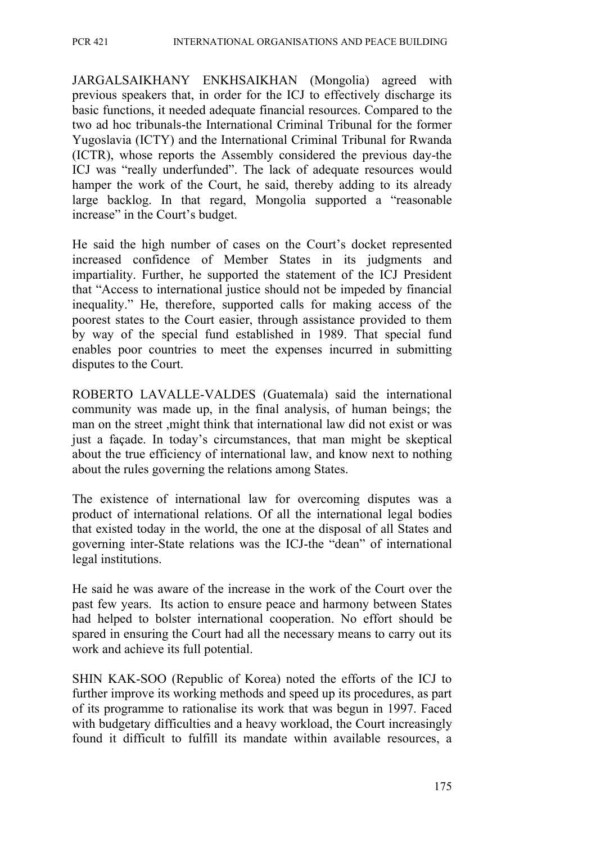JARGALSAIKHANY ENKHSAIKHAN (Mongolia) agreed with previous speakers that, in order for the ICJ to effectively discharge its basic functions, it needed adequate financial resources. Compared to the two ad hoc tribunals-the International Criminal Tribunal for the former Yugoslavia (ICTY) and the International Criminal Tribunal for Rwanda (ICTR), whose reports the Assembly considered the previous day-the ICJ was "really underfunded". The lack of adequate resources would hamper the work of the Court, he said, thereby adding to its already large backlog. In that regard, Mongolia supported a "reasonable increase" in the Court's budget.

He said the high number of cases on the Court's docket represented increased confidence of Member States in its judgments and impartiality. Further, he supported the statement of the ICJ President that "Access to international justice should not be impeded by financial inequality." He, therefore, supported calls for making access of the poorest states to the Court easier, through assistance provided to them by way of the special fund established in 1989. That special fund enables poor countries to meet the expenses incurred in submitting disputes to the Court.

ROBERTO LAVALLE-VALDES (Guatemala) said the international community was made up, in the final analysis, of human beings; the man on the street ,might think that international law did not exist or was just a façade. In today's circumstances, that man might be skeptical about the true efficiency of international law, and know next to nothing about the rules governing the relations among States.

The existence of international law for overcoming disputes was a product of international relations. Of all the international legal bodies that existed today in the world, the one at the disposal of all States and governing inter-State relations was the ICJ-the "dean" of international legal institutions.

He said he was aware of the increase in the work of the Court over the past few years. Its action to ensure peace and harmony between States had helped to bolster international cooperation. No effort should be spared in ensuring the Court had all the necessary means to carry out its work and achieve its full potential.

SHIN KAK-SOO (Republic of Korea) noted the efforts of the ICJ to further improve its working methods and speed up its procedures, as part of its programme to rationalise its work that was begun in 1997. Faced with budgetary difficulties and a heavy workload, the Court increasingly found it difficult to fulfill its mandate within available resources, a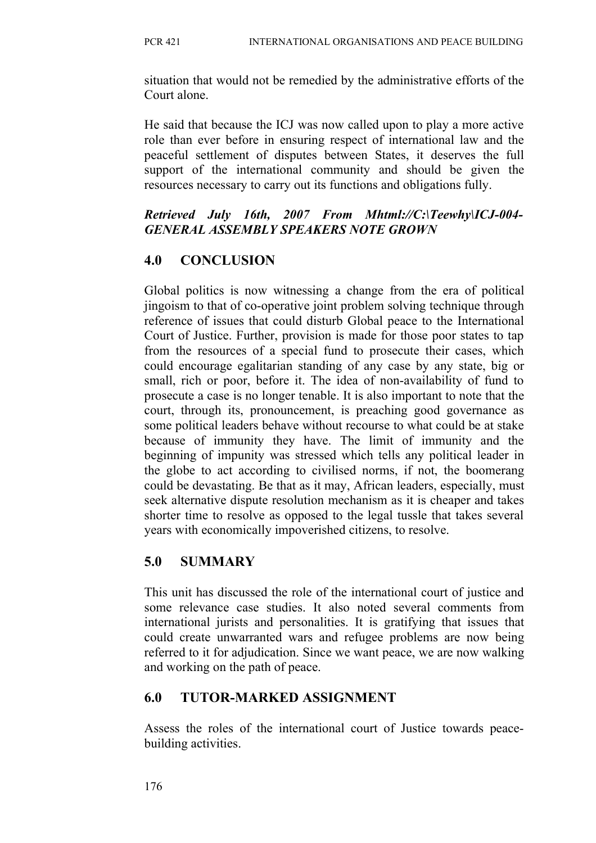situation that would not be remedied by the administrative efforts of the Court alone.

He said that because the ICJ was now called upon to play a more active role than ever before in ensuring respect of international law and the peaceful settlement of disputes between States, it deserves the full support of the international community and should be given the resources necessary to carry out its functions and obligations fully.

### *Retrieved July 16th, 2007 From Mhtml://C:\Teewhy\ICJ-004- GENERAL ASSEMBLY SPEAKERS NOTE GROWN*

## **4.0 CONCLUSION**

Global politics is now witnessing a change from the era of political jingoism to that of co-operative joint problem solving technique through reference of issues that could disturb Global peace to the International Court of Justice. Further, provision is made for those poor states to tap from the resources of a special fund to prosecute their cases, which could encourage egalitarian standing of any case by any state, big or small, rich or poor, before it. The idea of non-availability of fund to prosecute a case is no longer tenable. It is also important to note that the court, through its, pronouncement, is preaching good governance as some political leaders behave without recourse to what could be at stake because of immunity they have. The limit of immunity and the beginning of impunity was stressed which tells any political leader in the globe to act according to civilised norms, if not, the boomerang could be devastating. Be that as it may, African leaders, especially, must seek alternative dispute resolution mechanism as it is cheaper and takes shorter time to resolve as opposed to the legal tussle that takes several years with economically impoverished citizens, to resolve.

## **5.0 SUMMARY**

This unit has discussed the role of the international court of justice and some relevance case studies. It also noted several comments from international jurists and personalities. It is gratifying that issues that could create unwarranted wars and refugee problems are now being referred to it for adjudication. Since we want peace, we are now walking and working on the path of peace.

## **6.0 TUTOR-MARKED ASSIGNMENT**

Assess the roles of the international court of Justice towards peacebuilding activities.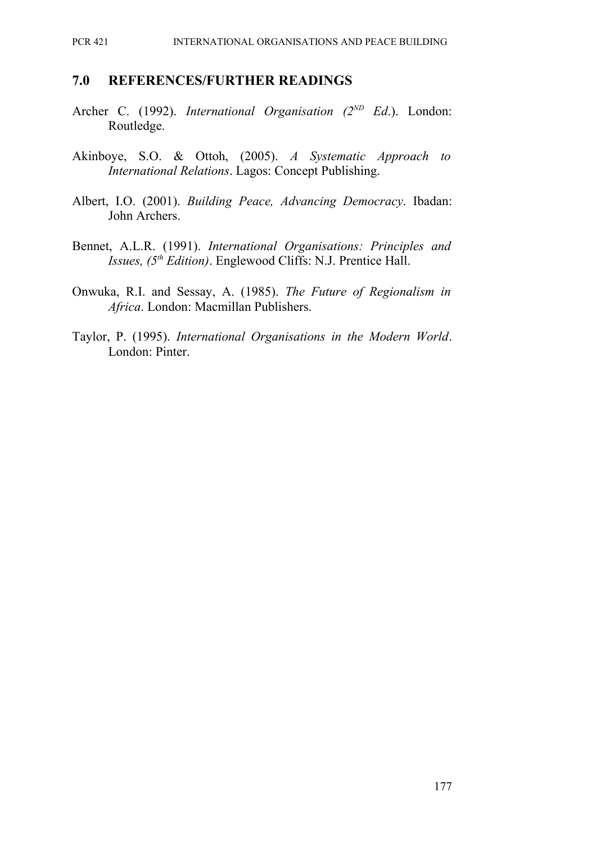#### **7.0 REFERENCES/FURTHER READINGS**

- Archer C. (1992). *International Organisation (2ND Ed*.). London: Routledge.
- Akinboye, S.O. & Ottoh, (2005). *A Systematic Approach to International Relations*. Lagos: Concept Publishing.
- Albert, I.O. (2001). *Building Peace, Advancing Democracy*. Ibadan: John Archers.
- Bennet, A.L.R. (1991). *International Organisations: Principles and Issues, (5th Edition)*. Englewood Cliffs: N.J. Prentice Hall.
- Onwuka, R.I. and Sessay, A. (1985). *The Future of Regionalism in Africa*. London: Macmillan Publishers.
- Taylor, P. (1995). *International Organisations in the Modern World*. London: Pinter.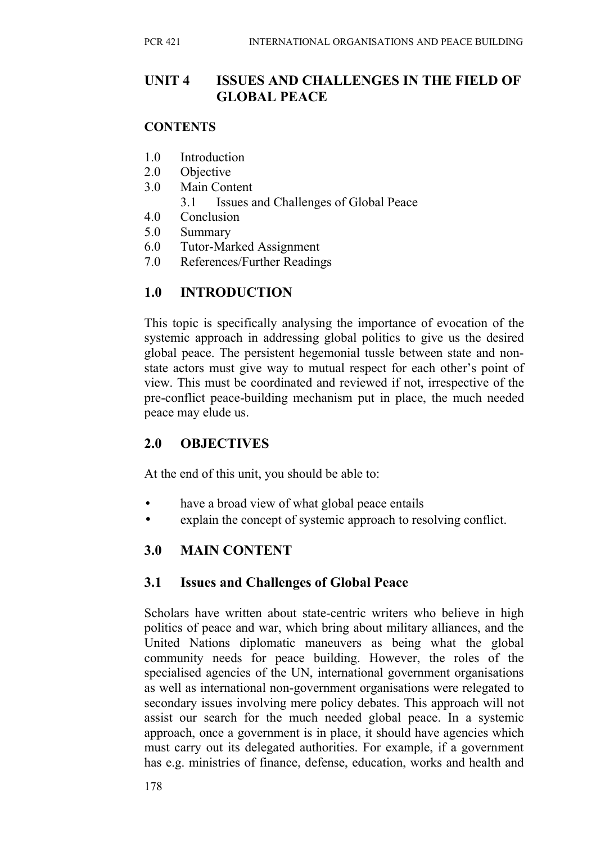### **UNIT 4 ISSUES AND CHALLENGES IN THE FIELD OF GLOBAL PEACE**

#### **CONTENTS**

- 1.0 Introduction
- 2.0 Objective
- 3.0 Main Content
	- 3.1 Issues and Challenges of Global Peace
- 4.0 Conclusion
- 5.0 Summary
- 6.0 Tutor-Marked Assignment
- 7.0 References/Further Readings

## **1.0 INTRODUCTION**

This topic is specifically analysing the importance of evocation of the systemic approach in addressing global politics to give us the desired global peace. The persistent hegemonial tussle between state and nonstate actors must give way to mutual respect for each other's point of view. This must be coordinated and reviewed if not, irrespective of the pre-conflict peace-building mechanism put in place, the much needed peace may elude us.

## **2.0 OBJECTIVES**

At the end of this unit, you should be able to:

- have a broad view of what global peace entails
- explain the concept of systemic approach to resolving conflict.

## **3.0 MAIN CONTENT**

### **3.1 Issues and Challenges of Global Peace**

Scholars have written about state-centric writers who believe in high politics of peace and war, which bring about military alliances, and the United Nations diplomatic maneuvers as being what the global community needs for peace building. However, the roles of the specialised agencies of the UN, international government organisations as well as international non-government organisations were relegated to secondary issues involving mere policy debates. This approach will not assist our search for the much needed global peace. In a systemic approach, once a government is in place, it should have agencies which must carry out its delegated authorities. For example, if a government has e.g. ministries of finance, defense, education, works and health and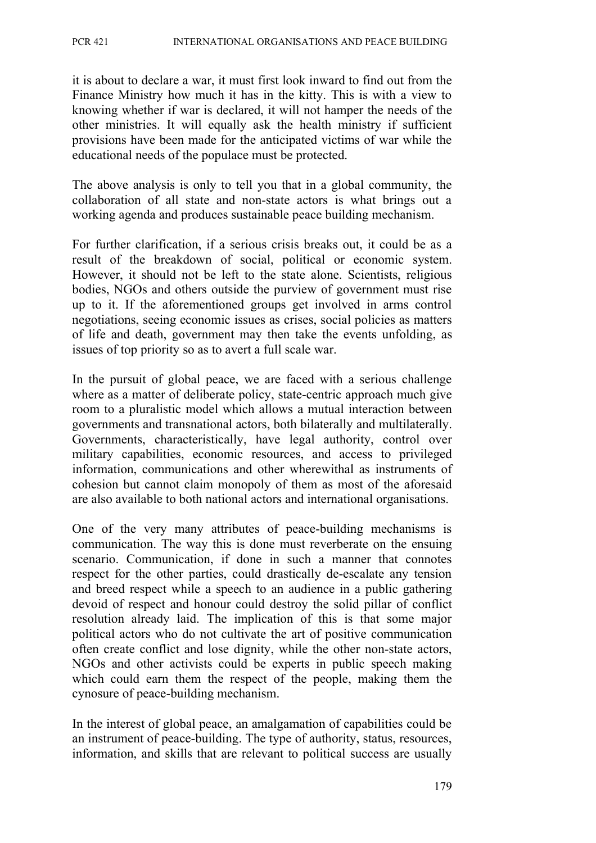it is about to declare a war, it must first look inward to find out from the Finance Ministry how much it has in the kitty. This is with a view to knowing whether if war is declared, it will not hamper the needs of the other ministries. It will equally ask the health ministry if sufficient provisions have been made for the anticipated victims of war while the educational needs of the populace must be protected.

The above analysis is only to tell you that in a global community, the collaboration of all state and non-state actors is what brings out a working agenda and produces sustainable peace building mechanism.

For further clarification, if a serious crisis breaks out, it could be as a result of the breakdown of social, political or economic system. However, it should not be left to the state alone. Scientists, religious bodies, NGOs and others outside the purview of government must rise up to it. If the aforementioned groups get involved in arms control negotiations, seeing economic issues as crises, social policies as matters of life and death, government may then take the events unfolding, as issues of top priority so as to avert a full scale war.

In the pursuit of global peace, we are faced with a serious challenge where as a matter of deliberate policy, state-centric approach much give room to a pluralistic model which allows a mutual interaction between governments and transnational actors, both bilaterally and multilaterally. Governments, characteristically, have legal authority, control over military capabilities, economic resources, and access to privileged information, communications and other wherewithal as instruments of cohesion but cannot claim monopoly of them as most of the aforesaid are also available to both national actors and international organisations.

One of the very many attributes of peace-building mechanisms is communication. The way this is done must reverberate on the ensuing scenario. Communication, if done in such a manner that connotes respect for the other parties, could drastically de-escalate any tension and breed respect while a speech to an audience in a public gathering devoid of respect and honour could destroy the solid pillar of conflict resolution already laid. The implication of this is that some major political actors who do not cultivate the art of positive communication often create conflict and lose dignity, while the other non-state actors, NGOs and other activists could be experts in public speech making which could earn them the respect of the people, making them the cynosure of peace-building mechanism.

In the interest of global peace, an amalgamation of capabilities could be an instrument of peace-building. The type of authority, status, resources, information, and skills that are relevant to political success are usually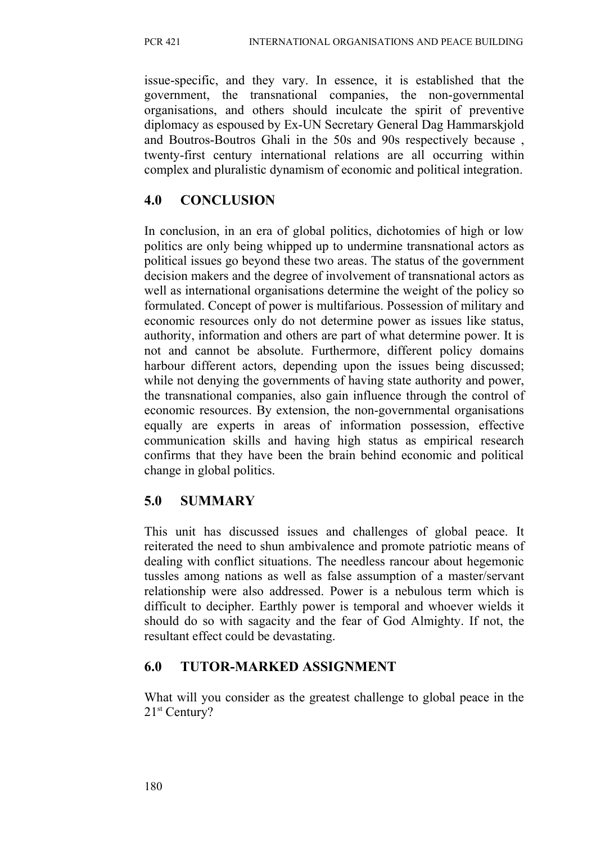issue-specific, and they vary. In essence, it is established that the government, the transnational companies, the non-governmental organisations, and others should inculcate the spirit of preventive diplomacy as espoused by Ex-UN Secretary General Dag Hammarskjold and Boutros-Boutros Ghali in the 50s and 90s respectively because , twenty-first century international relations are all occurring within complex and pluralistic dynamism of economic and political integration.

## **4.0 CONCLUSION**

In conclusion, in an era of global politics, dichotomies of high or low politics are only being whipped up to undermine transnational actors as political issues go beyond these two areas. The status of the government decision makers and the degree of involvement of transnational actors as well as international organisations determine the weight of the policy so formulated. Concept of power is multifarious. Possession of military and economic resources only do not determine power as issues like status, authority, information and others are part of what determine power. It is not and cannot be absolute. Furthermore, different policy domains harbour different actors, depending upon the issues being discussed; while not denying the governments of having state authority and power, the transnational companies, also gain influence through the control of economic resources. By extension, the non-governmental organisations equally are experts in areas of information possession, effective communication skills and having high status as empirical research confirms that they have been the brain behind economic and political change in global politics.

# **5.0 SUMMARY**

This unit has discussed issues and challenges of global peace. It reiterated the need to shun ambivalence and promote patriotic means of dealing with conflict situations. The needless rancour about hegemonic tussles among nations as well as false assumption of a master/servant relationship were also addressed. Power is a nebulous term which is difficult to decipher. Earthly power is temporal and whoever wields it should do so with sagacity and the fear of God Almighty. If not, the resultant effect could be devastating.

## **6.0 TUTOR-MARKED ASSIGNMENT**

What will you consider as the greatest challenge to global peace in the 21<sup>st</sup> Century?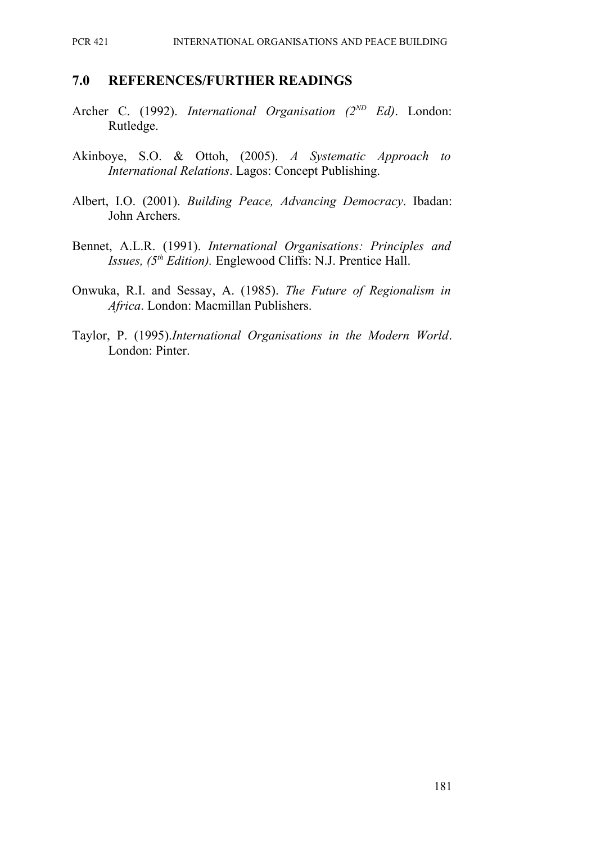#### **7.0 REFERENCES/FURTHER READINGS**

- Archer C. (1992). *International Organisation (2ND Ed)*. London: Rutledge.
- Akinboye, S.O. & Ottoh, (2005). *A Systematic Approach to International Relations*. Lagos: Concept Publishing.
- Albert, I.O. (2001). *Building Peace, Advancing Democracy*. Ibadan: John Archers.
- Bennet, A.L.R. (1991). *International Organisations: Principles and Issues, (5th Edition).* Englewood Cliffs: N.J. Prentice Hall.
- Onwuka, R.I. and Sessay, A. (1985). *The Future of Regionalism in Africa*. London: Macmillan Publishers.
- Taylor, P. (1995).*International Organisations in the Modern World*. London: Pinter.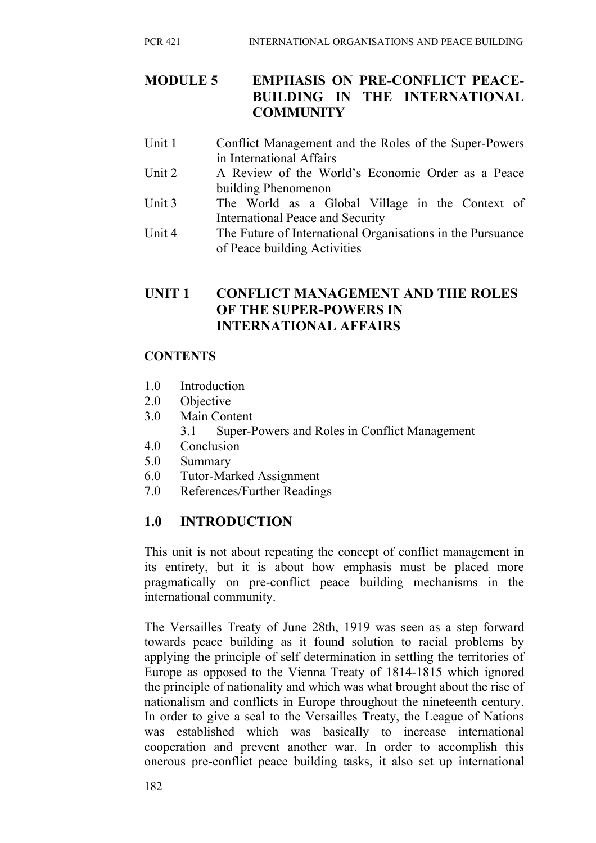## **MODULE 5 EMPHASIS ON PRE-CONFLICT PEACE-BUILDING IN THE INTERNATIONAL COMMUNITY**

- Unit 1 Conflict Management and the Roles of the Super-Powers in International Affairs
- Unit 2 A Review of the World's Economic Order as a Peace building Phenomenon
- Unit 3 The World as a Global Village in the Context of International Peace and Security
- Unit 4 The Future of International Organisations in the Pursuance of Peace building Activities

## **UNIT 1 CONFLICT MANAGEMENT AND THE ROLES OF THE SUPER-POWERS IN INTERNATIONAL AFFAIRS**

## **CONTENTS**

- 1.0 Introduction
- 2.0 Objective
- 3.0 Main Content
	- 3.1 Super-Powers and Roles in Conflict Management
- 4.0 Conclusion
- 5.0 Summary
- 6.0 Tutor-Marked Assignment
- 7.0 References/Further Readings

# **1.0 INTRODUCTION**

This unit is not about repeating the concept of conflict management in its entirety, but it is about how emphasis must be placed more pragmatically on pre-conflict peace building mechanisms in the international community.

The Versailles Treaty of June 28th, 1919 was seen as a step forward towards peace building as it found solution to racial problems by applying the principle of self determination in settling the territories of Europe as opposed to the Vienna Treaty of 1814-1815 which ignored the principle of nationality and which was what brought about the rise of nationalism and conflicts in Europe throughout the nineteenth century. In order to give a seal to the Versailles Treaty, the League of Nations was established which was basically to increase international cooperation and prevent another war. In order to accomplish this onerous pre-conflict peace building tasks, it also set up international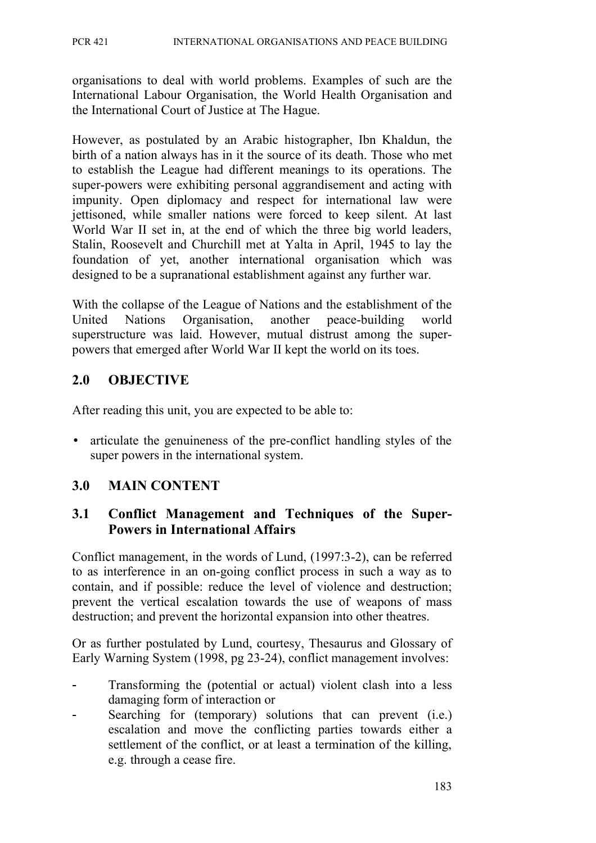organisations to deal with world problems. Examples of such are the International Labour Organisation, the World Health Organisation and the International Court of Justice at The Hague.

However, as postulated by an Arabic histographer, Ibn Khaldun, the birth of a nation always has in it the source of its death. Those who met to establish the League had different meanings to its operations. The super-powers were exhibiting personal aggrandisement and acting with impunity. Open diplomacy and respect for international law were jettisoned, while smaller nations were forced to keep silent. At last World War II set in, at the end of which the three big world leaders, Stalin, Roosevelt and Churchill met at Yalta in April, 1945 to lay the foundation of yet, another international organisation which was designed to be a supranational establishment against any further war.

With the collapse of the League of Nations and the establishment of the United Nations Organisation, another peace-building world superstructure was laid. However, mutual distrust among the superpowers that emerged after World War II kept the world on its toes.

## **2.0 OBJECTIVE**

After reading this unit, you are expected to be able to:

• articulate the genuineness of the pre-conflict handling styles of the super powers in the international system.

## **3.0 MAIN CONTENT**

## **3.1 Conflict Management and Techniques of the Super-Powers in International Affairs**

Conflict management, in the words of Lund, (1997:3-2), can be referred to as interference in an on-going conflict process in such a way as to contain, and if possible: reduce the level of violence and destruction; prevent the vertical escalation towards the use of weapons of mass destruction; and prevent the horizontal expansion into other theatres.

Or as further postulated by Lund, courtesy, Thesaurus and Glossary of Early Warning System (1998, pg 23-24), conflict management involves:

- Transforming the (potential or actual) violent clash into a less damaging form of interaction or
- Searching for (temporary) solutions that can prevent (i.e.) escalation and move the conflicting parties towards either a settlement of the conflict, or at least a termination of the killing, e.g. through a cease fire.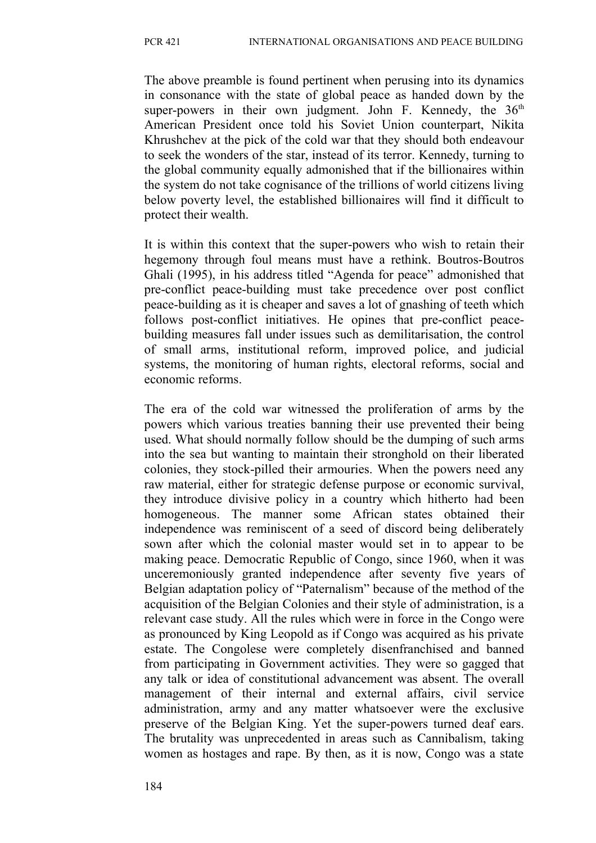The above preamble is found pertinent when perusing into its dynamics in consonance with the state of global peace as handed down by the super-powers in their own judgment. John F. Kennedy, the  $36<sup>th</sup>$ American President once told his Soviet Union counterpart, Nikita Khrushchev at the pick of the cold war that they should both endeavour to seek the wonders of the star, instead of its terror. Kennedy, turning to the global community equally admonished that if the billionaires within the system do not take cognisance of the trillions of world citizens living below poverty level, the established billionaires will find it difficult to protect their wealth.

It is within this context that the super-powers who wish to retain their hegemony through foul means must have a rethink. Boutros-Boutros Ghali (1995), in his address titled "Agenda for peace" admonished that pre-conflict peace-building must take precedence over post conflict peace-building as it is cheaper and saves a lot of gnashing of teeth which follows post-conflict initiatives. He opines that pre-conflict peacebuilding measures fall under issues such as demilitarisation, the control of small arms, institutional reform, improved police, and judicial systems, the monitoring of human rights, electoral reforms, social and economic reforms.

The era of the cold war witnessed the proliferation of arms by the powers which various treaties banning their use prevented their being used. What should normally follow should be the dumping of such arms into the sea but wanting to maintain their stronghold on their liberated colonies, they stock-pilled their armouries. When the powers need any raw material, either for strategic defense purpose or economic survival, they introduce divisive policy in a country which hitherto had been homogeneous. The manner some African states obtained their independence was reminiscent of a seed of discord being deliberately sown after which the colonial master would set in to appear to be making peace. Democratic Republic of Congo, since 1960, when it was unceremoniously granted independence after seventy five years of Belgian adaptation policy of "Paternalism" because of the method of the acquisition of the Belgian Colonies and their style of administration, is a relevant case study. All the rules which were in force in the Congo were as pronounced by King Leopold as if Congo was acquired as his private estate. The Congolese were completely disenfranchised and banned from participating in Government activities. They were so gagged that any talk or idea of constitutional advancement was absent. The overall management of their internal and external affairs, civil service administration, army and any matter whatsoever were the exclusive preserve of the Belgian King. Yet the super-powers turned deaf ears. The brutality was unprecedented in areas such as Cannibalism, taking women as hostages and rape. By then, as it is now, Congo was a state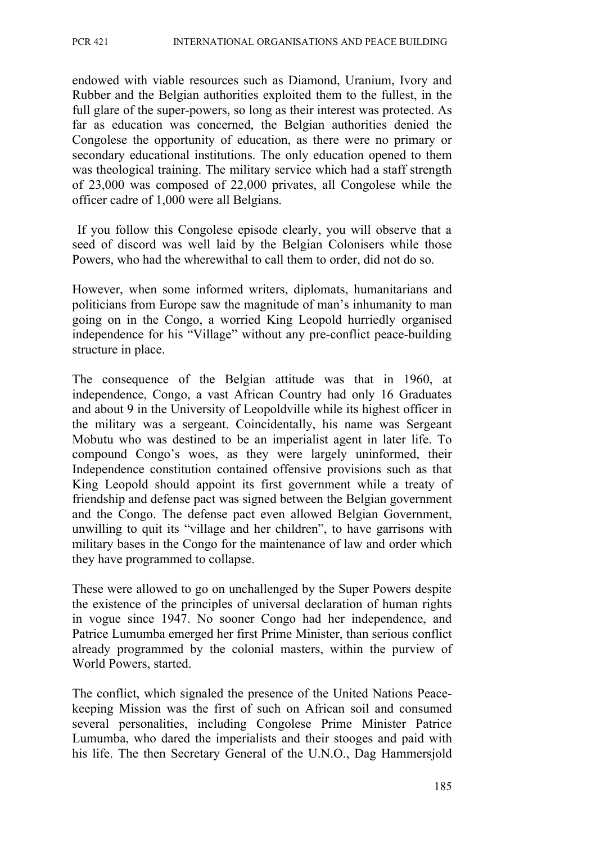endowed with viable resources such as Diamond, Uranium, Ivory and Rubber and the Belgian authorities exploited them to the fullest, in the full glare of the super-powers, so long as their interest was protected. As far as education was concerned, the Belgian authorities denied the Congolese the opportunity of education, as there were no primary or secondary educational institutions. The only education opened to them was theological training. The military service which had a staff strength of 23,000 was composed of 22,000 privates, all Congolese while the officer cadre of 1,000 were all Belgians.

 If you follow this Congolese episode clearly, you will observe that a seed of discord was well laid by the Belgian Colonisers while those Powers, who had the wherewithal to call them to order, did not do so.

However, when some informed writers, diplomats, humanitarians and politicians from Europe saw the magnitude of man's inhumanity to man going on in the Congo, a worried King Leopold hurriedly organised independence for his "Village" without any pre-conflict peace-building structure in place.

The consequence of the Belgian attitude was that in 1960, at independence, Congo, a vast African Country had only 16 Graduates and about 9 in the University of Leopoldville while its highest officer in the military was a sergeant. Coincidentally, his name was Sergeant Mobutu who was destined to be an imperialist agent in later life. To compound Congo's woes, as they were largely uninformed, their Independence constitution contained offensive provisions such as that King Leopold should appoint its first government while a treaty of friendship and defense pact was signed between the Belgian government and the Congo. The defense pact even allowed Belgian Government, unwilling to quit its "village and her children", to have garrisons with military bases in the Congo for the maintenance of law and order which they have programmed to collapse.

These were allowed to go on unchallenged by the Super Powers despite the existence of the principles of universal declaration of human rights in vogue since 1947. No sooner Congo had her independence, and Patrice Lumumba emerged her first Prime Minister, than serious conflict already programmed by the colonial masters, within the purview of World Powers, started.

The conflict, which signaled the presence of the United Nations Peacekeeping Mission was the first of such on African soil and consumed several personalities, including Congolese Prime Minister Patrice Lumumba, who dared the imperialists and their stooges and paid with his life. The then Secretary General of the U.N.O., Dag Hammersjold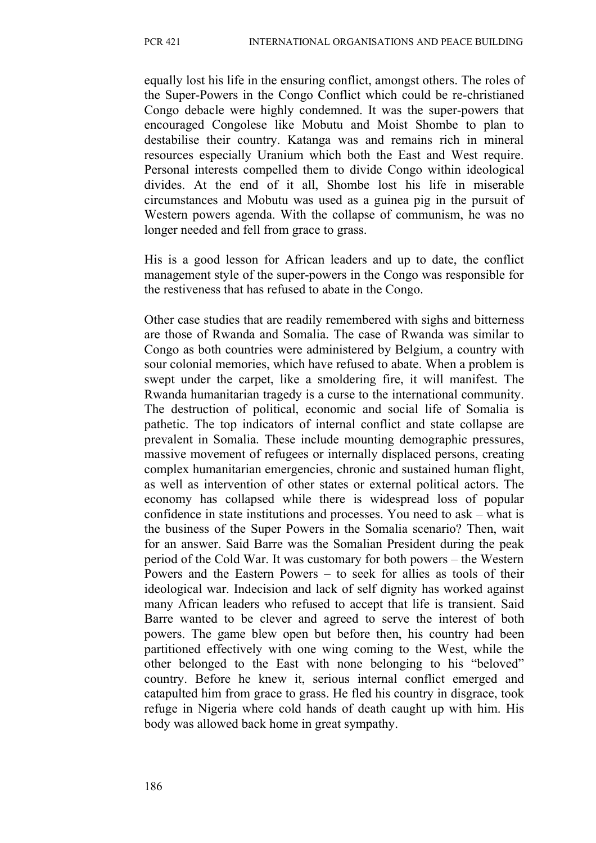equally lost his life in the ensuring conflict, amongst others. The roles of the Super-Powers in the Congo Conflict which could be re-christianed Congo debacle were highly condemned. It was the super-powers that encouraged Congolese like Mobutu and Moist Shombe to plan to destabilise their country. Katanga was and remains rich in mineral resources especially Uranium which both the East and West require. Personal interests compelled them to divide Congo within ideological divides. At the end of it all, Shombe lost his life in miserable circumstances and Mobutu was used as a guinea pig in the pursuit of Western powers agenda. With the collapse of communism, he was no longer needed and fell from grace to grass.

His is a good lesson for African leaders and up to date, the conflict management style of the super-powers in the Congo was responsible for the restiveness that has refused to abate in the Congo.

Other case studies that are readily remembered with sighs and bitterness are those of Rwanda and Somalia. The case of Rwanda was similar to Congo as both countries were administered by Belgium, a country with sour colonial memories, which have refused to abate. When a problem is swept under the carpet, like a smoldering fire, it will manifest. The Rwanda humanitarian tragedy is a curse to the international community. The destruction of political, economic and social life of Somalia is pathetic. The top indicators of internal conflict and state collapse are prevalent in Somalia. These include mounting demographic pressures, massive movement of refugees or internally displaced persons, creating complex humanitarian emergencies, chronic and sustained human flight, as well as intervention of other states or external political actors. The economy has collapsed while there is widespread loss of popular confidence in state institutions and processes. You need to ask – what is the business of the Super Powers in the Somalia scenario? Then, wait for an answer. Said Barre was the Somalian President during the peak period of the Cold War. It was customary for both powers – the Western Powers and the Eastern Powers – to seek for allies as tools of their ideological war. Indecision and lack of self dignity has worked against many African leaders who refused to accept that life is transient. Said Barre wanted to be clever and agreed to serve the interest of both powers. The game blew open but before then, his country had been partitioned effectively with one wing coming to the West, while the other belonged to the East with none belonging to his "beloved" country. Before he knew it, serious internal conflict emerged and catapulted him from grace to grass. He fled his country in disgrace, took refuge in Nigeria where cold hands of death caught up with him. His body was allowed back home in great sympathy.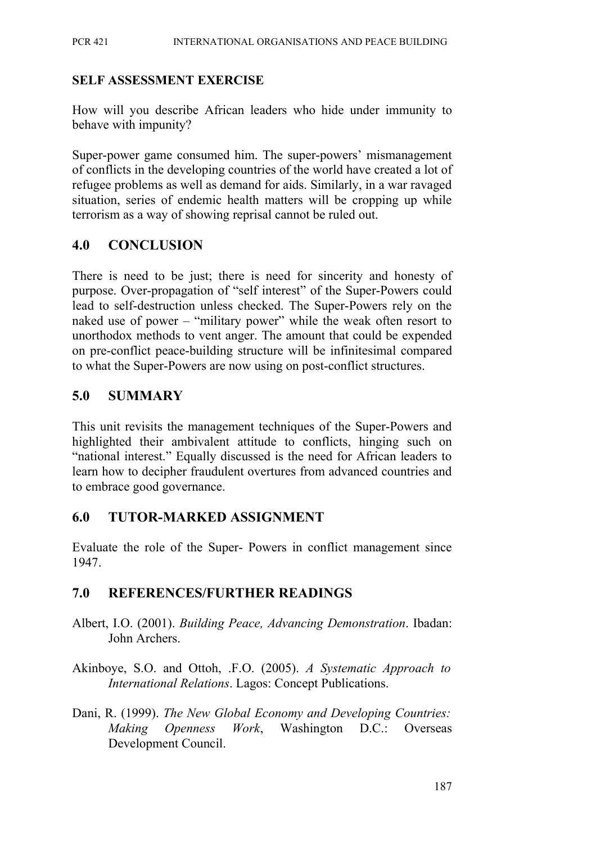#### **SELF ASSESSMENT EXERCISE**

How will you describe African leaders who hide under immunity to behave with impunity?

Super-power game consumed him. The super-powers' mismanagement of conflicts in the developing countries of the world have created a lot of refugee problems as well as demand for aids. Similarly, in a war ravaged situation, series of endemic health matters will be cropping up while terrorism as a way of showing reprisal cannot be ruled out.

## **4.0 CONCLUSION**

There is need to be just; there is need for sincerity and honesty of purpose. Over-propagation of "self interest" of the Super-Powers could lead to self-destruction unless checked. The Super-Powers rely on the naked use of power – "military power" while the weak often resort to unorthodox methods to vent anger. The amount that could be expended on pre-conflict peace-building structure will be infinitesimal compared to what the Super-Powers are now using on post-conflict structures.

### **5.0 SUMMARY**

This unit revisits the management techniques of the Super-Powers and highlighted their ambivalent attitude to conflicts, hinging such on "national interest." Equally discussed is the need for African leaders to learn how to decipher fraudulent overtures from advanced countries and to embrace good governance.

### **6.0 TUTOR-MARKED ASSIGNMENT**

Evaluate the role of the Super- Powers in conflict management since 1947.

## **7.0 REFERENCES/FURTHER READINGS**

- Albert, I.O. (2001). *Building Peace, Advancing Demonstration*. Ibadan: John Archers.
- Akinboye, S.O. and Ottoh, .F.O. (2005). *A Systematic Approach to International Relations*. Lagos: Concept Publications.
- Dani, R. (1999). *The New Global Economy and Developing Countries: Making Openness Work*, Washington D.C.: Overseas Development Council.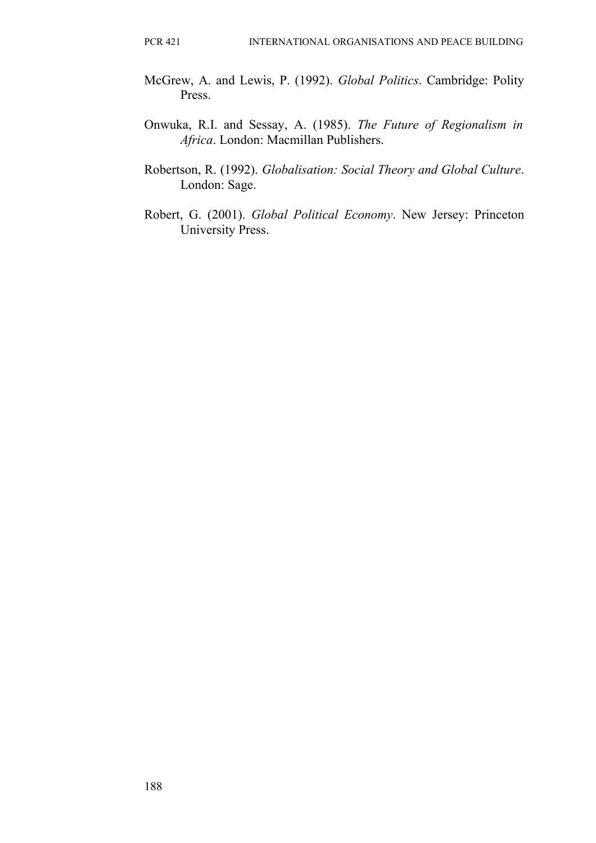- McGrew, A. and Lewis, P. (1992). *Global Politics*. Cambridge: Polity Press.
- Onwuka, R.I. and Sessay, A. (1985). *The Future of Regionalism in Africa*. London: Macmillan Publishers.
- Robertson, R. (1992). *Globalisation: Social Theory and Global Culture*. London: Sage.
- Robert, G. (2001). *Global Political Economy*. New Jersey: Princeton University Press.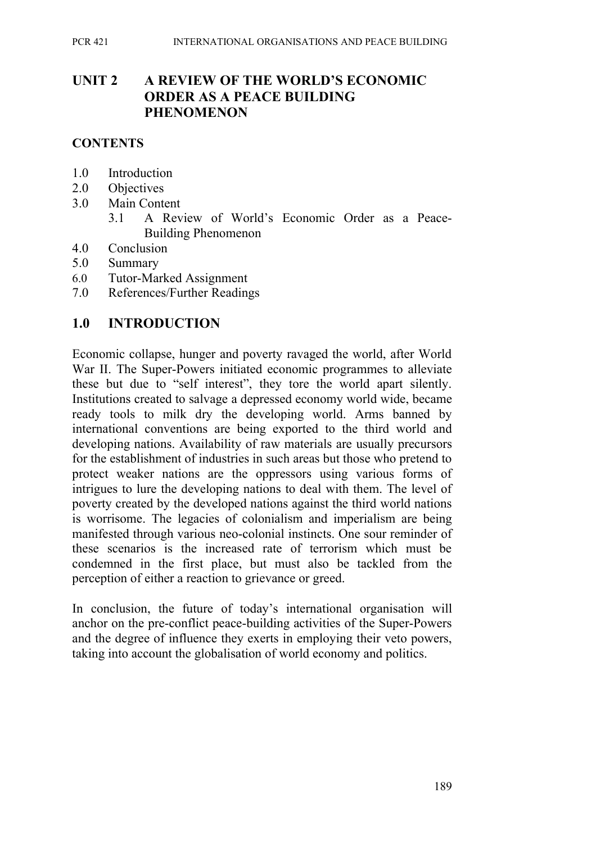### **UNIT 2 A REVIEW OF THE WORLD'S ECONOMIC ORDER AS A PEACE BUILDING PHENOMENON**

#### **CONTENTS**

- 1.0 Introduction
- 2.0 Objectives
- 3.0 Main Content
	- 3.1 A Review of World's Economic Order as a Peace-Building Phenomenon
- 4.0 Conclusion
- 5.0 Summary
- 6.0 Tutor-Marked Assignment
- 7.0 References/Further Readings

#### **1.0 INTRODUCTION**

Economic collapse, hunger and poverty ravaged the world, after World War II. The Super-Powers initiated economic programmes to alleviate these but due to "self interest", they tore the world apart silently. Institutions created to salvage a depressed economy world wide, became ready tools to milk dry the developing world. Arms banned by international conventions are being exported to the third world and developing nations. Availability of raw materials are usually precursors for the establishment of industries in such areas but those who pretend to protect weaker nations are the oppressors using various forms of intrigues to lure the developing nations to deal with them. The level of poverty created by the developed nations against the third world nations is worrisome. The legacies of colonialism and imperialism are being manifested through various neo-colonial instincts. One sour reminder of these scenarios is the increased rate of terrorism which must be condemned in the first place, but must also be tackled from the perception of either a reaction to grievance or greed.

In conclusion, the future of today's international organisation will anchor on the pre-conflict peace-building activities of the Super-Powers and the degree of influence they exerts in employing their veto powers, taking into account the globalisation of world economy and politics.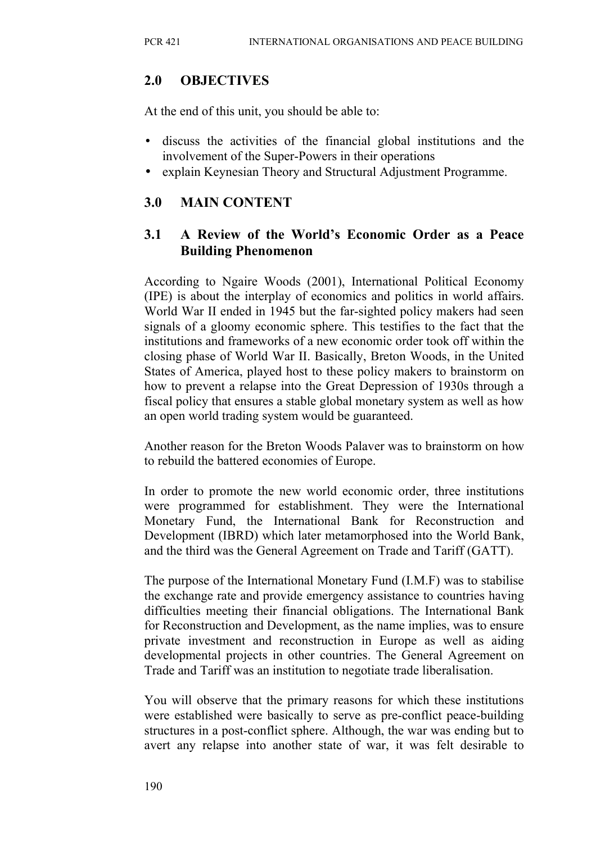### **2.0 OBJECTIVES**

At the end of this unit, you should be able to:

- discuss the activities of the financial global institutions and the involvement of the Super-Powers in their operations
- explain Keynesian Theory and Structural Adjustment Programme.

## **3.0 MAIN CONTENT**

### **3.1 A Review of the World's Economic Order as a Peace Building Phenomenon**

According to Ngaire Woods (2001), International Political Economy (IPE) is about the interplay of economics and politics in world affairs. World War II ended in 1945 but the far-sighted policy makers had seen signals of a gloomy economic sphere. This testifies to the fact that the institutions and frameworks of a new economic order took off within the closing phase of World War II. Basically, Breton Woods, in the United States of America, played host to these policy makers to brainstorm on how to prevent a relapse into the Great Depression of 1930s through a fiscal policy that ensures a stable global monetary system as well as how an open world trading system would be guaranteed.

Another reason for the Breton Woods Palaver was to brainstorm on how to rebuild the battered economies of Europe.

In order to promote the new world economic order, three institutions were programmed for establishment. They were the International Monetary Fund, the International Bank for Reconstruction and Development (IBRD) which later metamorphosed into the World Bank, and the third was the General Agreement on Trade and Tariff (GATT).

The purpose of the International Monetary Fund (I.M.F) was to stabilise the exchange rate and provide emergency assistance to countries having difficulties meeting their financial obligations. The International Bank for Reconstruction and Development, as the name implies, was to ensure private investment and reconstruction in Europe as well as aiding developmental projects in other countries. The General Agreement on Trade and Tariff was an institution to negotiate trade liberalisation.

You will observe that the primary reasons for which these institutions were established were basically to serve as pre-conflict peace-building structures in a post-conflict sphere. Although, the war was ending but to avert any relapse into another state of war, it was felt desirable to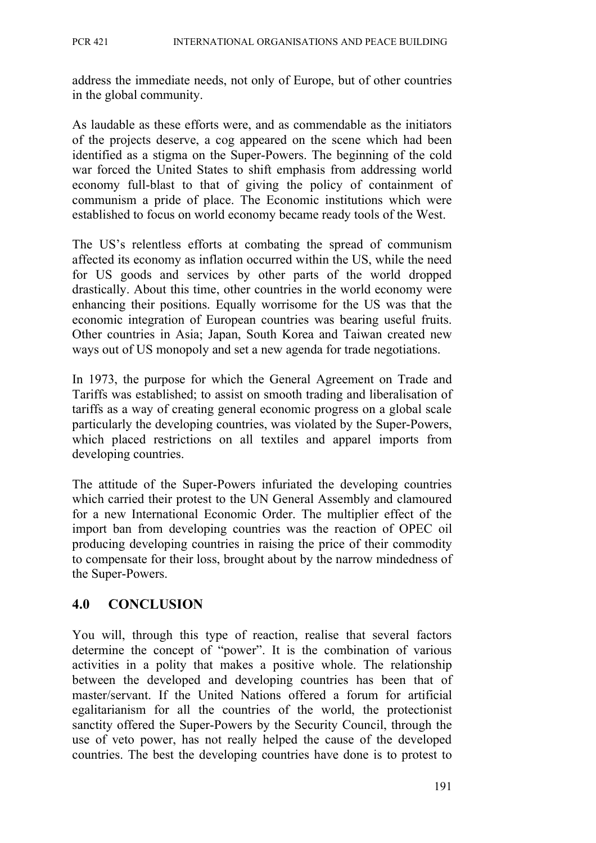address the immediate needs, not only of Europe, but of other countries in the global community.

As laudable as these efforts were, and as commendable as the initiators of the projects deserve, a cog appeared on the scene which had been identified as a stigma on the Super-Powers. The beginning of the cold war forced the United States to shift emphasis from addressing world economy full-blast to that of giving the policy of containment of communism a pride of place. The Economic institutions which were established to focus on world economy became ready tools of the West.

The US's relentless efforts at combating the spread of communism affected its economy as inflation occurred within the US, while the need for US goods and services by other parts of the world dropped drastically. About this time, other countries in the world economy were enhancing their positions. Equally worrisome for the US was that the economic integration of European countries was bearing useful fruits. Other countries in Asia; Japan, South Korea and Taiwan created new ways out of US monopoly and set a new agenda for trade negotiations.

In 1973, the purpose for which the General Agreement on Trade and Tariffs was established; to assist on smooth trading and liberalisation of tariffs as a way of creating general economic progress on a global scale particularly the developing countries, was violated by the Super-Powers, which placed restrictions on all textiles and apparel imports from developing countries.

The attitude of the Super-Powers infuriated the developing countries which carried their protest to the UN General Assembly and clamoured for a new International Economic Order. The multiplier effect of the import ban from developing countries was the reaction of OPEC oil producing developing countries in raising the price of their commodity to compensate for their loss, brought about by the narrow mindedness of the Super-Powers.

## **4.0 CONCLUSION**

You will, through this type of reaction, realise that several factors determine the concept of "power". It is the combination of various activities in a polity that makes a positive whole. The relationship between the developed and developing countries has been that of master/servant. If the United Nations offered a forum for artificial egalitarianism for all the countries of the world, the protectionist sanctity offered the Super-Powers by the Security Council, through the use of veto power, has not really helped the cause of the developed countries. The best the developing countries have done is to protest to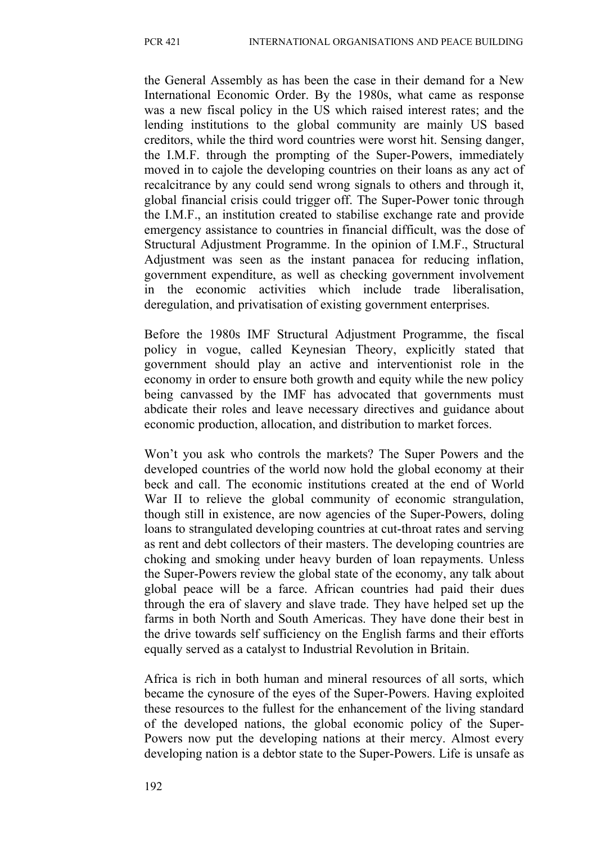the General Assembly as has been the case in their demand for a New International Economic Order. By the 1980s, what came as response was a new fiscal policy in the US which raised interest rates; and the lending institutions to the global community are mainly US based creditors, while the third word countries were worst hit. Sensing danger, the I.M.F. through the prompting of the Super-Powers, immediately moved in to cajole the developing countries on their loans as any act of recalcitrance by any could send wrong signals to others and through it, global financial crisis could trigger off. The Super-Power tonic through the I.M.F., an institution created to stabilise exchange rate and provide emergency assistance to countries in financial difficult, was the dose of Structural Adjustment Programme. In the opinion of I.M.F., Structural Adjustment was seen as the instant panacea for reducing inflation, government expenditure, as well as checking government involvement in the economic activities which include trade liberalisation, deregulation, and privatisation of existing government enterprises.

Before the 1980s IMF Structural Adjustment Programme, the fiscal policy in vogue, called Keynesian Theory, explicitly stated that government should play an active and interventionist role in the economy in order to ensure both growth and equity while the new policy being canvassed by the IMF has advocated that governments must abdicate their roles and leave necessary directives and guidance about economic production, allocation, and distribution to market forces.

Won't you ask who controls the markets? The Super Powers and the developed countries of the world now hold the global economy at their beck and call. The economic institutions created at the end of World War II to relieve the global community of economic strangulation, though still in existence, are now agencies of the Super-Powers, doling loans to strangulated developing countries at cut-throat rates and serving as rent and debt collectors of their masters. The developing countries are choking and smoking under heavy burden of loan repayments. Unless the Super-Powers review the global state of the economy, any talk about global peace will be a farce. African countries had paid their dues through the era of slavery and slave trade. They have helped set up the farms in both North and South Americas. They have done their best in the drive towards self sufficiency on the English farms and their efforts equally served as a catalyst to Industrial Revolution in Britain.

Africa is rich in both human and mineral resources of all sorts, which became the cynosure of the eyes of the Super-Powers. Having exploited these resources to the fullest for the enhancement of the living standard of the developed nations, the global economic policy of the Super-Powers now put the developing nations at their mercy. Almost every developing nation is a debtor state to the Super-Powers. Life is unsafe as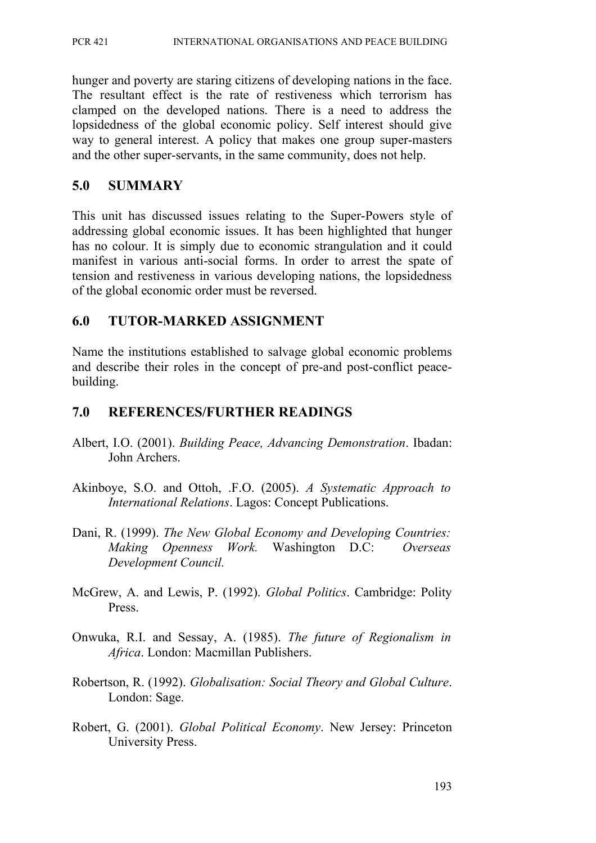PCR 421 INTERNATIONAL ORGANISATIONS AND PEACE BUILDING

hunger and poverty are staring citizens of developing nations in the face. The resultant effect is the rate of restiveness which terrorism has clamped on the developed nations. There is a need to address the lopsidedness of the global economic policy. Self interest should give way to general interest. A policy that makes one group super-masters and the other super-servants, in the same community, does not help.

#### **5.0 SUMMARY**

This unit has discussed issues relating to the Super-Powers style of addressing global economic issues. It has been highlighted that hunger has no colour. It is simply due to economic strangulation and it could manifest in various anti-social forms. In order to arrest the spate of tension and restiveness in various developing nations, the lopsidedness of the global economic order must be reversed.

#### **6.0 TUTOR-MARKED ASSIGNMENT**

Name the institutions established to salvage global economic problems and describe their roles in the concept of pre-and post-conflict peacebuilding.

#### **7.0 REFERENCES/FURTHER READINGS**

- Albert, I.O. (2001). *Building Peace, Advancing Demonstration*. Ibadan: John Archers.
- Akinboye, S.O. and Ottoh, .F.O. (2005). *A Systematic Approach to International Relations*. Lagos: Concept Publications.
- Dani, R. (1999). *The New Global Economy and Developing Countries: Making Openness Work.* Washington D.C: *Overseas Development Council.*
- McGrew, A. and Lewis, P. (1992). *Global Politics*. Cambridge: Polity Press.
- Onwuka, R.I. and Sessay, A. (1985). *The future of Regionalism in Africa*. London: Macmillan Publishers.
- Robertson, R. (1992). *Globalisation: Social Theory and Global Culture*. London: Sage.
- Robert, G. (2001). *Global Political Economy*. New Jersey: Princeton University Press.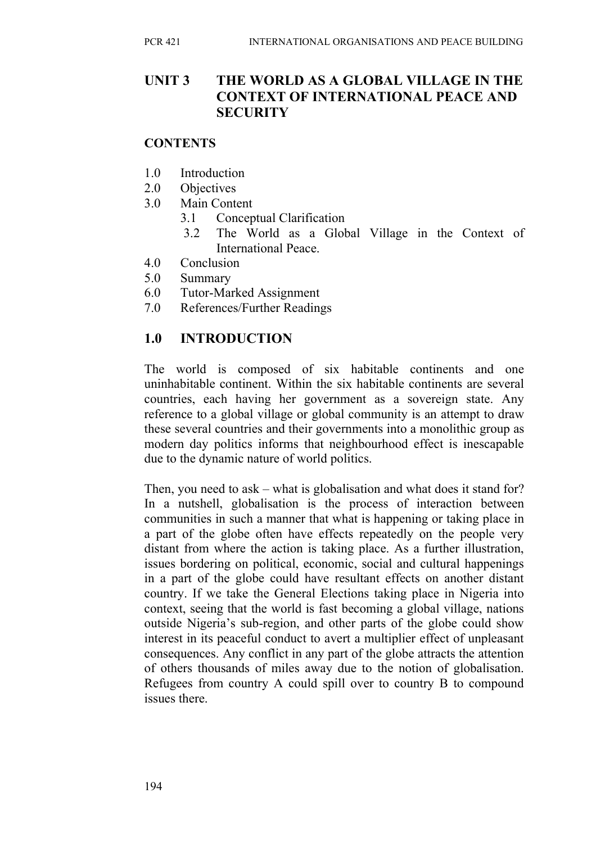### **UNIT 3 THE WORLD AS A GLOBAL VILLAGE IN THE CONTEXT OF INTERNATIONAL PEACE AND SECURITY**

#### **CONTENTS**

- 1.0 Introduction
- 2.0 Objectives
- 3.0 Main Content
	- 3.1 Conceptual Clarification
	- 3.2 The World as a Global Village in the Context of International Peace.
- 4.0 Conclusion
- 5.0 Summary
- 6.0 Tutor-Marked Assignment
- 7.0 References/Further Readings

## **1.0 INTRODUCTION**

The world is composed of six habitable continents and one uninhabitable continent. Within the six habitable continents are several countries, each having her government as a sovereign state. Any reference to a global village or global community is an attempt to draw these several countries and their governments into a monolithic group as modern day politics informs that neighbourhood effect is inescapable due to the dynamic nature of world politics.

Then, you need to ask – what is globalisation and what does it stand for? In a nutshell, globalisation is the process of interaction between communities in such a manner that what is happening or taking place in a part of the globe often have effects repeatedly on the people very distant from where the action is taking place. As a further illustration, issues bordering on political, economic, social and cultural happenings in a part of the globe could have resultant effects on another distant country. If we take the General Elections taking place in Nigeria into context, seeing that the world is fast becoming a global village, nations outside Nigeria's sub-region, and other parts of the globe could show interest in its peaceful conduct to avert a multiplier effect of unpleasant consequences. Any conflict in any part of the globe attracts the attention of others thousands of miles away due to the notion of globalisation. Refugees from country A could spill over to country B to compound issues there.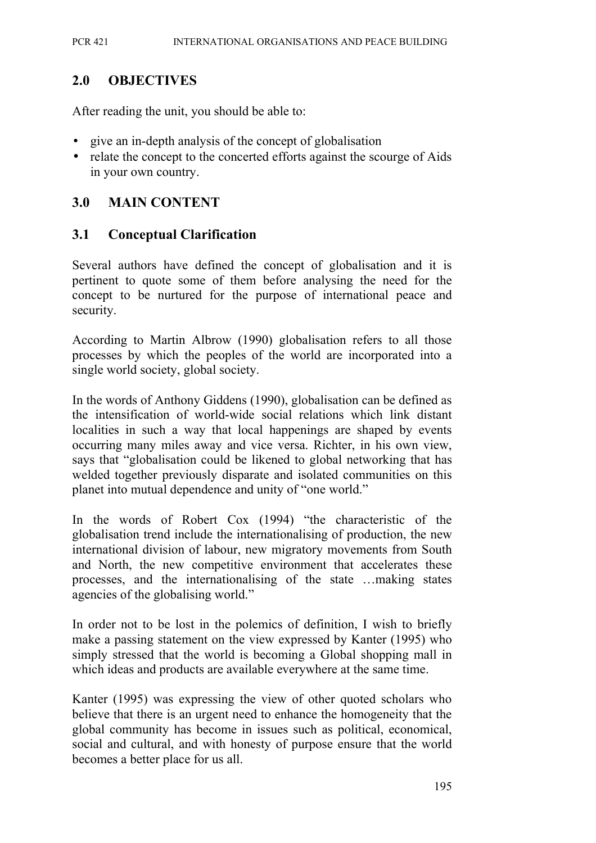### **2.0 OBJECTIVES**

After reading the unit, you should be able to:

- give an in-depth analysis of the concept of globalisation
- relate the concept to the concerted efforts against the scourge of Aids in your own country.

#### **3.0 MAIN CONTENT**

#### **3.1 Conceptual Clarification**

Several authors have defined the concept of globalisation and it is pertinent to quote some of them before analysing the need for the concept to be nurtured for the purpose of international peace and security.

According to Martin Albrow (1990) globalisation refers to all those processes by which the peoples of the world are incorporated into a single world society, global society.

In the words of Anthony Giddens (1990), globalisation can be defined as the intensification of world-wide social relations which link distant localities in such a way that local happenings are shaped by events occurring many miles away and vice versa. Richter, in his own view, says that "globalisation could be likened to global networking that has welded together previously disparate and isolated communities on this planet into mutual dependence and unity of "one world."

In the words of Robert Cox (1994) "the characteristic of the globalisation trend include the internationalising of production, the new international division of labour, new migratory movements from South and North, the new competitive environment that accelerates these processes, and the internationalising of the state …making states agencies of the globalising world."

In order not to be lost in the polemics of definition, I wish to briefly make a passing statement on the view expressed by Kanter (1995) who simply stressed that the world is becoming a Global shopping mall in which ideas and products are available everywhere at the same time.

Kanter (1995) was expressing the view of other quoted scholars who believe that there is an urgent need to enhance the homogeneity that the global community has become in issues such as political, economical, social and cultural, and with honesty of purpose ensure that the world becomes a better place for us all.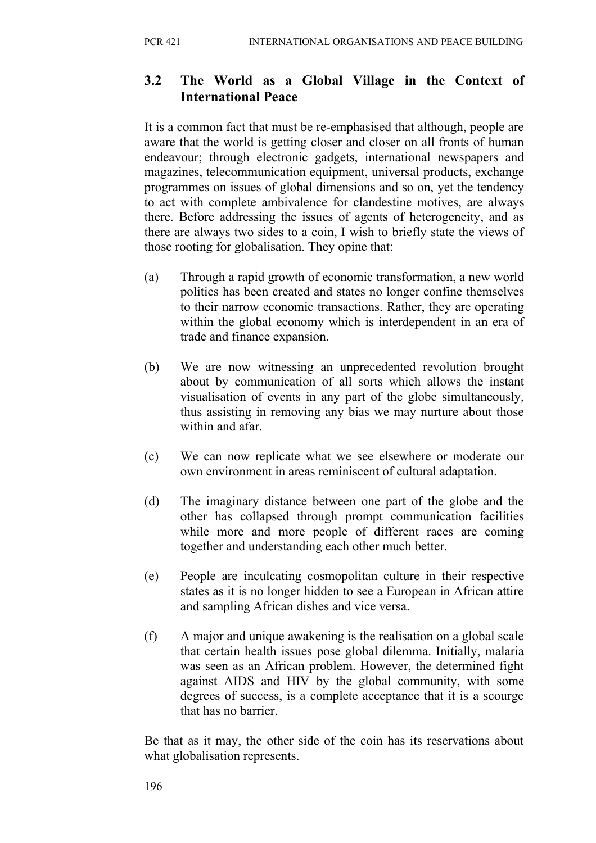## **3.2 The World as a Global Village in the Context of International Peace**

It is a common fact that must be re-emphasised that although, people are aware that the world is getting closer and closer on all fronts of human endeavour; through electronic gadgets, international newspapers and magazines, telecommunication equipment, universal products, exchange programmes on issues of global dimensions and so on, yet the tendency to act with complete ambivalence for clandestine motives, are always there. Before addressing the issues of agents of heterogeneity, and as there are always two sides to a coin, I wish to briefly state the views of those rooting for globalisation. They opine that:

- (a) Through a rapid growth of economic transformation, a new world politics has been created and states no longer confine themselves to their narrow economic transactions. Rather, they are operating within the global economy which is interdependent in an era of trade and finance expansion.
- (b) We are now witnessing an unprecedented revolution brought about by communication of all sorts which allows the instant visualisation of events in any part of the globe simultaneously, thus assisting in removing any bias we may nurture about those within and afar.
- (c) We can now replicate what we see elsewhere or moderate our own environment in areas reminiscent of cultural adaptation.
- (d) The imaginary distance between one part of the globe and the other has collapsed through prompt communication facilities while more and more people of different races are coming together and understanding each other much better.
- (e) People are inculcating cosmopolitan culture in their respective states as it is no longer hidden to see a European in African attire and sampling African dishes and vice versa.
- (f) A major and unique awakening is the realisation on a global scale that certain health issues pose global dilemma. Initially, malaria was seen as an African problem. However, the determined fight against AIDS and HIV by the global community, with some degrees of success, is a complete acceptance that it is a scourge that has no barrier.

Be that as it may, the other side of the coin has its reservations about what globalisation represents.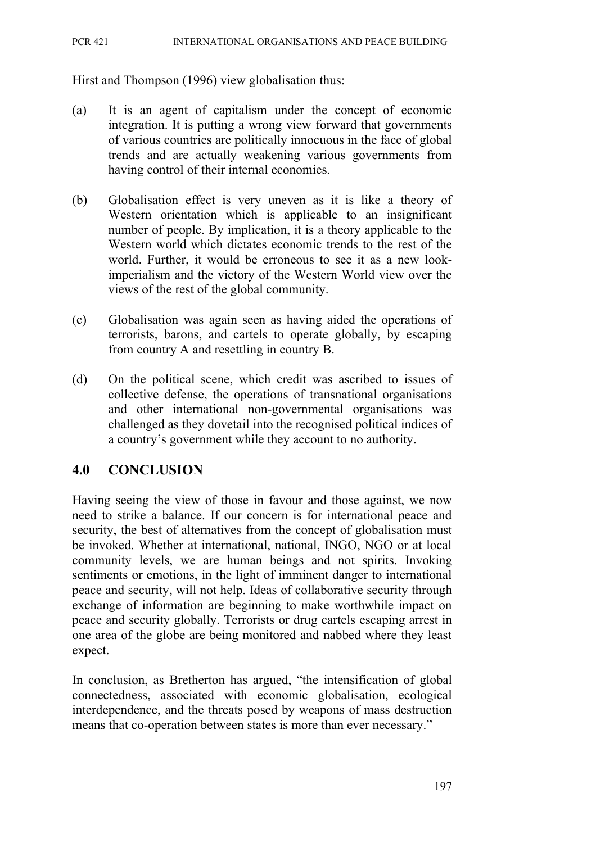#### PCR 421 INTERNATIONAL ORGANISATIONS AND PEACE BUILDING

Hirst and Thompson (1996) view globalisation thus:

- (a) It is an agent of capitalism under the concept of economic integration. It is putting a wrong view forward that governments of various countries are politically innocuous in the face of global trends and are actually weakening various governments from having control of their internal economies.
- (b) Globalisation effect is very uneven as it is like a theory of Western orientation which is applicable to an insignificant number of people. By implication, it is a theory applicable to the Western world which dictates economic trends to the rest of the world. Further, it would be erroneous to see it as a new lookimperialism and the victory of the Western World view over the views of the rest of the global community.
- (c) Globalisation was again seen as having aided the operations of terrorists, barons, and cartels to operate globally, by escaping from country A and resettling in country B.
- (d) On the political scene, which credit was ascribed to issues of collective defense, the operations of transnational organisations and other international non-governmental organisations was challenged as they dovetail into the recognised political indices of a country's government while they account to no authority.

### **4.0 CONCLUSION**

Having seeing the view of those in favour and those against, we now need to strike a balance. If our concern is for international peace and security, the best of alternatives from the concept of globalisation must be invoked. Whether at international, national, INGO, NGO or at local community levels, we are human beings and not spirits. Invoking sentiments or emotions, in the light of imminent danger to international peace and security, will not help. Ideas of collaborative security through exchange of information are beginning to make worthwhile impact on peace and security globally. Terrorists or drug cartels escaping arrest in one area of the globe are being monitored and nabbed where they least expect.

In conclusion, as Bretherton has argued, "the intensification of global connectedness, associated with economic globalisation, ecological interdependence, and the threats posed by weapons of mass destruction means that co-operation between states is more than ever necessary."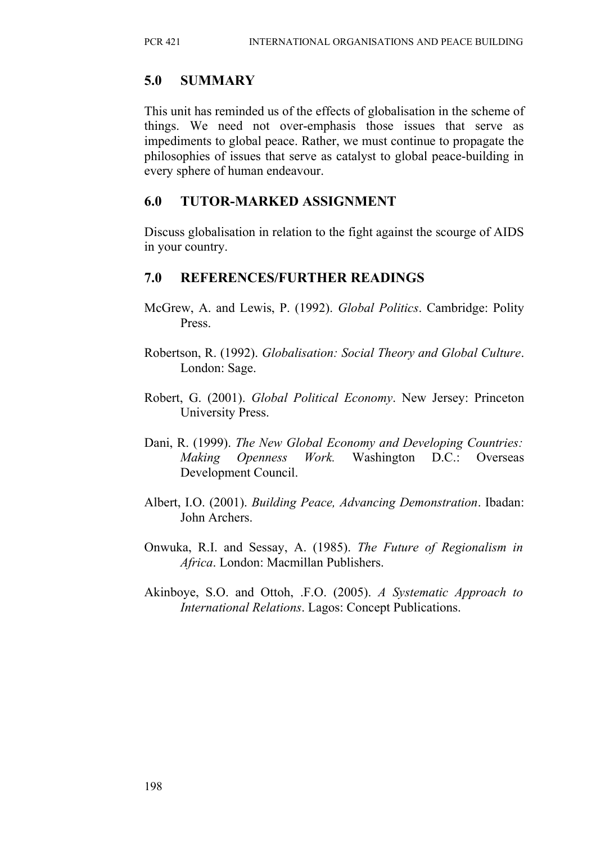### **5.0 SUMMARY**

This unit has reminded us of the effects of globalisation in the scheme of things. We need not over-emphasis those issues that serve as impediments to global peace. Rather, we must continue to propagate the philosophies of issues that serve as catalyst to global peace-building in every sphere of human endeavour.

### **6.0 TUTOR-MARKED ASSIGNMENT**

Discuss globalisation in relation to the fight against the scourge of AIDS in your country.

### **7.0 REFERENCES/FURTHER READINGS**

- McGrew, A. and Lewis, P. (1992). *Global Politics*. Cambridge: Polity Press.
- Robertson, R. (1992). *Globalisation: Social Theory and Global Culture*. London: Sage.
- Robert, G. (2001). *Global Political Economy*. New Jersey: Princeton University Press.
- Dani, R. (1999). *The New Global Economy and Developing Countries: Making Openness Work.* Washington D.C.: Overseas Development Council.
- Albert, I.O. (2001). *Building Peace, Advancing Demonstration*. Ibadan: John Archers.
- Onwuka, R.I. and Sessay, A. (1985). *The Future of Regionalism in Africa*. London: Macmillan Publishers.
- Akinboye, S.O. and Ottoh, .F.O. (2005). *A Systematic Approach to International Relations*. Lagos: Concept Publications.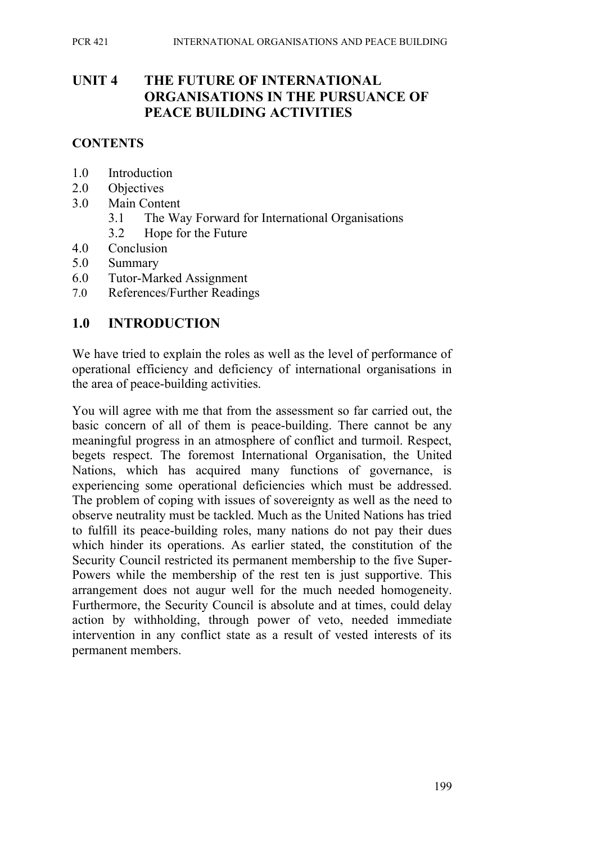### **UNIT 4 THE FUTURE OF INTERNATIONAL ORGANISATIONS IN THE PURSUANCE OF PEACE BUILDING ACTIVITIES**

#### **CONTENTS**

- 1.0 Introduction
- 2.0 Objectives
- 3.0 Main Content
	- 3.1 The Way Forward for International Organisations
	- 3.2 Hope for the Future
- 4.0 Conclusion
- 5.0 Summary
- 6.0 Tutor-Marked Assignment
- 7.0 References/Further Readings

#### **1.0 INTRODUCTION**

We have tried to explain the roles as well as the level of performance of operational efficiency and deficiency of international organisations in the area of peace-building activities.

You will agree with me that from the assessment so far carried out, the basic concern of all of them is peace-building. There cannot be any meaningful progress in an atmosphere of conflict and turmoil. Respect, begets respect. The foremost International Organisation, the United Nations, which has acquired many functions of governance, is experiencing some operational deficiencies which must be addressed. The problem of coping with issues of sovereignty as well as the need to observe neutrality must be tackled. Much as the United Nations has tried to fulfill its peace-building roles, many nations do not pay their dues which hinder its operations. As earlier stated, the constitution of the Security Council restricted its permanent membership to the five Super-Powers while the membership of the rest ten is just supportive. This arrangement does not augur well for the much needed homogeneity. Furthermore, the Security Council is absolute and at times, could delay action by withholding, through power of veto, needed immediate intervention in any conflict state as a result of vested interests of its permanent members.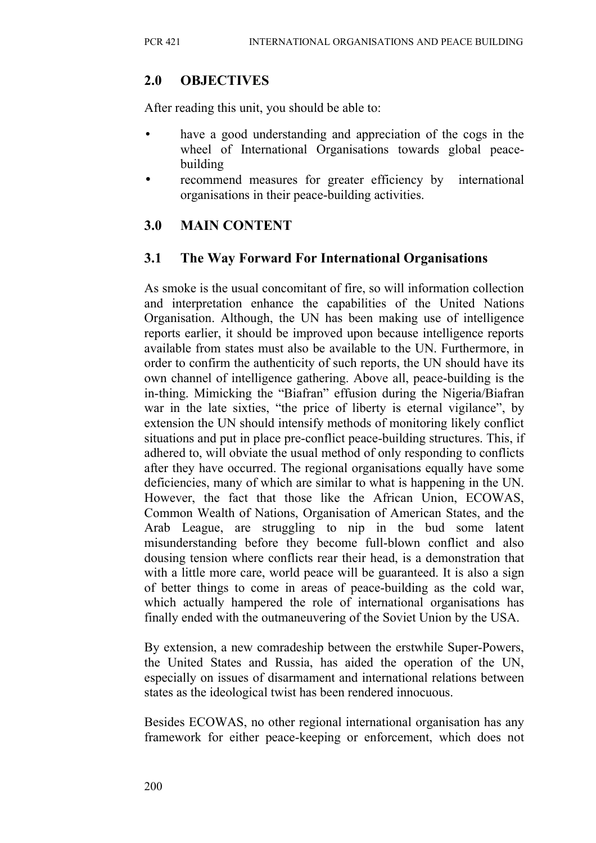### **2.0 OBJECTIVES**

After reading this unit, you should be able to:

- have a good understanding and appreciation of the cogs in the wheel of International Organisations towards global peacebuilding
- recommend measures for greater efficiency by international organisations in their peace-building activities.

## **3.0 MAIN CONTENT**

### **3.1 The Way Forward For International Organisations**

As smoke is the usual concomitant of fire, so will information collection and interpretation enhance the capabilities of the United Nations Organisation. Although, the UN has been making use of intelligence reports earlier, it should be improved upon because intelligence reports available from states must also be available to the UN. Furthermore, in order to confirm the authenticity of such reports, the UN should have its own channel of intelligence gathering. Above all, peace-building is the in-thing. Mimicking the "Biafran" effusion during the Nigeria/Biafran war in the late sixties, "the price of liberty is eternal vigilance", by extension the UN should intensify methods of monitoring likely conflict situations and put in place pre-conflict peace-building structures. This, if adhered to, will obviate the usual method of only responding to conflicts after they have occurred. The regional organisations equally have some deficiencies, many of which are similar to what is happening in the UN. However, the fact that those like the African Union, ECOWAS, Common Wealth of Nations, Organisation of American States, and the Arab League, are struggling to nip in the bud some latent misunderstanding before they become full-blown conflict and also dousing tension where conflicts rear their head, is a demonstration that with a little more care, world peace will be guaranteed. It is also a sign of better things to come in areas of peace-building as the cold war, which actually hampered the role of international organisations has finally ended with the outmaneuvering of the Soviet Union by the USA.

By extension, a new comradeship between the erstwhile Super-Powers, the United States and Russia, has aided the operation of the UN, especially on issues of disarmament and international relations between states as the ideological twist has been rendered innocuous.

Besides ECOWAS, no other regional international organisation has any framework for either peace-keeping or enforcement, which does not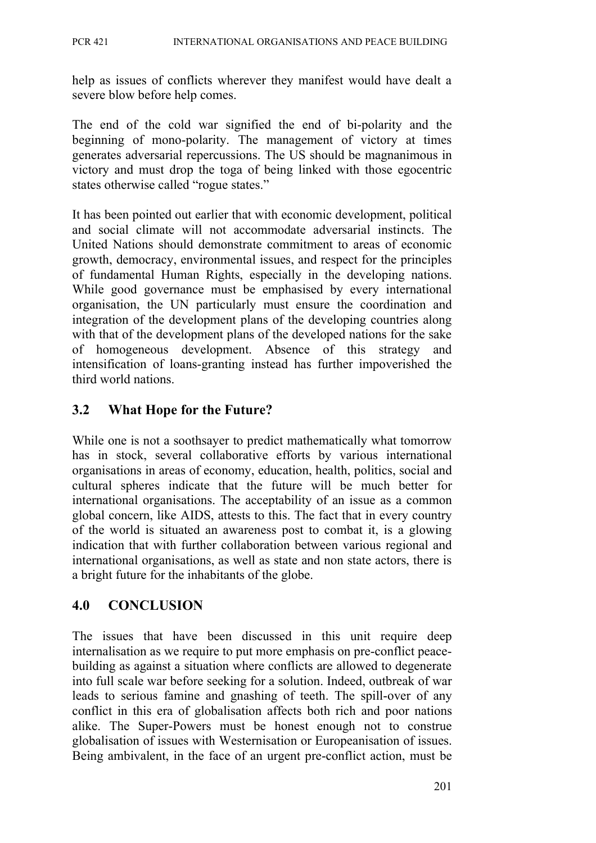help as issues of conflicts wherever they manifest would have dealt a severe blow before help comes.

The end of the cold war signified the end of bi-polarity and the beginning of mono-polarity. The management of victory at times generates adversarial repercussions. The US should be magnanimous in victory and must drop the toga of being linked with those egocentric states otherwise called "rogue states."

It has been pointed out earlier that with economic development, political and social climate will not accommodate adversarial instincts. The United Nations should demonstrate commitment to areas of economic growth, democracy, environmental issues, and respect for the principles of fundamental Human Rights, especially in the developing nations. While good governance must be emphasised by every international organisation, the UN particularly must ensure the coordination and integration of the development plans of the developing countries along with that of the development plans of the developed nations for the sake of homogeneous development. Absence of this strategy and intensification of loans-granting instead has further impoverished the third world nations.

## **3.2 What Hope for the Future?**

While one is not a soothsayer to predict mathematically what tomorrow has in stock, several collaborative efforts by various international organisations in areas of economy, education, health, politics, social and cultural spheres indicate that the future will be much better for international organisations. The acceptability of an issue as a common global concern, like AIDS, attests to this. The fact that in every country of the world is situated an awareness post to combat it, is a glowing indication that with further collaboration between various regional and international organisations, as well as state and non state actors, there is a bright future for the inhabitants of the globe.

### **4.0 CONCLUSION**

The issues that have been discussed in this unit require deep internalisation as we require to put more emphasis on pre-conflict peacebuilding as against a situation where conflicts are allowed to degenerate into full scale war before seeking for a solution. Indeed, outbreak of war leads to serious famine and gnashing of teeth. The spill-over of any conflict in this era of globalisation affects both rich and poor nations alike. The Super-Powers must be honest enough not to construe globalisation of issues with Westernisation or Europeanisation of issues. Being ambivalent, in the face of an urgent pre-conflict action, must be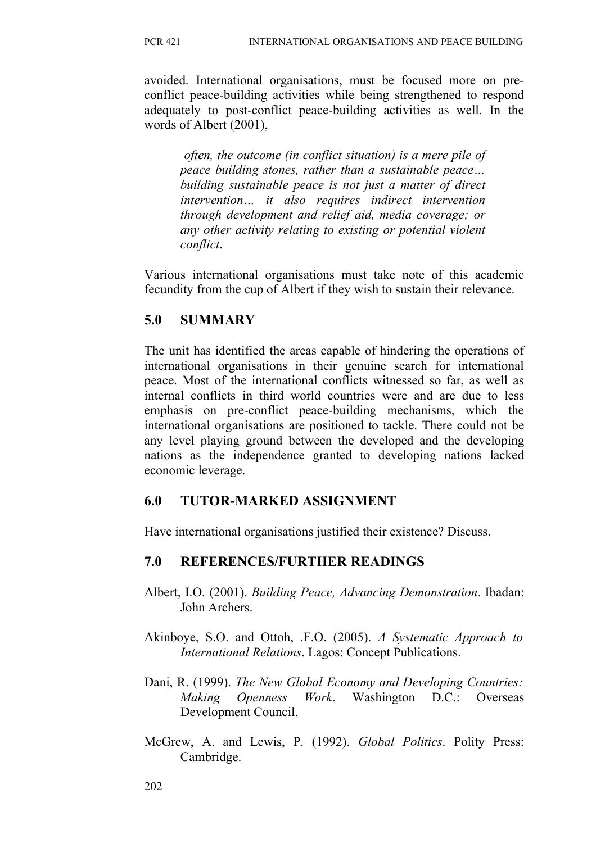avoided. International organisations, must be focused more on preconflict peace-building activities while being strengthened to respond adequately to post-conflict peace-building activities as well. In the words of Albert (2001),

*often, the outcome (in conflict situation) is a mere pile of peace building stones, rather than a sustainable peace… building sustainable peace is not just a matter of direct intervention… it also requires indirect intervention through development and relief aid, media coverage; or any other activity relating to existing or potential violent conflict*.

Various international organisations must take note of this academic fecundity from the cup of Albert if they wish to sustain their relevance.

## **5.0 SUMMARY**

The unit has identified the areas capable of hindering the operations of international organisations in their genuine search for international peace. Most of the international conflicts witnessed so far, as well as internal conflicts in third world countries were and are due to less emphasis on pre-conflict peace-building mechanisms, which the international organisations are positioned to tackle. There could not be any level playing ground between the developed and the developing nations as the independence granted to developing nations lacked economic leverage.

# **6.0 TUTOR-MARKED ASSIGNMENT**

Have international organisations justified their existence? Discuss.

# **7.0 REFERENCES/FURTHER READINGS**

- Albert, I.O. (2001). *Building Peace, Advancing Demonstration*. Ibadan: John Archers.
- Akinboye, S.O. and Ottoh, .F.O. (2005). *A Systematic Approach to International Relations*. Lagos: Concept Publications.
- Dani, R. (1999). *The New Global Economy and Developing Countries: Making Openness Work*. Washington D.C.: Overseas Development Council.
- McGrew, A. and Lewis, P. (1992). *Global Politics*. Polity Press: Cambridge.